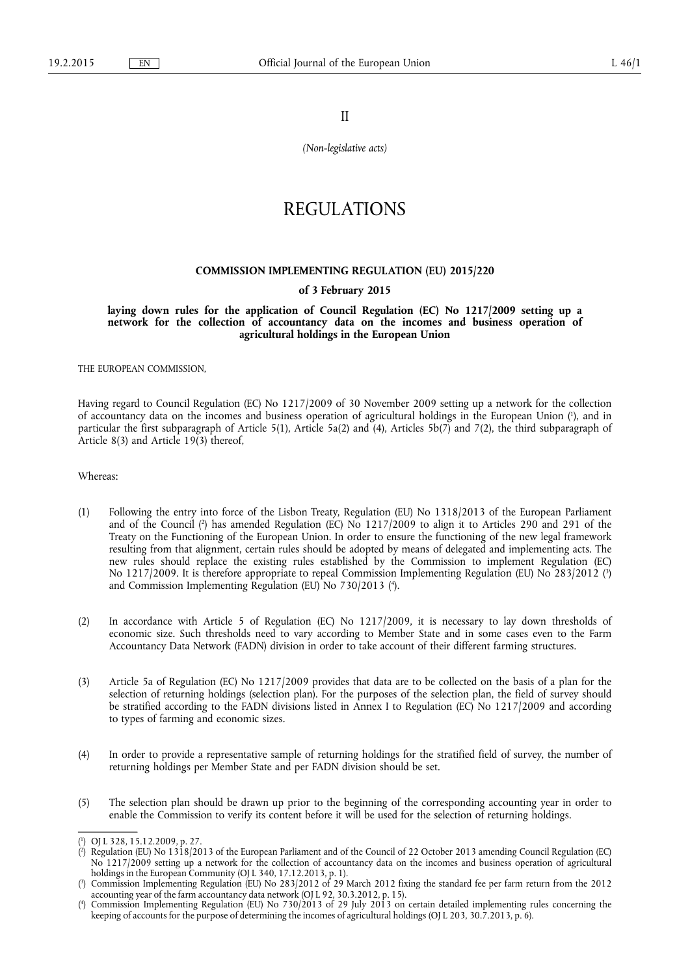II

*(Non-legislative acts)* 

# REGULATIONS

### **COMMISSION IMPLEMENTING REGULATION (EU) 2015/220**

## **of 3 February 2015**

**laying down rules for the application of Council Regulation (EC) No 1217/2009 setting up a network for the collection of accountancy data on the incomes and business operation of agricultural holdings in the European Union** 

THE EUROPEAN COMMISSION,

Having regard to Council Regulation (EC) No 1217/2009 of 30 November 2009 setting up a network for the collection of accountancy data on the incomes and business operation of agricultural holdings in the European Union ( 1 ), and in particular the first subparagraph of Article 5(1), Article 5a(2) and (4), Articles 5b(7) and 7(2), the third subparagraph of Article 8(3) and Article 19(3) thereof,

Whereas:

- (1) Following the entry into force of the Lisbon Treaty, Regulation (EU) No 1318/2013 of the European Parliament and of the Council ( 2 ) has amended Regulation (EC) No 1217/2009 to align it to Articles 290 and 291 of the Treaty on the Functioning of the European Union. In order to ensure the functioning of the new legal framework resulting from that alignment, certain rules should be adopted by means of delegated and implementing acts. The new rules should replace the existing rules established by the Commission to implement Regulation (EC) No 1217/2009. It is therefore appropriate to repeal Commission Implementing Regulation (EU) No 283/2012 ( 3 ) and Commission Implementing Regulation (EU) No 730/2013 ( 4 ).
- (2) In accordance with Article 5 of Regulation (EC) No 1217/2009, it is necessary to lay down thresholds of economic size. Such thresholds need to vary according to Member State and in some cases even to the Farm Accountancy Data Network (FADN) division in order to take account of their different farming structures.
- (3) Article 5a of Regulation (EC) No 1217/2009 provides that data are to be collected on the basis of a plan for the selection of returning holdings (selection plan). For the purposes of the selection plan, the field of survey should be stratified according to the FADN divisions listed in Annex I to Regulation (EC) No 1217/2009 and according to types of farming and economic sizes.
- (4) In order to provide a representative sample of returning holdings for the stratified field of survey, the number of returning holdings per Member State and per FADN division should be set.
- (5) The selection plan should be drawn up prior to the beginning of the corresponding accounting year in order to enable the Commission to verify its content before it will be used for the selection of returning holdings.

<sup>(</sup> 1 ) OJ L 328, 15.12.2009, p. 27.

<sup>(</sup> 2 ) Regulation (EU) No 1318/2013 of the European Parliament and of the Council of 22 October 2013 amending Council Regulation (EC) No 1217/2009 setting up a network for the collection of accountancy data on the incomes and business operation of agricultural holdings in the European Community (OJ L 340, 17.12.2013, p. 1).

<sup>(</sup> 3 ) Commission Implementing Regulation (EU) No 283/2012 of 29 March 2012 fixing the standard fee per farm return from the 2012 accounting year of the farm accountancy data network (OJ L 92, 30.3.2012, p. 15).

<sup>(</sup> 4 ) Commission Implementing Regulation (EU) No 730/2013 of 29 July 2013 on certain detailed implementing rules concerning the keeping of accounts for the purpose of determining the incomes of agricultural holdings (OJ L 203, 30.7.2013, p. 6).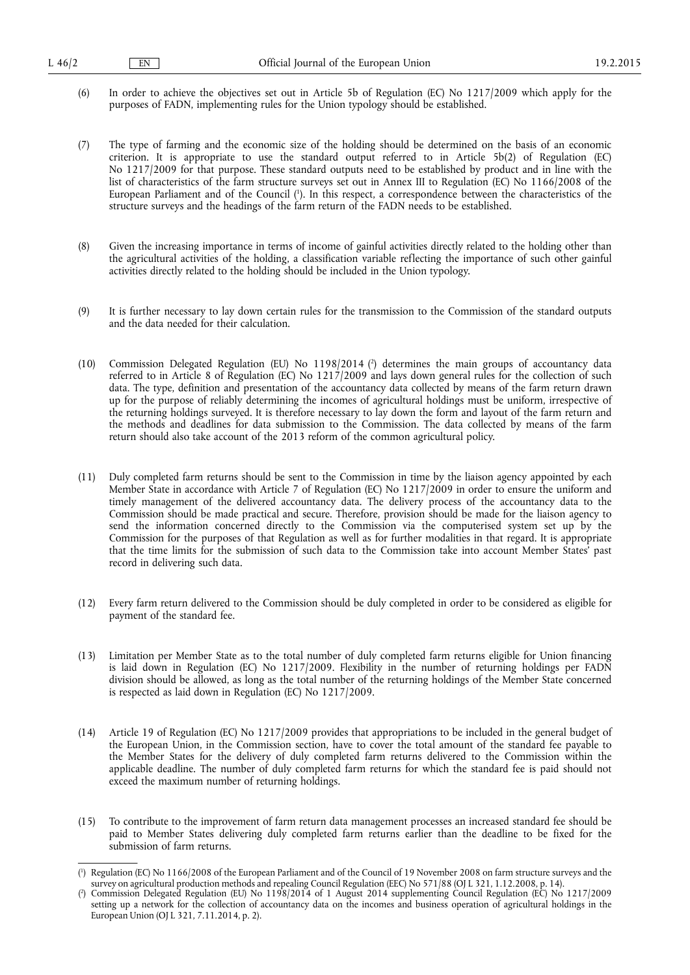- (6) In order to achieve the objectives set out in Article 5b of Regulation (EC) No 1217/2009 which apply for the purposes of FADN, implementing rules for the Union typology should be established.
- (7) The type of farming and the economic size of the holding should be determined on the basis of an economic criterion. It is appropriate to use the standard output referred to in Article 5b(2) of Regulation (EC) No 1217/2009 for that purpose. These standard outputs need to be established by product and in line with the list of characteristics of the farm structure surveys set out in Annex III to Regulation (EC) No 1166/2008 of the European Parliament and of the Council ( 1 ). In this respect, a correspondence between the characteristics of the structure surveys and the headings of the farm return of the FADN needs to be established.
- (8) Given the increasing importance in terms of income of gainful activities directly related to the holding other than the agricultural activities of the holding, a classification variable reflecting the importance of such other gainful activities directly related to the holding should be included in the Union typology.
- (9) It is further necessary to lay down certain rules for the transmission to the Commission of the standard outputs and the data needed for their calculation.
- (10) Commission Delegated Regulation (EU) No 1198/2014 ( 2 ) determines the main groups of accountancy data referred to in Article 8 of Regulation (EC) No 1217/2009 and lays down general rules for the collection of such data. The type, definition and presentation of the accountancy data collected by means of the farm return drawn up for the purpose of reliably determining the incomes of agricultural holdings must be uniform, irrespective of the returning holdings surveyed. It is therefore necessary to lay down the form and layout of the farm return and the methods and deadlines for data submission to the Commission. The data collected by means of the farm return should also take account of the 2013 reform of the common agricultural policy.
- (11) Duly completed farm returns should be sent to the Commission in time by the liaison agency appointed by each Member State in accordance with Article 7 of Regulation (EC) No 1217/2009 in order to ensure the uniform and timely management of the delivered accountancy data. The delivery process of the accountancy data to the Commission should be made practical and secure. Therefore, provision should be made for the liaison agency to send the information concerned directly to the Commission via the computerised system set up by the Commission for the purposes of that Regulation as well as for further modalities in that regard. It is appropriate that the time limits for the submission of such data to the Commission take into account Member States' past record in delivering such data.
- (12) Every farm return delivered to the Commission should be duly completed in order to be considered as eligible for payment of the standard fee.
- (13) Limitation per Member State as to the total number of duly completed farm returns eligible for Union financing is laid down in Regulation (EC) No 1217/2009. Flexibility in the number of returning holdings per FADN division should be allowed, as long as the total number of the returning holdings of the Member State concerned is respected as laid down in Regulation (EC) No 1217/2009.
- (14) Article 19 of Regulation (EC) No 1217/2009 provides that appropriations to be included in the general budget of the European Union, in the Commission section, have to cover the total amount of the standard fee payable to the Member States for the delivery of duly completed farm returns delivered to the Commission within the applicable deadline. The number of duly completed farm returns for which the standard fee is paid should not exceed the maximum number of returning holdings.
- (15) To contribute to the improvement of farm return data management processes an increased standard fee should be paid to Member States delivering duly completed farm returns earlier than the deadline to be fixed for the submission of farm returns.

<sup>(</sup> 1 ) Regulation (EC) No 1166/2008 of the European Parliament and of the Council of 19 November 2008 on farm structure surveys and the survey on agricultural production methods and repealing Council Regulation (EEC) No 571/88 (OJ L 321, 1.12.2008, p. 14).

<sup>(</sup> 2 ) Commission Delegated Regulation (EU) No 1198/2014 of 1 August 2014 supplementing Council Regulation (EC) No 1217/2009 setting up a network for the collection of accountancy data on the incomes and business operation of agricultural holdings in the European Union (OJ L 321, 7.11.2014, p. 2).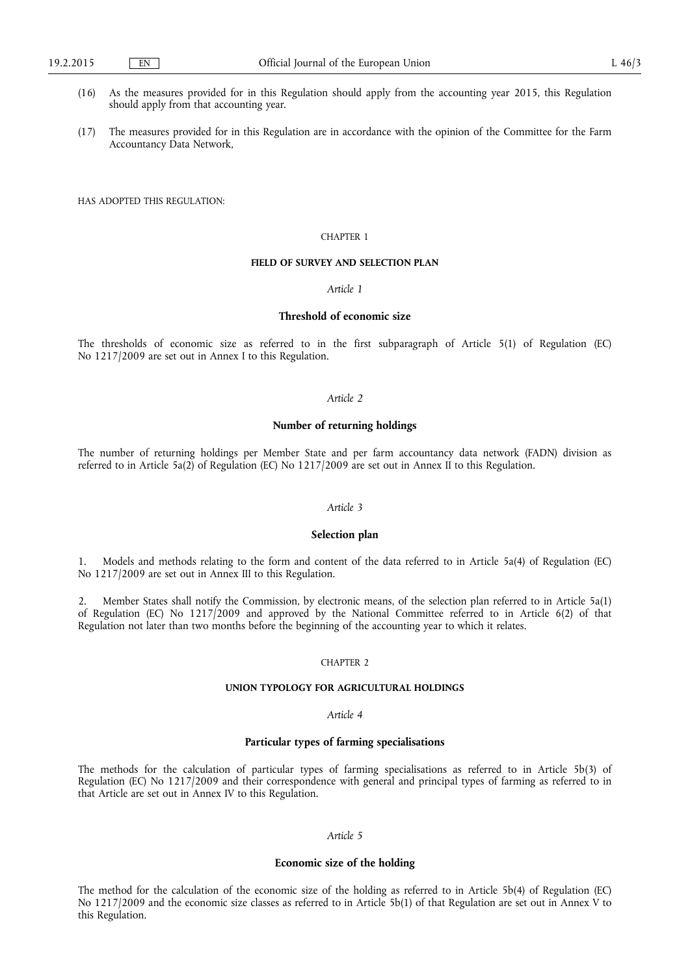- (16) As the measures provided for in this Regulation should apply from the accounting year 2015, this Regulation should apply from that accounting year.
- (17) The measures provided for in this Regulation are in accordance with the opinion of the Committee for the Farm Accountancy Data Network,

HAS ADOPTED THIS REGULATION:

#### CHAPTER 1

## **FIELD OF SURVEY AND SELECTION PLAN**

#### *Article 1*

### **Threshold of economic size**

The thresholds of economic size as referred to in the first subparagraph of Article 5(1) of Regulation (EC) No 1217/2009 are set out in Annex I to this Regulation.

#### *Article 2*

### **Number of returning holdings**

The number of returning holdings per Member State and per farm accountancy data network (FADN) division as referred to in Article 5a(2) of Regulation (EC) No 1217/2009 are set out in Annex II to this Regulation.

#### *Article 3*

#### **Selection plan**

1. Models and methods relating to the form and content of the data referred to in Article 5a(4) of Regulation (EC) No 1217/2009 are set out in Annex III to this Regulation.

2. Member States shall notify the Commission, by electronic means, of the selection plan referred to in Article 5a(1) of Regulation (EC) No 1217/2009 and approved by the National Committee referred to in Article 6(2) of that Regulation not later than two months before the beginning of the accounting year to which it relates.

#### CHAPTER 2

#### **UNION TYPOLOGY FOR AGRICULTURAL HOLDINGS**

### *Article 4*

## **Particular types of farming specialisations**

The methods for the calculation of particular types of farming specialisations as referred to in Article 5b(3) of Regulation (EC) No 1217/2009 and their correspondence with general and principal types of farming as referred to in that Article are set out in Annex IV to this Regulation.

## *Article 5*

#### **Economic size of the holding**

The method for the calculation of the economic size of the holding as referred to in Article 5b(4) of Regulation (EC) No 1217/2009 and the economic size classes as referred to in Article 5b(1) of that Regulation are set out in Annex V to this Regulation.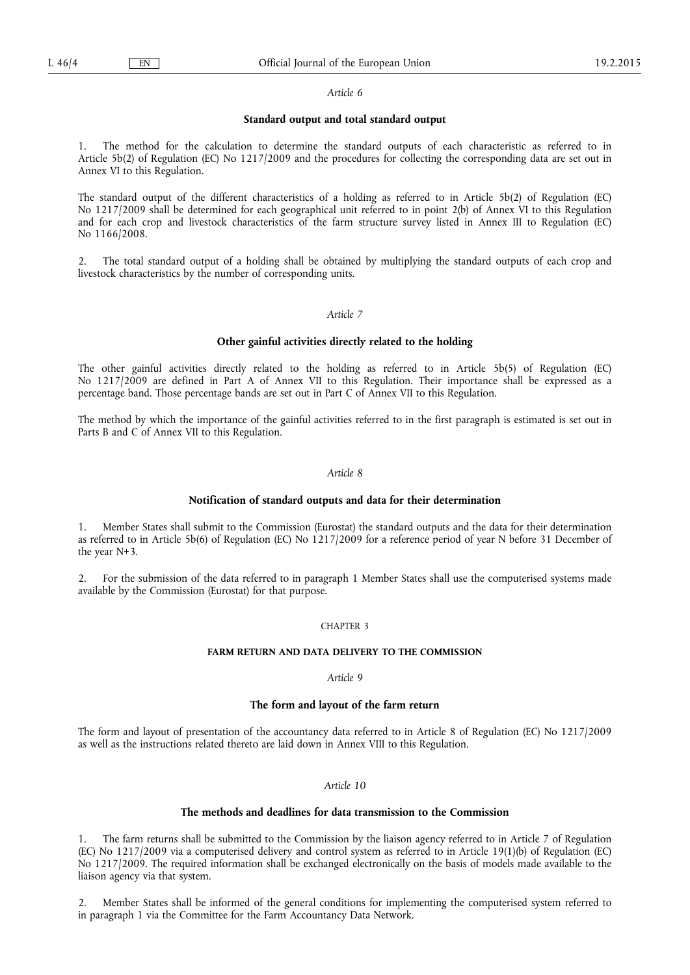#### *Article 6*

#### **Standard output and total standard output**

The method for the calculation to determine the standard outputs of each characteristic as referred to in Article 5b(2) of Regulation (EC) No 1217/2009 and the procedures for collecting the corresponding data are set out in Annex VI to this Regulation.

The standard output of the different characteristics of a holding as referred to in Article 5b(2) of Regulation (EC) No 1217/2009 shall be determined for each geographical unit referred to in point 2(b) of Annex VI to this Regulation and for each crop and livestock characteristics of the farm structure survey listed in Annex III to Regulation (EC) No 1166/2008.

2. The total standard output of a holding shall be obtained by multiplying the standard outputs of each crop and livestock characteristics by the number of corresponding units.

#### *Article 7*

#### **Other gainful activities directly related to the holding**

The other gainful activities directly related to the holding as referred to in Article 5b(5) of Regulation (EC) No 1217/2009 are defined in Part A of Annex VII to this Regulation. Their importance shall be expressed as a percentage band. Those percentage bands are set out in Part C of Annex VII to this Regulation.

The method by which the importance of the gainful activities referred to in the first paragraph is estimated is set out in Parts B and C of Annex VII to this Regulation.

#### *Article 8*

#### **Notification of standard outputs and data for their determination**

1. Member States shall submit to the Commission (Eurostat) the standard outputs and the data for their determination as referred to in Article 5b(6) of Regulation (EC) No 1217/2009 for a reference period of year N before 31 December of the year N+3.

2. For the submission of the data referred to in paragraph 1 Member States shall use the computerised systems made available by the Commission (Eurostat) for that purpose.

#### CHAPTER 3

### **FARM RETURN AND DATA DELIVERY TO THE COMMISSION**

#### *Article 9*

#### **The form and layout of the farm return**

The form and layout of presentation of the accountancy data referred to in Article 8 of Regulation (EC) No 1217/2009 as well as the instructions related thereto are laid down in Annex VIII to this Regulation.

## *Article 10*

#### **The methods and deadlines for data transmission to the Commission**

1. The farm returns shall be submitted to the Commission by the liaison agency referred to in Article 7 of Regulation (EC) No 1217/2009 via a computerised delivery and control system as referred to in Article 19(1)(b) of Regulation (EC) No 1217/2009. The required information shall be exchanged electronically on the basis of models made available to the liaison agency via that system.

2. Member States shall be informed of the general conditions for implementing the computerised system referred to in paragraph 1 via the Committee for the Farm Accountancy Data Network.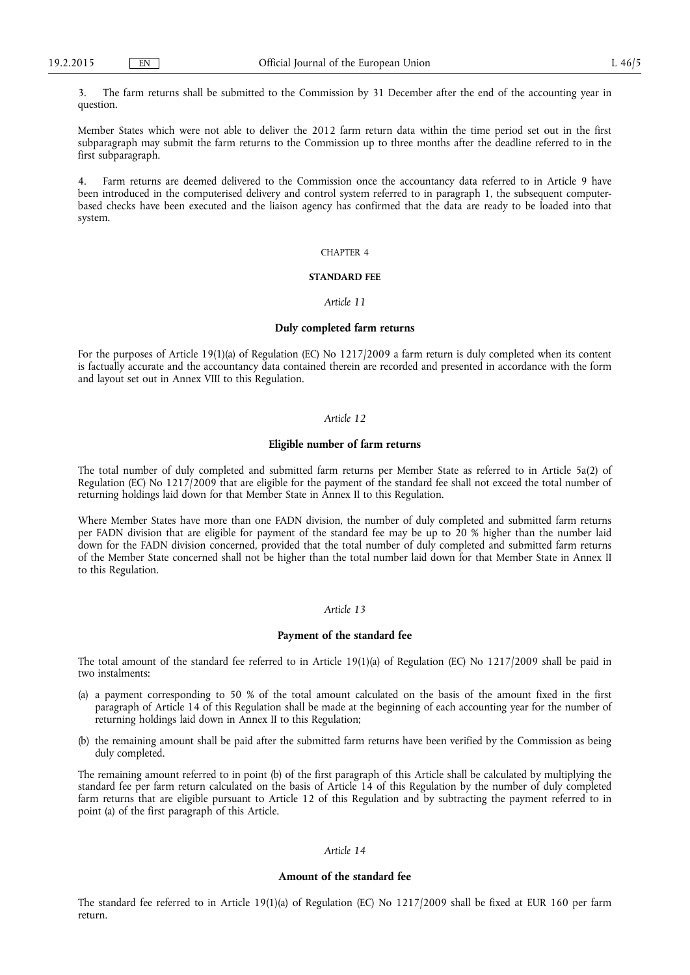3. The farm returns shall be submitted to the Commission by 31 December after the end of the accounting year in question.

Member States which were not able to deliver the 2012 farm return data within the time period set out in the first subparagraph may submit the farm returns to the Commission up to three months after the deadline referred to in the first subparagraph.

4. Farm returns are deemed delivered to the Commission once the accountancy data referred to in Article 9 have been introduced in the computerised delivery and control system referred to in paragraph 1, the subsequent computerbased checks have been executed and the liaison agency has confirmed that the data are ready to be loaded into that system.

### CHAPTER 4

#### **STANDARD FEE**

#### *Article 11*

#### **Duly completed farm returns**

For the purposes of Article 19(1)(a) of Regulation (EC) No 1217/2009 a farm return is duly completed when its content is factually accurate and the accountancy data contained therein are recorded and presented in accordance with the form and layout set out in Annex VIII to this Regulation.

#### *Article 12*

#### **Eligible number of farm returns**

The total number of duly completed and submitted farm returns per Member State as referred to in Article 5a(2) of Regulation (EC) No 1217/2009 that are eligible for the payment of the standard fee shall not exceed the total number of returning holdings laid down for that Member State in Annex II to this Regulation.

Where Member States have more than one FADN division, the number of duly completed and submitted farm returns per FADN division that are eligible for payment of the standard fee may be up to 20 % higher than the number laid down for the FADN division concerned, provided that the total number of duly completed and submitted farm returns of the Member State concerned shall not be higher than the total number laid down for that Member State in Annex II to this Regulation.

#### *Article 13*

#### **Payment of the standard fee**

The total amount of the standard fee referred to in Article 19(1)(a) of Regulation (EC) No 1217/2009 shall be paid in two instalments:

- (a) a payment corresponding to 50 % of the total amount calculated on the basis of the amount fixed in the first paragraph of Article 14 of this Regulation shall be made at the beginning of each accounting year for the number of returning holdings laid down in Annex II to this Regulation;
- (b) the remaining amount shall be paid after the submitted farm returns have been verified by the Commission as being duly completed.

The remaining amount referred to in point (b) of the first paragraph of this Article shall be calculated by multiplying the standard fee per farm return calculated on the basis of Article 14 of this Regulation by the number of duly completed farm returns that are eligible pursuant to Article 12 of this Regulation and by subtracting the payment referred to in point (a) of the first paragraph of this Article.

#### *Article 14*

#### **Amount of the standard fee**

The standard fee referred to in Article 19(1)(a) of Regulation (EC) No 1217/2009 shall be fixed at EUR 160 per farm return.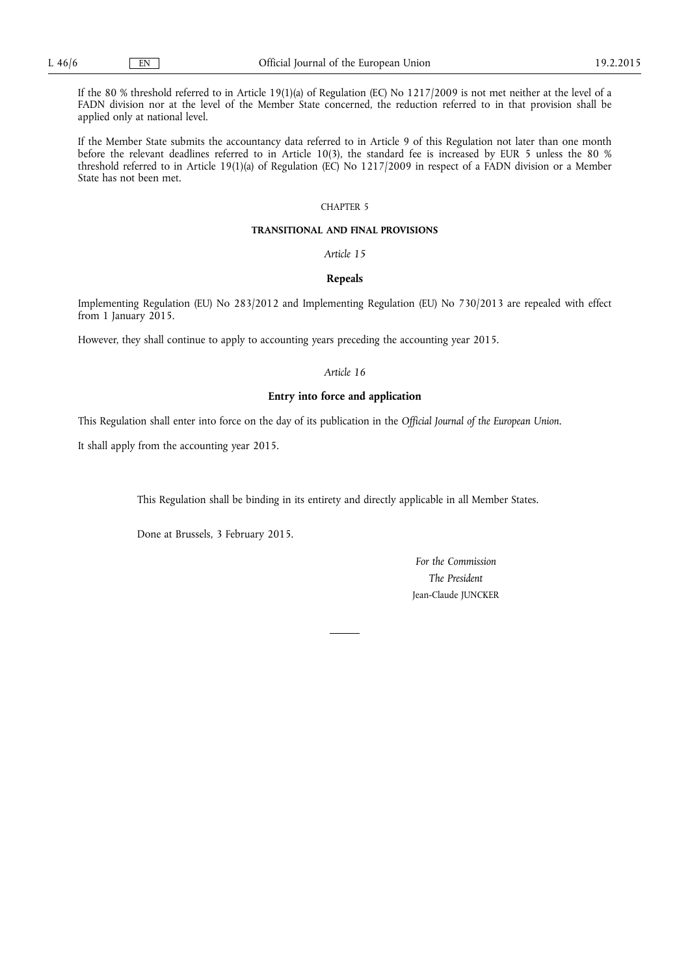If the 80 % threshold referred to in Article 19(1)(a) of Regulation (EC) No 1217/2009 is not met neither at the level of a FADN division nor at the level of the Member State concerned, the reduction referred to in that provision shall be applied only at national level.

If the Member State submits the accountancy data referred to in Article 9 of this Regulation not later than one month before the relevant deadlines referred to in Article 10(3), the standard fee is increased by EUR 5 unless the 80 % threshold referred to in Article 19(1)(a) of Regulation (EC) No 1217/2009 in respect of a FADN division or a Member State has not been met.

## CHAPTER 5

#### **TRANSITIONAL AND FINAL PROVISIONS**

*Article 15* 

#### **Repeals**

Implementing Regulation (EU) No 283/2012 and Implementing Regulation (EU) No 730/2013 are repealed with effect from 1 January 2015.

However, they shall continue to apply to accounting years preceding the accounting year 2015.

### *Article 16*

#### **Entry into force and application**

This Regulation shall enter into force on the day of its publication in the *Official Journal of the European Union*.

It shall apply from the accounting year 2015.

This Regulation shall be binding in its entirety and directly applicable in all Member States.

Done at Brussels, 3 February 2015.

*For the Commission The President*  Jean-Claude JUNCKER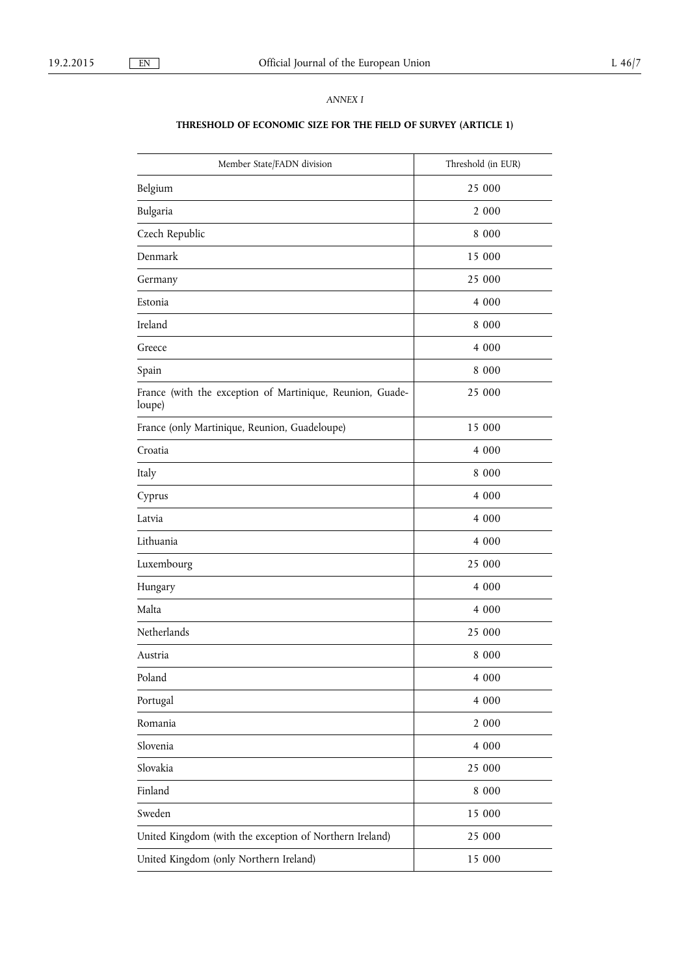## *ANNEX I*

# **THRESHOLD OF ECONOMIC SIZE FOR THE FIELD OF SURVEY (ARTICLE 1)**

| Member State/FADN division                                          | Threshold (in EUR) |
|---------------------------------------------------------------------|--------------------|
| Belgium                                                             | 25 000             |
| Bulgaria                                                            | 2 000              |
| Czech Republic                                                      | 8 0 0 0            |
| Denmark                                                             | 15 000             |
| Germany                                                             | 25 000             |
| Estonia                                                             | 4 000              |
| Ireland                                                             | 8 0 0 0            |
| Greece                                                              | 4 000              |
| Spain                                                               | 8 0 0 0            |
| France (with the exception of Martinique, Reunion, Guade-<br>loupe) | 25 000             |
| France (only Martinique, Reunion, Guadeloupe)                       | 15 000             |
| Croatia                                                             | 4 0 0 0            |
| Italy                                                               | 8 0 0 0            |
| Cyprus                                                              | 4 0 0 0            |
| Latvia                                                              | 4 0 0 0            |
| Lithuania                                                           | 4 0 0 0            |
| Luxembourg                                                          | 25 000             |
| Hungary                                                             | 4 0 0 0            |
| Malta                                                               | 4 0 0 0            |
| Netherlands                                                         | 25 000             |
| Austria                                                             | 8 0 0 0            |
| Poland                                                              | 4 000              |
| Portugal                                                            | 4 000              |
| Romania                                                             | 2 000              |
| Slovenia                                                            | 4 000              |
| Slovakia                                                            | 25 000             |
| Finland                                                             | 8 000              |
| Sweden                                                              | 15 000             |
| United Kingdom (with the exception of Northern Ireland)             | 25 000             |
| United Kingdom (only Northern Ireland)                              | 15 000             |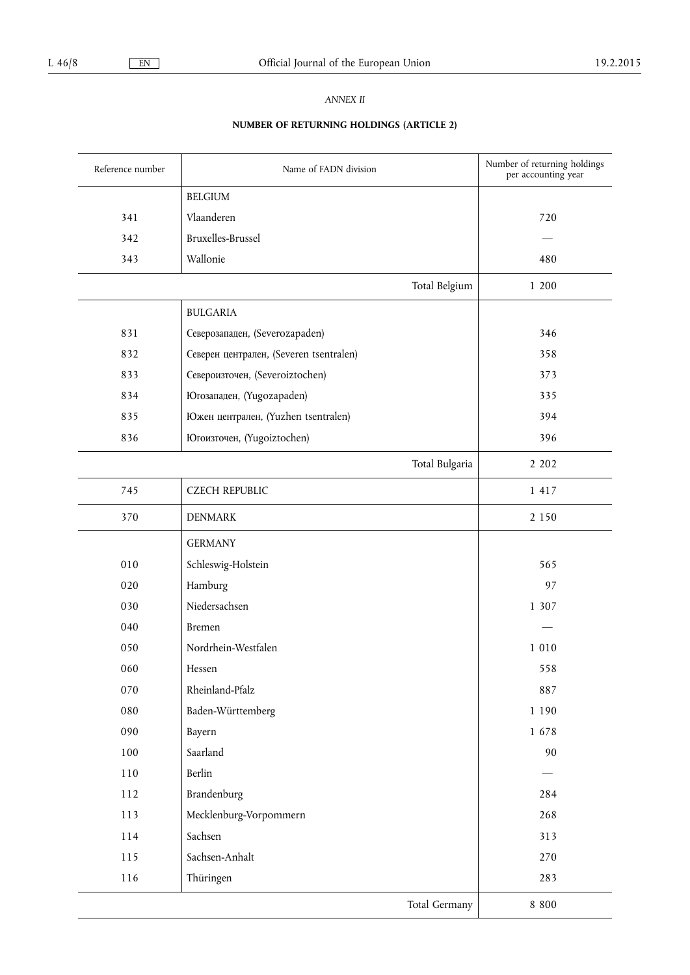## *ANNEX II*

# **NUMBER OF RETURNING HOLDINGS (ARTICLE 2)**

| Reference number | Name of FADN division                   | Number of returning holdings<br>per accounting year |
|------------------|-----------------------------------------|-----------------------------------------------------|
|                  | <b>BELGIUM</b>                          |                                                     |
| 341              | Vlaanderen                              | 720                                                 |
| 342              | Bruxelles-Brussel                       |                                                     |
| 343              | Wallonie                                | 480                                                 |
|                  | Total Belgium                           | 1 200                                               |
|                  | <b>BULGARIA</b>                         |                                                     |
| 831              | Северозападен, (Severozapaden)          | 346                                                 |
| 832              | Северен централен, (Severen tsentralen) | 358                                                 |
| 833              | Североизточен, (Severoiztochen)         | 373                                                 |
| 834              | Югозападен, (Yugozapaden)               | 335                                                 |
| 835              | Южен централен, (Yuzhen tsentralen)     | 394                                                 |
| 836              | Югоизточен, (Yugoiztochen)              | 396                                                 |
|                  | Total Bulgaria                          | 2 2 0 2                                             |
| 745              | <b>CZECH REPUBLIC</b>                   | 1 4 1 7                                             |
| 370              | <b>DENMARK</b>                          | 2 1 5 0                                             |
|                  | <b>GERMANY</b>                          |                                                     |
| 010              | Schleswig-Holstein                      | 565                                                 |
| 020              | Hamburg                                 | 97                                                  |
| 030              | Niedersachsen                           | 1 307                                               |
| 040              | Bremen                                  |                                                     |
| 050              | Nordrhein-Westfalen                     | 1 0 1 0                                             |
| 060              | Hessen                                  | 558                                                 |
| 070              | Rheinland-Pfalz                         | 887                                                 |
| 080              | Baden-Württemberg                       | 1 1 9 0                                             |
| 090              | Bayern                                  | 1678                                                |
| 100              | Saarland                                | 90                                                  |
| 110              | Berlin                                  |                                                     |
| 112              | Brandenburg                             | 284                                                 |
| 113              | Mecklenburg-Vorpommern                  | 268                                                 |
| 114              | Sachsen                                 | 313                                                 |
| 115              | Sachsen-Anhalt                          | 270                                                 |
| 116              | Thüringen                               | 283                                                 |
|                  | Total Germany                           | $8\,$ $800$                                         |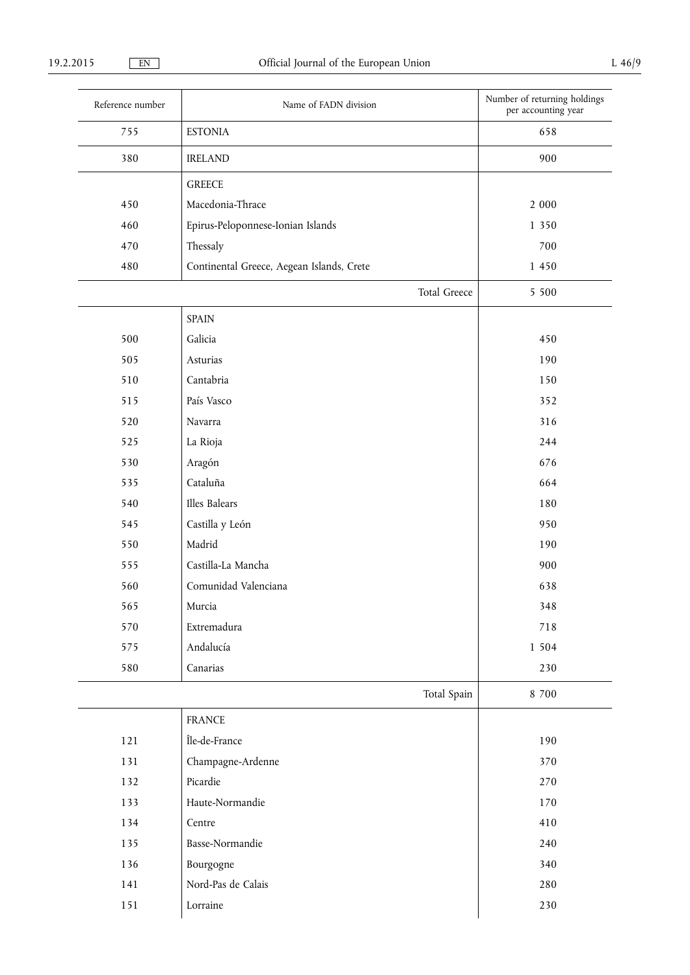| Reference number | Name of FADN division                     | Number of returning holdings<br>per accounting year |
|------------------|-------------------------------------------|-----------------------------------------------------|
| 755              | <b>ESTONIA</b>                            | 658                                                 |
| 380              | <b>IRELAND</b>                            | 900                                                 |
|                  | <b>GREECE</b>                             |                                                     |
| 450              | Macedonia-Thrace                          | 2 000                                               |
| 460              | Epirus-Peloponnese-Ionian Islands         | 1 350                                               |
| 470              | Thessaly                                  | 700                                                 |
| 480              | Continental Greece, Aegean Islands, Crete | 1 450                                               |
|                  | Total Greece                              | 5 5 0 0                                             |
|                  | <b>SPAIN</b>                              |                                                     |
| 500              | Galicia                                   | 450                                                 |
| 505              | Asturias                                  | 190                                                 |
| 510              | Cantabria                                 | 150                                                 |
| 515              | País Vasco                                | 352                                                 |
| 520              | Navarra                                   | 316                                                 |
| 525              | La Rioja                                  | 244                                                 |
| 530              | Aragón                                    | 676                                                 |
| 535              | Cataluña                                  | 664                                                 |
| 540              | Illes Balears                             | 180                                                 |
| 545              | Castilla y León                           | 950                                                 |
| 550              | Madrid                                    | 190                                                 |
| 555              | Castilla-La Mancha                        | 900                                                 |
| 560              | Comunidad Valenciana                      | 638                                                 |
| 565              | Murcia                                    | 348                                                 |
| 570              | Extremadura                               | 718                                                 |
| 575              | Andalucía                                 | 1 5 0 4                                             |
| 580              | Canarias                                  | 230                                                 |
|                  | Total Spain                               | 8 700                                               |
|                  | <b>FRANCE</b>                             |                                                     |
| 121              | Île-de-France                             | 190                                                 |
| 131              | Champagne-Ardenne                         | 370                                                 |
| 132              | Picardie                                  | 270                                                 |
| 133              | Haute-Normandie                           | 170                                                 |
| 134              | Centre                                    | 410                                                 |
| 135              | Basse-Normandie                           | 240                                                 |
| 136              | Bourgogne                                 | 340                                                 |
| 141              | Nord-Pas de Calais                        | 280                                                 |
| 151              | Lorraine                                  | 230                                                 |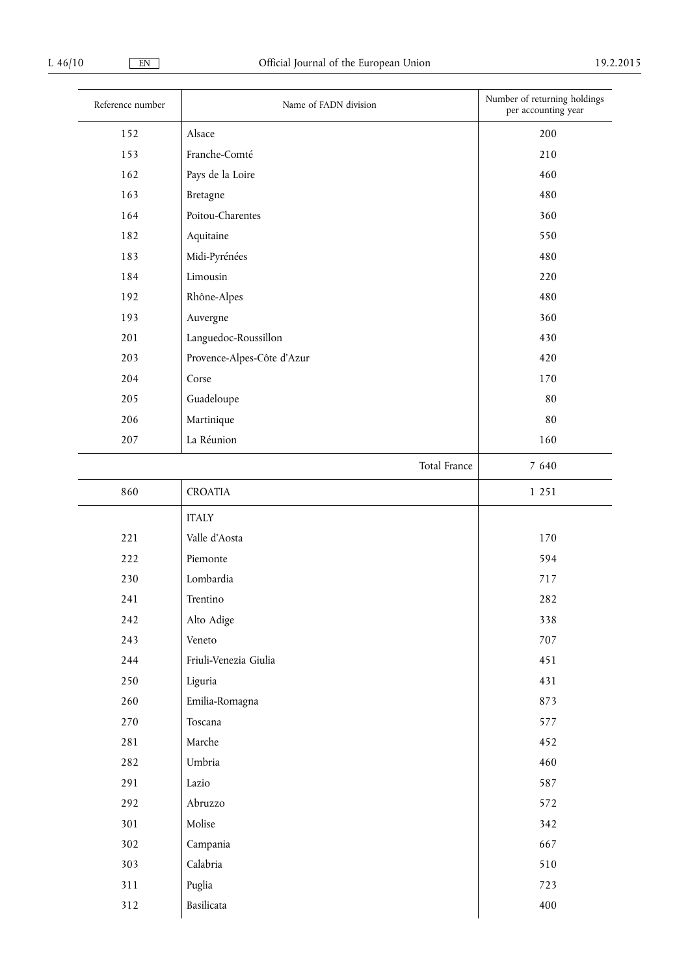| Reference number | Name of FADN division      | Number of returning holdings<br>per accounting year |
|------------------|----------------------------|-----------------------------------------------------|
| 152              | Alsace                     | 200                                                 |
| 153              | Franche-Comté              | 210                                                 |
| 162              | Pays de la Loire           | 460                                                 |
| 163              | Bretagne                   | 480                                                 |
| 164              | Poitou-Charentes           | 360                                                 |
| 182              | Aquitaine                  | 550                                                 |
| 183              | Midi-Pyrénées              | 480                                                 |
| 184              | Limousin                   | 220                                                 |
| 192              | Rhône-Alpes                | 480                                                 |
| 193              | Auvergne                   | 360                                                 |
| 201              | Languedoc-Roussillon       | 430                                                 |
| 203              | Provence-Alpes-Côte d'Azur | 420                                                 |
| 204              | Corse                      | 170                                                 |
| 205              | Guadeloupe                 | 80                                                  |
| 206              | Martinique                 | 80                                                  |
| 207              | La Réunion                 | 160                                                 |
|                  | Total France               | 7 640                                               |
| 860              | <b>CROATIA</b>             | 1 2 5 1                                             |
|                  | <b>ITALY</b>               |                                                     |
| 221              | Valle d'Aosta              | 170                                                 |
| 222              | Piemonte                   | 594                                                 |
| 230              | Lombardia                  | 717                                                 |
| 241              | Trentino                   | 282                                                 |
| 242              | Alto Adige                 | 338                                                 |
| 243              | Veneto                     | 707                                                 |
| 244              | Friuli-Venezia Giulia      | 451                                                 |
| 250              | Liguria                    | 431                                                 |
| 260              | Emilia-Romagna             | 873                                                 |
| 270              | Toscana                    | 577                                                 |
| 281              | Marche                     | 452                                                 |
| 282              | Umbria                     | 460                                                 |
| 291              | Lazio                      | 587                                                 |
| 292              | Abruzzo                    | 572                                                 |
| 301              | Molise                     | 342                                                 |
| 302              | Campania                   | 667                                                 |
| 303              | Calabria                   | 510                                                 |
| 311              | Puglia                     | 723                                                 |
| 312              | Basilicata                 | 400                                                 |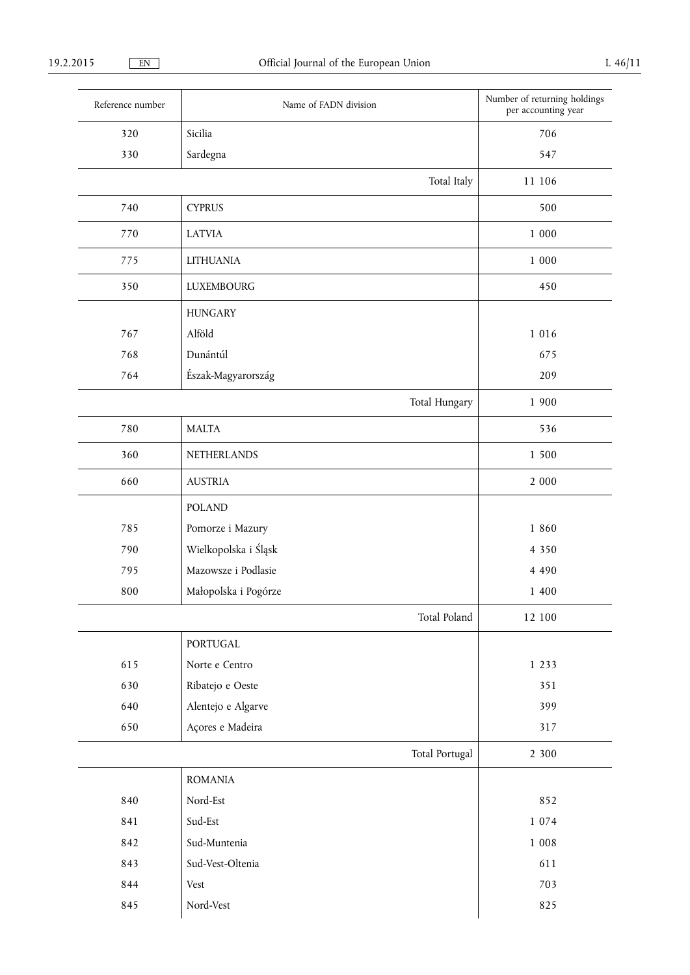| Reference number | Name of FADN division | Number of returning holdings<br>per accounting year |
|------------------|-----------------------|-----------------------------------------------------|
| 320              | Sicilia               | 706                                                 |
| 330              | Sardegna              | 547                                                 |
|                  | Total Italy           | 11 106                                              |
| 740              | <b>CYPRUS</b>         | 500                                                 |
| 770              | <b>LATVIA</b>         | $1\ 000$                                            |
| 775              | <b>LITHUANIA</b>      | 1 000                                               |
| 350              | <b>LUXEMBOURG</b>     | 450                                                 |
|                  | <b>HUNGARY</b>        |                                                     |
| 767              | Alföld                | 1 0 1 6                                             |
| 768              | Dunántúl              | 675                                                 |
| 764              | Észak-Magyarország    | 209                                                 |
|                  | Total Hungary         | 1 900                                               |
| 780              | <b>MALTA</b>          | 536                                                 |
| 360              | NETHERLANDS           | 1 500                                               |
| 660              | <b>AUSTRIA</b>        | 2 000                                               |
|                  | <b>POLAND</b>         |                                                     |
| 785              | Pomorze i Mazury      | 1 860                                               |
| 790              | Wielkopolska i Śląsk  | 4 3 5 0                                             |
| 795              | Mazowsze i Podlasie   | 4 4 9 0                                             |
| 800              | Małopolska i Pogórze  | 1 400                                               |
|                  | Total Poland          | 12 100                                              |
|                  | PORTUGAL              |                                                     |
| 615              | Norte e Centro        | 1 2 3 3                                             |
| 630              | Ribatejo e Oeste      | 351                                                 |
| 640              | Alentejo e Algarve    | 399                                                 |
| 650              | Açores e Madeira      | 317                                                 |
|                  | Total Portugal        | 2 300                                               |
|                  | <b>ROMANIA</b>        |                                                     |
| 840              | Nord-Est              | 852                                                 |
| 841              | Sud-Est               | 1 0 7 4                                             |
| 842              | Sud-Muntenia          | $1\ 008$                                            |
| 843              | Sud-Vest-Oltenia      | 611                                                 |
| 844              | Vest                  | 703                                                 |
| 845              | Nord-Vest             | 825                                                 |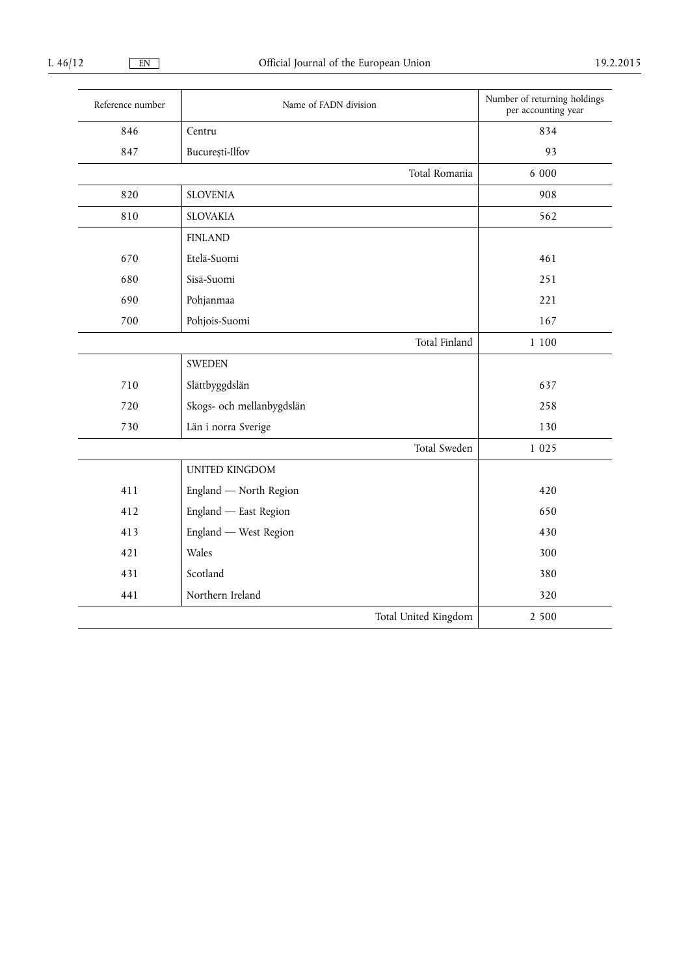| Reference number | Name of FADN division     | Number of returning holdings<br>per accounting year |
|------------------|---------------------------|-----------------------------------------------------|
| 846              | Centru                    | 834                                                 |
| 847              | București-Ilfov           | 93                                                  |
|                  | Total Romania             | 6 000                                               |
| 820              | <b>SLOVENIA</b>           | 908                                                 |
| 810              | <b>SLOVAKIA</b>           | 562                                                 |
|                  | <b>FINLAND</b>            |                                                     |
| 670              | Etelä-Suomi               | 461                                                 |
| 680              | Sisä-Suomi                | 251                                                 |
| 690              | Pohjanmaa                 | 221                                                 |
| 700              | Pohjois-Suomi             | 167                                                 |
|                  | Total Finland             | 1 100                                               |
|                  | <b>SWEDEN</b>             |                                                     |
| 710              | Slättbyggdslän            | 637                                                 |
| 720              | Skogs- och mellanbygdslän | 258                                                 |
| 730              | Län i norra Sverige       | 130                                                 |
|                  | Total Sweden              | 1 0 2 5                                             |
|                  | UNITED KINGDOM            |                                                     |
| 411              | England - North Region    | 420                                                 |
| 412              | England - East Region     | 650                                                 |
| 413              | England — West Region     | 430                                                 |
| 421              | Wales                     | 300                                                 |
| 431              | Scotland                  | 380                                                 |
| 441              | Northern Ireland          | 320                                                 |
|                  | Total United Kingdom      | 2 500                                               |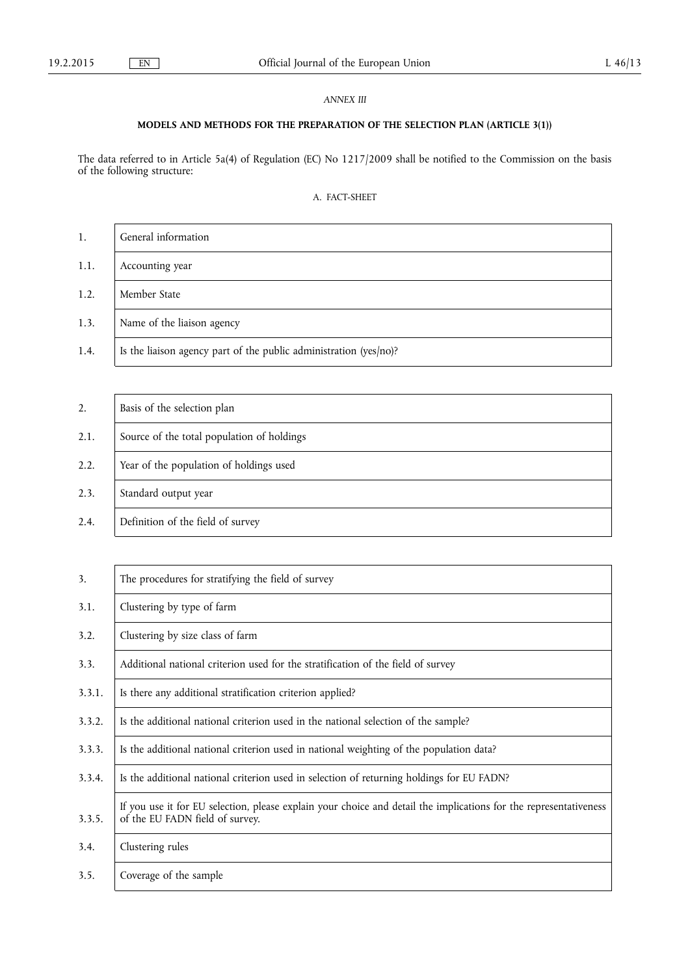## *ANNEX III*

## **MODELS AND METHODS FOR THE PREPARATION OF THE SELECTION PLAN (ARTICLE 3(1))**

The data referred to in Article 5a(4) of Regulation (EC) No 1217/2009 shall be notified to the Commission on the basis of the following structure:

## A. FACT-SHEET

| 1.   | General information                                                 |
|------|---------------------------------------------------------------------|
| 1.1. | Accounting year                                                     |
| 1.2. | Member State                                                        |
| 1.3. | Name of the liaison agency                                          |
| 1.4. | Is the liaison agency part of the public administration $(yes/no)?$ |

| 2.   | Basis of the selection plan                |
|------|--------------------------------------------|
| 2.1. | Source of the total population of holdings |
| 2.2. | Year of the population of holdings used    |
| 2.3. | Standard output year                       |
| 2.4. | Definition of the field of survey          |

| 3.     | The procedures for stratifying the field of survey                                                                                                   |
|--------|------------------------------------------------------------------------------------------------------------------------------------------------------|
| 3.1.   | Clustering by type of farm                                                                                                                           |
| 3.2.   | Clustering by size class of farm                                                                                                                     |
| 3.3.   | Additional national criterion used for the stratification of the field of survey                                                                     |
| 3.3.1. | Is there any additional stratification criterion applied?                                                                                            |
| 3.3.2. | Is the additional national criterion used in the national selection of the sample?                                                                   |
| 3.3.3. | Is the additional national criterion used in national weighting of the population data?                                                              |
| 3.3.4. | Is the additional national criterion used in selection of returning holdings for EU FADN?                                                            |
| 3.3.5. | If you use it for EU selection, please explain your choice and detail the implications for the representativeness<br>of the EU FADN field of survey. |
| 3.4.   | Clustering rules                                                                                                                                     |
| 3.5.   | Coverage of the sample                                                                                                                               |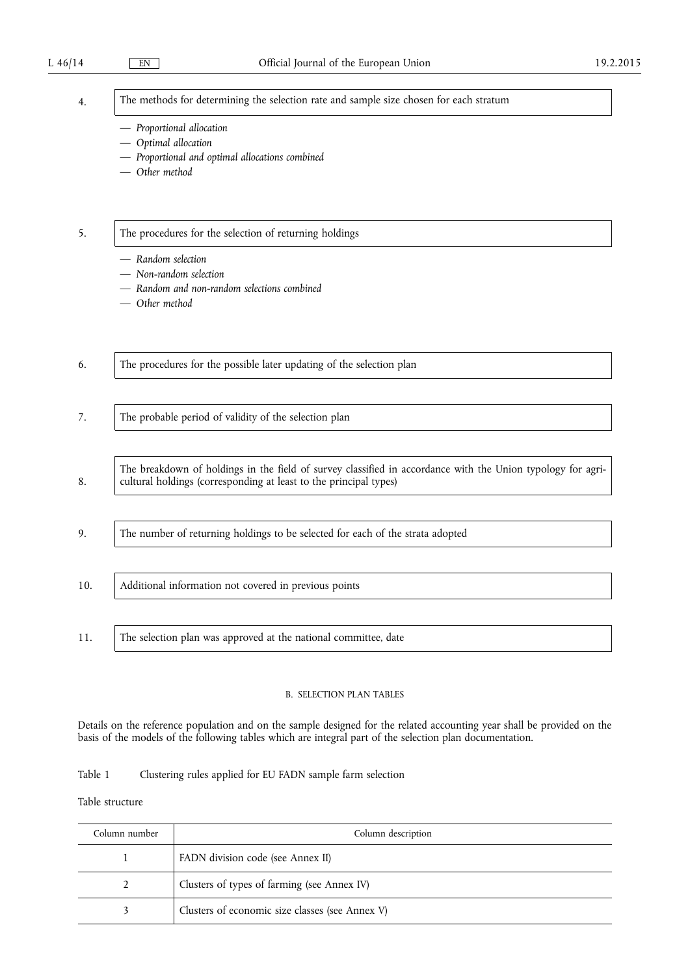| н | ۰<br>× |  |
|---|--------|--|
|   |        |  |

The methods for determining the selection rate and sample size chosen for each stratum

- *Proportional allocation*
- *Optimal allocation*
- *Proportional and optimal allocations combined*
- *Other method*

## 5. The procedures for the selection of returning holdings

- *Random selection*
- *Non-random selection*
- *Random and non-random selections combined*
- *Other method*

| 6.  | The procedures for the possible later updating of the selection plan                                                                                                             |
|-----|----------------------------------------------------------------------------------------------------------------------------------------------------------------------------------|
|     |                                                                                                                                                                                  |
| 7.  | The probable period of validity of the selection plan                                                                                                                            |
|     |                                                                                                                                                                                  |
| 8.  | The breakdown of holdings in the field of survey classified in accordance with the Union typology for agri-<br>cultural holdings (corresponding at least to the principal types) |
|     |                                                                                                                                                                                  |
| 9.  | The number of returning holdings to be selected for each of the strata adopted                                                                                                   |
|     |                                                                                                                                                                                  |
| 10. | Additional information not covered in previous points                                                                                                                            |
|     |                                                                                                                                                                                  |
| 11. | The selection plan was approved at the national committee, date                                                                                                                  |

## B. SELECTION PLAN TABLES

Details on the reference population and on the sample designed for the related accounting year shall be provided on the basis of the models of the following tables which are integral part of the selection plan documentation.

## Table 1 Clustering rules applied for EU FADN sample farm selection

Table structure

| Column number | Column description                              |  |
|---------------|-------------------------------------------------|--|
|               | FADN division code (see Annex II)               |  |
|               | Clusters of types of farming (see Annex IV)     |  |
|               | Clusters of economic size classes (see Annex V) |  |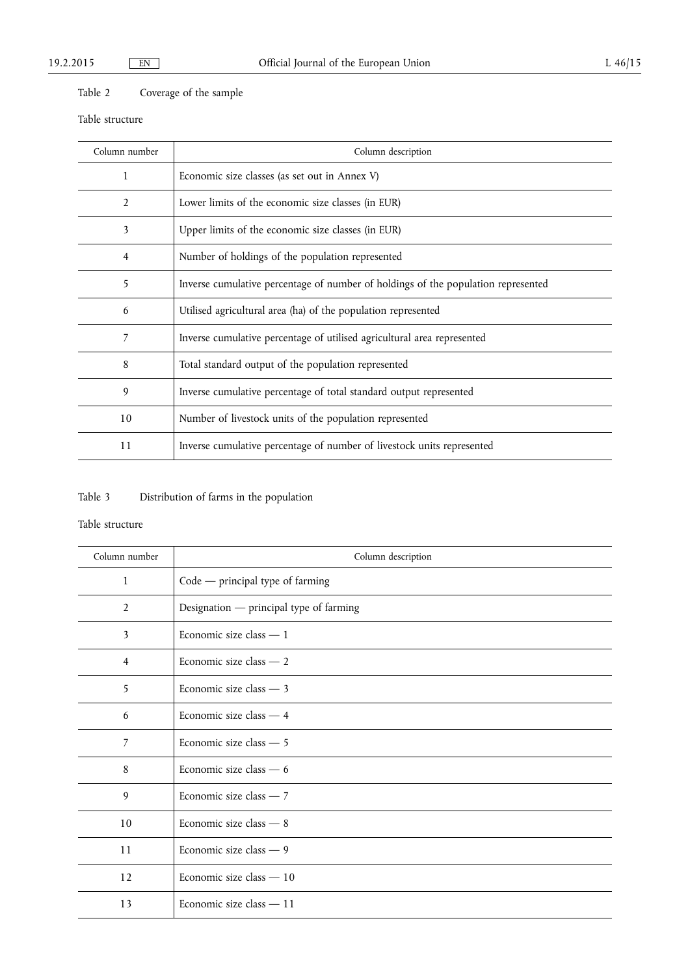## Table 2 Coverage of the sample

## Table structure

| Column number  | Column description                                                                |
|----------------|-----------------------------------------------------------------------------------|
| 1              | Economic size classes (as set out in Annex V)                                     |
| $\overline{2}$ | Lower limits of the economic size classes (in EUR)                                |
| 3              | Upper limits of the economic size classes (in EUR)                                |
| 4              | Number of holdings of the population represented                                  |
| 5              | Inverse cumulative percentage of number of holdings of the population represented |
| 6              | Utilised agricultural area (ha) of the population represented                     |
| 7              | Inverse cumulative percentage of utilised agricultural area represented           |
| 8              | Total standard output of the population represented                               |
| 9              | Inverse cumulative percentage of total standard output represented                |
| 10             | Number of livestock units of the population represented                           |
| 11             | Inverse cumulative percentage of number of livestock units represented            |

# Table 3 Distribution of farms in the population

## Table structure

| Column number  | Column description                      |
|----------------|-----------------------------------------|
| $\mathbf{1}$   | $Code$ - principal type of farming      |
| 2              | Designation — principal type of farming |
| 3              | Economic size class $-1$                |
| $\overline{4}$ | Economic size class - 2                 |
| 5              | Economic size class $-3$                |
| 6              | Economic size class - 4                 |
| $\overline{7}$ | Economic size class - 5                 |
| 8              | Economic size class $-6$                |
| 9              | Economic size class $-7$                |
| 10             | Economic size class - 8                 |
| 11             | Economic size class - 9                 |
| 12             | Economic size class - 10                |
| 13             | Economic size class - 11                |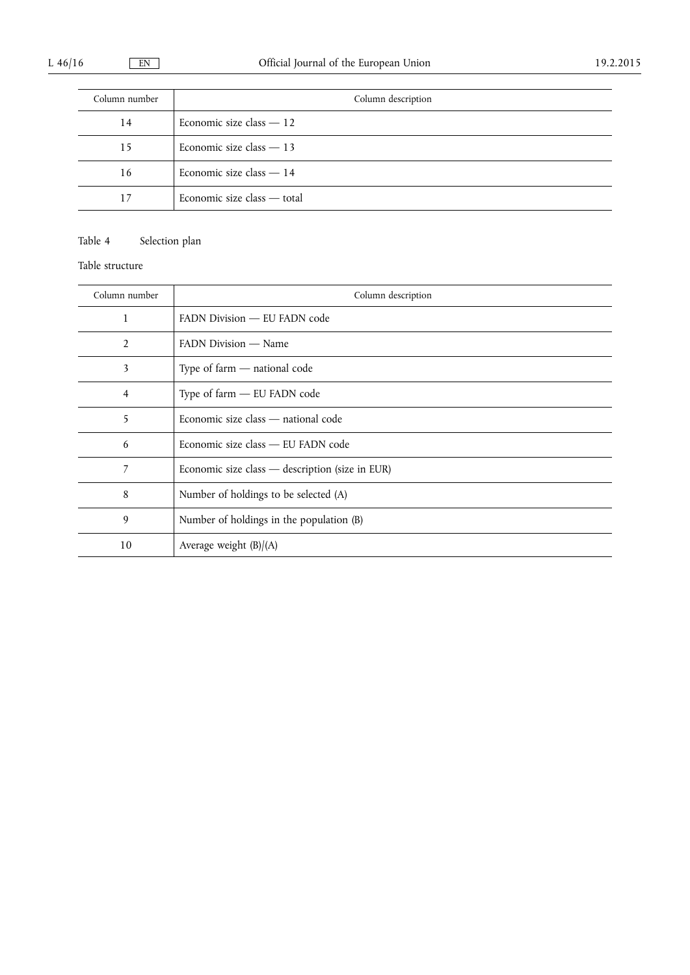| Column number | Column description          |
|---------------|-----------------------------|
| 14            | Economic size class $-12$   |
| 15            | Economic size class $-13$   |
| 16            | Economic size class - 14    |
| 17            | Economic size class — total |

## Table 4 Selection plan

Table structure

| Column number  | Column description                              |
|----------------|-------------------------------------------------|
| 1              | FADN Division - EU FADN code                    |
| $\overline{2}$ | FADN Division — Name                            |
| 3              | Type of farm $-$ national code                  |
| 4              | Type of farm - EU FADN code                     |
| 5              | Economic size class - national code             |
| 6              | Economic size class — EU FADN code              |
| 7              | Economic size class — description (size in EUR) |
| 8              | Number of holdings to be selected (A)           |
| 9              | Number of holdings in the population (B)        |
| 10             | Average weight $(B)/(A)$                        |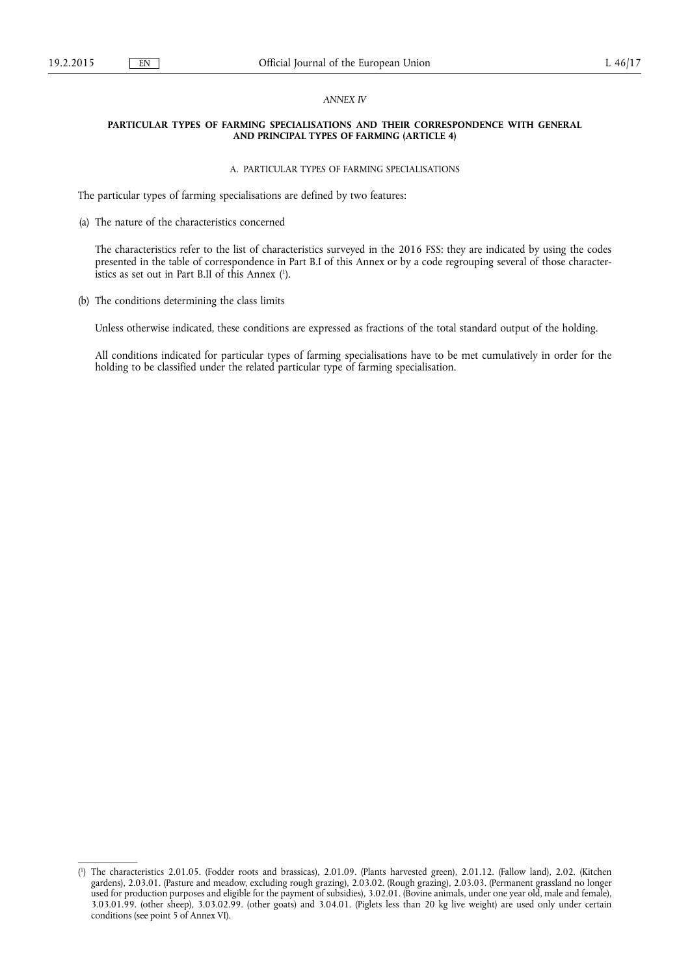### *ANNEX IV*

#### **PARTICULAR TYPES OF FARMING SPECIALISATIONS AND THEIR CORRESPONDENCE WITH GENERAL AND PRINCIPAL TYPES OF FARMING (ARTICLE 4)**

#### A. PARTICULAR TYPES OF FARMING SPECIALISATIONS

The particular types of farming specialisations are defined by two features:

(a) The nature of the characteristics concerned

The characteristics refer to the list of characteristics surveyed in the 2016 FSS: they are indicated by using the codes presented in the table of correspondence in Part B.I of this Annex or by a code regrouping several of those characteristics as set out in Part B.II of this Annex ( 1 ).

(b) The conditions determining the class limits

Unless otherwise indicated, these conditions are expressed as fractions of the total standard output of the holding.

All conditions indicated for particular types of farming specialisations have to be met cumulatively in order for the holding to be classified under the related particular type of farming specialisation.

<sup>(</sup> 1 ) The characteristics 2.01.05. (Fodder roots and brassicas), 2.01.09. (Plants harvested green), 2.01.12. (Fallow land), 2.02. (Kitchen gardens), 2.03.01. (Pasture and meadow, excluding rough grazing), 2.03.02. (Rough grazing), 2.03.03. (Permanent grassland no longer used for production purposes and eligible for the payment of subsidies), 3.02.01. (Bovine animals, under one year old, male and female), 3.03.01.99. (other sheep), 3.03.02.99. (other goats) and 3.04.01. (Piglets less than 20 kg live weight) are used only under certain conditions (see point 5 of Annex VI).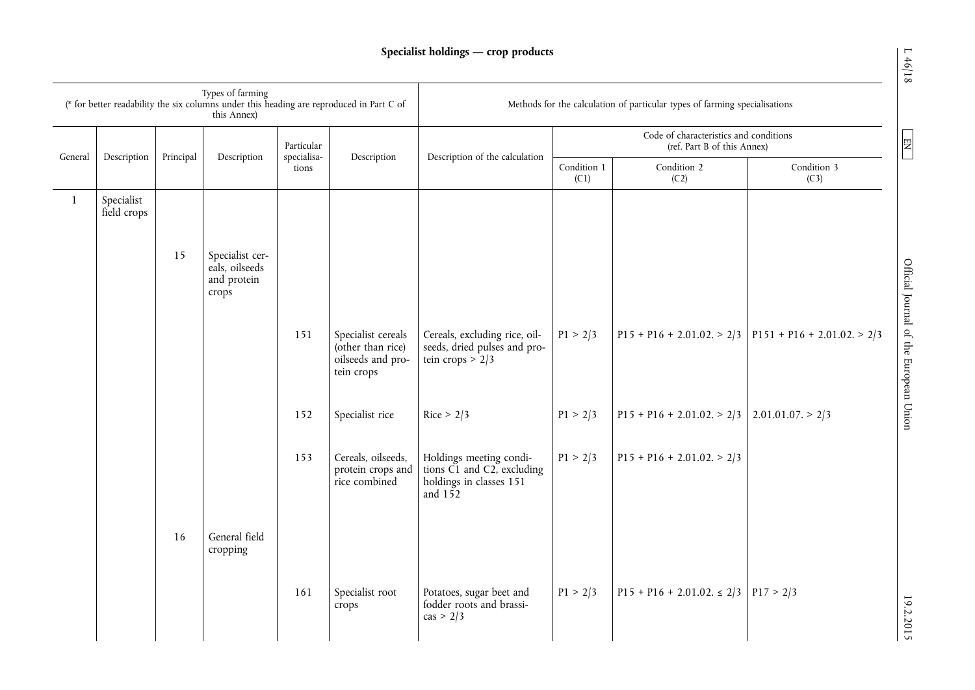|              |                           |           | Types of farming<br>this Annex)                           |                           | (* for better readability the six columns under this heading are reproduced in Part C of | Methods for the calculation of particular types of farming specialisations                    |                     |                                                                       |                                                          |  |
|--------------|---------------------------|-----------|-----------------------------------------------------------|---------------------------|------------------------------------------------------------------------------------------|-----------------------------------------------------------------------------------------------|---------------------|-----------------------------------------------------------------------|----------------------------------------------------------|--|
|              |                           | Principal |                                                           | Particular<br>specialisa- | Description                                                                              | Description of the calculation                                                                |                     | Code of characteristics and conditions<br>(ref. Part B of this Annex) |                                                          |  |
| General      | Description               |           | Description                                               | tions                     |                                                                                          |                                                                                               | Condition 1<br>(C1) | Condition 2<br>(C2)                                                   | Condition 3<br>(C3)                                      |  |
| $\mathbf{1}$ | Specialist<br>field crops |           |                                                           |                           |                                                                                          |                                                                                               |                     |                                                                       |                                                          |  |
|              |                           | 15        | Specialist cer-<br>eals, oilseeds<br>and protein<br>crops |                           |                                                                                          |                                                                                               |                     |                                                                       |                                                          |  |
|              |                           |           |                                                           | 151                       | Specialist cereals<br>(other than rice)<br>oilseeds and pro-<br>tein crops               | Cereals, excluding rice, oil-<br>seeds, dried pulses and pro-<br>tein crops $> 2/3$           | P1 > 2/3            |                                                                       | $P15 + P16 + 2.01.02 > 2/3$ $P151 + P16 + 2.01.02 > 2/3$ |  |
|              |                           |           |                                                           | 152                       | Specialist rice                                                                          | Rice > $2/3$                                                                                  | P1 > 2/3            | $P15 + P16 + 2.01.02 > 2/3$ 2.01.01.07. > 2/3                         |                                                          |  |
|              |                           |           |                                                           | 153                       | Cereals, oilseeds,<br>protein crops and<br>rice combined                                 | Holdings meeting condi-<br>tions C1 and C2, excluding<br>holdings in classes 151<br>and $152$ | P1 > 2/3            | $P15 + P16 + 2.01.02. > 2/3$                                          |                                                          |  |
|              |                           | 16        | General field<br>cropping                                 |                           |                                                                                          |                                                                                               |                     |                                                                       |                                                          |  |
|              |                           |           |                                                           | 161                       | Specialist root<br>crops                                                                 | Potatoes, sugar beet and<br>fodder roots and brassi-<br>$\cos$ > 2/3                          | P1 > 2/3            | $P15 + P16 + 2.01.02 \le 2/3$ $P17 > 2/3$                             |                                                          |  |

 $EN$ 

19.2.2015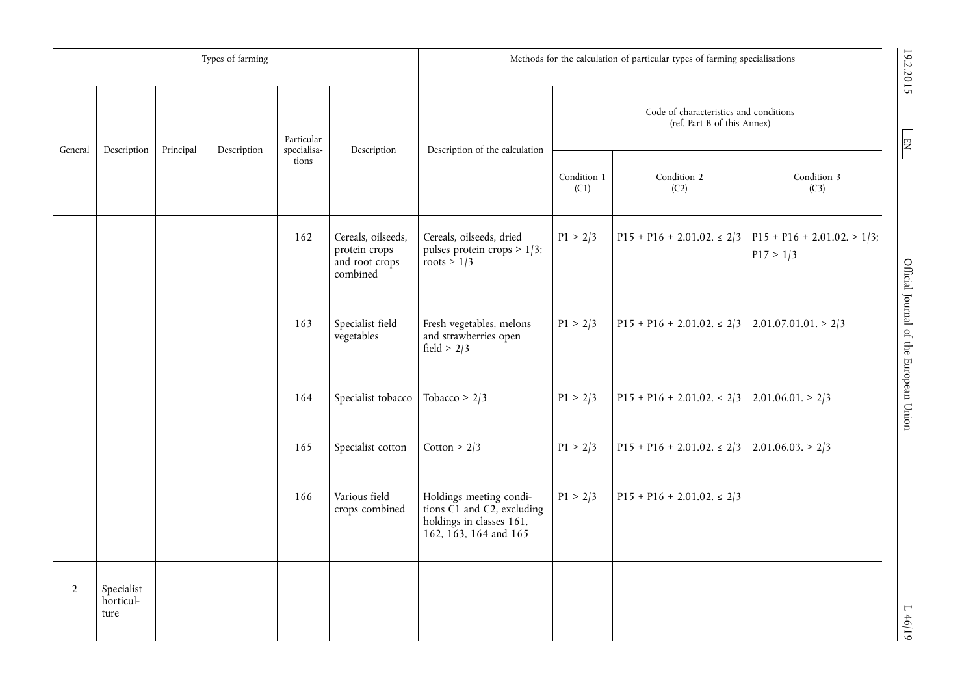|                |                                 |           | Types of farming                    |             |                                                                   | Methods for the calculation of particular types of farming specialisations                                 |                     |                                                                       |                                            |                                        |
|----------------|---------------------------------|-----------|-------------------------------------|-------------|-------------------------------------------------------------------|------------------------------------------------------------------------------------------------------------|---------------------|-----------------------------------------------------------------------|--------------------------------------------|----------------------------------------|
|                |                                 |           |                                     | Particular  |                                                                   |                                                                                                            |                     | Code of characteristics and conditions<br>(ref. Part B of this Annex) |                                            |                                        |
| General        | Description                     | Principal | specialisa-<br>Description<br>tions | Description | Description of the calculation                                    | Condition 1<br>(C1)                                                                                        | Condition 2<br>(C2) | Condition 3<br>(C3)                                                   | $\overline{\mathbf{E}}$                    |                                        |
|                |                                 |           |                                     | 162         | Cereals, oilseeds,<br>protein crops<br>and root crops<br>combined | Cereals, oilseeds, dried<br>pulses protein crops $> 1/3$ ;<br>roots $> 1/3$                                | P1 > 2/3            | $P15 + P16 + 2.01.02 \le 2/3$                                         | $P15 + P16 + 2.01.02 > 1/3$ ;<br>P17 > 1/3 |                                        |
|                |                                 |           |                                     | 163         | Specialist field<br>vegetables                                    | Fresh vegetables, melons<br>and strawberries open<br>field > $2/3$                                         | P1 > 2/3            | $P15 + P16 + 2.01.02 \le 2/3$                                         | 2.01.07.01.01 > 2/3                        | Official Journal of the European Union |
|                |                                 |           |                                     | 164         | Specialist tobacco                                                | Tobacco > $2/3$                                                                                            | P1 > 2/3            | $P15 + P16 + 2.01.02 \le 2/3$                                         | 2.01.06.01 > 2/3                           |                                        |
|                |                                 |           |                                     | 165         | Specialist cotton                                                 | Cotton > $2/3$                                                                                             | P1 > 2/3            | $P15 + P16 + 2.01.02 \le 2/3$                                         | $2.01.06.03 \ge 2/3$                       |                                        |
|                |                                 |           |                                     | 166         | Various field<br>crops combined                                   | Holdings meeting condi-<br>tions C1 and C2, excluding<br>holdings in classes 161,<br>162, 163, 164 and 165 | P1 > 2/3            | $P15 + P16 + 2.01.02 \le 2/3$                                         |                                            |                                        |
| $\overline{2}$ | Specialist<br>horticul-<br>ture |           |                                     |             |                                                                   |                                                                                                            |                     |                                                                       |                                            | L 46/19                                |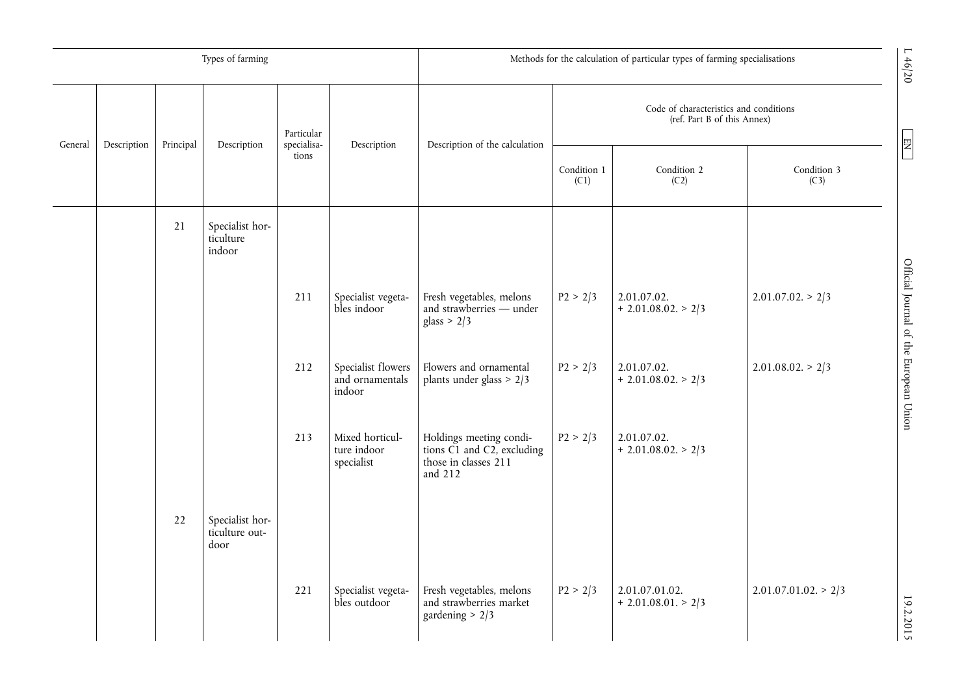|         |             |           | Types of farming                          |                      |                                                 | L46/20<br>Methods for the calculation of particular types of farming specialisations                          |          |                                                                       |                      |                                        |                       |
|---------|-------------|-----------|-------------------------------------------|----------------------|-------------------------------------------------|---------------------------------------------------------------------------------------------------------------|----------|-----------------------------------------------------------------------|----------------------|----------------------------------------|-----------------------|
|         |             |           |                                           | Particular           |                                                 |                                                                                                               |          | Code of characteristics and conditions<br>(ref. Part B of this Annex) |                      |                                        |                       |
| General | Description | Principal | Description                               | specialisa-<br>tions | Description                                     | Description of the calculation                                                                                |          | Condition 1<br>(C1)                                                   | Condition 2<br>(C2)  | Condition 3<br>(C3)                    | $\boxed{\phantom{1}}$ |
|         |             | 21        | Specialist hor-<br>ticulture<br>indoor    |                      |                                                 |                                                                                                               |          |                                                                       |                      |                                        |                       |
|         |             |           |                                           | 211                  | Specialist vegeta-<br>bles indoor               | Fresh vegetables, melons<br>and strawberries - under<br>glass > $2/3$                                         | P2 > 2/3 | 2.01.07.02.<br>$+ 2.01.08.02. > 2/3$                                  | $2.01.07.02 \ge 2/3$ | Official Journal of the European Union |                       |
|         |             |           |                                           | 212                  | Specialist flowers<br>and ornamentals<br>indoor | Flowers and ornamental<br>plants under glass $> 2/3$                                                          | P2 > 2/3 | 2.01.07.02.<br>$+ 2.01.08.02. > 2/3$                                  | $2.01.08.02 \ge 2/3$ |                                        |                       |
|         |             |           |                                           | 213                  | Mixed horticul-<br>ture indoor<br>specialist    | Holdings meeting condi-<br>tions $\check{C1}$ and $\check{C2}$ , excluding<br>those in classes 211<br>and 212 | P2 > 2/3 | 2.01.07.02.<br>$+ 2.01.08.02. > 2/3$                                  |                      |                                        |                       |
|         |             | 22        | Specialist hor-<br>ticulture out-<br>door |                      |                                                 |                                                                                                               |          |                                                                       |                      |                                        |                       |
|         |             |           |                                           | 221                  | Specialist vegeta-<br>bles outdoor              | Fresh vegetables, melons<br>and strawberries market<br>gardening $> 2/3$                                      | P2 > 2/3 | 2.01.07.01.02.<br>$+ 2.01.08.01. > 2/3$                               | 2.01.07.01.02 > 2/3  | 19.2.2015                              |                       |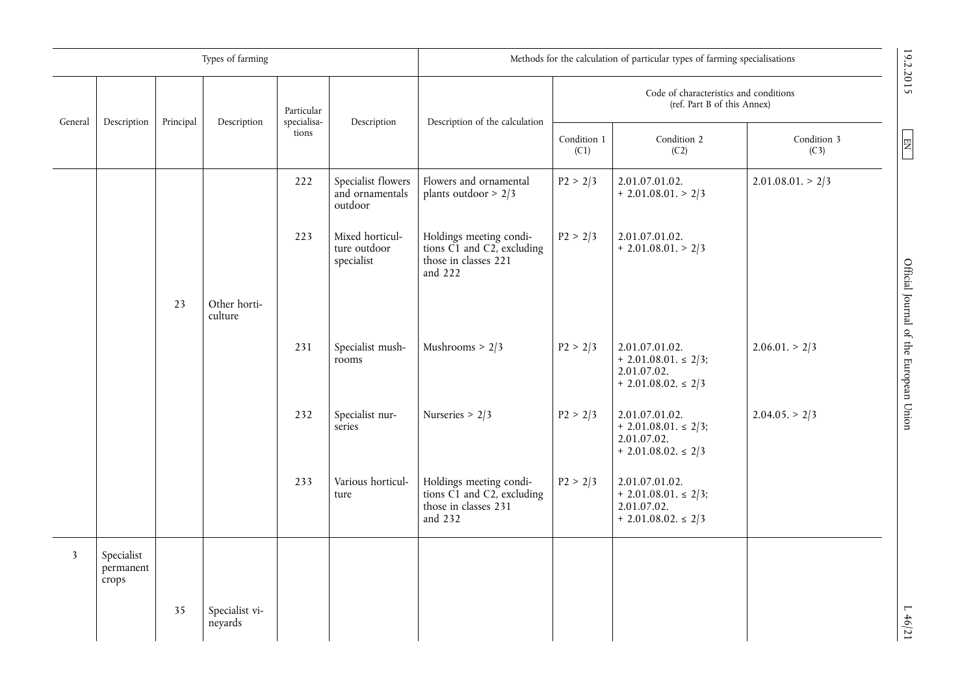|                         |                                  |           | Types of farming          |                           |                                                  | Methods for the calculation of particular types of farming specialisations                                    |                     |                                                                                      |                     |                                        |
|-------------------------|----------------------------------|-----------|---------------------------|---------------------------|--------------------------------------------------|---------------------------------------------------------------------------------------------------------------|---------------------|--------------------------------------------------------------------------------------|---------------------|----------------------------------------|
| General                 | Description                      | Principal | Description               | Particular<br>specialisa- | Description                                      | Description of the calculation                                                                                |                     | Code of characteristics and conditions<br>(ref. Part B of this Annex)                |                     | 19.2.2015                              |
|                         |                                  |           |                           | tions                     |                                                  |                                                                                                               | Condition 1<br>(C1) | Condition 2<br>(C2)                                                                  | Condition 3<br>(C3) | $\boxed{E}$                            |
|                         |                                  |           |                           | 222                       | Specialist flowers<br>and ornamentals<br>outdoor | Flowers and ornamental<br>plants outdoor $> 2/3$                                                              | P2 > 2/3            | 2.01.07.01.02.<br>$+ 2.01.08.01. > 2/3$                                              | 2.01.08.01 > 2/3    |                                        |
|                         |                                  |           |                           | 223                       | Mixed horticul-<br>ture outdoor<br>specialist    | Holdings meeting condi-<br>tions $\check{C1}$ and $\check{C2}$ , excluding<br>those in classes 221<br>and 222 | P2 > 2/3            | 2.01.07.01.02.<br>$+ 2.01.08.01. > 2/3$                                              |                     |                                        |
|                         |                                  | 23        | Other horti-<br>culture   |                           |                                                  |                                                                                                               |                     |                                                                                      |                     |                                        |
|                         |                                  |           |                           | 231                       | Specialist mush-<br>rooms                        | Mushrooms $> 2/3$                                                                                             | P2 > 2/3            | 2.01.07.01.02.<br>$+ 2.01.08.01 \le 2/3$ ;<br>2.01.07.02.<br>$+ 2.01.08.02 \leq 2/3$ | 2.06.01 > 2/3       | Official Journal of the European Union |
|                         |                                  |           |                           | 232                       | Specialist nur-<br>series                        | Nurseries > $2/3$                                                                                             | P2 > 2/3            | 2.01.07.01.02.<br>$+ 2.01.08.01 \le 2/3$ ;<br>2.01.07.02.<br>$+ 2.01.08.02 \leq 2/3$ | $2.04.05 \geq 2/3$  |                                        |
|                         |                                  |           |                           | 233                       | Various horticul-<br>ture                        | Holdings meeting condi-<br>tions $\check{C1}$ and $\check{C2}$ , excluding<br>those in classes 231<br>and 232 | P2 > 2/3            | 2.01.07.01.02.<br>$+ 2.01.08.01 \le 2/3$ ;<br>2.01.07.02.<br>$+ 2.01.08.02 \leq 2/3$ |                     |                                        |
| $\overline{\mathbf{3}}$ | Specialist<br>permanent<br>crops |           |                           |                           |                                                  |                                                                                                               |                     |                                                                                      |                     |                                        |
|                         |                                  | 35        | Specialist vi-<br>neyards |                           |                                                  |                                                                                                               |                     |                                                                                      |                     | L46/21                                 |

19.2.2015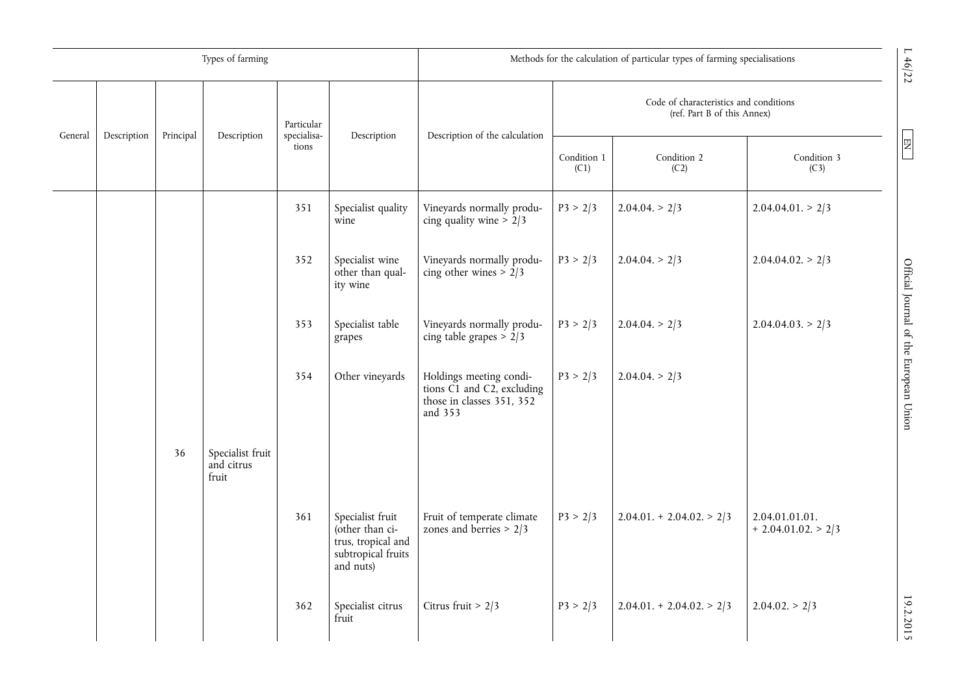|         |             |           | Types of farming                        |                           |                                                                                              | Methods for the calculation of particular types of farming specialisations                                         |                                                                       |                           |                                        |
|---------|-------------|-----------|-----------------------------------------|---------------------------|----------------------------------------------------------------------------------------------|--------------------------------------------------------------------------------------------------------------------|-----------------------------------------------------------------------|---------------------------|----------------------------------------|
| General | Description | Principal | Description                             | Particular<br>specialisa- | Description                                                                                  | Description of the calculation                                                                                     | Code of characteristics and conditions<br>(ref. Part B of this Annex) |                           |                                        |
|         |             |           |                                         | tions                     |                                                                                              |                                                                                                                    | Condition 1<br>(C1)                                                   | Condition 2<br>(C2)       | Condition 3<br>(C3)                    |
|         |             |           |                                         | 351                       | Specialist quality<br>wine                                                                   | Vineyards normally produ-<br>cing quality wine $> 2/3$                                                             | P3 > 2/3                                                              | $2.04.04 \geq 2/3$        | 2.04.04.01 > 2/3                       |
|         |             |           |                                         | 352                       | Specialist wine<br>other than qual-<br>ity wine                                              | Vineyards normally produ-<br>cing other wines $> 2/3$                                                              | P3 > 2/3                                                              | 2.04.04 > 2/3             | $2.04.04.02 \geq 2/3$                  |
|         |             |           |                                         | 353                       | Specialist table<br>grapes                                                                   | Vineyards normally produ-<br>cing table grapes $\frac{1}{2}$ 2/3                                                   | P3 > 2/3                                                              | 2.04.04 > 2/3             | $2.04.04.03 \geq 2/3$                  |
|         |             |           |                                         | 354                       | Other vineyards                                                                              | Holdings meeting condi-<br>tions $\check{C1}$ and $\check{C2}$ , excluding<br>those in classes 351, 352<br>and 353 | P3 > 2/3                                                              | 2.04.04 > 2/3             |                                        |
|         |             | 36        | Specialist fruit<br>and citrus<br>fruit |                           |                                                                                              |                                                                                                                    |                                                                       |                           |                                        |
|         |             |           |                                         | 361                       | Specialist fruit<br>(other than ci-<br>trus, tropical and<br>subtropical fruits<br>and nuts) | Fruit of temperate climate<br>zones and berries $> 2/3$                                                            | P3 > 2/3                                                              | $2.04.01 + 2.04.02 > 2/3$ | 2.04.01.01.01.<br>$+ 2.04.01.02 > 2/3$ |
|         |             |           |                                         | 362                       | Specialist citrus<br>fruit                                                                   | Citrus fruit > $2/3$                                                                                               | P3 > 2/3                                                              | $2.04.01 + 2.04.02 > 2/3$ | $2.04.02 \geq 2/3$                     |

 $L \ 46/22$ 

 $\boxed{\text{EN}}$ 

 $19.72$  D  $\overline{19.72}$  D  $\overline{19.72}$  D  $19.72$  D  $19.72$  D  $19.72$  D  $19.72$  D  $19.72$  D  $19.72$  D  $19.72$  D  $19.72$  D  $19.72$  D  $19.72$  D  $19.72$  D  $19.72$  D  $19.72$  D  $19.72$  D  $19.72$  D  $19.72$  D  $19.72$  D  $19.72$  D Official Journal of the European Union

19.2.2015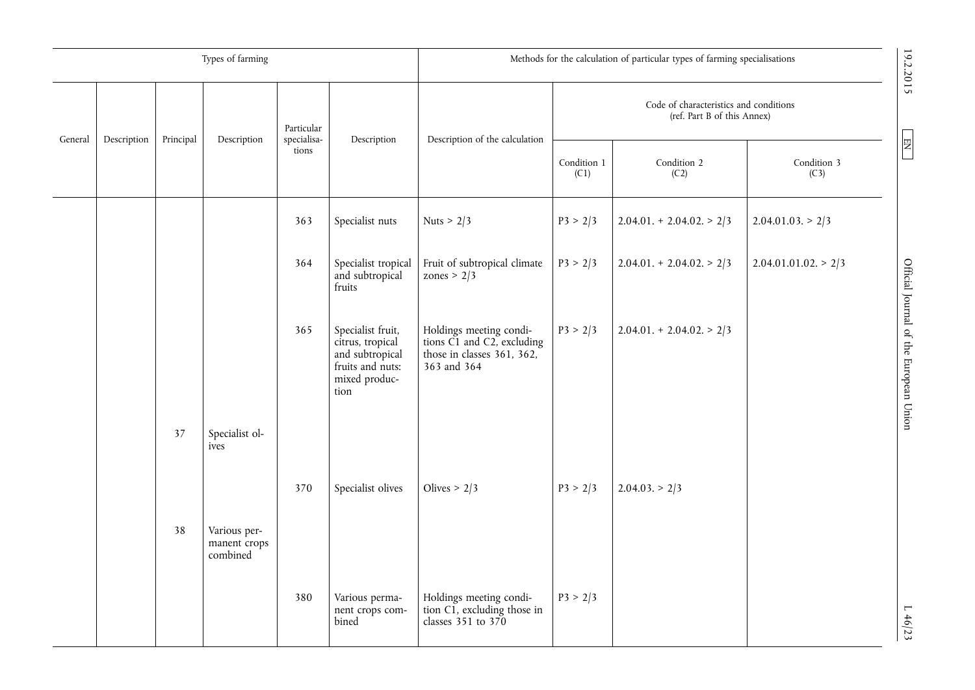|         |             |            | Types of farming                         |                                |                                                                                                       | Methods for the calculation of particular types of farming specialisations                              |                     |                           |                         |                                        |
|---------|-------------|------------|------------------------------------------|--------------------------------|-------------------------------------------------------------------------------------------------------|---------------------------------------------------------------------------------------------------------|---------------------|---------------------------|-------------------------|----------------------------------------|
|         |             | Particular |                                          | Description of the calculation | Code of characteristics and conditions<br>(ref. Part B of this Annex)                                 |                                                                                                         |                     | 19.2.2015                 |                         |                                        |
| General | Description | Principal  | Description                              | specialisa-<br>tions           | Description                                                                                           |                                                                                                         | Condition 1<br>(C1) | Condition 2<br>(C2)       | Condition 3<br>(C3)     | $\boxed{\Xi}$                          |
|         |             |            |                                          | 363                            | Specialist nuts                                                                                       | Nuts > $2/3$                                                                                            | P3 > 2/3            | $2.04.01 + 2.04.02 > 2/3$ | 2.04.01.03 > 2/3        |                                        |
|         |             |            |                                          | 364                            | Specialist tropical<br>and subtropical<br>fruits                                                      | Fruit of subtropical climate<br>zones > $2/3$                                                           | P3 > 2/3            | $2.04.01 + 2.04.02 > 2/3$ | $2.04.01.01.02 \ge 2/3$ |                                        |
|         |             |            |                                          | 365                            | Specialist fruit,<br>citrus, tropical<br>and subtropical<br>fruits and nuts:<br>mixed produc-<br>tion | Holdings meeting condi-<br>tions $C1$ and $C2$ , excluding<br>those in classes 361, 362,<br>363 and 364 | P3 > 2/3            | $2.04.01 + 2.04.02 > 2/3$ |                         | Official Journal of the European Union |
|         |             | 37         | Specialist ol-<br>ives                   |                                |                                                                                                       |                                                                                                         |                     |                           |                         |                                        |
|         |             |            |                                          | 370                            | Specialist olives                                                                                     | Olives $> 2/3$                                                                                          | P3 > 2/3            | $2.04.03 \geq 2/3$        |                         |                                        |
|         |             | 38         | Various per-<br>manent crops<br>combined |                                |                                                                                                       |                                                                                                         |                     |                           |                         |                                        |
|         |             |            |                                          | 380                            | Various perma-<br>nent crops com-<br>bined                                                            | Holdings meeting condi-<br>tion C1, excluding those in<br>classes 351 to 370                            | P3 > 2/3            |                           |                         | 1.46/23                                |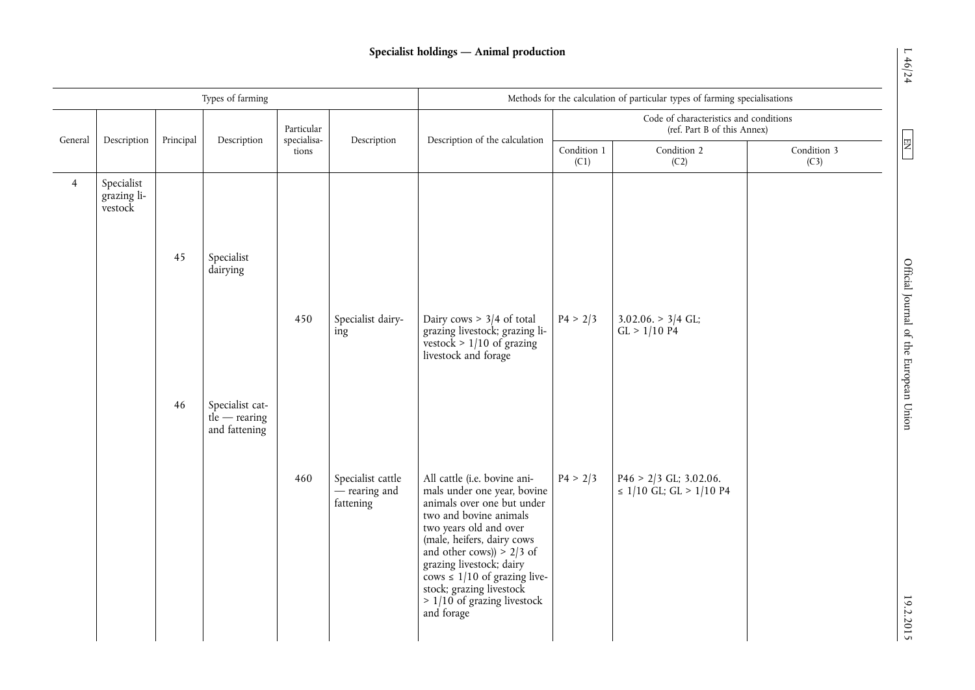# **Specialist holdings — Animal production**

|                |                                         |    | Types of farming                                          |                      |                                                             | Methods for the calculation of particular types of farming specialisations                                                                                                                                                                                                                                                                             |                                                                       |                                                          |                     |  |
|----------------|-----------------------------------------|----|-----------------------------------------------------------|----------------------|-------------------------------------------------------------|--------------------------------------------------------------------------------------------------------------------------------------------------------------------------------------------------------------------------------------------------------------------------------------------------------------------------------------------------------|-----------------------------------------------------------------------|----------------------------------------------------------|---------------------|--|
| General        | Principal<br>Description<br>Description |    |                                                           |                      | Particular<br>Description                                   | Description of the calculation                                                                                                                                                                                                                                                                                                                         | Code of characteristics and conditions<br>(ref. Part B of this Annex) |                                                          |                     |  |
|                |                                         |    |                                                           | specialisa-<br>tions |                                                             |                                                                                                                                                                                                                                                                                                                                                        | Condition 1<br>(C1)                                                   | Condition 2<br>(C2)                                      | Condition 3<br>(C3) |  |
| $\overline{4}$ | Specialist<br>grazing li-<br>vestock    |    |                                                           |                      |                                                             |                                                                                                                                                                                                                                                                                                                                                        |                                                                       |                                                          |                     |  |
|                |                                         | 45 | Specialist<br>dairying                                    |                      |                                                             |                                                                                                                                                                                                                                                                                                                                                        |                                                                       |                                                          |                     |  |
|                |                                         |    |                                                           | 450                  | Specialist dairy-<br>ing                                    | Dairy cows $> 3/4$ of total<br>grazing livestock; grazing livestock $> 1/10$ of grazing<br>livestock and forage                                                                                                                                                                                                                                        | P4 > 2/3                                                              | $3.02.06. > 3/4$ GL;<br>GL > 1/10 P4                     |                     |  |
|                |                                         | 46 | Specialist cat-<br>$t\hat{I}e$ — rearing<br>and fattening |                      |                                                             |                                                                                                                                                                                                                                                                                                                                                        |                                                                       |                                                          |                     |  |
|                |                                         |    |                                                           | 460                  | Specialist cattle<br>$\frac{1}{2}$ rearing and<br>fattening | All cattle (i.e. bovine ani-<br>mals under one year, bovine<br>animals over one but under<br>two and bovine animals<br>two years old and over<br>(male, heifers, dairy cows<br>and other cows)) $> 2/3$ of<br>grazing livestock; dairy<br>cows $\leq$ 1/10 of grazing live-<br>stock; grazing livestock<br>$> 1/10$ of grazing livestock<br>and forage | P4 > 2/3                                                              | $P46 > 2/3$ GL; 3.02.06.<br>$\leq$ 1/10 GL; GL > 1/10 P4 |                     |  |

 $L \ 46/24$ 

 $\boxed{\text{EN}}$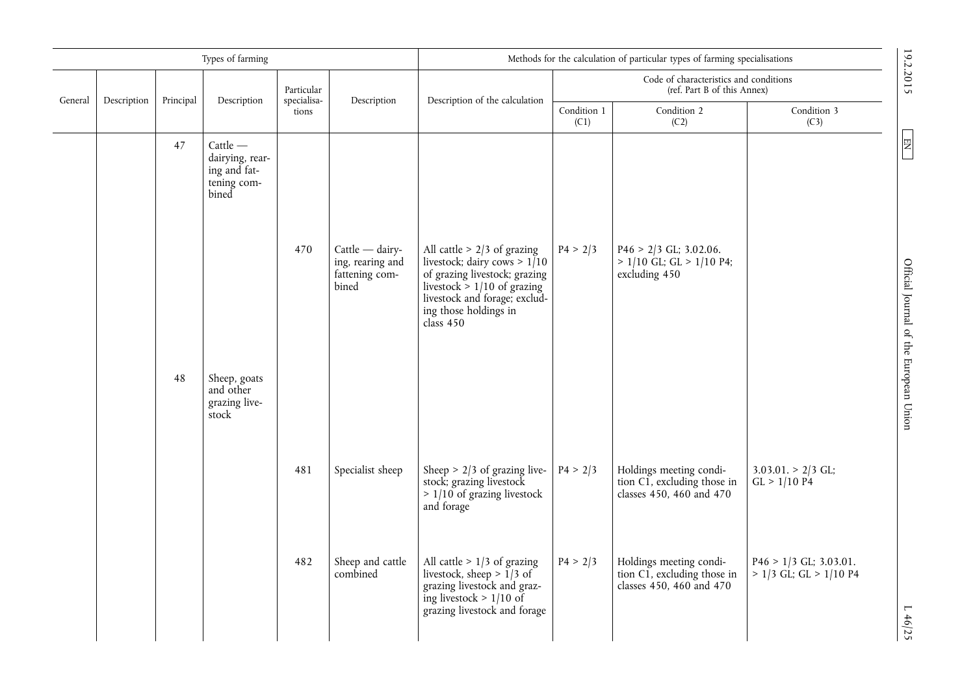|         |             |           | Types of farming                                                                                                             |                           |                                                                  | Methods for the calculation of particular types of farming specialisations                                                                                                                                 |                     |                                                                                    |                                                        |                                                         |
|---------|-------------|-----------|------------------------------------------------------------------------------------------------------------------------------|---------------------------|------------------------------------------------------------------|------------------------------------------------------------------------------------------------------------------------------------------------------------------------------------------------------------|---------------------|------------------------------------------------------------------------------------|--------------------------------------------------------|---------------------------------------------------------|
| General | Description | Principal | Description                                                                                                                  | Particular<br>specialisa- | Description                                                      | Code of characteristics and conditions<br>(ref. Part B of this Annex)<br>Description of the calculation                                                                                                    |                     |                                                                                    |                                                        | 19.2.2015                                               |
|         |             |           |                                                                                                                              | tions                     |                                                                  |                                                                                                                                                                                                            | Condition 1<br>(C1) | Condition 2<br>(C2)                                                                | Condition 3<br>(C3)                                    |                                                         |
|         |             | 47<br>48  | $Cattle$ —<br>dairying, rear-<br>ing and fat-<br>tening com-<br>bined<br>Sheep, goats<br>and other<br>grazing live-<br>stock | 470                       | $Cattle$ - dairy-<br>ing, rearing and<br>fattening com-<br>bined | All cattle $> 2/3$ of grazing<br>livestock; dairy cows > $1/10$<br>of grazing livestock; grazing<br>livestock $> 1/10$ of grazing<br>livestock and forage; exclud-<br>ing those holdings in<br>class $450$ | P4 > 2/3            | $P46 > 2/3$ GL; 3.02.06.<br>$> 1/10$ GL; GL $> 1/10$ P4;<br>excluding 450          |                                                        | $\boxed{\Xi}$<br>Official Journal of the European Union |
|         |             |           |                                                                                                                              | 481                       | Specialist sheep                                                 | Sheep $> 2/3$ of grazing live-<br>stock; grazing livestock<br>$> 1/10$ of grazing livestock<br>and forage                                                                                                  | P4 > 2/3            | Holdings meeting condi-<br>tion C1, excluding those in<br>classes 450, 460 and 470 | $3.03.01. > 2/3$ GL;<br>GL > 1/10 P4                   |                                                         |
|         |             |           |                                                                                                                              | 482                       | Sheep and cattle<br>combined                                     | All cattle $> 1/3$ of grazing<br>livestock, sheep > $1/3$ of<br>grazing livestock and graz-<br>ing livestock > $1/10$ of<br>grazing livestock and forage                                                   | P4 > 2/3            | Holdings meeting condi-<br>tion C1, excluding those in<br>classes 450, 460 and 470 | $P46 > 1/3$ GL; 3.03.01.<br>$> 1/3$ GL; GL $> 1/10$ P4 | $L \, 46/25$                                            |

 $L \ 46/25$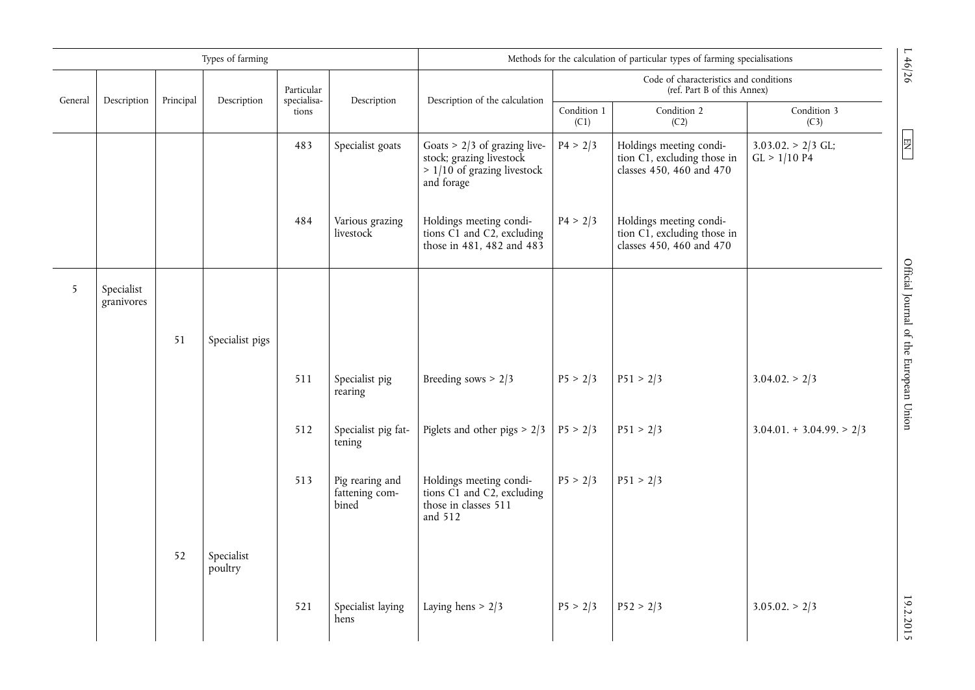|         |                          |           | Types of farming      |                           |                                            |                                                                                                           |                     | Methods for the calculation of particular types of farming specialisations         |                                        |  |
|---------|--------------------------|-----------|-----------------------|---------------------------|--------------------------------------------|-----------------------------------------------------------------------------------------------------------|---------------------|------------------------------------------------------------------------------------|----------------------------------------|--|
| General | Description              | Principal | Description           | Particular<br>specialisa- | Description                                | Description of the calculation                                                                            |                     | Code of characteristics and conditions<br>(ref. Part B of this Annex)              |                                        |  |
|         |                          |           |                       | tions                     |                                            |                                                                                                           | Condition 1<br>(C1) | Condition 2<br>(C2)                                                                | Condition 3<br>(C3)                    |  |
|         |                          |           |                       | 483                       | Specialist goats                           | Goats $> 2/3$ of grazing live-<br>stock; grazing livestock<br>$> 1/10$ of grazing livestock<br>and forage | P4 > 2/3            | Holdings meeting condi-<br>tion C1, excluding those in<br>classes 450, 460 and 470 | $3.03.02 \geq 2/3$ GL;<br>GL > 1/10 P4 |  |
|         |                          |           |                       | 484                       | Various grazing<br>livestock               | Holdings meeting condi-<br>tions C1 and C2, excluding<br>those in 481, 482 and 483                        | P4 > 2/3            | Holdings meeting condi-<br>tion C1, excluding those in<br>classes 450, 460 and 470 |                                        |  |
| 5       | Specialist<br>granivores |           |                       |                           |                                            |                                                                                                           |                     |                                                                                    |                                        |  |
|         |                          | 51        | Specialist pigs       |                           |                                            |                                                                                                           |                     |                                                                                    |                                        |  |
|         |                          |           |                       | 511                       | Specialist pig<br>rearing                  | Breeding sows $> 2/3$                                                                                     | P5 > 2/3            | P51 > 2/3                                                                          | $3.04.02 \geq 2/3$                     |  |
|         |                          |           |                       | 512                       | Specialist pig fat-<br>tening              | Piglets and other pigs $> 2/3$                                                                            | P5 > 2/3            | P51 > 2/3                                                                          | $3.04.01 + 3.04.99 > 2/3$              |  |
|         |                          |           |                       | 513                       | Pig rearing and<br>fattening com-<br>bined | Holdings meeting condi-<br>tions C1 and C2, excluding<br>those in classes 511<br>and 512                  | P5 > 2/3            | P51 > 2/3                                                                          |                                        |  |
|         |                          | 52        | Specialist<br>poultry |                           |                                            |                                                                                                           |                     |                                                                                    |                                        |  |
|         |                          |           |                       | 521                       | Specialist laying<br>hens                  | Laying hens $> 2/3$                                                                                       | P5 > 2/3            | P52 > 2/3                                                                          | $3.05.02 \geq 2/3$                     |  |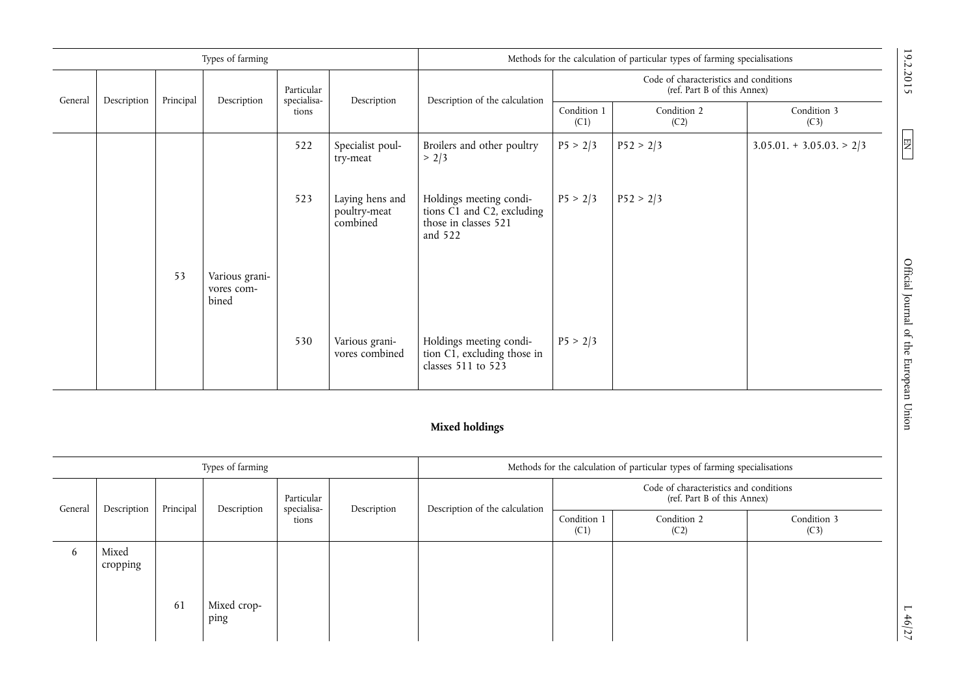|         |                   |           | Types of farming                      |                           |                                             |                                                                                          |                                                                       | Methods for the calculation of particular types of farming specialisations |                           |
|---------|-------------------|-----------|---------------------------------------|---------------------------|---------------------------------------------|------------------------------------------------------------------------------------------|-----------------------------------------------------------------------|----------------------------------------------------------------------------|---------------------------|
| General | Description       | Principal | Description                           | Particular<br>specialisa- | Description                                 | Description of the calculation                                                           |                                                                       | Code of characteristics and conditions<br>(ref. Part B of this Annex)      |                           |
|         |                   |           |                                       | tions                     |                                             |                                                                                          | Condition 1<br>(C1)                                                   | Condition 2<br>(C2)                                                        | Condition 3<br>(C3)       |
|         |                   |           |                                       | 522                       | Specialist poul-<br>try-meat                | Broilers and other poultry<br>> 2/3                                                      | P5 > 2/3                                                              | P52 > 2/3                                                                  | $3.05.01 + 3.05.03 > 2/3$ |
|         |                   |           |                                       | 523                       | Laying hens and<br>poultry-meat<br>combined | Holdings meeting condi-<br>tions C1 and C2, excluding<br>those in classes 521<br>and 522 | P5 > 2/3                                                              | P52 > 2/3                                                                  |                           |
|         |                   | 53        | Various grani-<br>vores com-<br>bined |                           |                                             |                                                                                          |                                                                       |                                                                            |                           |
|         |                   |           |                                       | 530                       | Various grani-<br>vores combined            | Holdings meeting condi-<br>tion C1, excluding those in<br>classes $511$ to $523$         | P5 > 2/3                                                              |                                                                            |                           |
|         |                   |           |                                       |                           |                                             | <b>Mixed holdings</b>                                                                    |                                                                       |                                                                            |                           |
|         |                   |           | Types of farming                      |                           |                                             |                                                                                          |                                                                       | Methods for the calculation of particular types of farming specialisations |                           |
|         |                   |           |                                       | Particular                |                                             |                                                                                          | Code of characteristics and conditions<br>(ref. Part B of this Annex) |                                                                            |                           |
| General | Description       | Principal | Description                           | specialisa-<br>tions      | Description                                 | Description of the calculation                                                           | Condition 1<br>(C1)                                                   | Condition 2<br>(C2)                                                        | Condition 3<br>(C3)       |
| 6       | Mixed<br>cropping |           |                                       |                           |                                             |                                                                                          |                                                                       |                                                                            |                           |
|         |                   | 61        | Mixed crop-<br>ping                   |                           |                                             |                                                                                          |                                                                       |                                                                            |                           |

# **Mixed holdings**

|              |                   |           | Types of farming    |                           |             | Methods for the calculation of particular types of farming specialisations |                                                                       |                     |                     |  |
|--------------|-------------------|-----------|---------------------|---------------------------|-------------|----------------------------------------------------------------------------|-----------------------------------------------------------------------|---------------------|---------------------|--|
| General      | Description       | Principal | Description         | Particular<br>specialisa- |             | Description of the calculation                                             | Code of characteristics and conditions<br>(ref. Part B of this Annex) |                     |                     |  |
|              |                   |           |                     | tions                     | Description |                                                                            | Condition 1<br>(C1)                                                   | Condition 2<br>(C2) | Condition 3<br>(C3) |  |
| <sub>0</sub> | Mixed<br>cropping | 61        | Mixed crop-<br>ping |                           |             |                                                                            |                                                                       |                     |                     |  |

 $L \frac{46}{27}$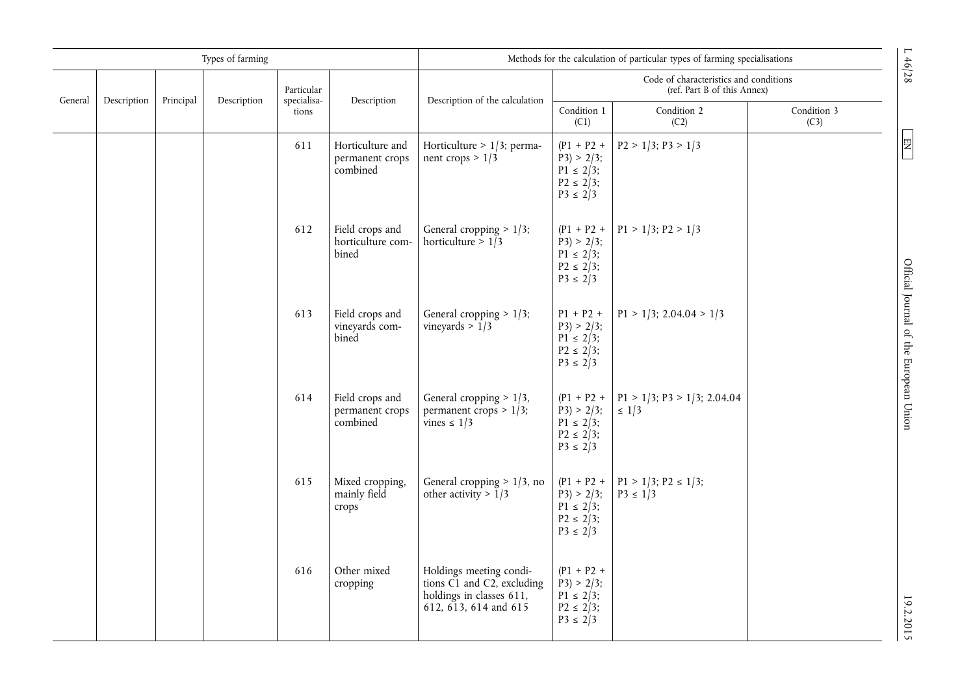|         |             |           | Types of farming |                           |                                                 |                                                                                                                                                   |                                                                                 | Methods for the calculation of particular types of farming specialisations |                     | L46/28                                 |
|---------|-------------|-----------|------------------|---------------------------|-------------------------------------------------|---------------------------------------------------------------------------------------------------------------------------------------------------|---------------------------------------------------------------------------------|----------------------------------------------------------------------------|---------------------|----------------------------------------|
| General |             | Principal | Description      | Particular<br>specialisa- | Description                                     | Description of the calculation                                                                                                                    |                                                                                 | Code of characteristics and conditions<br>(ref. Part B of this Annex)      |                     |                                        |
|         | Description |           |                  | tions                     |                                                 |                                                                                                                                                   | Condition 1<br>(C1)                                                             | Condition 2<br>(C2)                                                        | Condition 3<br>(C3) |                                        |
|         |             |           |                  | 611                       | Horticulture and<br>permanent crops<br>combined | Horticulture > $1/3$ ; perma-<br>nent crops > $1/3$                                                                                               | $(P1 + P2 +$<br>$P3$ > 2/3;<br>$P1 \le 2/3$ ;<br>$P2 \le 2/3$ ;<br>$P3 \le 2/3$ | $P2 > 1/3$ ; $P3 > 1/3$                                                    |                     | $\begin{array}{c} \n\Xi\n\end{array}$  |
|         |             |           |                  | 612                       | Field crops and<br>horticulture com-<br>bined   | General cropping $> 1/3$ ;<br>horticulture > $1/3$                                                                                                | $(P1 + P2 +$<br>$P3$ > 2/3;<br>$P1 \le 2/3$ ;<br>$P2 \le 2/3$ ;<br>$P3 \le 2/3$ | $P1 > 1/3$ ; $P2 > 1/3$                                                    |                     |                                        |
|         |             |           |                  | 613                       | Field crops and<br>vineyards com-<br>bined      | General cropping $> 1/3$ ;<br>vineyards $>1/3$                                                                                                    | $P1 + P2 +$<br>$P3$ > 2/3;<br>$P1 \le 2/3$ ;<br>$P2 \le 2/3$ ;<br>$P3 \le 2/3$  | $P1 > 1/3$ ; 2.04.04 > 1/3                                                 |                     | Official Journal of the European Union |
|         |             |           |                  | 614                       | Field crops and<br>permanent crops<br>combined  | General cropping $> 1/3$ ,<br>permanent crops $> 1/3$ ;<br>vines $\leq 1/3$                                                                       | $(P1 + P2 +$<br>$P3$ > 2/3;<br>$P1 \le 2/3$ ;<br>$P2 \le 2/3$ ;<br>$P3 \le 2/3$ | $P1 > 1/3$ ; $P3 > 1/3$ ; 2.04.04<br>$\leq 1/3$                            |                     |                                        |
|         |             |           |                  | 615                       | Mixed cropping,<br>mainly field<br>crops        | General cropping $> 1/3$ , no<br>other activity > $1/3$                                                                                           | $(P1 + P2 +$<br>$P3$ > 2/3;<br>$P1 \le 2/3$ ;<br>$P2 \le 2/3$ ;<br>$P3 \le 2/3$ | $P1 > 1/3$ ; $P2 \le 1/3$ ;<br>$P3 \le 1/3$                                |                     |                                        |
|         |             |           |                  | 616                       | Other mixed<br>cropping                         | Holdings meeting condi-<br>tions $\overrightarrow{C1}$ and $\overrightarrow{C2}$ , excluding<br>holdings in classes 611,<br>612, 613, 614 and 615 | $(P1 + P2 +$<br>$P3$ > 2/3;<br>$P1 \le 2/3$ ;<br>$P2 \le 2/3$ ;<br>$P3 \le 2/3$ |                                                                            |                     | 19.2.2015                              |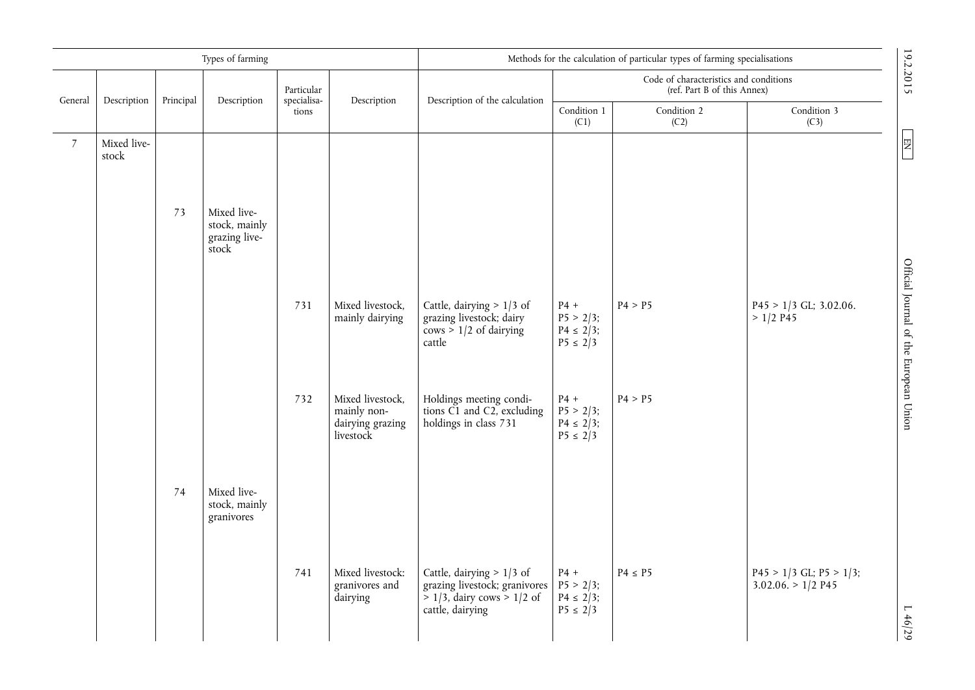|                 |                      |           | Types of farming                                       |                           |                                                                  | Methods for the calculation of particular types of farming specialisations                                          |                                                          |                                                                       |                                                     |                                        |
|-----------------|----------------------|-----------|--------------------------------------------------------|---------------------------|------------------------------------------------------------------|---------------------------------------------------------------------------------------------------------------------|----------------------------------------------------------|-----------------------------------------------------------------------|-----------------------------------------------------|----------------------------------------|
| General         | Description          | Principal | Description                                            | Particular<br>specialisa- | Description                                                      | Description of the calculation                                                                                      |                                                          | Code of characteristics and conditions<br>(ref. Part B of this Annex) |                                                     | 19.2.2015                              |
|                 |                      |           |                                                        | tions                     |                                                                  |                                                                                                                     | Condition 1<br>(C1)                                      | Condition 2<br>(C2)                                                   | Condition 3<br>(C3)                                 |                                        |
| $7\overline{ }$ | Mixed live-<br>stock |           |                                                        |                           |                                                                  |                                                                                                                     |                                                          |                                                                       |                                                     |                                        |
|                 |                      | 73        | Mixed live-<br>stock, mainly<br>grazing live-<br>stock |                           |                                                                  |                                                                                                                     |                                                          |                                                                       |                                                     |                                        |
|                 |                      |           |                                                        | 731                       | Mixed livestock,<br>mainly dairying                              | Cattle, dairying $> 1/3$ of<br>grazing livestock; dairy<br>$\cos$ > 1/2 of dairying<br>cattle                       | $P4 +$<br>$P5 > 2/3$ ;<br>$P4 \le 2/3$ ;<br>$P5 \le 2/3$ | P4 > P5                                                               | $P45 > 1/3$ GL; 3.02.06.<br>$> 1/2$ P45             | Official Journal of the European Union |
|                 |                      |           |                                                        | 732                       | Mixed livestock,<br>mainly non-<br>dairying grazing<br>livestock | Holdings meeting condi-<br>tions C1 and C2, excluding<br>holdings in class 731                                      | $P4 +$<br>$P5 > 2/3$ ;<br>$P4 \le 2/3$ ;<br>$P5 \le 2/3$ | P4 > P5                                                               |                                                     |                                        |
|                 |                      | 74        | Mixed live-<br>stock, mainly<br>granivores             |                           |                                                                  |                                                                                                                     |                                                          |                                                                       |                                                     |                                        |
|                 |                      |           |                                                        | 741                       | Mixed livestock:<br>granivores and<br>dairying                   | Cattle, dairying $> 1/3$ of<br>grazing livestock; granivores<br>$> 1/3$ , dairy cows $> 1/2$ of<br>cattle, dairying | $P4 +$<br>$P5 > 2/3$ ;<br>$P4 \le 2/3$ ;<br>$P5 \le 2/3$ | $P4 \leq P5$                                                          | $P45 > 1/3$ GL; $P5 > 1/3$ ;<br>$3.02.06 > 1/2$ P45 | L46/29                                 |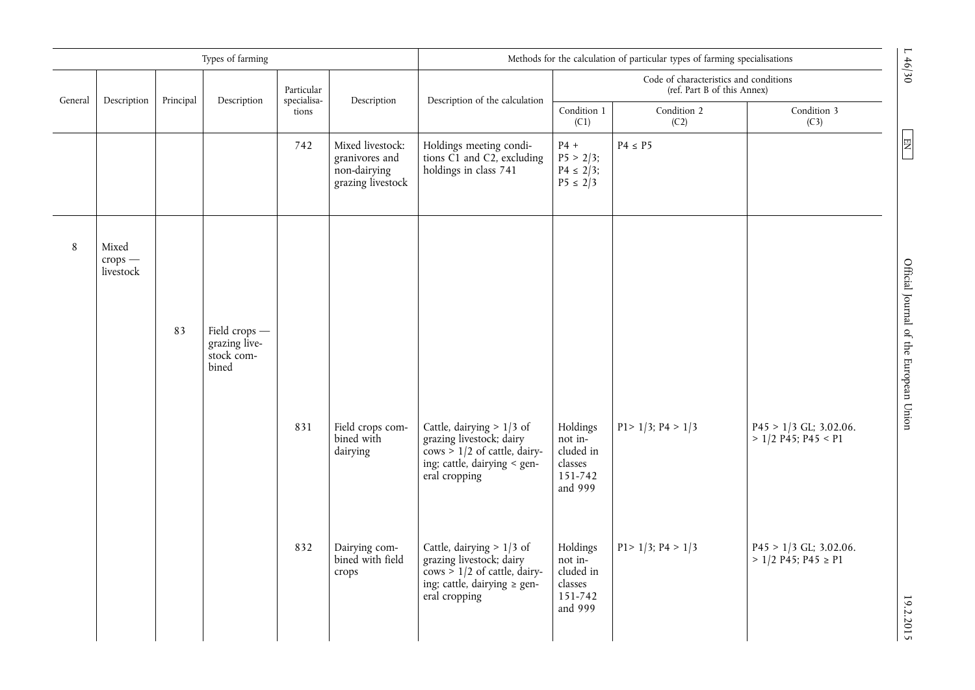|         |                                 |           | Types of farming                                      |                           |                                                                         | Methods for the calculation of particular types of farming specialisations                                                                     |                                                                   |                                                                       |                                                       |                                        |
|---------|---------------------------------|-----------|-------------------------------------------------------|---------------------------|-------------------------------------------------------------------------|------------------------------------------------------------------------------------------------------------------------------------------------|-------------------------------------------------------------------|-----------------------------------------------------------------------|-------------------------------------------------------|----------------------------------------|
| General | Description                     | Principal | Description                                           | Particular<br>specialisa- | Description                                                             | Description of the calculation                                                                                                                 |                                                                   | Code of characteristics and conditions<br>(ref. Part B of this Annex) |                                                       |                                        |
|         |                                 |           |                                                       | tions                     |                                                                         |                                                                                                                                                | Condition 1<br>(C1)                                               | Condition 2<br>(C2)                                                   | Condition 3<br>(C3)                                   |                                        |
|         |                                 |           |                                                       | 742                       | Mixed livestock:<br>granivores and<br>non-dairying<br>grazing livestock | Holdings meeting condi-<br>tions $\check{C1}$ and $\check{C2}$ , excluding<br>holdings in class 741                                            | $P4 +$<br>$P5 > 2/3$ ;<br>$P4 \le 2/3$ ;<br>$P5 \le 2/3$          | $P4 \leq P5$                                                          |                                                       | $\boxed{\Xi}$                          |
| $\,8\,$ | Mixed<br>$crops$ –<br>livestock |           |                                                       |                           |                                                                         |                                                                                                                                                |                                                                   |                                                                       |                                                       |                                        |
|         |                                 | 83        | Field crops -<br>grazing live-<br>stock com-<br>bined |                           |                                                                         |                                                                                                                                                |                                                                   |                                                                       |                                                       | Official Journal of the European Union |
|         |                                 |           |                                                       | 831                       | Field crops com-<br>bined with<br>dairying                              | Cattle, dairying $> 1/3$ of<br>grazing livestock; dairy<br>$\cos$ > 1/2 of cattle, dairy-<br>ing; cattle, dairying < gen-<br>eral cropping     | Holdings<br>not in-<br>cluded in<br>classes<br>151-742<br>and 999 | $P1 > 1/3$ ; $P4 > 1/3$                                               | $P45 > 1/3$ GL; 3.02.06.<br>$> 1/2$ P45; P45 < P1     |                                        |
|         |                                 |           |                                                       | 832                       | Dairying com-<br>bined with field<br>crops                              | Cattle, dairying $> 1/3$ of<br>grazing livestock; dairy<br>$\cos$ > 1/2 of cattle, dairy-<br>ing; cattle, dairying $\ge$ gen-<br>eral cropping | Holdings<br>not in-<br>cluded in<br>classes<br>151-742<br>and 999 | $P1 > 1/3$ ; $P4 > 1/3$                                               | $P45 > 1/3$ GL; 3.02.06.<br>$> 1/2$ P45; P45 $\ge$ P1 | 19.2.2015                              |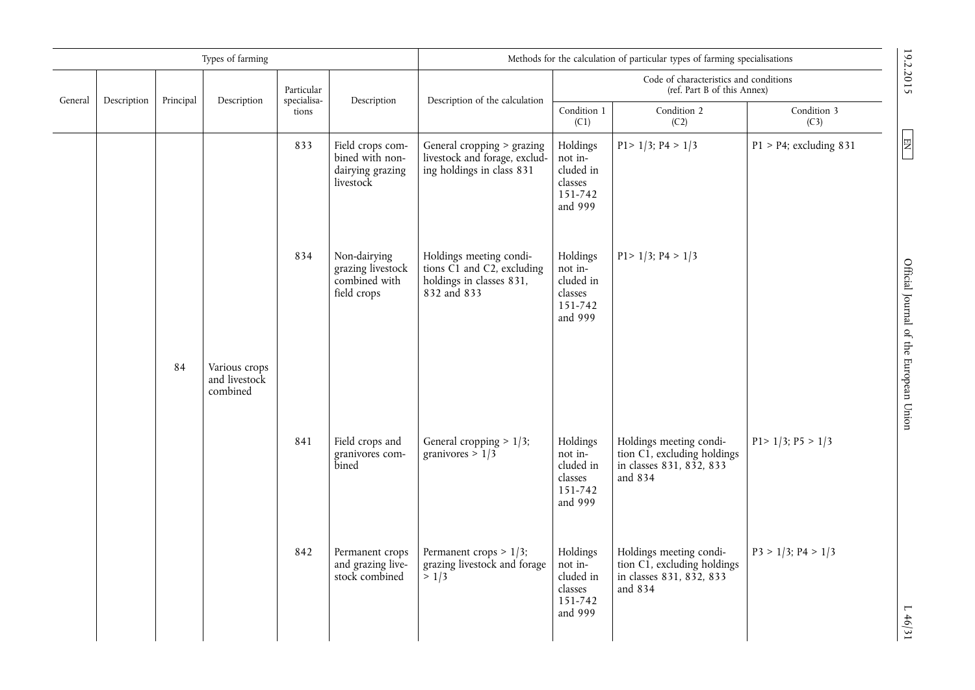|         |             |           | Types of farming                           |                           |                                                                      | Methods for the calculation of particular types of farming specialisations                                            |                                                                   |                                                                                               |                           |
|---------|-------------|-----------|--------------------------------------------|---------------------------|----------------------------------------------------------------------|-----------------------------------------------------------------------------------------------------------------------|-------------------------------------------------------------------|-----------------------------------------------------------------------------------------------|---------------------------|
| General | Description | Principal | Description                                | Particular<br>specialisa- | Description                                                          | Description of the calculation                                                                                        |                                                                   | Code of characteristics and conditions<br>(ref. Part B of this Annex)                         |                           |
|         |             |           |                                            | tions                     |                                                                      |                                                                                                                       | Condition 1<br>(C1)                                               | Condition 2<br>(C2)                                                                           | Condition 3<br>(C3)       |
|         |             |           |                                            | 833                       | Field crops com-<br>bined with non-<br>dairying grazing<br>livestock | General cropping > grazing<br>livestock and forage, exclud-<br>ing holdings in class 831                              | Holdings<br>not in-<br>cluded in<br>classes<br>151-742<br>and 999 | $P1 > 1/3$ ; $P4 > 1/3$                                                                       | $P1 > P4$ ; excluding 831 |
|         |             |           |                                            | 834                       | Non-dairying<br>grazing livestock<br>combined with<br>field crops    | Holdings meeting condi-<br>tions $\check{C1}$ and $\check{C2}$ , excluding<br>holdings in classes 831,<br>832 and 833 | Holdings<br>not in-<br>cluded in<br>classes<br>151-742<br>and 999 | $P1 > 1/3$ ; $P4 > 1/3$                                                                       |                           |
|         |             | 84        | Various crops<br>and livestock<br>combined |                           |                                                                      |                                                                                                                       |                                                                   |                                                                                               |                           |
|         |             |           |                                            | 841                       | Field crops and<br>granivores com-<br>bined                          | General cropping $> 1/3$ ;<br>granivores > $1/3$                                                                      | Holdings<br>not in-<br>cluded in<br>classes<br>151-742<br>and 999 | Holdings meeting condi-<br>tion C1, excluding holdings<br>in classes 831, 832, 833<br>and 834 | $P1 > 1/3$ ; $P5 > 1/3$   |
|         |             |           |                                            | 842                       | Permanent crops<br>and grazing live-<br>stock combined               | Permanent crops $> 1/3$ ;<br>grazing livestock and forage<br>> 1/3                                                    | Holdings<br>not in-<br>cluded in<br>classes<br>151-742<br>and 999 | Holdings meeting condi-<br>tion C1, excluding holdings<br>in classes 831, 832, 833<br>and 834 | $P3 > 1/3$ ; $P4 > 1/3$   |

19.2.2015

 $\boxed{\text{EN}}$ 

19.2.2015 L  $\frac{E[N]}{1000}$  D  $\frac{1}{2}$  and  $\frac{1}{2}$  of the European Union Englishm Englishm Englishm Englishm Englishm Englishm Englishm Englishm Englishm Englishm Englishm Englishm Englishm Englishm Englishm Englishm En Official Journal of the European Union

 $L$  46/31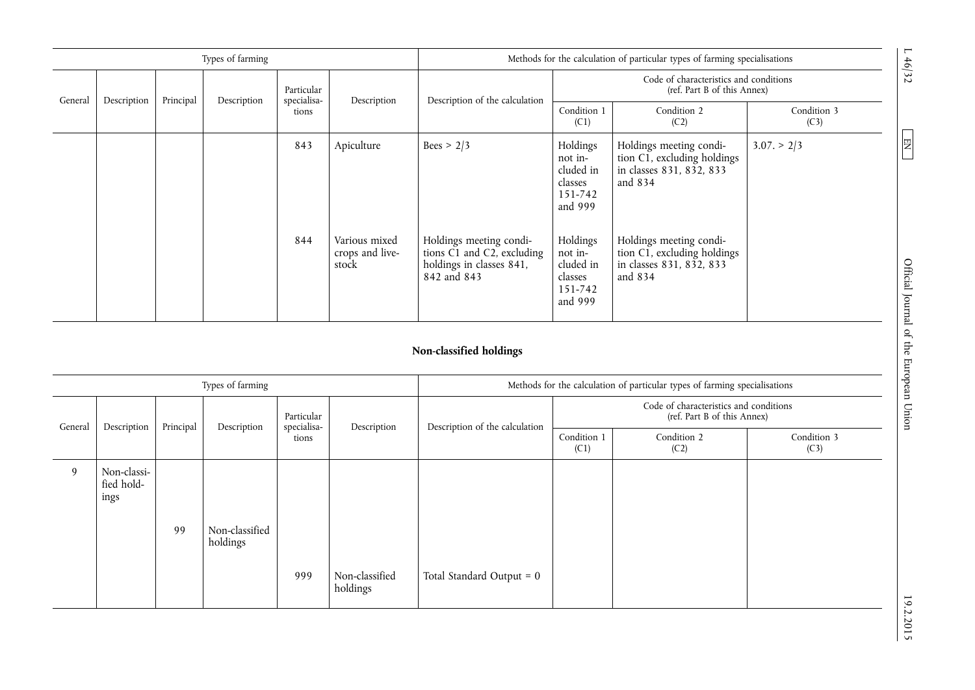|         |             |           | Types of farming |                           |                                           | Methods for the calculation of particular types of farming specialisations                       |                                                                   |                                                                                               |                     |  |
|---------|-------------|-----------|------------------|---------------------------|-------------------------------------------|--------------------------------------------------------------------------------------------------|-------------------------------------------------------------------|-----------------------------------------------------------------------------------------------|---------------------|--|
| General |             |           |                  | Particular<br>specialisa- |                                           |                                                                                                  |                                                                   | Code of characteristics and conditions<br>(ref. Part B of this Annex)                         |                     |  |
|         | Description | Principal | Description      | tions                     | Description                               | Description of the calculation                                                                   | Condition 1<br>(C1)                                               | Condition 2<br>(C2)                                                                           | Condition 3<br>(C3) |  |
|         |             |           |                  | 843                       | Apiculture                                | Bees > $2/3$                                                                                     | Holdings<br>not in-<br>cluded in<br>classes<br>151-742<br>and 999 | Holdings meeting condi-<br>tion C1, excluding holdings<br>in classes 831, 832, 833<br>and 834 | $3.07 \geq 2/3$     |  |
|         |             |           |                  | 844                       | Various mixed<br>crops and live-<br>stock | Holdings meeting condi-<br>tions C1 and C2, excluding<br>holdings in classes 841,<br>842 and 843 | Holdings<br>not in-<br>cluded in<br>classes<br>151-742<br>and 999 | Holdings meeting condi-<br>tion C1, excluding holdings<br>in classes 831, 832, 833<br>and 834 |                     |  |

# **Non-classified holdings**

|         |                                   |           | Types of farming           |                           |                            | Methods for the calculation of particular types of farming specialisations |                                                                       |                     |                     |  |
|---------|-----------------------------------|-----------|----------------------------|---------------------------|----------------------------|----------------------------------------------------------------------------|-----------------------------------------------------------------------|---------------------|---------------------|--|
| General | Description                       | Principal | Description                | Particular<br>specialisa- | Description                | Description of the calculation                                             | Code of characteristics and conditions<br>(ref. Part B of this Annex) |                     |                     |  |
|         |                                   |           |                            | tions                     |                            |                                                                            | Condition 1<br>(C1)                                                   | Condition 2<br>(C2) | Condition 3<br>(C3) |  |
| 9       | Non-classi-<br>fied hold-<br>ings | 99        | Non-classified<br>holdings |                           |                            |                                                                            |                                                                       |                     |                     |  |
|         |                                   |           |                            | 999                       | Non-classified<br>holdings | Total Standard Output = 0                                                  |                                                                       |                     |                     |  |

 $19.72$  Official Journal of the European Union Englishment During Collection EN  $\pm$  19.7.2017 Official Journal of the European Union

 $\boxed{EN}$ 

 $L 46/32$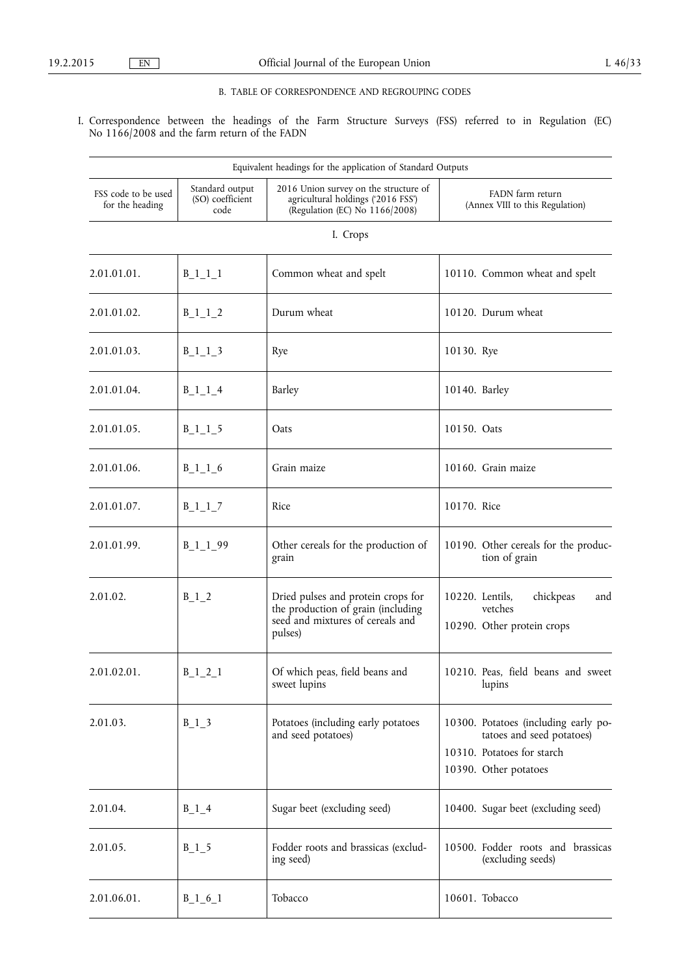## B. TABLE OF CORRESPONDENCE AND REGROUPING CODES

I. Correspondence between the headings of the Farm Structure Surveys (FSS) referred to in Regulation (EC) No 1166/2008 and the farm return of the FADN

|                                        |                                             | Equivalent headings for the application of Standard Outputs                                                             |                                                                                                                          |
|----------------------------------------|---------------------------------------------|-------------------------------------------------------------------------------------------------------------------------|--------------------------------------------------------------------------------------------------------------------------|
| FSS code to be used<br>for the heading | Standard output<br>(SO) coefficient<br>code | 2016 Union survey on the structure of<br>agricultural holdings ('2016 FSS')<br>(Regulation (EC) No 1166/2008)           | FADN farm return<br>(Annex VIII to this Regulation)                                                                      |
|                                        |                                             | I. Crops                                                                                                                |                                                                                                                          |
| 2.01.01.01.                            | $B_1_1_1_1$                                 | Common wheat and spelt                                                                                                  | 10110. Common wheat and spelt                                                                                            |
| 2.01.01.02.                            | $B_1_1_2$                                   | Durum wheat                                                                                                             | 10120. Durum wheat                                                                                                       |
| 2.01.01.03.                            | $B_1_1_3$                                   | Rye                                                                                                                     | 10130. Rye                                                                                                               |
| 2.01.01.04.                            | $B_1_1_4$                                   | Barley                                                                                                                  | 10140. Barley                                                                                                            |
| 2.01.01.05.                            | $B_1_1_5$                                   | Oats                                                                                                                    | 10150. Oats                                                                                                              |
| 2.01.01.06.                            | $B_1_1_6$                                   | Grain maize                                                                                                             | 10160. Grain maize                                                                                                       |
| 2.01.01.07.                            | $B_1_1_7$                                   | Rice                                                                                                                    | 10170. Rice                                                                                                              |
| 2.01.01.99.                            | $B_1_1_99$                                  | Other cereals for the production of<br>grain                                                                            | 10190. Other cereals for the produc-<br>tion of grain                                                                    |
| 2.01.02.                               | $B_1_2$                                     | Dried pulses and protein crops for<br>the production of grain (including<br>seed and mixtures of cereals and<br>pulses) | 10220. Lentils,<br>chickpeas<br>and<br>vetches<br>10290. Other protein crops                                             |
| 2.01.02.01                             | $B_1_2_1_1$                                 | Of which peas, field beans and<br>sweet lupins                                                                          | 10210. Peas, field beans and sweet<br>lupins                                                                             |
| 2.01.03.                               | $B_1_3$                                     | Potatoes (including early potatoes<br>and seed potatoes)                                                                | 10300. Potatoes (including early po-<br>tatoes and seed potatoes)<br>10310. Potatoes for starch<br>10390. Other potatoes |
| 2.01.04.                               | $B_1_4$                                     | Sugar beet (excluding seed)                                                                                             | 10400. Sugar beet (excluding seed)                                                                                       |
| 2.01.05.                               | $B_1$ 5                                     | Fodder roots and brassicas (exclud-<br>ing seed)                                                                        | 10500. Fodder roots and brassicas<br>(excluding seeds)                                                                   |
| 2.01.06.01.                            | $B_1_6_1$                                   | Tobacco                                                                                                                 | 10601. Tobacco                                                                                                           |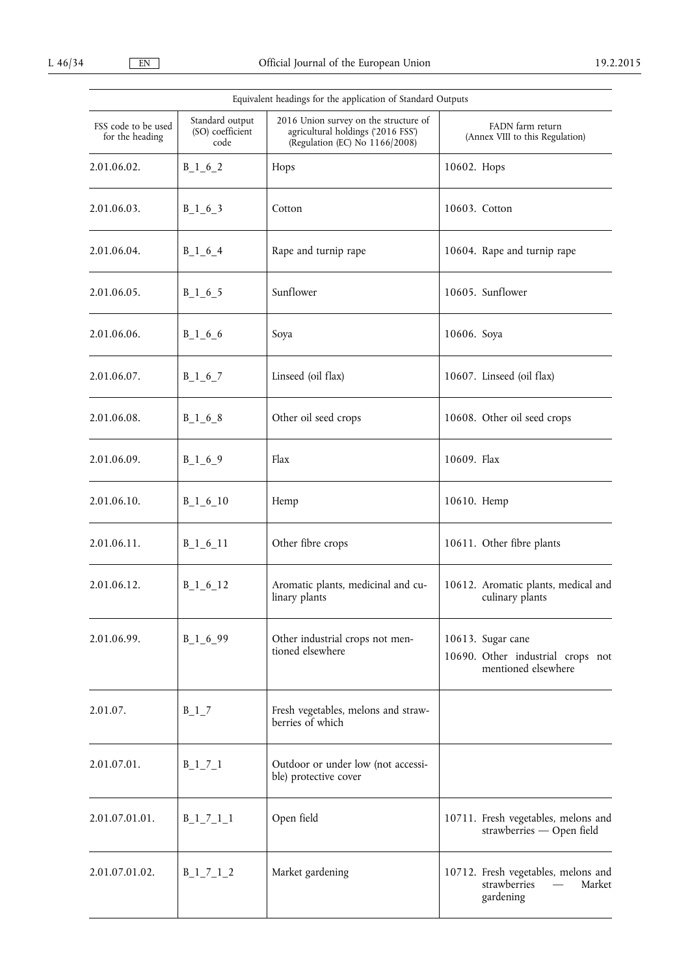|                                        | Equivalent headings for the application of Standard Outputs |                                                                                                               |                                                                               |  |  |  |  |  |  |  |  |
|----------------------------------------|-------------------------------------------------------------|---------------------------------------------------------------------------------------------------------------|-------------------------------------------------------------------------------|--|--|--|--|--|--|--|--|
| FSS code to be used<br>for the heading | Standard output<br>(SO) coefficient<br>code                 | 2016 Union survey on the structure of<br>agricultural holdings ('2016 FSS')<br>(Regulation (EC) No 1166/2008) | FADN farm return<br>(Annex VIII to this Regulation)                           |  |  |  |  |  |  |  |  |
| 2.01.06.02.                            | $B_1_6_2$                                                   | Hops                                                                                                          | 10602. Hops                                                                   |  |  |  |  |  |  |  |  |
| 2.01.06.03.                            | $B_1_6_3$                                                   | Cotton                                                                                                        | 10603. Cotton                                                                 |  |  |  |  |  |  |  |  |
| 2.01.06.04.                            | $B_1_6_4$                                                   | Rape and turnip rape                                                                                          | 10604. Rape and turnip rape                                                   |  |  |  |  |  |  |  |  |
| 2.01.06.05.                            | $B_1_6$ 5                                                   | Sunflower                                                                                                     | 10605. Sunflower                                                              |  |  |  |  |  |  |  |  |
| 2.01.06.06.                            | $B_1_6_6$                                                   | Soya                                                                                                          | 10606. Soya                                                                   |  |  |  |  |  |  |  |  |
| 2.01.06.07.                            | $B_1_6$                                                     | Linseed (oil flax)                                                                                            | 10607. Linseed (oil flax)                                                     |  |  |  |  |  |  |  |  |
| 2.01.06.08.                            | $B_1_6_8$                                                   | Other oil seed crops                                                                                          | 10608. Other oil seed crops                                                   |  |  |  |  |  |  |  |  |
| 2.01.06.09.                            | $B_1_6_9$                                                   | Flax                                                                                                          | 10609. Flax                                                                   |  |  |  |  |  |  |  |  |
| 2.01.06.10.                            | $B_1_6_1_0$                                                 | Hemp                                                                                                          | 10610. Hemp                                                                   |  |  |  |  |  |  |  |  |
| 2.01.06.11.                            | $B_1_6_11$                                                  | Other fibre crops                                                                                             | 10611. Other fibre plants                                                     |  |  |  |  |  |  |  |  |
| 2.01.06.12.                            | $B_1_6_1_2$                                                 | Aromatic plants, medicinal and cu-<br>linary plants                                                           | 10612. Aromatic plants, medical and<br>culinary plants                        |  |  |  |  |  |  |  |  |
| 2.01.06.99.                            | $B_1_6_99$                                                  | Other industrial crops not men-<br>tioned elsewhere                                                           | 10613. Sugar cane<br>10690. Other industrial crops not<br>mentioned elsewhere |  |  |  |  |  |  |  |  |
| 2.01.07.                               | $B_1$ <sup>7</sup>                                          | Fresh vegetables, melons and straw-<br>berries of which                                                       |                                                                               |  |  |  |  |  |  |  |  |
| 2.01.07.01.                            | $B_1_7_1_1$                                                 | Outdoor or under low (not accessi-<br>ble) protective cover                                                   |                                                                               |  |  |  |  |  |  |  |  |
| 2.01.07.01.01.                         | $B_1_7_1_1_1$                                               | Open field                                                                                                    | 10711. Fresh vegetables, melons and<br>strawberries - Open field              |  |  |  |  |  |  |  |  |
| 2.01.07.01.02.                         | $B_1_7_1_2$                                                 | Market gardening                                                                                              | 10712. Fresh vegetables, melons and<br>strawberries<br>Market<br>gardening    |  |  |  |  |  |  |  |  |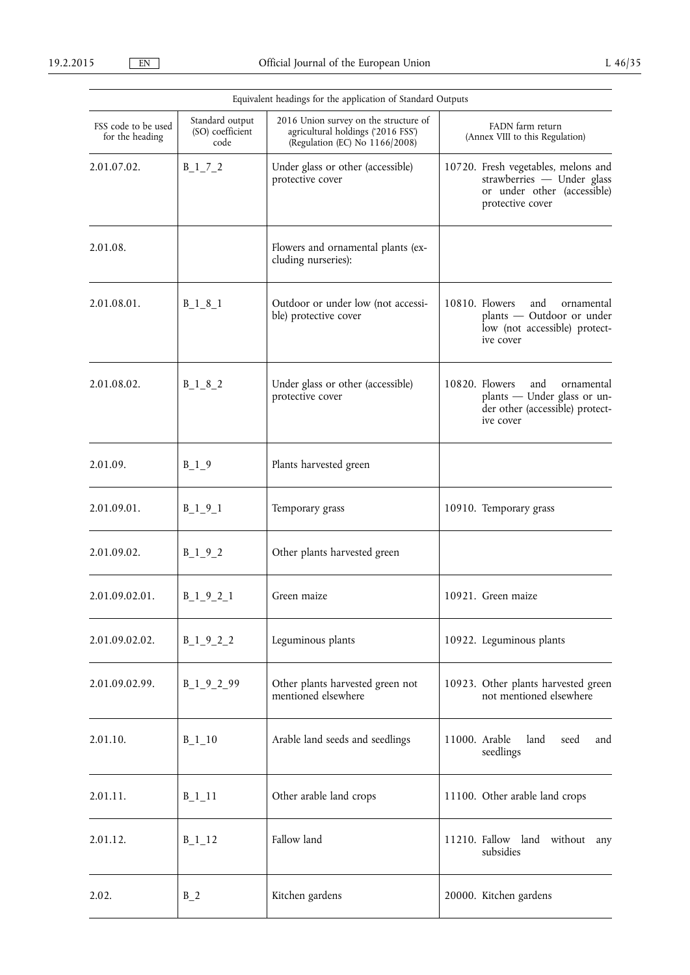|                                        | Equivalent headings for the application of Standard Outputs |                                                                                                               |                                                                                                                      |  |  |  |  |  |  |  |  |
|----------------------------------------|-------------------------------------------------------------|---------------------------------------------------------------------------------------------------------------|----------------------------------------------------------------------------------------------------------------------|--|--|--|--|--|--|--|--|
| FSS code to be used<br>for the heading | Standard output<br>(SO) coefficient<br>code                 | 2016 Union survey on the structure of<br>agricultural holdings ('2016 FSS')<br>(Regulation (EC) No 1166/2008) | FADN farm return<br>(Annex VIII to this Regulation)                                                                  |  |  |  |  |  |  |  |  |
| 2.01.07.02.                            | $B_1_7_2$                                                   | Under glass or other (accessible)<br>protective cover                                                         | 10720. Fresh vegetables, melons and<br>strawberries - Under glass<br>or under other (accessible)<br>protective cover |  |  |  |  |  |  |  |  |
| 2.01.08.                               |                                                             | Flowers and ornamental plants (ex-<br>cluding nurseries):                                                     |                                                                                                                      |  |  |  |  |  |  |  |  |
| 2.01.08.01.                            | $B_1_8_1$                                                   | Outdoor or under low (not accessi-<br>ble) protective cover                                                   | 10810. Flowers<br>and<br>ornamental<br>plants - Outdoor or under<br>low (not accessible) protect-<br>ive cover       |  |  |  |  |  |  |  |  |
| 2.01.08.02.                            | $B_1_8_2$                                                   | Under glass or other (accessible)<br>protective cover                                                         | 10820. Flowers<br>and<br>ornamental<br>plants - Under glass or un-<br>der other (accessible) protect-<br>ive cover   |  |  |  |  |  |  |  |  |
| 2.01.09.                               | $B_1$ $9$                                                   | Plants harvested green                                                                                        |                                                                                                                      |  |  |  |  |  |  |  |  |
| 2.01.09.01.                            | $B_1_9_1$                                                   | Temporary grass                                                                                               | 10910. Temporary grass                                                                                               |  |  |  |  |  |  |  |  |
| 2.01.09.02.                            | $B_1_9_2$                                                   | Other plants harvested green                                                                                  |                                                                                                                      |  |  |  |  |  |  |  |  |
| 2.01.09.02.01.                         | $B_1_9_2_1$                                                 | Green maize                                                                                                   | 10921. Green maize                                                                                                   |  |  |  |  |  |  |  |  |
| 2.01.09.02.02.                         | $B_1_9_2_2$                                                 | Leguminous plants                                                                                             | 10922. Leguminous plants                                                                                             |  |  |  |  |  |  |  |  |
| 2.01.09.02.99.                         | $B_1_9_2_99$                                                | Other plants harvested green not<br>mentioned elsewhere                                                       | 10923. Other plants harvested green<br>not mentioned elsewhere                                                       |  |  |  |  |  |  |  |  |
| 2.01.10.                               | $B_1$ 10                                                    | Arable land seeds and seedlings                                                                               | 11000. Arable<br>land<br>seed<br>and<br>seedlings                                                                    |  |  |  |  |  |  |  |  |
| 2.01.11.                               | $B_1$ 11                                                    | Other arable land crops                                                                                       | 11100. Other arable land crops                                                                                       |  |  |  |  |  |  |  |  |
| 2.01.12.                               | $B_1_1_2$                                                   | Fallow land                                                                                                   | 11210. Fallow land without<br>any<br>subsidies                                                                       |  |  |  |  |  |  |  |  |
| 2.02.                                  | $B_2$                                                       | Kitchen gardens                                                                                               | 20000. Kitchen gardens                                                                                               |  |  |  |  |  |  |  |  |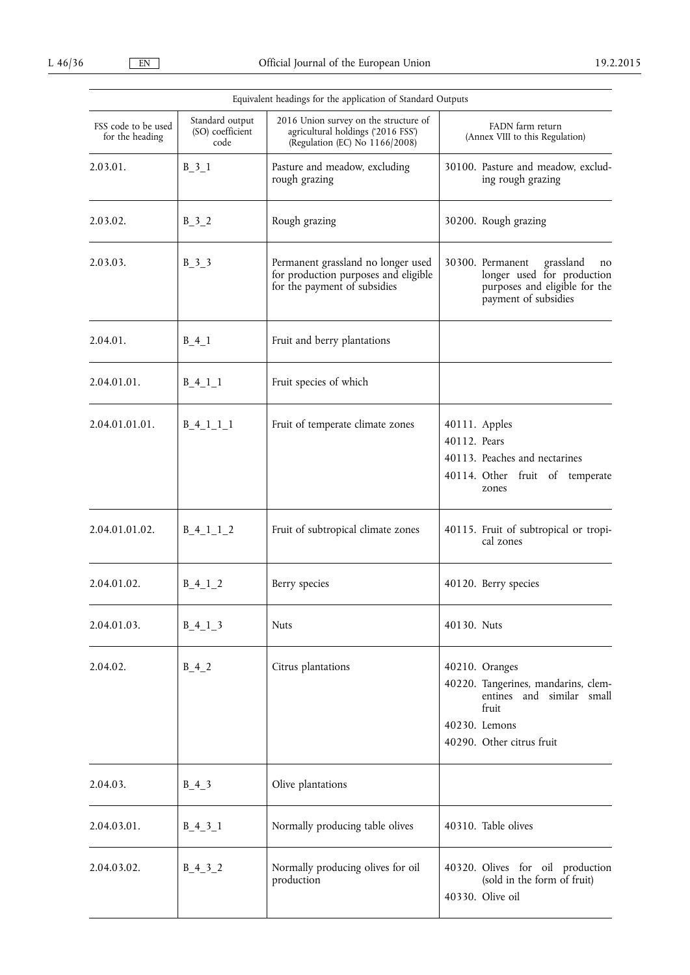|                                        |                                             | Equivalent headings for the application of Standard Outputs                                                   |                                                                                                                                           |
|----------------------------------------|---------------------------------------------|---------------------------------------------------------------------------------------------------------------|-------------------------------------------------------------------------------------------------------------------------------------------|
| FSS code to be used<br>for the heading | Standard output<br>(SO) coefficient<br>code | 2016 Union survey on the structure of<br>agricultural holdings ('2016 FSS')<br>(Regulation (EC) No 1166/2008) | FADN farm return<br>(Annex VIII to this Regulation)                                                                                       |
| 2.03.01.                               | $B_3_1$                                     | Pasture and meadow, excluding<br>rough grazing                                                                | 30100. Pasture and meadow, exclud-<br>ing rough grazing                                                                                   |
| 2.03.02.                               | $B_3_2$                                     | Rough grazing                                                                                                 | 30200. Rough grazing                                                                                                                      |
| 2.03.03.                               | $B_3_3$                                     | Permanent grassland no longer used<br>for production purposes and eligible<br>for the payment of subsidies    | 30300. Permanent grassland<br>no<br>longer used for production<br>purposes and eligible for the<br>payment of subsidies                   |
| 2.04.01.                               | $B_4_1$                                     | Fruit and berry plantations                                                                                   |                                                                                                                                           |
| 2.04.01.01.                            | $B_4_1_1$                                   | Fruit species of which                                                                                        |                                                                                                                                           |
| 2.04.01.01.01.                         | $B_4_1_1_1_1$                               | Fruit of temperate climate zones                                                                              | 40111. Apples<br>40112. Pears<br>40113. Peaches and nectarines<br>40114. Other fruit of temperate<br>zones                                |
| 2.04.01.01.02.                         | $B_4_1_1_2$                                 | Fruit of subtropical climate zones                                                                            | 40115. Fruit of subtropical or tropi-<br>cal zones                                                                                        |
| 2.04.01.02.                            | $B_4_1_2$                                   | Berry species                                                                                                 | 40120. Berry species                                                                                                                      |
| 2.04.01.03.                            | $B_4_1_3$                                   | <b>Nuts</b>                                                                                                   | 40130. Nuts                                                                                                                               |
| 2.04.02.                               | $B_4_2$                                     | Citrus plantations                                                                                            | 40210. Oranges<br>40220. Tangerines, mandarins, clem-<br>entines and similar small<br>fruit<br>40230. Lemons<br>40290. Other citrus fruit |
| 2.04.03.                               | $B_4_3$                                     | Olive plantations                                                                                             |                                                                                                                                           |
| 2.04.03.01.                            | $B_4_3_1$                                   | Normally producing table olives                                                                               | 40310. Table olives                                                                                                                       |
| 2.04.03.02.                            | $B_4_3_2$                                   | Normally producing olives for oil<br>production                                                               | 40320. Olives for oil production<br>(sold in the form of fruit)<br>40330. Olive oil                                                       |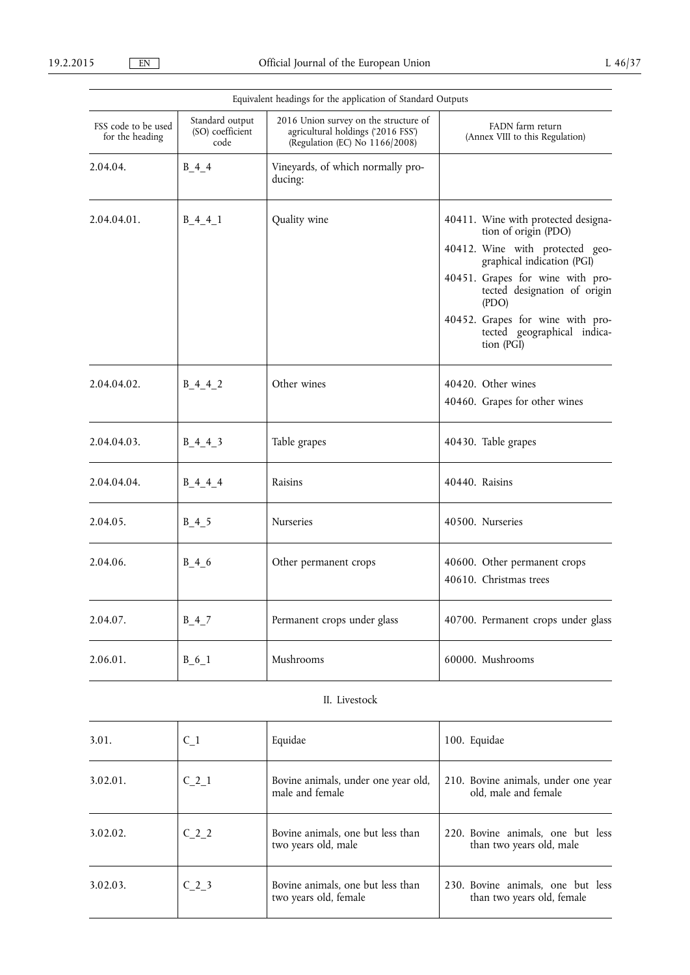|                                        |                                             | Equivalent headings for the application of Standard Outputs                                                   |                                                                               |  |  |  |  |
|----------------------------------------|---------------------------------------------|---------------------------------------------------------------------------------------------------------------|-------------------------------------------------------------------------------|--|--|--|--|
| FSS code to be used<br>for the heading | Standard output<br>(SO) coefficient<br>code | 2016 Union survey on the structure of<br>agricultural holdings ('2016 FSS')<br>(Regulation (EC) No 1166/2008) | FADN farm return<br>(Annex VIII to this Regulation)                           |  |  |  |  |
| 2.04.04.                               | $B_4_4$                                     | Vineyards, of which normally pro-<br>ducing:                                                                  |                                                                               |  |  |  |  |
| 2.04.04.01.                            | $B_4_4_1$                                   | Quality wine                                                                                                  | 40411. Wine with protected designa-<br>tion of origin (PDO)                   |  |  |  |  |
|                                        |                                             |                                                                                                               | 40412. Wine with protected geo-<br>graphical indication (PGI)                 |  |  |  |  |
|                                        |                                             |                                                                                                               | 40451. Grapes for wine with pro-<br>tected designation of origin<br>( PDO)    |  |  |  |  |
|                                        |                                             |                                                                                                               | 40452. Grapes for wine with pro-<br>tected geographical indica-<br>tion (PGI) |  |  |  |  |
| 2.04.04.02.                            | $B_4_4_2$                                   | Other wines                                                                                                   | 40420. Other wines                                                            |  |  |  |  |
|                                        |                                             |                                                                                                               | 40460. Grapes for other wines                                                 |  |  |  |  |
| 2.04.04.03.                            | $B_4_4_3$                                   | Table grapes                                                                                                  | 40430. Table grapes                                                           |  |  |  |  |
| 2.04.04.04.                            | $B_4_4_4_$                                  | Raisins                                                                                                       | 40440. Raisins                                                                |  |  |  |  |
| 2.04.05.                               | $B_4_5$                                     | <b>Nurseries</b>                                                                                              | 40500. Nurseries                                                              |  |  |  |  |
| 2.04.06.                               | $B_4_6$                                     | Other permanent crops                                                                                         | 40600. Other permanent crops<br>40610. Christmas trees                        |  |  |  |  |
| 2.04.07.                               | $B_4$ <sup>7</sup>                          | Permanent crops under glass                                                                                   | 40700. Permanent crops under glass                                            |  |  |  |  |
| 2.06.01.                               | $B_6_1$                                     | Mushrooms                                                                                                     | 60000. Mushrooms                                                              |  |  |  |  |
|                                        |                                             |                                                                                                               |                                                                               |  |  |  |  |

# II. Livestock

| 3.01.    | $C_1$            | Equidae                                                    | 100. Equidae                                                    |
|----------|------------------|------------------------------------------------------------|-----------------------------------------------------------------|
| 3.02.01. | C <sub>2</sub> 1 | Bovine animals, under one year old,<br>male and female     | 210. Bovine animals, under one year<br>old, male and female     |
| 3.02.02. | $C_2$ 2          | Bovine animals, one but less than<br>two years old, male   | 220. Bovine animals, one but less<br>than two years old, male   |
| 3.02.03. | $C2$ 3           | Bovine animals, one but less than<br>two years old, female | 230. Bovine animals, one but less<br>than two years old, female |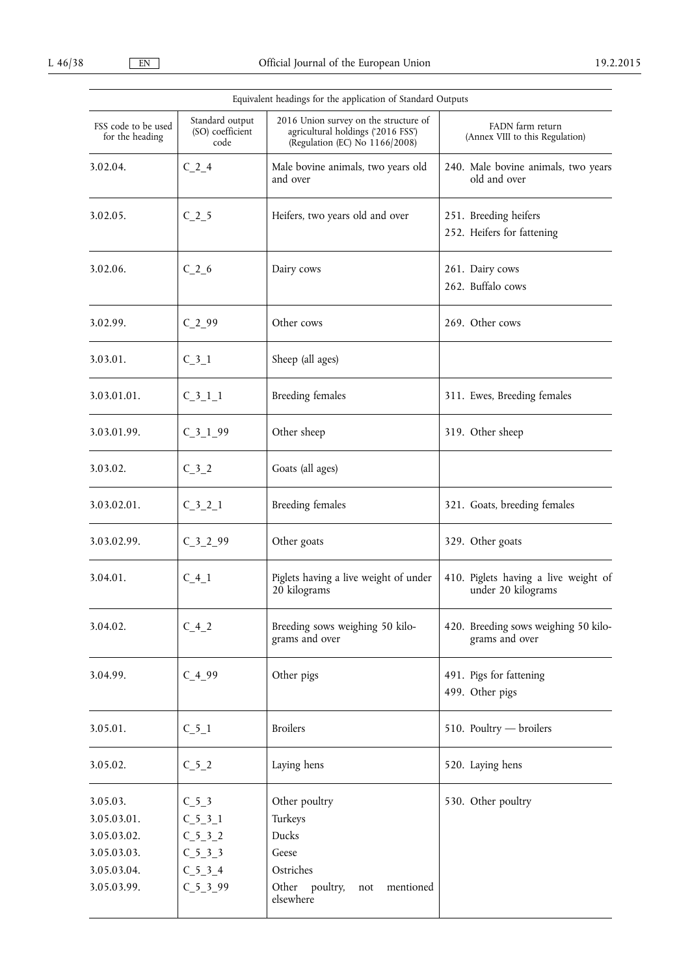|                                                                                     |                                                                          | Equivalent headings for the application of Standard Outputs                                                   |                                                            |  |  |  |  |
|-------------------------------------------------------------------------------------|--------------------------------------------------------------------------|---------------------------------------------------------------------------------------------------------------|------------------------------------------------------------|--|--|--|--|
| FSS code to be used<br>for the heading                                              | Standard output<br>(SO) coefficient<br>code                              | 2016 Union survey on the structure of<br>agricultural holdings ('2016 FSS')<br>(Regulation (EC) No 1166/2008) | FADN farm return<br>(Annex VIII to this Regulation)        |  |  |  |  |
| 3.02.04.                                                                            | $C_2$ <sup>4</sup>                                                       | Male bovine animals, two years old<br>and over                                                                | 240. Male bovine animals, two years<br>old and over        |  |  |  |  |
| 3.02.05.                                                                            | $C_2$ 5                                                                  | Heifers, two years old and over                                                                               | 251. Breeding heifers<br>252. Heifers for fattening        |  |  |  |  |
| 3.02.06.                                                                            | $C_2$ -6                                                                 | Dairy cows                                                                                                    | 261. Dairy cows<br>262. Buffalo cows                       |  |  |  |  |
| 3.02.99.                                                                            | $C_2$ -99                                                                | Other cows                                                                                                    | 269. Other cows                                            |  |  |  |  |
| 3.03.01.                                                                            | $C_3_1$                                                                  | Sheep (all ages)                                                                                              |                                                            |  |  |  |  |
| 3.03.01.01.                                                                         | $C_3$ <sup>1</sup> <sup>1</sup>                                          | <b>Breeding females</b>                                                                                       | 311. Ewes, Breeding females                                |  |  |  |  |
| 3.03.01.99.                                                                         | $C_3_1_99$                                                               | Other sheep                                                                                                   | 319. Other sheep                                           |  |  |  |  |
| 3.03.02.                                                                            | $C_3$ 2                                                                  | Goats (all ages)                                                                                              |                                                            |  |  |  |  |
| 3.03.02.01.                                                                         | $C_3_2_1$                                                                | Breeding females                                                                                              | 321. Goats, breeding females                               |  |  |  |  |
| 3.03.02.99.                                                                         | $C_3$ $2_9$                                                              | Other goats                                                                                                   | 329. Other goats                                           |  |  |  |  |
| 3.04.01.                                                                            | $C_4_1$                                                                  | Piglets having a live weight of under<br>20 kilograms                                                         | 410. Piglets having a live weight of<br>under 20 kilograms |  |  |  |  |
| 3.04.02.                                                                            | $C_4$ <sub>2</sub>                                                       | Breeding sows weighing 50 kilo-<br>grams and over                                                             | 420. Breeding sows weighing 50 kilo-<br>grams and over     |  |  |  |  |
| 3.04.99.                                                                            | $C_499$                                                                  | Other pigs                                                                                                    | 491. Pigs for fattening<br>499. Other pigs                 |  |  |  |  |
| 3.05.01.                                                                            | $C_5_1$                                                                  | <b>Broilers</b>                                                                                               | 510. Poultry - broilers                                    |  |  |  |  |
| 3.05.02.                                                                            | $C_5_2$                                                                  | Laying hens                                                                                                   | 520. Laying hens                                           |  |  |  |  |
| 3.05.03.<br>3.05.03.01.<br>3.05.03.02.<br>3.05.03.03.<br>3.05.03.04.<br>3.05.03.99. | $C_5_3$<br>$C_5_3_1$<br>$C_5_3_2$<br>$C_5_3_3$<br>$C_5_3_4$<br>$C_5_3_9$ | Other poultry<br>Turkeys<br>Ducks<br>Geese<br>Ostriches<br>Other<br>poultry,<br>mentioned<br>not<br>elsewhere | 530. Other poultry                                         |  |  |  |  |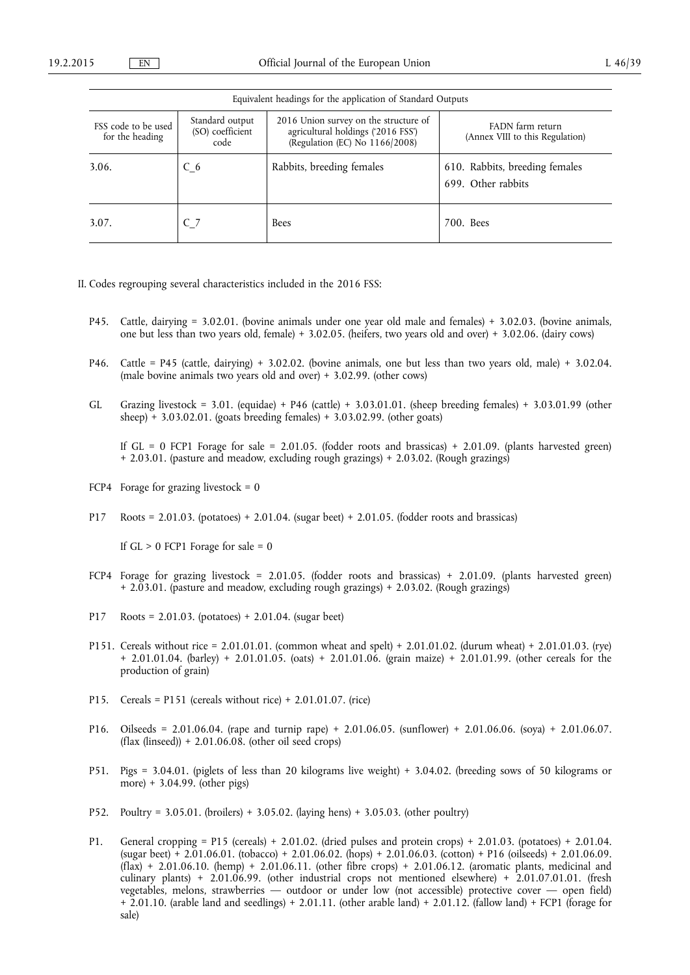|                                        | Equivalent headings for the application of Standard Outputs |                                                                                                               |                                                      |  |  |  |  |  |  |  |
|----------------------------------------|-------------------------------------------------------------|---------------------------------------------------------------------------------------------------------------|------------------------------------------------------|--|--|--|--|--|--|--|
| FSS code to be used<br>for the heading | Standard output<br>(SO) coefficient<br>code                 | 2016 Union survey on the structure of<br>agricultural holdings ('2016 FSS')<br>(Regulation (EC) No 1166/2008) | FADN farm return<br>(Annex VIII to this Regulation)  |  |  |  |  |  |  |  |
| 3.06.                                  | $C_6$                                                       | Rabbits, breeding females                                                                                     | 610. Rabbits, breeding females<br>699. Other rabbits |  |  |  |  |  |  |  |
| 3.07.                                  | $C_7$                                                       | <b>Bees</b>                                                                                                   | 700. Bees                                            |  |  |  |  |  |  |  |

II. Codes regrouping several characteristics included in the 2016 FSS:

- P45. Cattle, dairying = 3.02.01. (bovine animals under one year old male and females) + 3.02.03. (bovine animals, one but less than two years old, female) + 3.02.05. (heifers, two years old and over) + 3.02.06. (dairy cows)
- P46. Cattle = P45 (cattle, dairying) + 3.02.02. (bovine animals, one but less than two years old, male) + 3.02.04. (male bovine animals two years old and over) + 3.02.99. (other cows)
- GL Grazing livestock = 3.01. (equidae) + P46 (cattle) + 3.03.01.01. (sheep breeding females) + 3.03.01.99 (other sheep) + 3.03.02.01. (goats breeding females) +  $3.03.02.99$ . (other goats)

If GL = 0 FCP1 Forage for sale = 2.01.05. (fodder roots and brassicas) + 2.01.09. (plants harvested green) + 2.03.01. (pasture and meadow, excluding rough grazings) + 2.03.02. (Rough grazings)

- FCP4 Forage for grazing livestock =  $0$
- P17 Roots = 2.01.03. (potatoes) + 2.01.04. (sugar beet) + 2.01.05. (fodder roots and brassicas)

If  $GL > 0$  FCP1 Forage for sale = 0

- FCP4 Forage for grazing livestock = 2.01.05. (fodder roots and brassicas) + 2.01.09. (plants harvested green) + 2.03.01. (pasture and meadow, excluding rough grazings) + 2.03.02. (Rough grazings)
- P17 Roots =  $2.01.03$ . (potatoes) +  $2.01.04$ . (sugar beet)
- P151. Cereals without rice = 2.01.01.01. (common wheat and spelt) + 2.01.01.02. (durum wheat) + 2.01.01.03. (rye) + 2.01.01.04. (barley) + 2.01.01.05. (oats) + 2.01.01.06. (grain maize) + 2.01.01.99. (other cereals for the production of grain)
- P15. Cereals = P151 (cereals without rice) + 2.01.01.07. (rice)
- P16. Oilseeds = 2.01.06.04. (rape and turnip rape) + 2.01.06.05. (sunflower) + 2.01.06.06. (soya) + 2.01.06.07.  $(flax (linseed)) + 2.01.06.08$ . (other oil seed crops)
- P51. Pigs = 3.04.01. (piglets of less than 20 kilograms live weight) + 3.04.02. (breeding sows of 50 kilograms or more) + 3.04.99. (other pigs)
- P52. Poultry = 3.05.01. (broilers) + 3.05.02. (laying hens) + 3.05.03. (other poultry)
- P1. General cropping = P15 (cereals) + 2.01.02. (dried pulses and protein crops) + 2.01.03. (potatoes) + 2.01.04. (sugar beet) + 2.01.06.01. (tobacco) + 2.01.06.02. (hops) + 2.01.06.03. (cotton) + P16 (oilseeds) + 2.01.06.09.  $(f$ lax) + 2.01.06.10. (hemp) + 2.01.06.11. (other fibre crops) + 2.01.06.12. (aromatic plants, medicinal and culinary plants) + 2.01.06.99. (other industrial crops not mentioned elsewhere) + 2.01.07.01.01. (fresh vegetables, melons, strawberries — outdoor or under low (not accessible) protective cover — open field) + 2.01.10. (arable land and seedlings) + 2.01.11. (other arable land) + 2.01.12. (fallow land) + FCP1 (forage for sale)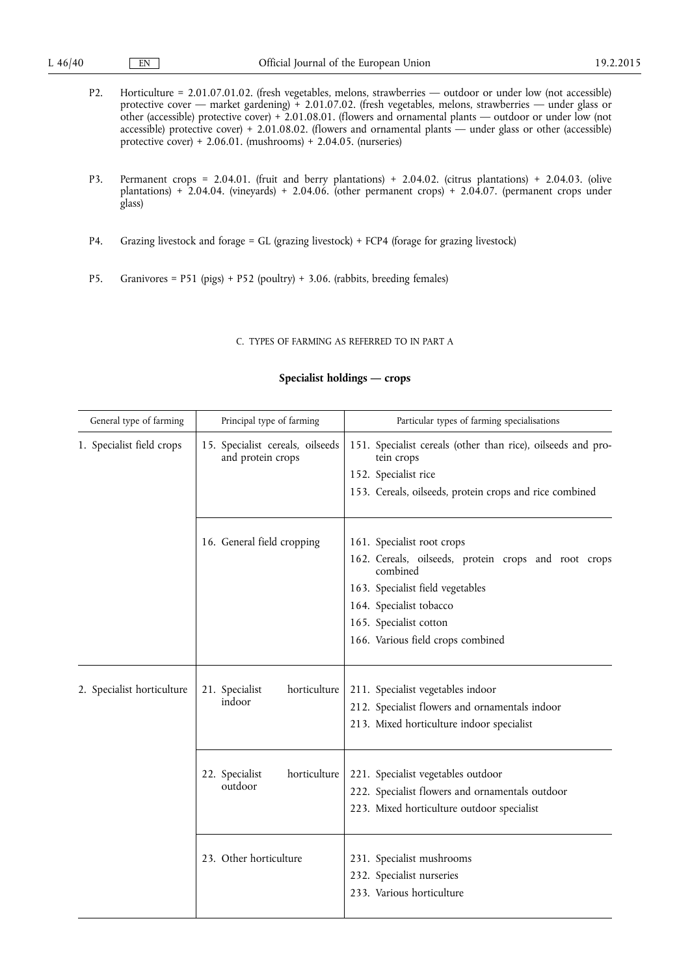- P2. Horticulture = 2.01.07.01.02. (fresh vegetables, melons, strawberries outdoor or under low (not accessible) protective cover — market gardening) + 2.01.07.02. (fresh vegetables, melons, strawberries — under glass or other (accessible) protective cover) + 2.01.08.01. (flowers and ornamental plants — outdoor or under low (not accessible) protective cover) + 2.01.08.02. (flowers and ornamental plants — under glass or other (accessible) protective cover) + 2.06.01. (mushrooms) + 2.04.05. (nurseries)
- P3. Permanent crops = 2.04.01. (fruit and berry plantations) + 2.04.02. (citrus plantations) + 2.04.03. (olive plantations) + 2.04.04. (vineyards) + 2.04.06. (other permanent crops) + 2.04.07. (permanent crops under glass)
- P4. Grazing livestock and forage = GL (grazing livestock) + FCP4 (forage for grazing livestock)
- P5. Granivores = P51 (pigs) + P52 (poultry) + 3.06. (rabbits, breeding females)

# C. TYPES OF FARMING AS REFERRED TO IN PART A

# **Specialist holdings — crops**

| General type of farming    | Principal type of farming                             | Particular types of farming specialisations                                                                                                                                                                                  |  |  |  |  |  |
|----------------------------|-------------------------------------------------------|------------------------------------------------------------------------------------------------------------------------------------------------------------------------------------------------------------------------------|--|--|--|--|--|
| 1. Specialist field crops  | 15. Specialist cereals, oilseeds<br>and protein crops | 151. Specialist cereals (other than rice), oilseeds and pro-<br>tein crops<br>152. Specialist rice<br>153. Cereals, oilseeds, protein crops and rice combined                                                                |  |  |  |  |  |
|                            | 16. General field cropping                            | 161. Specialist root crops<br>162. Cereals, oilseeds, protein crops and root crops<br>combined<br>163. Specialist field vegetables<br>164. Specialist tobacco<br>165. Specialist cotton<br>166. Various field crops combined |  |  |  |  |  |
| 2. Specialist horticulture | horticulture<br>21. Specialist<br>indoor              | 211. Specialist vegetables indoor<br>212. Specialist flowers and ornamentals indoor<br>213. Mixed horticulture indoor specialist                                                                                             |  |  |  |  |  |
|                            | horticulture<br>22. Specialist<br>outdoor             | 221. Specialist vegetables outdoor<br>222. Specialist flowers and ornamentals outdoor<br>223. Mixed horticulture outdoor specialist                                                                                          |  |  |  |  |  |
|                            | 23. Other horticulture                                | 231. Specialist mushrooms<br>232. Specialist nurseries<br>233. Various horticulture                                                                                                                                          |  |  |  |  |  |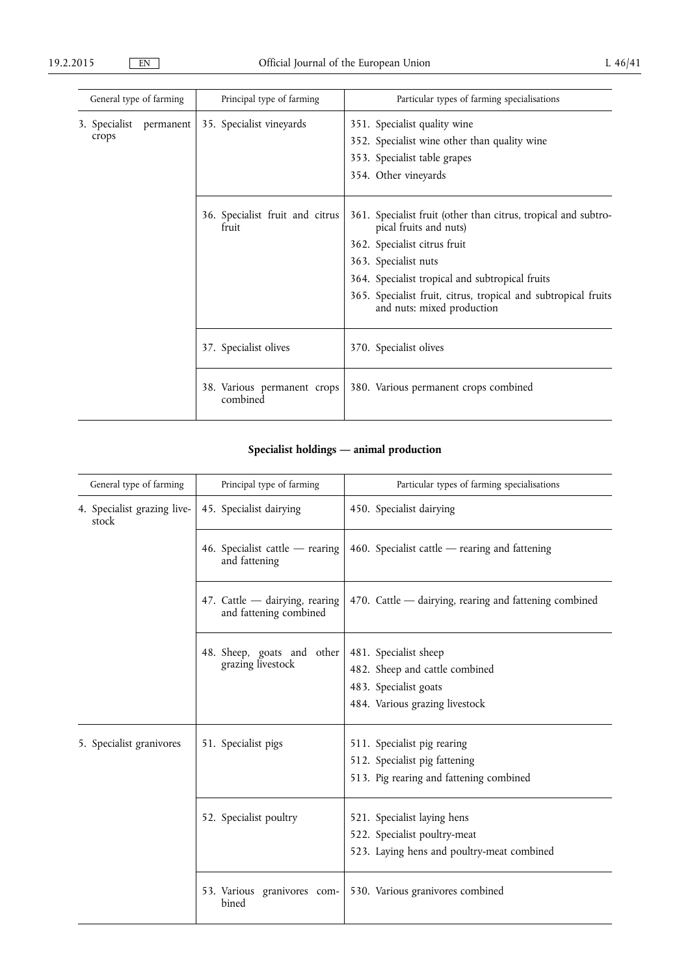| General type of farming          | Principal type of farming                | Particular types of farming specialisations                                                                                                                                                                                                                                                         |  |  |  |  |  |
|----------------------------------|------------------------------------------|-----------------------------------------------------------------------------------------------------------------------------------------------------------------------------------------------------------------------------------------------------------------------------------------------------|--|--|--|--|--|
| 3. Specialist permanent<br>crops | 35. Specialist vineyards                 | 351. Specialist quality wine<br>352. Specialist wine other than quality wine<br>353. Specialist table grapes<br>354. Other vineyards                                                                                                                                                                |  |  |  |  |  |
|                                  | 36. Specialist fruit and citrus<br>fruit | 361. Specialist fruit (other than citrus, tropical and subtro-<br>pical fruits and nuts)<br>362. Specialist citrus fruit<br>363. Specialist nuts<br>364. Specialist tropical and subtropical fruits<br>365. Specialist fruit, citrus, tropical and subtropical fruits<br>and nuts: mixed production |  |  |  |  |  |
|                                  | 37. Specialist olives                    | 370. Specialist olives                                                                                                                                                                                                                                                                              |  |  |  |  |  |
|                                  | 38. Various permanent crops<br>combined  | 380. Various permanent crops combined                                                                                                                                                                                                                                                               |  |  |  |  |  |

# **Specialist holdings — animal production**

| General type of farming              |  | Principal type of farming                                | Particular types of farming specialisations                                                                        |  |  |  |  |  |  |
|--------------------------------------|--|----------------------------------------------------------|--------------------------------------------------------------------------------------------------------------------|--|--|--|--|--|--|
| 4. Specialist grazing live-<br>stock |  | 45. Specialist dairying                                  | 450. Specialist dairying                                                                                           |  |  |  |  |  |  |
|                                      |  | 46. Specialist cattle - rearing<br>and fattening         | 460. Specialist cattle $-$ rearing and fattening                                                                   |  |  |  |  |  |  |
|                                      |  | 47. Cattle - dairying, rearing<br>and fattening combined | 470. Cattle — dairying, rearing and fattening combined                                                             |  |  |  |  |  |  |
|                                      |  | 48. Sheep, goats and other<br>grazing livestock          | 481. Specialist sheep<br>482. Sheep and cattle combined<br>483. Specialist goats<br>484. Various grazing livestock |  |  |  |  |  |  |
| 5. Specialist granivores             |  | 51. Specialist pigs                                      | 511. Specialist pig rearing<br>512. Specialist pig fattening<br>513. Pig rearing and fattening combined            |  |  |  |  |  |  |
|                                      |  | 52. Specialist poultry                                   | 521. Specialist laying hens<br>522. Specialist poultry-meat<br>523. Laying hens and poultry-meat combined          |  |  |  |  |  |  |
|                                      |  | 53. Various granivores com-<br>bined                     | 530. Various granivores combined                                                                                   |  |  |  |  |  |  |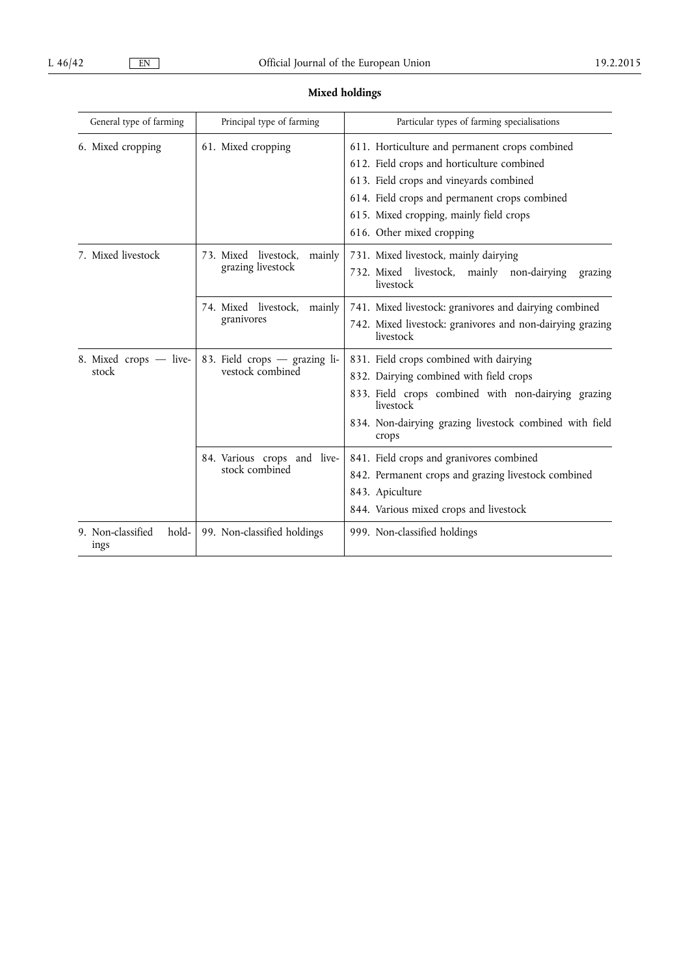# **Mixed holdings**

| General type of farming            | Principal type of farming                           | Particular types of farming specialisations                                                                                                                                                                                                                      |  |  |  |  |  |
|------------------------------------|-----------------------------------------------------|------------------------------------------------------------------------------------------------------------------------------------------------------------------------------------------------------------------------------------------------------------------|--|--|--|--|--|
| 6. Mixed cropping                  | 61. Mixed cropping                                  | 611. Horticulture and permanent crops combined<br>612. Field crops and horticulture combined<br>613. Field crops and vineyards combined<br>614. Field crops and permanent crops combined<br>615. Mixed cropping, mainly field crops<br>616. Other mixed cropping |  |  |  |  |  |
| 7. Mixed livestock                 | 73. Mixed livestock,<br>mainly<br>grazing livestock | 731. Mixed livestock, mainly dairying<br>732. Mixed livestock,<br>mainly non-dairying<br>grazing<br>livestock                                                                                                                                                    |  |  |  |  |  |
|                                    | 74. Mixed livestock,<br>mainly<br>granivores        | 741. Mixed livestock: granivores and dairying combined<br>742. Mixed livestock: granivores and non-dairying grazing<br>livestock                                                                                                                                 |  |  |  |  |  |
| 8. Mixed crops - live-<br>stock    | 83. Field crops - grazing li-<br>vestock combined   | 831. Field crops combined with dairying<br>832. Dairying combined with field crops<br>833. Field crops combined with non-dairying grazing<br>livestock<br>834. Non-dairying grazing livestock combined with field<br>crops                                       |  |  |  |  |  |
|                                    | 84. Various crops and live-<br>stock combined       | 841. Field crops and granivores combined<br>842. Permanent crops and grazing livestock combined<br>843. Apiculture<br>844. Various mixed crops and livestock                                                                                                     |  |  |  |  |  |
| 9. Non-classified<br>hold-<br>ings | 99. Non-classified holdings                         | 999. Non-classified holdings                                                                                                                                                                                                                                     |  |  |  |  |  |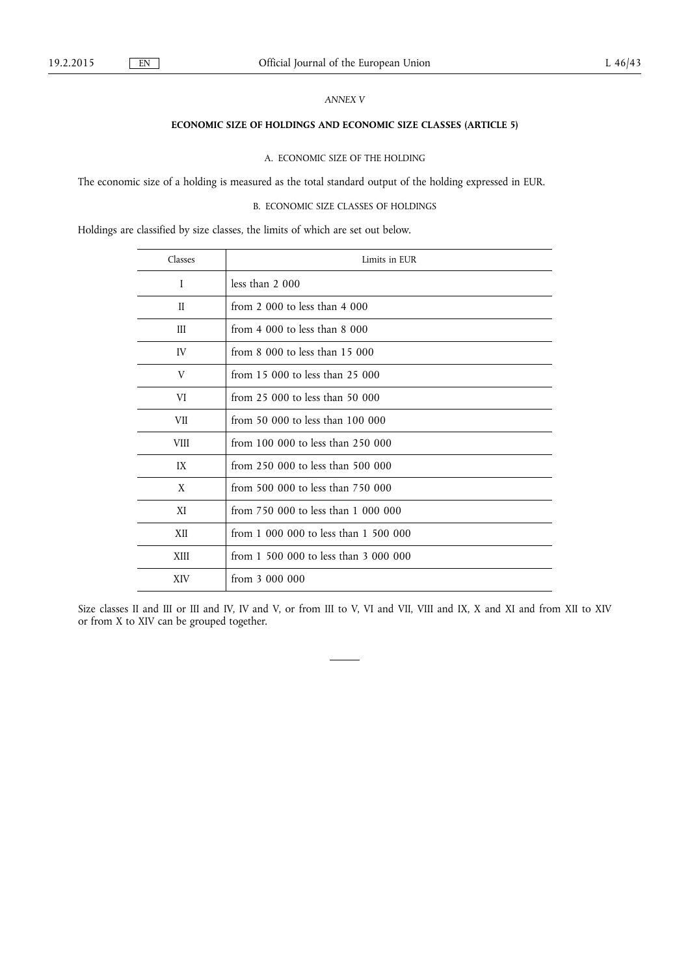# *ANNEX V*

# **ECONOMIC SIZE OF HOLDINGS AND ECONOMIC SIZE CLASSES (ARTICLE 5)**

A. ECONOMIC SIZE OF THE HOLDING

The economic size of a holding is measured as the total standard output of the holding expressed in EUR.

B. ECONOMIC SIZE CLASSES OF HOLDINGS

Holdings are classified by size classes, the limits of which are set out below.

| Classes      | Limits in EUR                         |
|--------------|---------------------------------------|
| I            | less than $2000$                      |
| $\mathbf{I}$ | from 2 000 to less than $4\,000$      |
| Ш            | from $4000$ to less than $8000$       |
| IV           | from $8\,000$ to less than 15 000     |
| V            | from 15 000 to less than 25 000       |
| VI           | from 25 000 to less than 50 000       |
| VII          | from 50 000 to less than 100 000      |
| <b>VIII</b>  | from 100 000 to less than 250 000     |
| IX           | from 250 000 to less than 500 000     |
| X            | from 500 000 to less than 750 000     |
| XI           | from 750 000 to less than 1 000 000   |
| XII          | from 1 000 000 to less than 1 500 000 |
| XIII         | from 1 500 000 to less than 3 000 000 |
| <b>XIV</b>   | from $3000000$                        |

Size classes II and III or III and IV, IV and V, or from III to V, VI and VII, VIII and IX, X and XI and from XII to XIV or from X to XIV can be grouped together.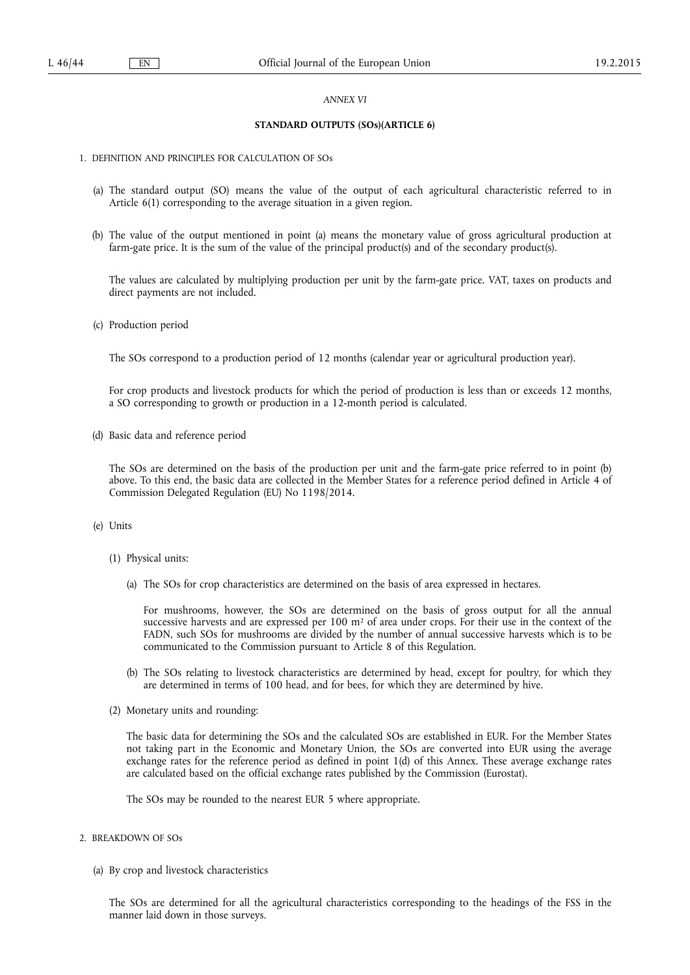### *ANNEX VI*

# **STANDARD OUTPUTS (SOs)(ARTICLE 6)**

## 1. DEFINITION AND PRINCIPLES FOR CALCULATION OF SOs

- (a) The standard output (SO) means the value of the output of each agricultural characteristic referred to in Article 6(1) corresponding to the average situation in a given region.
- (b) The value of the output mentioned in point (a) means the monetary value of gross agricultural production at farm-gate price. It is the sum of the value of the principal product(s) and of the secondary product(s).

The values are calculated by multiplying production per unit by the farm-gate price. VAT, taxes on products and direct payments are not included.

(c) Production period

The SOs correspond to a production period of 12 months (calendar year or agricultural production year).

For crop products and livestock products for which the period of production is less than or exceeds 12 months, a SO corresponding to growth or production in a 12-month period is calculated.

(d) Basic data and reference period

The SOs are determined on the basis of the production per unit and the farm-gate price referred to in point (b) above. To this end, the basic data are collected in the Member States for a reference period defined in Article 4 of Commission Delegated Regulation (EU) No 1198/2014.

# (e) Units

- (1) Physical units:
	- (a) The SOs for crop characteristics are determined on the basis of area expressed in hectares.

For mushrooms, however, the SOs are determined on the basis of gross output for all the annual successive harvests and are expressed per 100 m<sup>2</sup> of area under crops. For their use in the context of the FADN, such SOs for mushrooms are divided by the number of annual successive harvests which is to be communicated to the Commission pursuant to Article 8 of this Regulation.

- (b) The SOs relating to livestock characteristics are determined by head, except for poultry, for which they are determined in terms of 100 head, and for bees, for which they are determined by hive.
- (2) Monetary units and rounding:

The basic data for determining the SOs and the calculated SOs are established in EUR. For the Member States not taking part in the Economic and Monetary Union, the SOs are converted into EUR using the average exchange rates for the reference period as defined in point 1(d) of this Annex. These average exchange rates are calculated based on the official exchange rates published by the Commission (Eurostat).

The SOs may be rounded to the nearest EUR 5 where appropriate.

- 2. BREAKDOWN OF SOs
	- (a) By crop and livestock characteristics

The SOs are determined for all the agricultural characteristics corresponding to the headings of the FSS in the manner laid down in those surveys.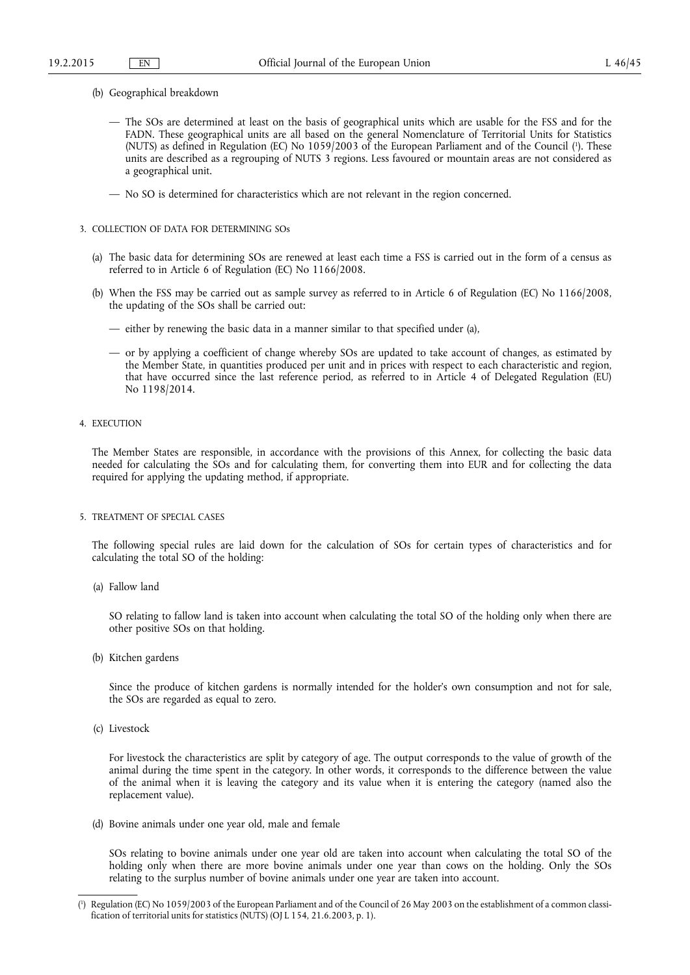- (b) Geographical breakdown
	- The SOs are determined at least on the basis of geographical units which are usable for the FSS and for the FADN. These geographical units are all based on the general Nomenclature of Territorial Units for Statistics (NUTS) as defined in Regulation (EC) No 1059/2003 of the European Parliament and of the Council ( 1 ). These units are described as a regrouping of NUTS 3 regions. Less favoured or mountain areas are not considered as a geographical unit.
	- No SO is determined for characteristics which are not relevant in the region concerned.
- 3. COLLECTION OF DATA FOR DETERMINING SOs
	- (a) The basic data for determining SOs are renewed at least each time a FSS is carried out in the form of a census as referred to in Article 6 of Regulation (EC) No 1166/2008.
	- (b) When the FSS may be carried out as sample survey as referred to in Article 6 of Regulation (EC) No 1166/2008, the updating of the SOs shall be carried out:
		- either by renewing the basic data in a manner similar to that specified under (a),
		- or by applying a coefficient of change whereby SOs are updated to take account of changes, as estimated by the Member State, in quantities produced per unit and in prices with respect to each characteristic and region, that have occurred since the last reference period, as referred to in Article 4 of Delegated Regulation (EU) No 1198/2014.
- 4. EXECUTION

The Member States are responsible, in accordance with the provisions of this Annex, for collecting the basic data needed for calculating the SOs and for calculating them, for converting them into EUR and for collecting the data required for applying the updating method, if appropriate.

5. TREATMENT OF SPECIAL CASES

The following special rules are laid down for the calculation of SOs for certain types of characteristics and for calculating the total SO of the holding:

(a) Fallow land

SO relating to fallow land is taken into account when calculating the total SO of the holding only when there are other positive SOs on that holding.

(b) Kitchen gardens

Since the produce of kitchen gardens is normally intended for the holder's own consumption and not for sale, the SOs are regarded as equal to zero.

(c) Livestock

For livestock the characteristics are split by category of age. The output corresponds to the value of growth of the animal during the time spent in the category. In other words, it corresponds to the difference between the value of the animal when it is leaving the category and its value when it is entering the category (named also the replacement value).

(d) Bovine animals under one year old, male and female

SOs relating to bovine animals under one year old are taken into account when calculating the total SO of the holding only when there are more bovine animals under one year than cows on the holding. Only the SOs relating to the surplus number of bovine animals under one year are taken into account.

<sup>(</sup> 1 ) Regulation (EC) No 1059/2003 of the European Parliament and of the Council of 26 May 2003 on the establishment of a common classification of territorial units for statistics (NUTS) (OJ L 154, 21.6.2003, p. 1).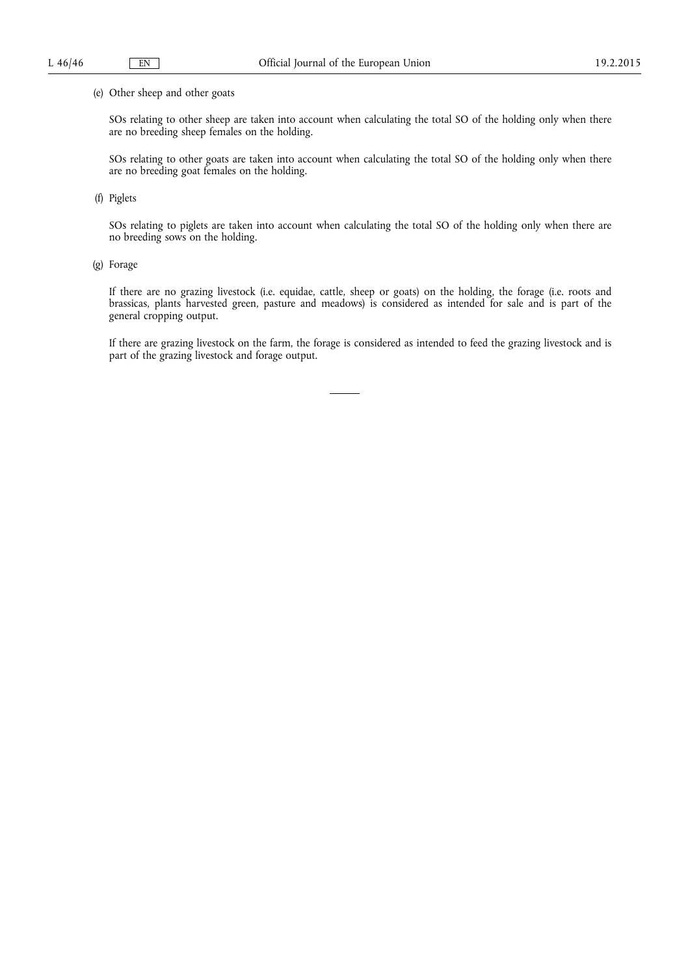# (e) Other sheep and other goats

SOs relating to other sheep are taken into account when calculating the total SO of the holding only when there are no breeding sheep females on the holding.

SOs relating to other goats are taken into account when calculating the total SO of the holding only when there are no breeding goat females on the holding.

(f) Piglets

SOs relating to piglets are taken into account when calculating the total SO of the holding only when there are no breeding sows on the holding.

(g) Forage

If there are no grazing livestock (i.e. equidae, cattle, sheep or goats) on the holding, the forage (i.e. roots and brassicas, plants harvested green, pasture and meadows) is considered as intended for sale and is part of the general cropping output.

If there are grazing livestock on the farm, the forage is considered as intended to feed the grazing livestock and is part of the grazing livestock and forage output.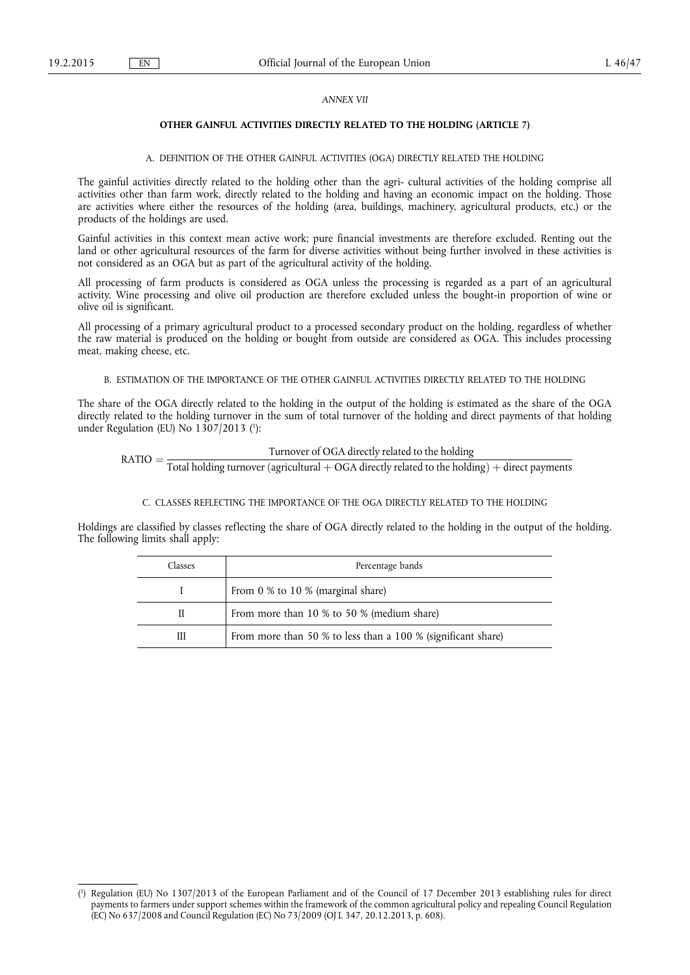# *ANNEX VII*

# **OTHER GAINFUL ACTIVITIES DIRECTLY RELATED TO THE HOLDING (ARTICLE 7)**

# A. DEFINITION OF THE OTHER GAINFUL ACTIVITIES (OGA) DIRECTLY RELATED THE HOLDING

The gainful activities directly related to the holding other than the agri- cultural activities of the holding comprise all activities other than farm work, directly related to the holding and having an economic impact on the holding. Those are activities where either the resources of the holding (area, buildings, machinery, agricultural products, etc.) or the products of the holdings are used.

Gainful activities in this context mean active work; pure financial investments are therefore excluded. Renting out the land or other agricultural resources of the farm for diverse activities without being further involved in these activities is not considered as an OGA but as part of the agricultural activity of the holding.

All processing of farm products is considered as OGA unless the processing is regarded as a part of an agricultural activity. Wine processing and olive oil production are therefore excluded unless the bought-in proportion of wine or olive oil is significant.

All processing of a primary agricultural product to a processed secondary product on the holding, regardless of whether the raw material is produced on the holding or bought from outside are considered as OGA. This includes processing meat, making cheese, etc.

# B. ESTIMATION OF THE IMPORTANCE OF THE OTHER GAINFUL ACTIVITIES DIRECTLY RELATED TO THE HOLDING

The share of the OGA directly related to the holding in the output of the holding is estimated as the share of the OGA directly related to the holding turnover in the sum of total turnover of the holding and direct payments of that holding under Regulation (EU) No 1307/2013 ( 1 ):

 $\text{RATIO} = \frac{\text{Turnover of OGA directly related to the holding}\ \text{Total holding turnover (agricultural} + \text{OGA directly related to the holding}) + \text{direct payments}}$ 

# C. CLASSES REFLECTING THE IMPORTANCE OF THE OGA DIRECTLY RELATED TO THE HOLDING

Holdings are classified by classes reflecting the share of OGA directly related to the holding in the output of the holding. The following limits shall apply:

| Classes | Percentage bands                                             |
|---------|--------------------------------------------------------------|
|         | From 0 % to 10 % (marginal share)                            |
| Н       | From more than 10 % to 50 % (medium share)                   |
| Ш       | From more than 50 % to less than a 100 % (significant share) |

<sup>(</sup> 1 ) Regulation (EU) No 1307/2013 of the European Parliament and of the Council of 17 December 2013 establishing rules for direct payments to farmers under support schemes within the framework of the common agricultural policy and repealing Council Regulation (EC) No 637/2008 and Council Regulation (EC) No 73/2009 (OJ L 347, 20.12.2013, p. 608).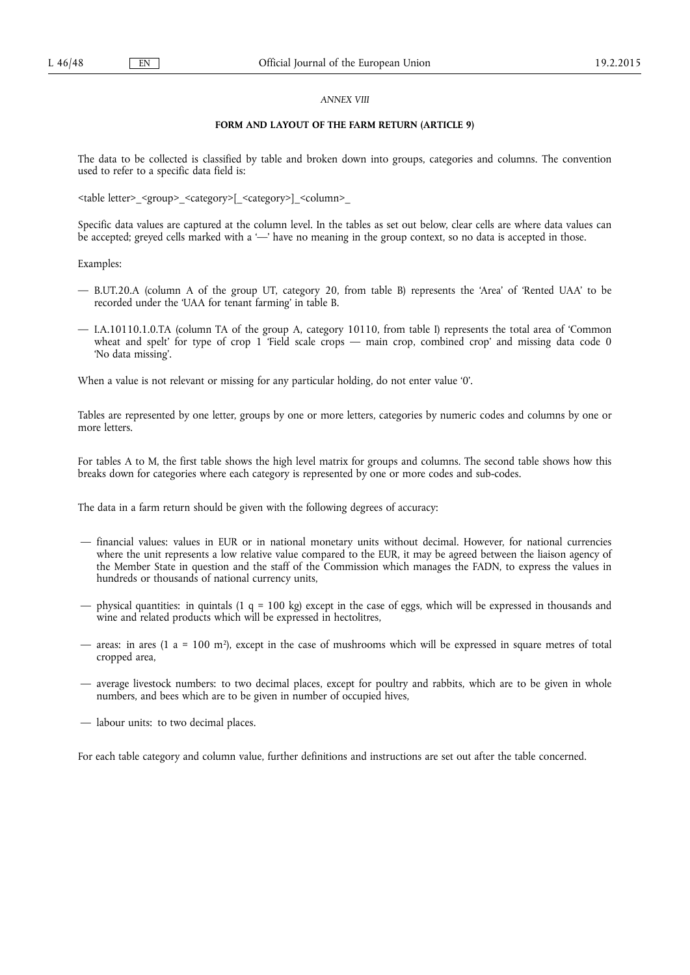# *ANNEX VIII*

# **FORM AND LAYOUT OF THE FARM RETURN (ARTICLE 9)**

The data to be collected is classified by table and broken down into groups, categories and columns. The convention used to refer to a specific data field is:

<table letter>\_<group>\_<category>[\_<category>]\_<column>\_

Specific data values are captured at the column level. In the tables as set out below, clear cells are where data values can be accepted; greyed cells marked with a '—' have no meaning in the group context, so no data is accepted in those.

Examples:

- B.UT.20.A (column A of the group UT, category 20, from table B) represents the 'Area' of 'Rented UAA' to be recorded under the 'UAA for tenant farming' in table B.
- I.A.10110.1.0.TA (column TA of the group A, category 10110, from table I) represents the total area of 'Common wheat and spelt' for type of crop 1 'Field scale crops — main crop, combined crop' and missing data code 0 'No data missing'.

When a value is not relevant or missing for any particular holding, do not enter value '0'.

Tables are represented by one letter, groups by one or more letters, categories by numeric codes and columns by one or more letters.

For tables A to M, the first table shows the high level matrix for groups and columns. The second table shows how this breaks down for categories where each category is represented by one or more codes and sub-codes.

The data in a farm return should be given with the following degrees of accuracy:

- financial values: values in EUR or in national monetary units without decimal. However, for national currencies where the unit represents a low relative value compared to the EUR, it may be agreed between the liaison agency of the Member State in question and the staff of the Commission which manages the FADN, to express the values in hundreds or thousands of national currency units,
- physical quantities: in quintals (1 q = 100 kg) except in the case of eggs, which will be expressed in thousands and wine and related products which will be expressed in hectolitres,
- areas: in ares (1 a = 100 m<sup>2</sup>), except in the case of mushrooms which will be expressed in square metres of total cropped area,
- average livestock numbers: to two decimal places, except for poultry and rabbits, which are to be given in whole numbers, and bees which are to be given in number of occupied hives,
- labour units: to two decimal places.

For each table category and column value, further definitions and instructions are set out after the table concerned.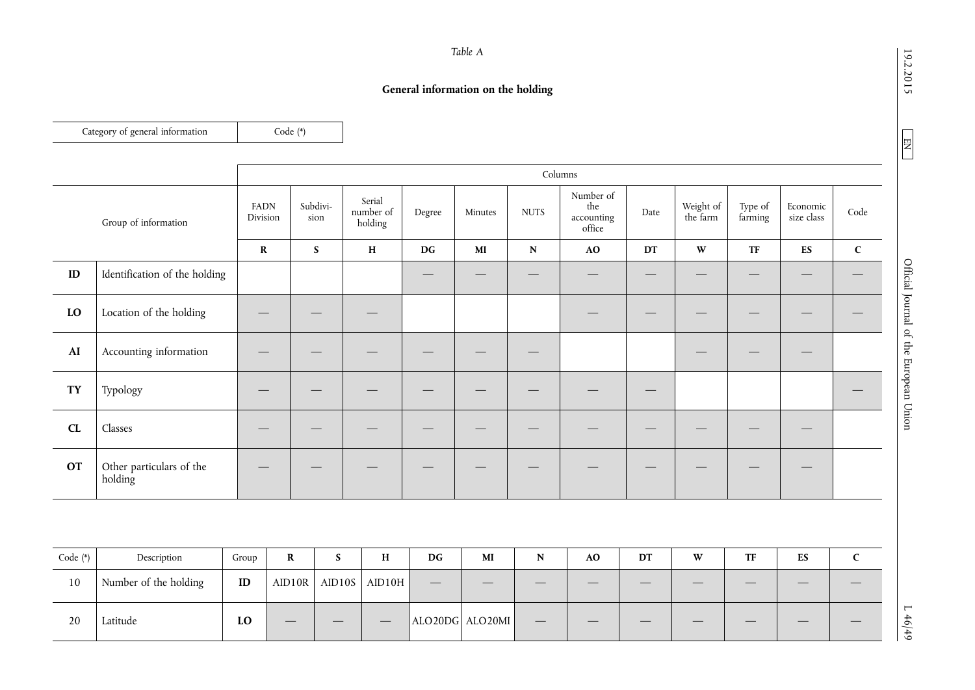19.2.2015

 $\boxed{\phantom{000} \text{NN} }$ 

19.2.2015 L  $\frac{EN}{10}$  L  $46/49$ Official Journal of the European Union

 $146/49$ 

*Table A* 

# **General information on the holding**

|               | Category of general information     |                         | Code (*)    |                  |                                |                        |              |             |                                          |      |                       |                    |                             |             |
|---------------|-------------------------------------|-------------------------|-------------|------------------|--------------------------------|------------------------|--------------|-------------|------------------------------------------|------|-----------------------|--------------------|-----------------------------|-------------|
|               |                                     |                         |             |                  |                                |                        |              |             | Columns                                  |      |                       |                    |                             |             |
|               | Group of information                | <b>FADN</b><br>Division |             | Subdivi-<br>sion | Serial<br>number of<br>holding | Degree                 | Minutes      | <b>NUTS</b> | Number of<br>the<br>accounting<br>office | Date | Weight of<br>the farm | Type of<br>farming | Economic<br>size class      | Code        |
|               |                                     | $\mathbf R$             |             | $\mathbf S$      | $\, {\rm H}$                   | DG                     | $\bf MI$     | ${\bf N}$   | AO                                       | DT   | $\mathbf{W}$          | <b>TF</b>          | ES                          | $\mathbf C$ |
| ID            | Identification of the holding       |                         |             |                  |                                |                        |              |             |                                          |      |                       |                    |                             |             |
| $\mathbf{LO}$ | Location of the holding             |                         |             |                  |                                |                        |              |             |                                          |      |                       |                    |                             |             |
| AI            | Accounting information              |                         |             |                  |                                |                        |              |             |                                          |      |                       |                    |                             |             |
| <b>TY</b>     | Typology                            |                         |             |                  |                                |                        |              |             |                                          | –    |                       |                    |                             |             |
| CL            | Classes                             |                         |             |                  |                                |                        |              |             |                                          |      |                       |                    | $\overbrace{\hspace{15em}}$ |             |
| <b>OT</b>     | Other particulars of the<br>holding |                         |             |                  |                                |                        |              |             |                                          |      |                       |                    |                             |             |
|               |                                     |                         |             |                  |                                |                        |              |             |                                          |      |                       |                    |                             |             |
| Code (*)      | $\!$                                | Group                   | $\mathbf R$ | ${\mathbf S}$    | $\, {\bf H}$                   | $\mathbf{D}\mathbf{G}$ | $\mathbf{M}$ | ${\bf N}$   | AO                                       | DT   | $\mathbf{W}$          | TF                 | ES                          | $\mathsf C$ |
| 10            | Number of the holding               | $\mathbf{ID}$           | AID10R      |                  | AID10S AID10H                  |                        |              |             |                                          |      |                       |                    |                             |             |

20 Latitude **LO** — — — ALO20DG ALO20MI — — — — — — —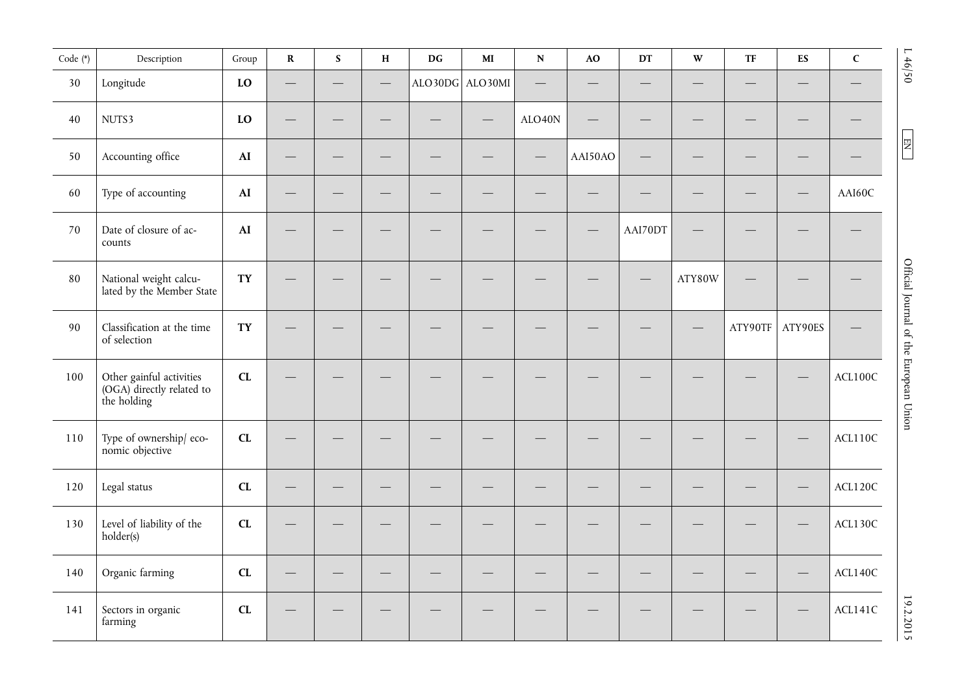| Code (*) | Description                                                          | Group         | $\mathbf R$ | $\mathbf S$ | $\mathbf H$ | $\mathbf{D}\mathbf{G}$ | $\mathbf{M}\mathbf{I}$ | $\mathbf N$ | $\bf{AO}$ | $\mathbf{D}\mathbf{T}$   | $\mathbf{W}$ | $\ensuremath{\mathsf{T}}\ensuremath{\mathsf{F}}$ | ${\bf E}{\bf S}$         | $\mathsf C$ | L46/50                                 |
|----------|----------------------------------------------------------------------|---------------|-------------|-------------|-------------|------------------------|------------------------|-------------|-----------|--------------------------|--------------|--------------------------------------------------|--------------------------|-------------|----------------------------------------|
| 30       | Longitude                                                            | $\mathbf{LO}$ |             |             |             |                        | ALO30DG ALO30MI        |             |           |                          |              |                                                  |                          |             |                                        |
| 40       | NUTS3                                                                | $\mathbf{LO}$ |             |             |             |                        |                        | ALO40N      |           | $\overline{\phantom{0}}$ |              |                                                  |                          |             |                                        |
| 50       | Accounting office                                                    | $\mathbf{AI}$ |             |             |             |                        |                        |             | AAI50AO   |                          |              |                                                  |                          |             | $\begin{array}{c} \Xi \end{array}$     |
| 60       | Type of accounting                                                   | AI            |             |             |             |                        |                        |             |           |                          |              |                                                  | $\overline{\phantom{0}}$ | AAI60C      |                                        |
| 70       | Date of closure of ac-<br>counts                                     | AI            |             |             |             |                        |                        |             |           | AAI70DT                  |              |                                                  |                          |             |                                        |
| 80       | National weight calcu-<br>lated by the Member State                  | TY            |             |             |             |                        |                        |             |           |                          | ATY80W       |                                                  |                          |             |                                        |
| 90       | Classification at the time<br>of selection                           | TY            |             |             |             |                        |                        |             |           |                          |              | ATY90TF                                          | ATY90ES                  |             |                                        |
| 100      | Other gainful activities<br>(OGA) directly related to<br>the holding | CL            |             |             |             |                        |                        |             |           |                          |              |                                                  |                          | ACL100C     | Official Journal of the European Union |
| 110      | Type of ownership/eco-<br>nomic objective                            | CL            |             |             |             |                        |                        |             |           |                          |              |                                                  |                          | ACL110C     |                                        |
| 120      | Legal status                                                         | CL            |             |             |             |                        |                        |             |           |                          |              |                                                  |                          | ACL120C     |                                        |
| 130      | Level of liability of the<br>holder(s)                               | CL            |             |             |             |                        |                        |             |           |                          |              |                                                  |                          | ACL130C     |                                        |
| 140      | Organic farming                                                      | CL            |             |             |             |                        |                        |             |           | —                        |              |                                                  |                          | ACL140C     |                                        |
| 141      | Sectors in organic<br>farming                                        | CL            |             |             |             |                        |                        |             |           |                          |              |                                                  |                          | ACL141C     | 19.2.2015                              |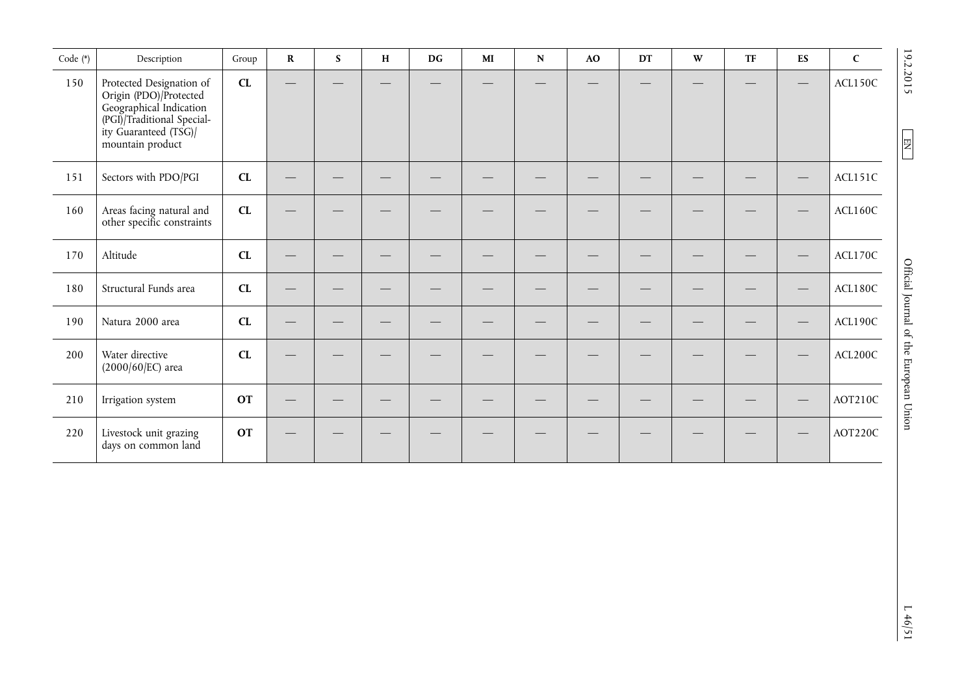| Code (*) | Description                                                                                                                                              | Group      | $\mathbf R$ | $\mathbf S$ | $\mathbf H$ | $\mathbf{D}\mathbf{G}$ | $\mathbf{M}\mathbf{I}$ | ${\bf N}$ | $\bf{AO}$ | DT | $\mathbf{W}$ | <b>TF</b> | $\mathbf{E}\mathbf{S}$ | $\mathbf C$ |                                                                          |
|----------|----------------------------------------------------------------------------------------------------------------------------------------------------------|------------|-------------|-------------|-------------|------------------------|------------------------|-----------|-----------|----|--------------|-----------|------------------------|-------------|--------------------------------------------------------------------------|
| 150      | Protected Designation of<br>Origin (PDO)/Protected<br>Geographical Indication<br>(PGI)/Traditional Special-<br>ity Guaranteed (TSG)/<br>mountain product | ${\bf CL}$ |             |             |             |                        |                        |           |           |    |              |           |                        | ACL150C     | 19.2.2015<br>$\begin{array}{ c } \hline \text{EM} \\ \hline \end{array}$ |
| 151      | Sectors with PDO/PGI                                                                                                                                     | CL         |             |             |             |                        |                        |           |           |    |              |           |                        | ACL151C     |                                                                          |
| 160      | Areas facing natural and<br>other specific constraints                                                                                                   | ${\bf CL}$ |             |             |             |                        |                        |           |           |    |              |           |                        | ACL160C     |                                                                          |
| 170      | Altitude                                                                                                                                                 | CL         |             |             |             |                        |                        |           |           |    |              |           |                        | ACL170C     |                                                                          |
| 180      | Structural Funds area                                                                                                                                    | ${\bf CL}$ |             |             |             |                        |                        |           |           |    |              |           |                        | ACL180C     |                                                                          |
| 190      | Natura 2000 area                                                                                                                                         | CL         |             |             |             |                        |                        |           |           |    |              |           |                        | ACL190C     |                                                                          |
| 200      | Water directive<br>$(2000/60/EC)$ area                                                                                                                   | CL         |             |             |             |                        |                        |           |           |    |              |           |                        | ACL200C     | Official Journal of the European Union                                   |
| 210      | Irrigation system                                                                                                                                        | <b>OT</b>  |             |             |             |                        |                        |           |           |    |              |           |                        | AOT210C     |                                                                          |
| 220      | Livestock unit grazing<br>days on common land                                                                                                            | <b>OT</b>  |             |             |             |                        |                        |           |           |    |              |           |                        | AOT220C     |                                                                          |
|          |                                                                                                                                                          |            |             |             |             |                        |                        |           |           |    |              |           |                        |             | 140/51                                                                   |

 $L \frac{46}{51}$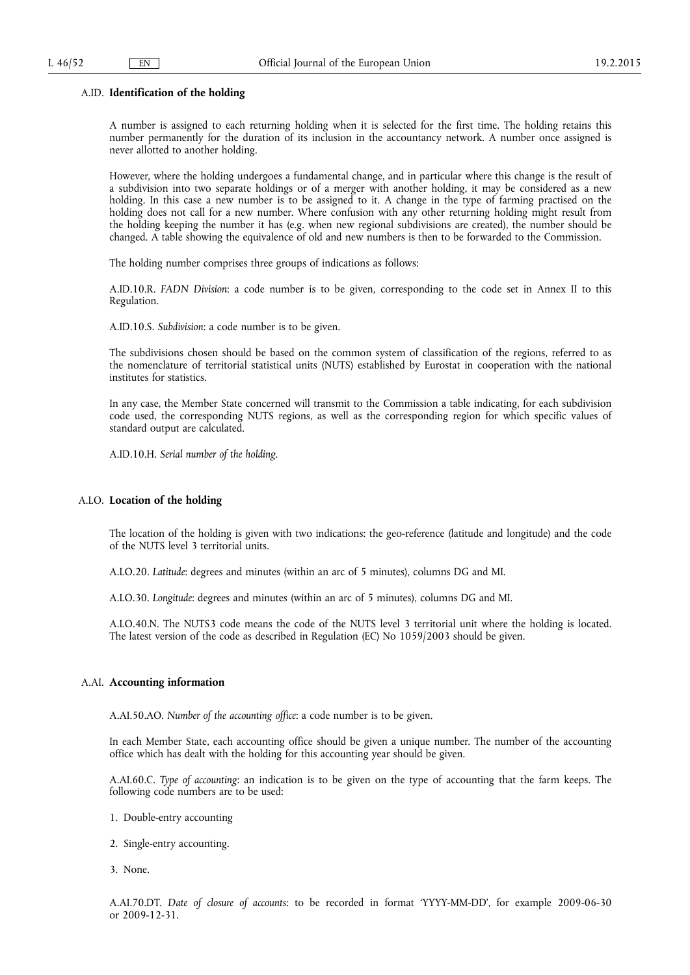### A.ID. **Identification of the holding**

A number is assigned to each returning holding when it is selected for the first time. The holding retains this number permanently for the duration of its inclusion in the accountancy network. A number once assigned is never allotted to another holding.

However, where the holding undergoes a fundamental change, and in particular where this change is the result of a subdivision into two separate holdings or of a merger with another holding, it may be considered as a new holding. In this case a new number is to be assigned to it. A change in the type of farming practised on the holding does not call for a new number. Where confusion with any other returning holding might result from the holding keeping the number it has (e.g. when new regional subdivisions are created), the number should be changed. A table showing the equivalence of old and new numbers is then to be forwarded to the Commission.

The holding number comprises three groups of indications as follows:

A.ID.10.R. *FADN Division*: a code number is to be given, corresponding to the code set in Annex II to this Regulation.

A.ID.10.S. *Subdivision*: a code number is to be given.

The subdivisions chosen should be based on the common system of classification of the regions, referred to as the nomenclature of territorial statistical units (NUTS) established by Eurostat in cooperation with the national institutes for statistics.

In any case, the Member State concerned will transmit to the Commission a table indicating, for each subdivision code used, the corresponding NUTS regions, as well as the corresponding region for which specific values of standard output are calculated.

A.ID.10.H. *Serial number of the holding*.

# A.LO. **Location of the holding**

The location of the holding is given with two indications: the geo-reference (latitude and longitude) and the code of the NUTS level 3 territorial units.

A.LO.20. *Latitude*: degrees and minutes (within an arc of 5 minutes), columns DG and MI.

A.LO.30. *Longitude*: degrees and minutes (within an arc of 5 minutes), columns DG and MI.

A.LO.40.N. The NUTS3 code means the code of the NUTS level 3 territorial unit where the holding is located. The latest version of the code as described in Regulation (EC) No 1059/2003 should be given.

# A.AI. **Accounting information**

A.AI.50.AO. *Number of the accounting office*: a code number is to be given.

In each Member State, each accounting office should be given a unique number. The number of the accounting office which has dealt with the holding for this accounting year should be given.

A.AI.60.C. *Type of accounting*: an indication is to be given on the type of accounting that the farm keeps. The following code numbers are to be used:

- 1. Double-entry accounting
- 2. Single-entry accounting.
- 3. None.

A.AI.70.DT. *Date of closure of accounts*: to be recorded in format 'YYYY-MM-DD', for example 2009-06-30 or 2009-12-31.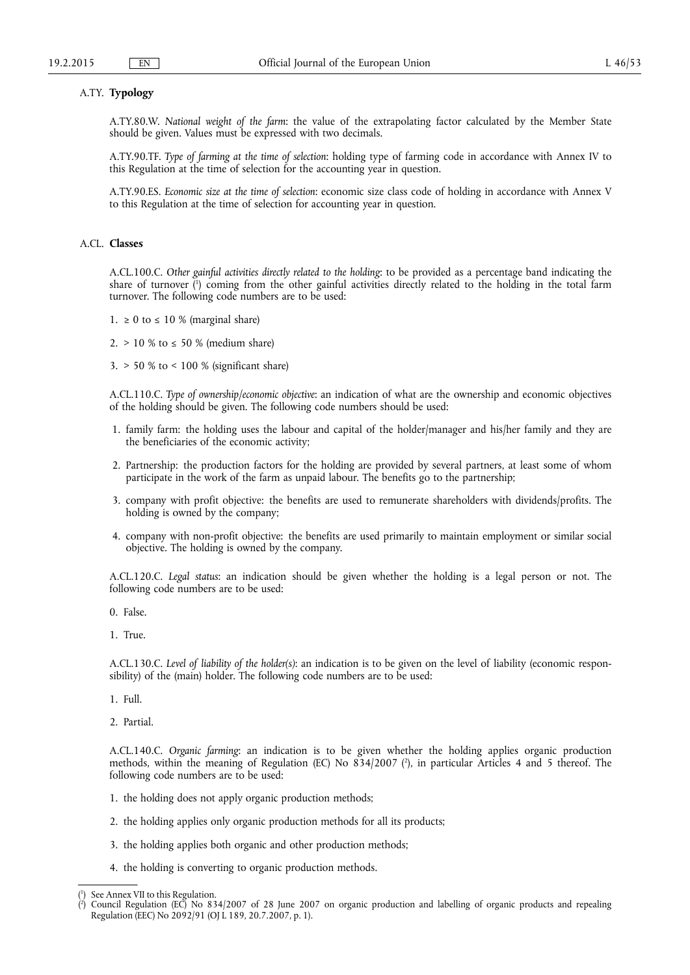# A.TY. **Typology**

A.TY.80.W. *National weight of the farm*: the value of the extrapolating factor calculated by the Member State should be given. Values must be expressed with two decimals.

A.TY.90.TF. *Type of farming at the time of selection*: holding type of farming code in accordance with Annex IV to this Regulation at the time of selection for the accounting year in question.

A.TY.90.ES. *Economic size at the time of selection*: economic size class code of holding in accordance with Annex V to this Regulation at the time of selection for accounting year in question.

# A.CL. **Classes**

A.CL.100.C. *Other gainful activities directly related to the holding*: to be provided as a percentage band indicating the share of turnover ( 1 ) coming from the other gainful activities directly related to the holding in the total farm turnover. The following code numbers are to be used:

- 1.  $\geq 0$  to  $\leq 10$  % (marginal share)
- 2. > 10 % to ≤ 50 % (medium share)
- 3. > 50 % to < 100 % (significant share)

A.CL.110.C. *Type of ownership/economic objective*: an indication of what are the ownership and economic objectives of the holding should be given. The following code numbers should be used:

- 1. family farm: the holding uses the labour and capital of the holder/manager and his/her family and they are the beneficiaries of the economic activity;
- 2. Partnership: the production factors for the holding are provided by several partners, at least some of whom participate in the work of the farm as unpaid labour. The benefits go to the partnership;
- 3. company with profit objective: the benefits are used to remunerate shareholders with dividends/profits. The holding is owned by the company;
- 4. company with non-profit objective: the benefits are used primarily to maintain employment or similar social objective. The holding is owned by the company.

A.CL.120.C. *Legal status*: an indication should be given whether the holding is a legal person or not. The following code numbers are to be used:

- 0. False.
- 1. True.

A.CL.130.C. *Level of liability of the holder(s)*: an indication is to be given on the level of liability (economic responsibility) of the (main) holder. The following code numbers are to be used:

- 1. Full.
- 2. Partial.

A.CL.140.C. *Organic farming*: an indication is to be given whether the holding applies organic production methods, within the meaning of Regulation (EC) No 834/2007 ( 2 ), in particular Articles 4 and 5 thereof. The following code numbers are to be used:

- 1. the holding does not apply organic production methods;
- 2. the holding applies only organic production methods for all its products;
- 3. the holding applies both organic and other production methods;
- 4. the holding is converting to organic production methods.

<sup>(</sup> 1 ) See Annex VII to this Regulation.

<sup>(</sup> 2 ) Council Regulation (EC) No 834/2007 of 28 June 2007 on organic production and labelling of organic products and repealing Regulation (EEC) No 2092/91 (OJ L 189, 20.7.2007, p. 1).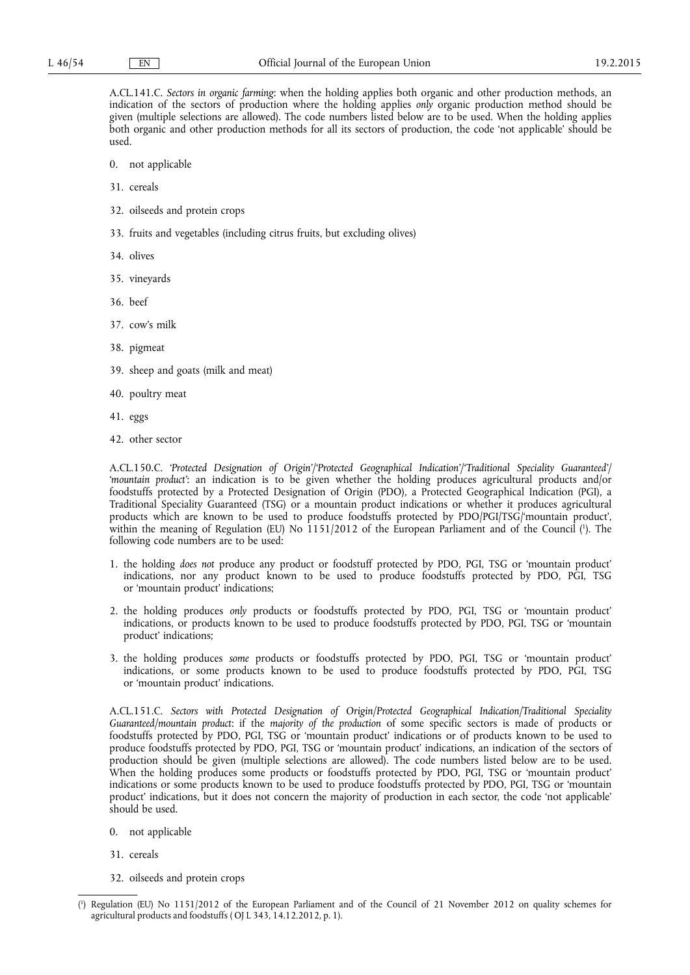A.CL.141.C. *Sectors in organic farming*: when the holding applies both organic and other production methods, an indication of the sectors of production where the holding applies *only* organic production method should be given (multiple selections are allowed). The code numbers listed below are to be used. When the holding applies both organic and other production methods for all its sectors of production, the code 'not applicable' should be used.

- 0. not applicable
- 31. cereals
- 32. oilseeds and protein crops
- 33. fruits and vegetables (including citrus fruits, but excluding olives)
- 34. olives
- 35. vineyards
- 36. beef
- 37. cow's milk
- 38. pigmeat
- 39. sheep and goats (milk and meat)
- 40. poultry meat
- 41. eggs
- 42. other sector

A.CL.150.C. *'Protected Designation of Origin'/'Protected Geographical Indication'/'Traditional Speciality Guaranteed'/ 'mountain product'*: an indication is to be given whether the holding produces agricultural products and/or foodstuffs protected by a Protected Designation of Origin (PDO), a Protected Geographical Indication (PGI), a Traditional Speciality Guaranteed (TSG) or a mountain product indications or whether it produces agricultural products which are known to be used to produce foodstuffs protected by PDO/PGI/TSG/'mountain product', within the meaning of Regulation (EU) No 1151/2012 of the European Parliament and of the Council ( 1 ). The following code numbers are to be used:

- 1. the holding *does not* produce any product or foodstuff protected by PDO, PGI, TSG or 'mountain product' indications, nor any product known to be used to produce foodstuffs protected by PDO, PGI, TSG or 'mountain product' indications;
- 2. the holding produces *only* products or foodstuffs protected by PDO, PGI, TSG or 'mountain product' indications, or products known to be used to produce foodstuffs protected by PDO, PGI, TSG or 'mountain product' indications;
- 3. the holding produces *some* products or foodstuffs protected by PDO, PGI, TSG or 'mountain product' indications, or some products known to be used to produce foodstuffs protected by PDO, PGI, TSG or 'mountain product' indications.

A.CL.151.C. *Sectors with Protected Designation of Origin/Protected Geographical Indication/Traditional Speciality Guaranteed/mountain product*: if the *majority of the production* of some specific sectors is made of products or foodstuffs protected by PDO, PGI, TSG or 'mountain product' indications or of products known to be used to produce foodstuffs protected by PDO, PGI, TSG or 'mountain product' indications, an indication of the sectors of production should be given (multiple selections are allowed). The code numbers listed below are to be used. When the holding produces some products or foodstuffs protected by PDO, PGI, TSG or 'mountain product' indications or some products known to be used to produce foodstuffs protected by PDO, PGI, TSG or 'mountain product' indications, but it does not concern the majority of production in each sector, the code 'not applicable' should be used.

- 0. not applicable
- 31. cereals
- 32. oilseeds and protein crops

<sup>(</sup> 1 ) Regulation (EU) No 1151/2012 of the European Parliament and of the Council of 21 November 2012 on quality schemes for agricultural products and foodstuffs ( OJ L 343, 14.12.2012, p. 1).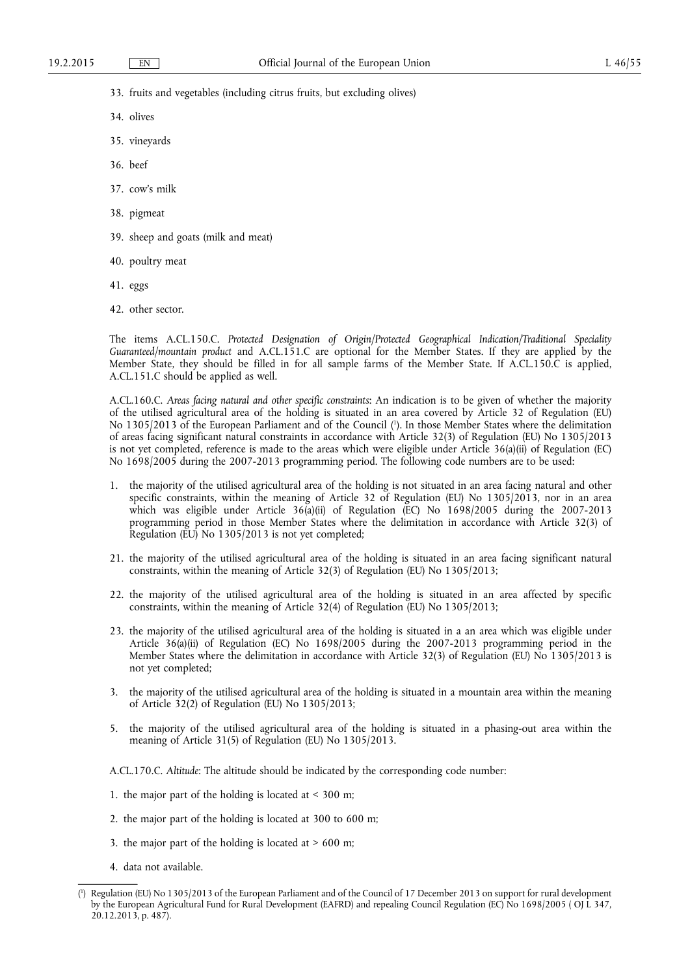33. fruits and vegetables (including citrus fruits, but excluding olives)

- 34. olives
- 35. vineyards
- 36. beef
- 37. cow's milk
- 38. pigmeat
- 39. sheep and goats (milk and meat)
- 40. poultry meat
- 41. eggs
- 42. other sector.

The items A.CL.150.C. *Protected Designation of Origin/Protected Geographical Indication/Traditional Speciality Guaranteed/mountain product* and A.CL.151.C are optional for the Member States. If they are applied by the Member State, they should be filled in for all sample farms of the Member State. If A.CL.150.C is applied, A.CL.151.C should be applied as well.

A.CL.160.C. *Areas facing natural and other specific constraints*: An indication is to be given of whether the majority of the utilised agricultural area of the holding is situated in an area covered by Article 32 of Regulation (EU) No 1305/2013 of the European Parliament and of the Council ( 1 ). In those Member States where the delimitation of areas facing significant natural constraints in accordance with Article 32(3) of Regulation (EU) No 1305/2013 is not yet completed, reference is made to the areas which were eligible under Article 36(a)(ii) of Regulation (EC) No 1698/2005 during the 2007-2013 programming period. The following code numbers are to be used:

- 1. the majority of the utilised agricultural area of the holding is not situated in an area facing natural and other specific constraints, within the meaning of Article 32 of Regulation (EU) No 1305/2013, nor in an area which was eligible under Article 36(a)(ii) of Regulation (EC) No 1698/2005 during the 2007-2013 programming period in those Member States where the delimitation in accordance with Article 32(3) of Regulation (EU) No 1305/2013 is not yet completed;
- 21. the majority of the utilised agricultural area of the holding is situated in an area facing significant natural constraints, within the meaning of Article 32(3) of Regulation (EU) No 1305/2013;
- 22. the majority of the utilised agricultural area of the holding is situated in an area affected by specific constraints, within the meaning of Article 32(4) of Regulation (EU) No 1305/2013;
- 23. the majority of the utilised agricultural area of the holding is situated in a an area which was eligible under Article 36(a)(ii) of Regulation (EC) No 1698/2005 during the 2007-2013 programming period in the Member States where the delimitation in accordance with Article 32(3) of Regulation (EU) No 1305/2013 is not yet completed;
- 3. the majority of the utilised agricultural area of the holding is situated in a mountain area within the meaning of Article 32(2) of Regulation (EU) No 1305/2013;
- 5. the majority of the utilised agricultural area of the holding is situated in a phasing-out area within the meaning of Article 31(5) of Regulation (EU) No 1305/2013.

A.CL.170.C. *Altitude*: The altitude should be indicated by the corresponding code number:

- 1. the major part of the holding is located at < 300 m;
- 2. the major part of the holding is located at 300 to 600 m;
- 3. the major part of the holding is located at  $> 600$  m;
- 4. data not available.

<sup>(</sup> 1 ) Regulation (EU) No 1305/2013 of the European Parliament and of the Council of 17 December 2013 on support for rural development by the European Agricultural Fund for Rural Development (EAFRD) and repealing Council Regulation (EC) No 1698/2005 ( OJ L 347, 20.12.2013, p. 487).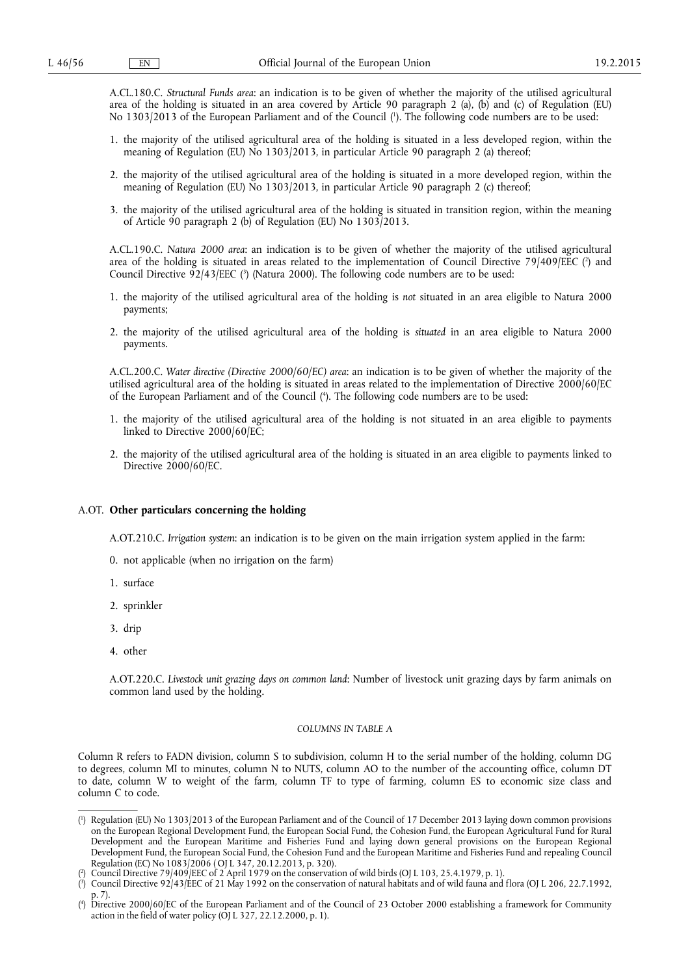A.CL.180.C. *Structural Funds area*: an indication is to be given of whether the majority of the utilised agricultural area of the holding is situated in an area covered by Article 90 paragraph 2 (a), (b) and (c) of Regulation (EU) No 1303/2013 of the European Parliament and of the Council ( 1 ). The following code numbers are to be used:

- 1. the majority of the utilised agricultural area of the holding is situated in a less developed region, within the meaning of Regulation (EU) No 1303/2013, in particular Article 90 paragraph 2 (a) thereof;
- 2. the majority of the utilised agricultural area of the holding is situated in a more developed region, within the meaning of Regulation (EU) No 1303/2013, in particular Article 90 paragraph 2 (c) thereof;
- 3. the majority of the utilised agricultural area of the holding is situated in transition region, within the meaning of Article 90 paragraph 2 (b) of Regulation (EU) No 1303/2013.

A.CL.190.C. *Natura 2000 area*: an indication is to be given of whether the majority of the utilised agricultural area of the holding is situated in areas related to the implementation of Council Directive 79/409/EEC (?) and Council Directive 92/43/EEC (<sup>3</sup>) (Natura 2000). The following code numbers are to be used:

- 1. the majority of the utilised agricultural area of the holding is *not* situated in an area eligible to Natura 2000 payments;
- 2. the majority of the utilised agricultural area of the holding is *situated* in an area eligible to Natura 2000 payments.

A.CL.200.C. *Water directive (Directive 2000/60/EC) area*: an indication is to be given of whether the majority of the utilised agricultural area of the holding is situated in areas related to the implementation of Directive 2000/60/EC of the European Parliament and of the Council ( 4 ). The following code numbers are to be used:

- 1. the majority of the utilised agricultural area of the holding is not situated in an area eligible to payments linked to Directive 2000/60/EC;
- 2. the majority of the utilised agricultural area of the holding is situated in an area eligible to payments linked to Directive 2000/60/EC.

# A.OT. **Other particulars concerning the holding**

A.OT.210.C. *Irrigation system*: an indication is to be given on the main irrigation system applied in the farm:

- 0. not applicable (when no irrigation on the farm)
- 1. surface
- 2. sprinkler
- 3. drip
- 4. other

A.OT.220.C. *Livestock unit grazing days on common land*: Number of livestock unit grazing days by farm animals on common land used by the holding.

# *COLUMNS IN TABLE A*

Column R refers to FADN division, column S to subdivision, column H to the serial number of the holding, column DG to degrees, column MI to minutes, column N to NUTS, column AO to the number of the accounting office, column DT to date, column W to weight of the farm, column TF to type of farming, column ES to economic size class and column C to code.

<sup>(</sup> 1 ) Regulation (EU) No 1303/2013 of the European Parliament and of the Council of 17 December 2013 laying down common provisions on the European Regional Development Fund, the European Social Fund, the Cohesion Fund, the European Agricultural Fund for Rural Development and the European Maritime and Fisheries Fund and laying down general provisions on the European Regional Development Fund, the European Social Fund, the Cohesion Fund and the European Maritime and Fisheries Fund and repealing Council Regulation (EC) No 1083/2006 ( OJ L 347, 20.12.2013, p. 320).

<sup>(</sup> 2 ) Council Directive 79/409/EEC of 2 April 1979 on the conservation of wild birds (OJ L 103, 25.4.1979, p. 1).

<sup>(</sup> 3 ) Council Directive 92/43/EEC of 21 May 1992 on the conservation of natural habitats and of wild fauna and flora (OJ L 206, 22.7.1992, p. 7).

<sup>(</sup> 4 ) Directive 2000/60/EC of the European Parliament and of the Council of 23 October 2000 establishing a framework for Community action in the field of water policy (OJ L 327, 22.12.2000, p. 1).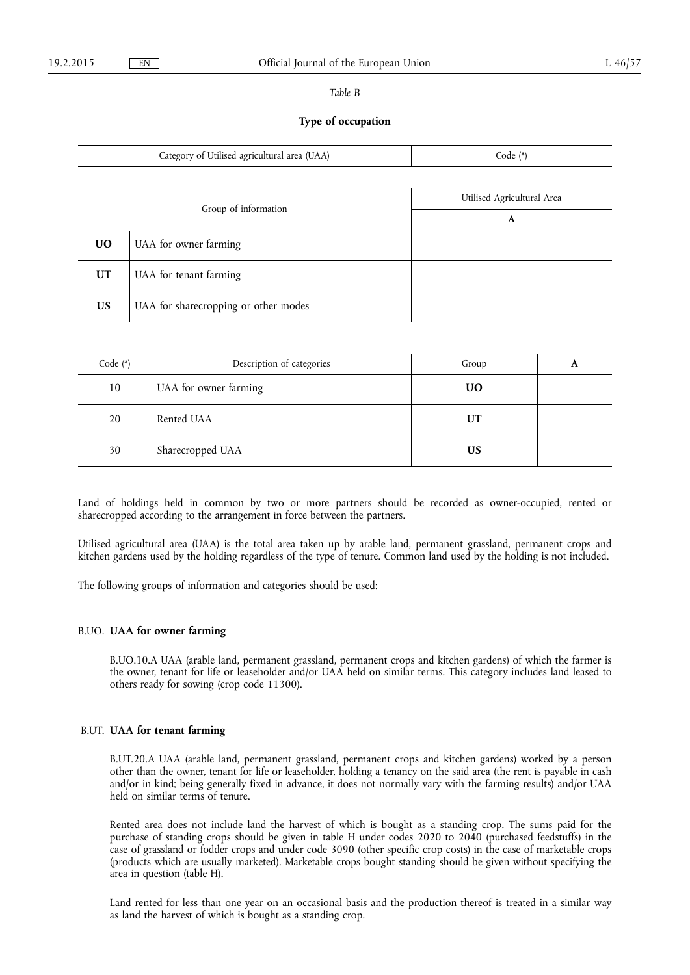# *Table B*

# **Type of occupation**

|           | Category of Utilised agricultural area (UAA) | Code $(*)$                 |
|-----------|----------------------------------------------|----------------------------|
|           |                                              |                            |
|           |                                              | Utilised Agricultural Area |
|           | Group of information                         | A                          |
| <b>UO</b> | UAA for owner farming                        |                            |
| <b>UT</b> | UAA for tenant farming                       |                            |
| <b>US</b> | UAA for sharecropping or other modes         |                            |

| Code $(*)$ | Description of categories | Group     |  |
|------------|---------------------------|-----------|--|
| 10         | UAA for owner farming     | <b>UO</b> |  |
| 20         | Rented UAA                | UT        |  |
| 30         | Sharecropped UAA          | US        |  |

Land of holdings held in common by two or more partners should be recorded as owner-occupied, rented or sharecropped according to the arrangement in force between the partners.

Utilised agricultural area (UAA) is the total area taken up by arable land, permanent grassland, permanent crops and kitchen gardens used by the holding regardless of the type of tenure. Common land used by the holding is not included.

The following groups of information and categories should be used:

# B.UO. **UAA for owner farming**

B.UO.10.A UAA (arable land, permanent grassland, permanent crops and kitchen gardens) of which the farmer is the owner, tenant for life or leaseholder and/or UAA held on similar terms. This category includes land leased to others ready for sowing (crop code 11300).

# B.UT. **UAA for tenant farming**

B.UT.20.A UAA (arable land, permanent grassland, permanent crops and kitchen gardens) worked by a person other than the owner, tenant for life or leaseholder, holding a tenancy on the said area (the rent is payable in cash and/or in kind; being generally fixed in advance, it does not normally vary with the farming results) and/or UAA held on similar terms of tenure.

Rented area does not include land the harvest of which is bought as a standing crop. The sums paid for the purchase of standing crops should be given in table H under codes 2020 to 2040 (purchased feedstuffs) in the case of grassland or fodder crops and under code 3090 (other specific crop costs) in the case of marketable crops (products which are usually marketed). Marketable crops bought standing should be given without specifying the area in question (table H).

Land rented for less than one year on an occasional basis and the production thereof is treated in a similar way as land the harvest of which is bought as a standing crop.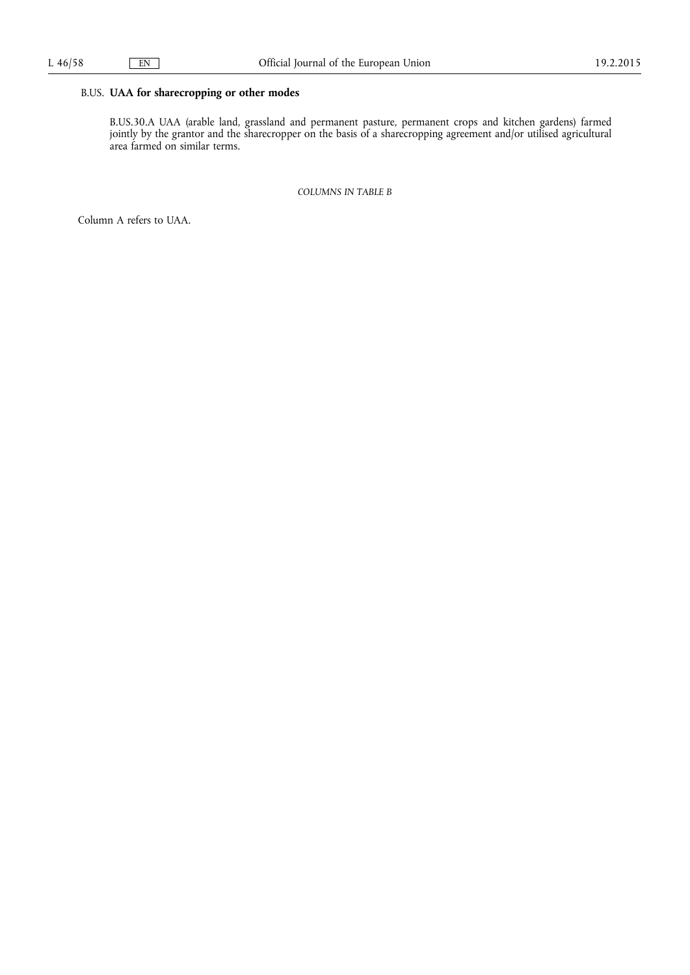# B.US. **UAA for sharecropping or other modes**

B.US.30.A UAA (arable land, grassland and permanent pasture, permanent crops and kitchen gardens) farmed jointly by the grantor and the sharecropper on the basis of a sharecropping agreement and/or utilised agricultural area farmed on similar terms.

*COLUMNS IN TABLE B* 

Column A refers to UAA.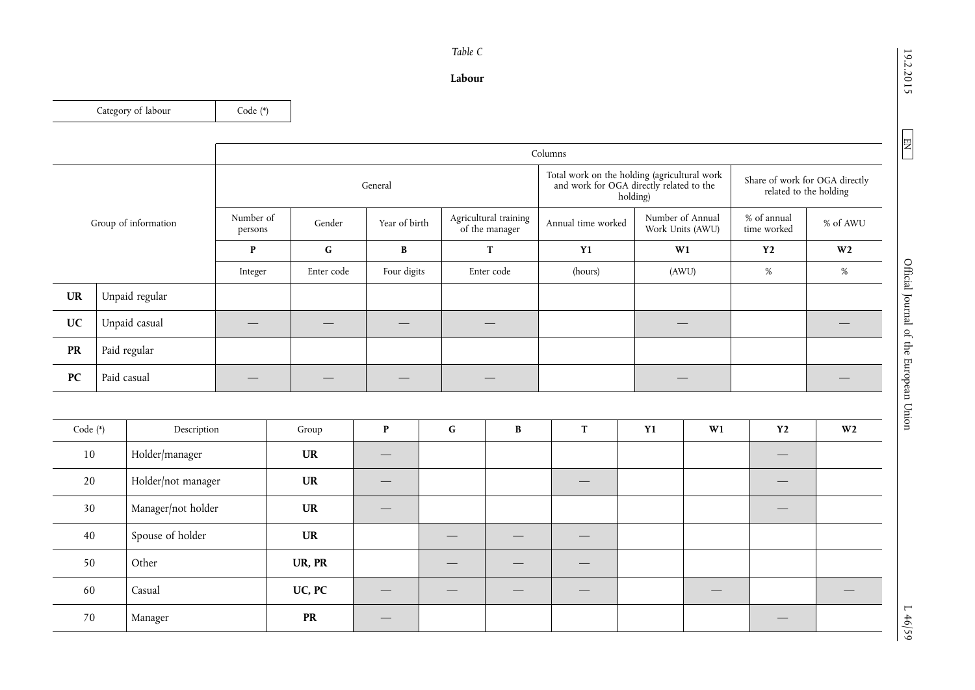# 19.2.2015

 $\boxed{\phantom{000} \text{EM}}$ 

| 4                             |
|-------------------------------|
|                               |
| ╰<br>ì                        |
| $\overline{\phantom{0}}$<br>נ |

# *Table C*

# **Labour**

Category of labour Code (\*)

|                      |                | Columns              |            |               |                                         |                    |                                                                                                      |                            |                                                          |  |
|----------------------|----------------|----------------------|------------|---------------|-----------------------------------------|--------------------|------------------------------------------------------------------------------------------------------|----------------------------|----------------------------------------------------------|--|
|                      |                |                      |            | General       |                                         |                    | Total work on the holding (agricultural work<br>and work for OGA directly related to the<br>holding) |                            | Share of work for OGA directly<br>related to the holding |  |
| Group of information |                | Number of<br>persons | Gender     | Year of birth | Agricultural training<br>of the manager | Annual time worked | Number of Annual<br>Work Units (AWU)                                                                 | % of annual<br>time worked | % of AWU                                                 |  |
|                      |                | P                    | G          | B             | T                                       | <b>Y1</b>          | W1                                                                                                   | <b>Y2</b>                  | W <sub>2</sub>                                           |  |
|                      |                | Integer              | Enter code | Four digits   | Enter code                              | (hours)            | (AWU)                                                                                                | %                          | $\%$                                                     |  |
| <b>UR</b>            | Unpaid regular |                      |            |               |                                         |                    |                                                                                                      |                            |                                                          |  |
| <b>UC</b>            | Unpaid casual  |                      |            |               |                                         |                    |                                                                                                      |                            |                                                          |  |
| <b>PR</b>            | Paid regular   |                      |            |               |                                         |                    |                                                                                                      |                            |                                                          |  |
| PC                   | Paid casual    |                      |            |               |                                         |                    |                                                                                                      |                            |                                                          |  |

| Code (*) | Description        | Group     | P   | $\mathbf G$ | B | m. | <b>Y1</b> | W1 | Y2                              | W <sub>2</sub> |
|----------|--------------------|-----------|-----|-------------|---|----|-----------|----|---------------------------------|----------------|
| 10       | Holder/manager     | <b>UR</b> |     |             |   |    |           |    |                                 |                |
| 20       | Holder/not manager | <b>UR</b> |     |             |   |    |           |    | $\hspace{0.1mm}-\hspace{0.1mm}$ |                |
| 30       | Manager/not holder | <b>UR</b> | ___ |             |   |    |           |    | $\hspace{0.1mm}-\hspace{0.1mm}$ |                |
| 40       | Spouse of holder   | <b>UR</b> |     |             |   |    |           |    |                                 |                |
| 50       | Other              | UR, PR    |     |             |   |    |           |    |                                 |                |
| 60       | Casual             | UC, PC    |     |             |   |    |           |    |                                 |                |
| 70       | Manager            | <b>PR</b> | __  |             |   |    |           |    | __                              |                |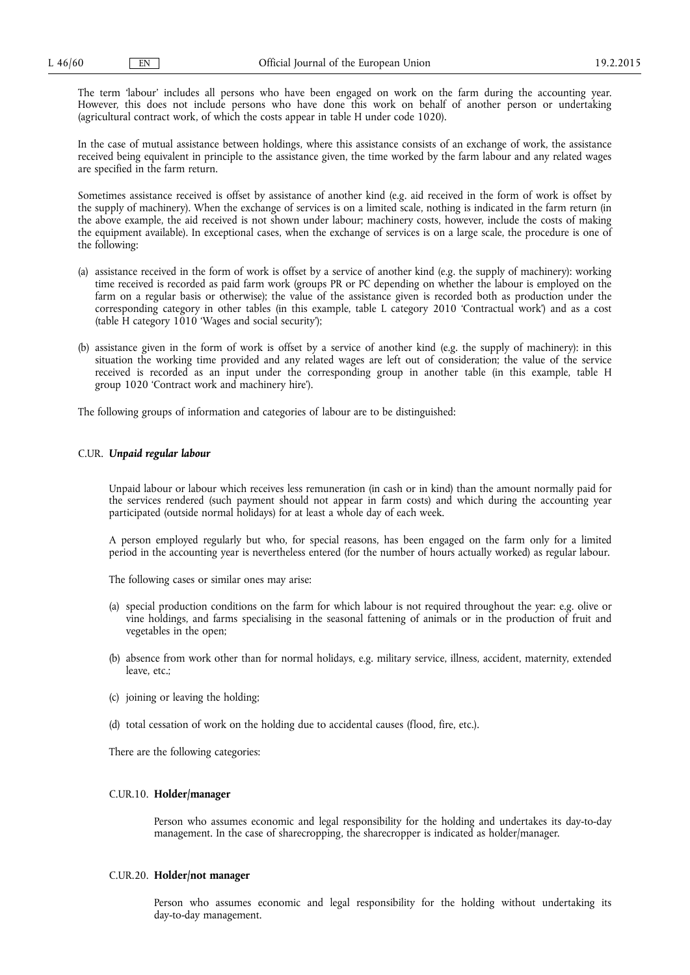The term 'labour' includes all persons who have been engaged on work on the farm during the accounting year. However, this does not include persons who have done this work on behalf of another person or undertaking (agricultural contract work, of which the costs appear in table H under code 1020).

In the case of mutual assistance between holdings, where this assistance consists of an exchange of work, the assistance received being equivalent in principle to the assistance given, the time worked by the farm labour and any related wages are specified in the farm return.

Sometimes assistance received is offset by assistance of another kind (e.g. aid received in the form of work is offset by the supply of machinery). When the exchange of services is on a limited scale, nothing is indicated in the farm return (in the above example, the aid received is not shown under labour; machinery costs, however, include the costs of making the equipment available). In exceptional cases, when the exchange of services is on a large scale, the procedure is one of the following:

- (a) assistance received in the form of work is offset by a service of another kind (e.g. the supply of machinery): working time received is recorded as paid farm work (groups PR or PC depending on whether the labour is employed on the farm on a regular basis or otherwise); the value of the assistance given is recorded both as production under the corresponding category in other tables (in this example, table L category 2010 'Contractual work') and as a cost (table H category 1010 'Wages and social security');
- (b) assistance given in the form of work is offset by a service of another kind (e.g. the supply of machinery): in this situation the working time provided and any related wages are left out of consideration; the value of the service received is recorded as an input under the corresponding group in another table (in this example, table H group 1020 'Contract work and machinery hire').

The following groups of information and categories of labour are to be distinguished:

# C.UR. *Unpaid regular labour*

Unpaid labour or labour which receives less remuneration (in cash or in kind) than the amount normally paid for the services rendered (such payment should not appear in farm costs) and which during the accounting year participated (outside normal holidays) for at least a whole day of each week.

A person employed regularly but who, for special reasons, has been engaged on the farm only for a limited period in the accounting year is nevertheless entered (for the number of hours actually worked) as regular labour.

The following cases or similar ones may arise:

- (a) special production conditions on the farm for which labour is not required throughout the year: e.g. olive or vine holdings, and farms specialising in the seasonal fattening of animals or in the production of fruit and vegetables in the open;
- (b) absence from work other than for normal holidays, e.g. military service, illness, accident, maternity, extended leave, etc.;
- (c) joining or leaving the holding;
- (d) total cessation of work on the holding due to accidental causes (flood, fire, etc.).

There are the following categories:

# C.UR.10. **Holder/manager**

Person who assumes economic and legal responsibility for the holding and undertakes its day-to-day management. In the case of sharecropping, the sharecropper is indicated as holder/manager.

# C.UR.20. **Holder/not manager**

Person who assumes economic and legal responsibility for the holding without undertaking its day-to-day management.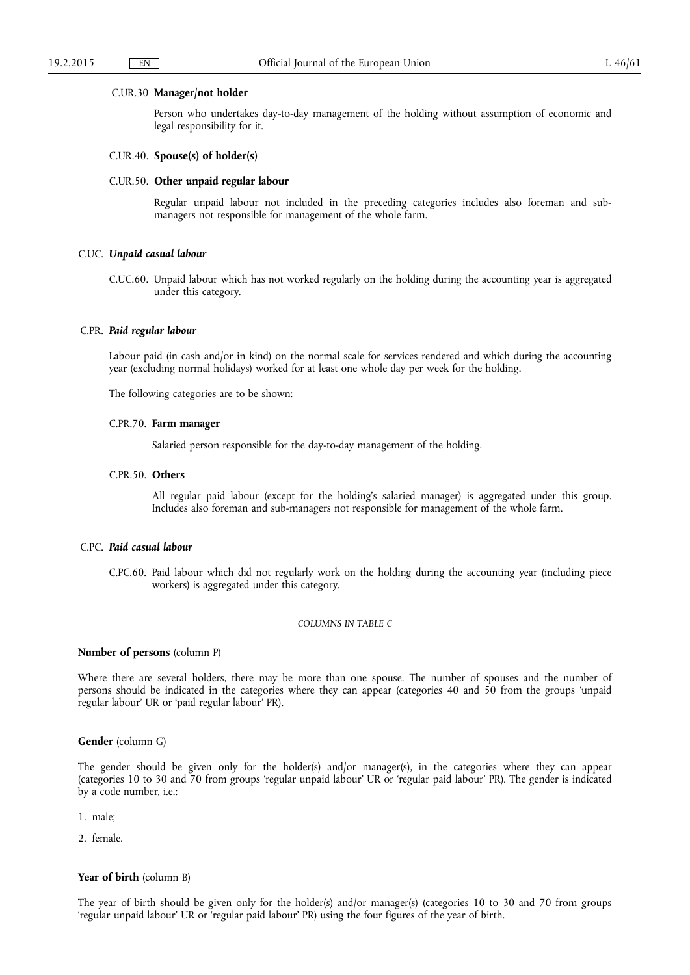### C.UR.30 **Manager/not holder**

Person who undertakes day-to-day management of the holding without assumption of economic and legal responsibility for it.

# C.UR.40. **Spouse(s) of holder(s)**

### C.UR.50. **Other unpaid regular labour**

Regular unpaid labour not included in the preceding categories includes also foreman and submanagers not responsible for management of the whole farm.

# C.UC. *Unpaid casual labour*

C.UC.60. Unpaid labour which has not worked regularly on the holding during the accounting year is aggregated under this category.

# C.PR. *Paid regular labour*

Labour paid (in cash and/or in kind) on the normal scale for services rendered and which during the accounting year (excluding normal holidays) worked for at least one whole day per week for the holding.

The following categories are to be shown:

# C.PR.70. **Farm manager**

Salaried person responsible for the day-to-day management of the holding.

# C.PR.50. **Others**

All regular paid labour (except for the holding's salaried manager) is aggregated under this group. Includes also foreman and sub-managers not responsible for management of the whole farm.

# C.PC. *Paid casual labour*

C.PC.60. Paid labour which did not regularly work on the holding during the accounting year (including piece workers) is aggregated under this category.

### *COLUMNS IN TABLE C*

# **Number of persons** (column P)

Where there are several holders, there may be more than one spouse. The number of spouses and the number of persons should be indicated in the categories where they can appear (categories 40 and 50 from the groups 'unpaid regular labour' UR or 'paid regular labour' PR).

# **Gender** (column G)

The gender should be given only for the holder(s) and/or manager(s), in the categories where they can appear (categories 10 to 30 and 70 from groups 'regular unpaid labour' UR or 'regular paid labour' PR). The gender is indicated by a code number, i.e.:

- 1. male;
- 2. female.

# Year of birth (column B)

The year of birth should be given only for the holder(s) and/or manager(s) (categories 10 to 30 and 70 from groups 'regular unpaid labour' UR or 'regular paid labour' PR) using the four figures of the year of birth.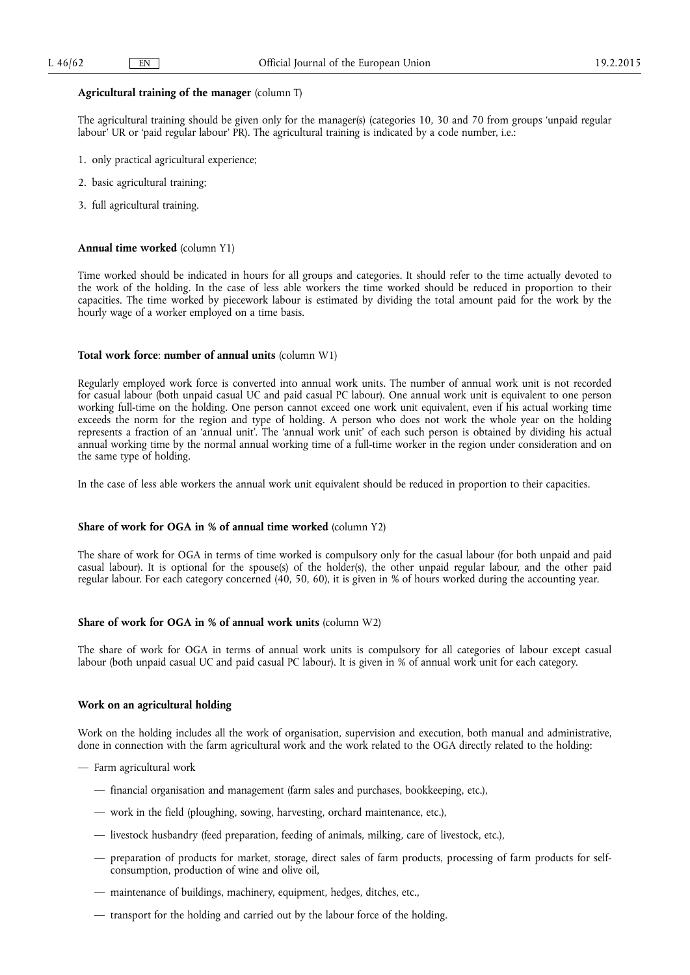# **Agricultural training of the manager** (column T)

The agricultural training should be given only for the manager(s) (categories 10, 30 and 70 from groups 'unpaid regular labour' UR or 'paid regular labour' PR). The agricultural training is indicated by a code number, i.e.:

- 1. only practical agricultural experience;
- 2. basic agricultural training;
- 3. full agricultural training.

# **Annual time worked** (column Y1)

Time worked should be indicated in hours for all groups and categories. It should refer to the time actually devoted to the work of the holding. In the case of less able workers the time worked should be reduced in proportion to their capacities. The time worked by piecework labour is estimated by dividing the total amount paid for the work by the hourly wage of a worker employed on a time basis.

# **Total work force**: **number of annual units** (column W1)

Regularly employed work force is converted into annual work units. The number of annual work unit is not recorded for casual labour (both unpaid casual UC and paid casual PC labour). One annual work unit is equivalent to one person working full-time on the holding. One person cannot exceed one work unit equivalent, even if his actual working time exceeds the norm for the region and type of holding. A person who does not work the whole year on the holding represents a fraction of an 'annual unit'. The 'annual work unit' of each such person is obtained by dividing his actual annual working time by the normal annual working time of a full-time worker in the region under consideration and on the same type of holding.

In the case of less able workers the annual work unit equivalent should be reduced in proportion to their capacities.

# **Share of work for OGA in % of annual time worked** (column Y2)

The share of work for OGA in terms of time worked is compulsory only for the casual labour (for both unpaid and paid casual labour). It is optional for the spouse(s) of the holder(s), the other unpaid regular labour, and the other paid regular labour. For each category concerned (40, 50, 60), it is given in % of hours worked during the accounting year.

# **Share of work for OGA in % of annual work units (column W2)**

The share of work for OGA in terms of annual work units is compulsory for all categories of labour except casual labour (both unpaid casual UC and paid casual PC labour). It is given in % of annual work unit for each category.

# **Work on an agricultural holding**

Work on the holding includes all the work of organisation, supervision and execution, both manual and administrative, done in connection with the farm agricultural work and the work related to the OGA directly related to the holding:

- Farm agricultural work
	- financial organisation and management (farm sales and purchases, bookkeeping, etc.),
	- work in the field (ploughing, sowing, harvesting, orchard maintenance, etc.),
	- livestock husbandry (feed preparation, feeding of animals, milking, care of livestock, etc.),
	- preparation of products for market, storage, direct sales of farm products, processing of farm products for selfconsumption, production of wine and olive oil,
	- maintenance of buildings, machinery, equipment, hedges, ditches, etc.,
	- transport for the holding and carried out by the labour force of the holding.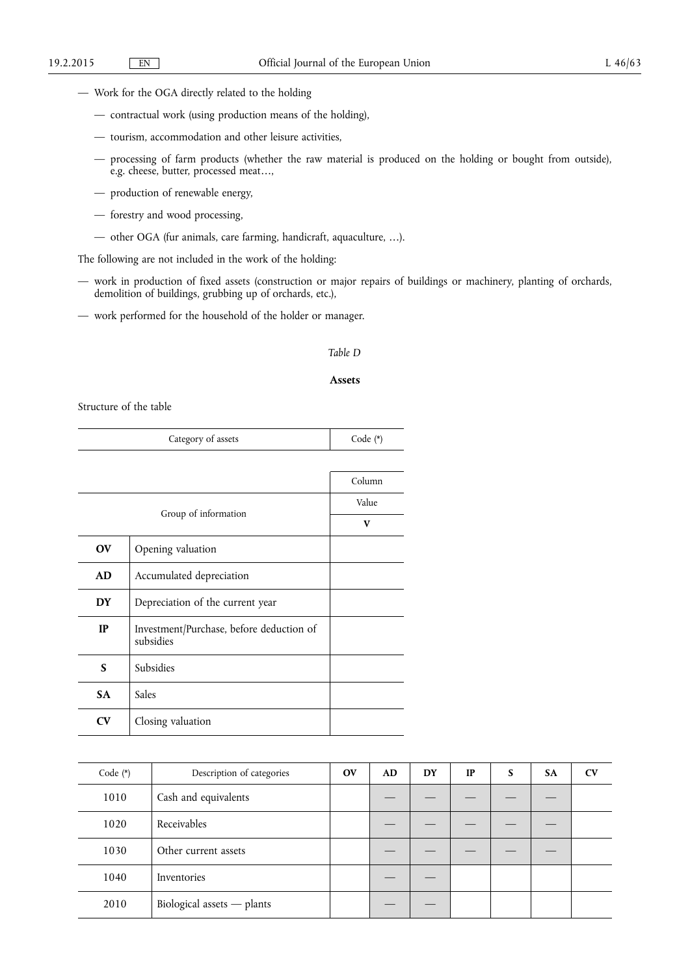- Work for the OGA directly related to the holding
	- contractual work (using production means of the holding),
	- tourism, accommodation and other leisure activities,
	- processing of farm products (whether the raw material is produced on the holding or bought from outside), e.g. cheese, butter, processed meat…,
	- production of renewable energy,
	- forestry and wood processing,
	- other OGA (fur animals, care farming, handicraft, aquaculture, …).

The following are not included in the work of the holding:

- work in production of fixed assets (construction or major repairs of buildings or machinery, planting of orchards, demolition of buildings, grubbing up of orchards, etc.),
- work performed for the household of the holder or manager.

# *Table D*

# **Assets**

Structure of the table

|                        | Code $(*)$                                            |        |  |  |  |  |  |  |  |
|------------------------|-------------------------------------------------------|--------|--|--|--|--|--|--|--|
|                        |                                                       |        |  |  |  |  |  |  |  |
|                        |                                                       | Column |  |  |  |  |  |  |  |
|                        |                                                       | Value  |  |  |  |  |  |  |  |
|                        | Group of information                                  |        |  |  |  |  |  |  |  |
| <b>OV</b>              | Opening valuation                                     |        |  |  |  |  |  |  |  |
| <b>AD</b>              | Accumulated depreciation                              |        |  |  |  |  |  |  |  |
| <b>DY</b>              | Depreciation of the current year                      |        |  |  |  |  |  |  |  |
| IP                     | Investment/Purchase, before deduction of<br>subsidies |        |  |  |  |  |  |  |  |
| S                      | Subsidies                                             |        |  |  |  |  |  |  |  |
| <b>SA</b>              | Sales                                                 |        |  |  |  |  |  |  |  |
| $\mathbf{C}\mathbf{V}$ | Closing valuation                                     |        |  |  |  |  |  |  |  |

| Code $(*)$ | Description of categories  | <b>OV</b> | AD | DY | <b>IP</b> | S | <b>SA</b> | $\mathbf{C}\mathbf{V}$ |
|------------|----------------------------|-----------|----|----|-----------|---|-----------|------------------------|
| 1010       | Cash and equivalents       |           |    |    |           |   |           |                        |
| 1020       | Receivables                |           |    |    |           |   |           |                        |
| 1030       | Other current assets       |           |    |    |           |   |           |                        |
| 1040       | Inventories                |           |    |    |           |   |           |                        |
| 2010       | Biological assets - plants |           |    |    |           |   |           |                        |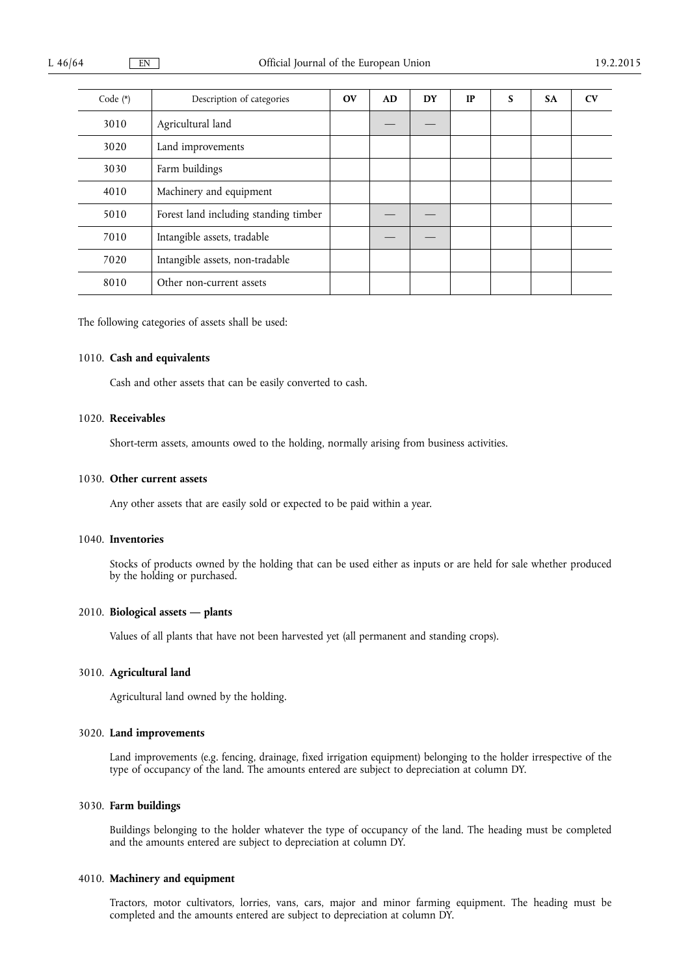| Code $(*)$ | Description of categories             | $\mathbf{O}(\mathbf{V})$ | AD | <b>DY</b> | <b>IP</b> | S | <b>SA</b> | CV |
|------------|---------------------------------------|--------------------------|----|-----------|-----------|---|-----------|----|
| 3010       | Agricultural land                     |                          |    |           |           |   |           |    |
| 3020       | Land improvements                     |                          |    |           |           |   |           |    |
| 3030       | Farm buildings                        |                          |    |           |           |   |           |    |
| 4010       | Machinery and equipment               |                          |    |           |           |   |           |    |
| 5010       | Forest land including standing timber |                          |    |           |           |   |           |    |
| 7010       | Intangible assets, tradable           |                          |    |           |           |   |           |    |
| 7020       | Intangible assets, non-tradable       |                          |    |           |           |   |           |    |
| 8010       | Other non-current assets              |                          |    |           |           |   |           |    |

The following categories of assets shall be used:

# 1010. **Cash and equivalents**

Cash and other assets that can be easily converted to cash.

# 1020. **Receivables**

Short-term assets, amounts owed to the holding, normally arising from business activities.

# 1030. **Other current assets**

Any other assets that are easily sold or expected to be paid within a year.

# 1040. **Inventories**

Stocks of products owned by the holding that can be used either as inputs or are held for sale whether produced by the holding or purchased.

# 2010. **Biological assets — plants**

Values of all plants that have not been harvested yet (all permanent and standing crops).

# 3010. **Agricultural land**

Agricultural land owned by the holding.

# 3020. **Land improvements**

Land improvements (e.g. fencing, drainage, fixed irrigation equipment) belonging to the holder irrespective of the type of occupancy of the land. The amounts entered are subject to depreciation at column DY.

# 3030. **Farm buildings**

Buildings belonging to the holder whatever the type of occupancy of the land. The heading must be completed and the amounts entered are subject to depreciation at column DY.

# 4010. **Machinery and equipment**

Tractors, motor cultivators, lorries, vans, cars, major and minor farming equipment. The heading must be completed and the amounts entered are subject to depreciation at column DY.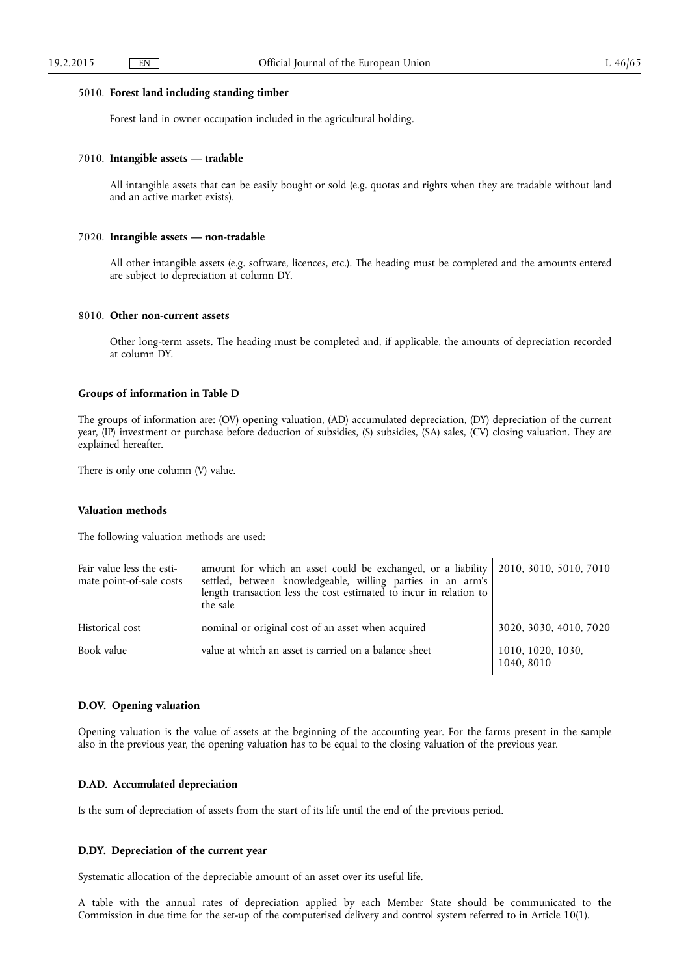# 5010. **Forest land including standing timber**

Forest land in owner occupation included in the agricultural holding.

# 7010. **Intangible assets — tradable**

All intangible assets that can be easily bought or sold (e.g. quotas and rights when they are tradable without land and an active market exists).

# 7020. **Intangible assets — non-tradable**

All other intangible assets (e.g. software, licences, etc.). The heading must be completed and the amounts entered are subject to depreciation at column DY.

# 8010. **Other non-current assets**

Other long-term assets. The heading must be completed and, if applicable, the amounts of depreciation recorded at column DY.

# **Groups of information in Table D**

The groups of information are: (OV) opening valuation, (AD) accumulated depreciation, (DY) depreciation of the current year, (IP) investment or purchase before deduction of subsidies, (S) subsidies, (SA) sales, (CV) closing valuation. They are explained hereafter.

There is only one column (V) value.

# **Valuation methods**

The following valuation methods are used:

| Fair value less the esti-<br>mate point-of-sale costs | amount for which an asset could be exchanged, or a liability   2010, 3010, 5010, 7010<br>settled, between knowledgeable, willing parties in an arm's<br>length transaction less the cost estimated to incur in relation to<br>the sale |                                 |
|-------------------------------------------------------|----------------------------------------------------------------------------------------------------------------------------------------------------------------------------------------------------------------------------------------|---------------------------------|
| Historical cost                                       | nominal or original cost of an asset when acquired                                                                                                                                                                                     | 3020, 3030, 4010, 7020          |
| Book value                                            | value at which an asset is carried on a balance sheet                                                                                                                                                                                  | 1010, 1020, 1030,<br>1040, 8010 |

# **D.OV. Opening valuation**

Opening valuation is the value of assets at the beginning of the accounting year. For the farms present in the sample also in the previous year, the opening valuation has to be equal to the closing valuation of the previous year.

# **D.AD. Accumulated depreciation**

Is the sum of depreciation of assets from the start of its life until the end of the previous period.

# **D.DY. Depreciation of the current year**

Systematic allocation of the depreciable amount of an asset over its useful life.

A table with the annual rates of depreciation applied by each Member State should be communicated to the Commission in due time for the set-up of the computerised delivery and control system referred to in Article 10(1).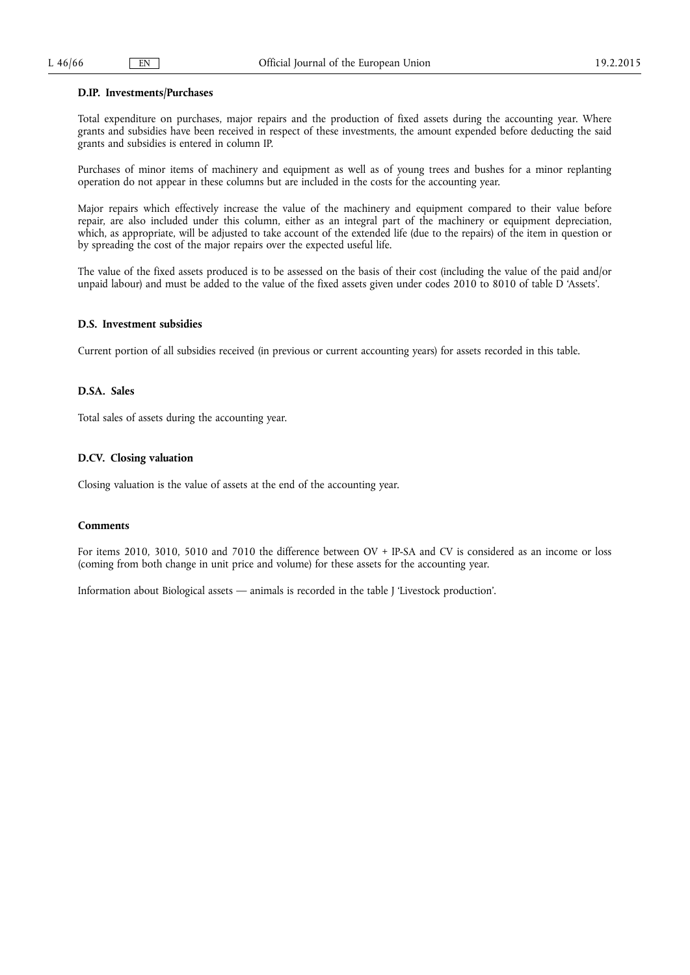# **D.IP. Investments/Purchases**

Total expenditure on purchases, major repairs and the production of fixed assets during the accounting year. Where grants and subsidies have been received in respect of these investments, the amount expended before deducting the said grants and subsidies is entered in column IP.

Purchases of minor items of machinery and equipment as well as of young trees and bushes for a minor replanting operation do not appear in these columns but are included in the costs for the accounting year.

Major repairs which effectively increase the value of the machinery and equipment compared to their value before repair, are also included under this column, either as an integral part of the machinery or equipment depreciation, which, as appropriate, will be adjusted to take account of the extended life (due to the repairs) of the item in question or by spreading the cost of the major repairs over the expected useful life.

The value of the fixed assets produced is to be assessed on the basis of their cost (including the value of the paid and/or unpaid labour) and must be added to the value of the fixed assets given under codes 2010 to 8010 of table D 'Assets'.

# **D.S. Investment subsidies**

Current portion of all subsidies received (in previous or current accounting years) for assets recorded in this table.

# **D.SA. Sales**

Total sales of assets during the accounting year.

# **D.CV. Closing valuation**

Closing valuation is the value of assets at the end of the accounting year.

# **Comments**

For items 2010, 3010, 5010 and 7010 the difference between OV + IP-SA and CV is considered as an income or loss (coming from both change in unit price and volume) for these assets for the accounting year.

Information about Biological assets — animals is recorded in the table J 'Livestock production'.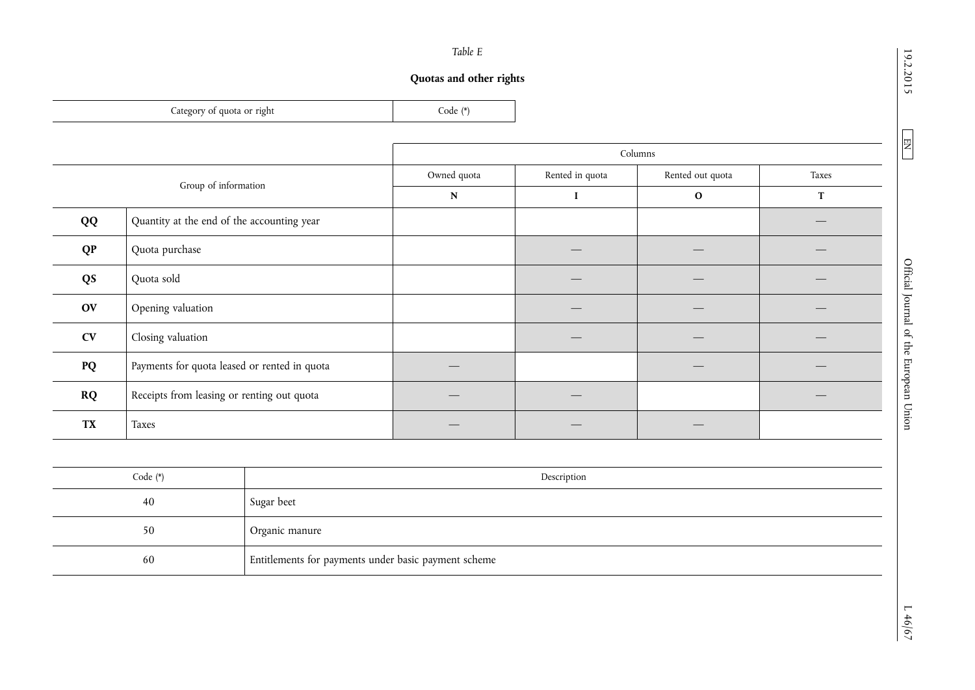# 19.2.2015

 $\boxed{\phantom{000} \text{EM}}$ 

|--|--|

# **Quotas and other rights**

| Lategory of quota or right | $\zeta$ ode $(*)$ |
|----------------------------|-------------------|
|                            |                   |

ц.

|                      |                                              | Columns     |                 |                  |       |
|----------------------|----------------------------------------------|-------------|-----------------|------------------|-------|
|                      |                                              | Owned quota | Rented in quota | Rented out quota | Taxes |
| Group of information |                                              | ${\bf N}$   |                 | $\mathbf{o}$     | T     |
| QQ                   | Quantity at the end of the accounting year   |             |                 |                  |       |
| <b>QP</b>            | Quota purchase                               |             |                 |                  |       |
| QS                   | Quota sold                                   |             |                 |                  |       |
| <b>OV</b>            | Opening valuation                            |             |                 |                  |       |
| CV                   | Closing valuation                            |             |                 |                  |       |
| PQ                   | Payments for quota leased or rented in quota |             |                 |                  |       |
| <b>RQ</b>            | Receipts from leasing or renting out quota   |             |                 |                  |       |
| <b>TX</b>            | Taxes                                        |             |                 |                  |       |

| Code $(*)$ | Description                                          |
|------------|------------------------------------------------------|
| 40         | Sugar beet                                           |
| 50         | Organic manure                                       |
| 60         | Entitlements for payments under basic payment scheme |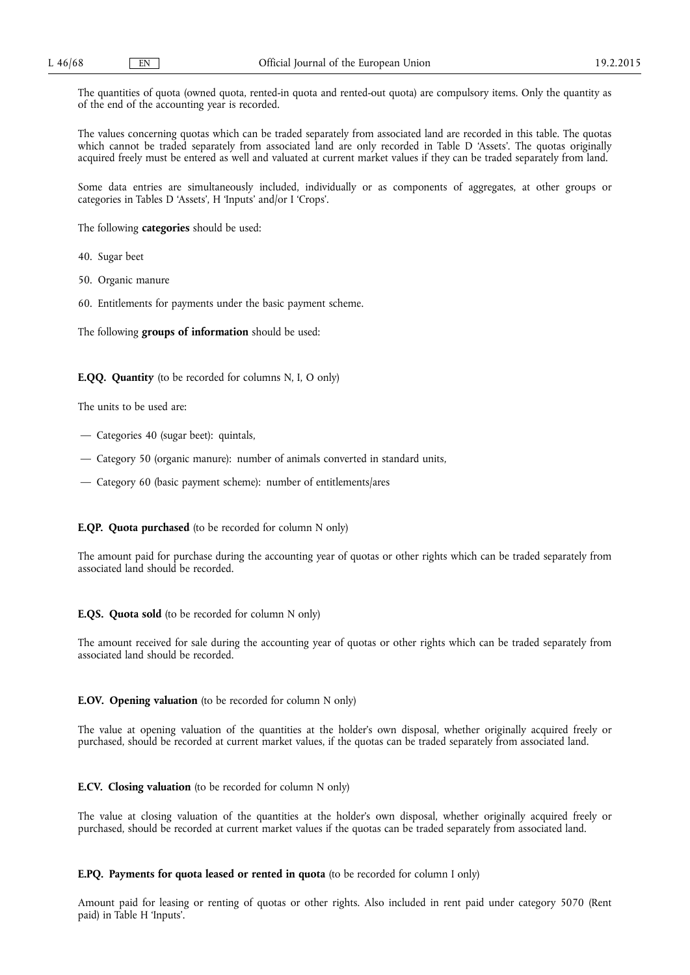The quantities of quota (owned quota, rented-in quota and rented-out quota) are compulsory items. Only the quantity as of the end of the accounting year is recorded.

The values concerning quotas which can be traded separately from associated land are recorded in this table. The quotas which cannot be traded separately from associated land are only recorded in Table D 'Assets'. The quotas originally acquired freely must be entered as well and valuated at current market values if they can be traded separately from land.

Some data entries are simultaneously included, individually or as components of aggregates, at other groups or categories in Tables D 'Assets', H 'Inputs' and/or I 'Crops'.

The following **categories** should be used:

40. Sugar beet

50. Organic manure

60. Entitlements for payments under the basic payment scheme.

The following **groups of information** should be used:

**E.QQ. Quantity** (to be recorded for columns N, I, O only)

The units to be used are:

- Categories 40 (sugar beet): quintals,
- Category 50 (organic manure): number of animals converted in standard units,
- Category 60 (basic payment scheme): number of entitlements/ares

# **E.QP. Quota purchased** (to be recorded for column N only)

The amount paid for purchase during the accounting year of quotas or other rights which can be traded separately from associated land should be recorded.

# **E.QS. Quota sold** (to be recorded for column N only)

The amount received for sale during the accounting year of quotas or other rights which can be traded separately from associated land should be recorded.

# **E.OV. Opening valuation** (to be recorded for column N only)

The value at opening valuation of the quantities at the holder's own disposal, whether originally acquired freely or purchased, should be recorded at current market values, if the quotas can be traded separately from associated land.

# **E.CV. Closing valuation** (to be recorded for column N only)

The value at closing valuation of the quantities at the holder's own disposal, whether originally acquired freely or purchased, should be recorded at current market values if the quotas can be traded separately from associated land.

# **E.PQ. Payments for quota leased or rented in quota** (to be recorded for column I only)

Amount paid for leasing or renting of quotas or other rights. Also included in rent paid under category 5070 (Rent paid) in Table H 'Inputs'.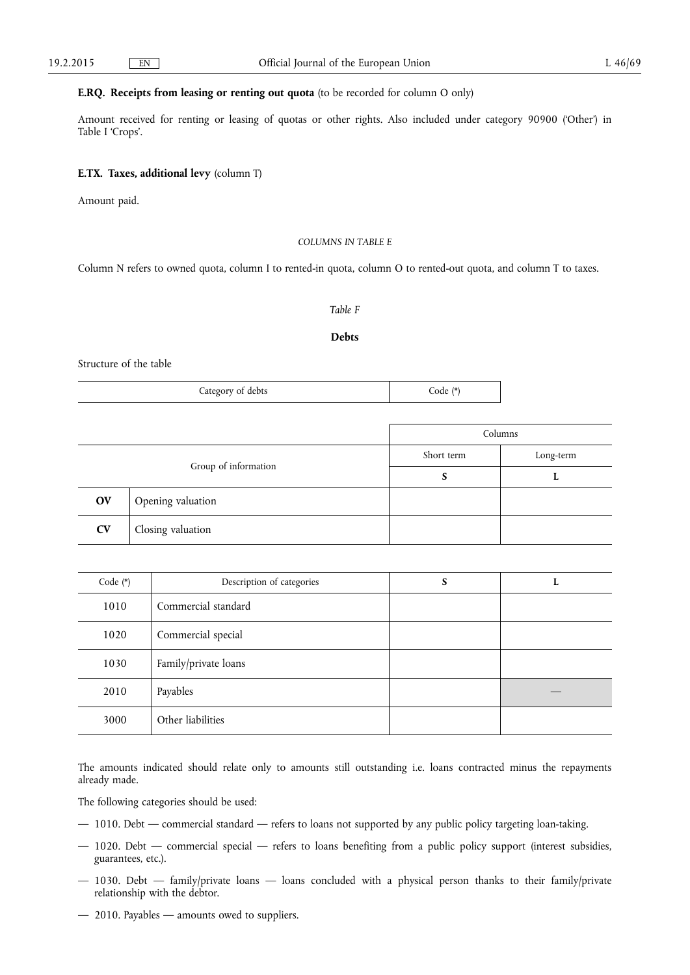# **E.RQ. Receipts from leasing or renting out quota** (to be recorded for column O only)

Amount received for renting or leasing of quotas or other rights. Also included under category 90900 ('Other') in Table I 'Crops'.

# **E.TX. Taxes, additional levy** (column T)

Amount paid.

# *COLUMNS IN TABLE E*

Column N refers to owned quota, column I to rented-in quota, column O to rented-out quota, and column T to taxes.

# *Table F*

# **Debts**

Structure of the table

| Category of debts | Code (*) |
|-------------------|----------|
|-------------------|----------|

|                      |                   | Columns    |           |  |
|----------------------|-------------------|------------|-----------|--|
| Group of information |                   | Short term | Long-term |  |
|                      |                   | S          |           |  |
| <b>OV</b>            | Opening valuation |            |           |  |
| <b>CV</b>            | Closing valuation |            |           |  |

| Code $(*)$ | Description of categories | S | L |
|------------|---------------------------|---|---|
| 1010       | Commercial standard       |   |   |
| 1020       | Commercial special        |   |   |
| 1030       | Family/private loans      |   |   |
| 2010       | Payables                  |   |   |
| 3000       | Other liabilities         |   |   |

The amounts indicated should relate only to amounts still outstanding i.e. loans contracted minus the repayments already made.

The following categories should be used:

- 1010. Debt commercial standard refers to loans not supported by any public policy targeting loan-taking.
- 1020. Debt commercial special refers to loans benefiting from a public policy support (interest subsidies, guarantees, etc.).
- 1030. Debt family/private loans loans concluded with a physical person thanks to their family/private relationship with the debtor.
- 2010. Payables amounts owed to suppliers.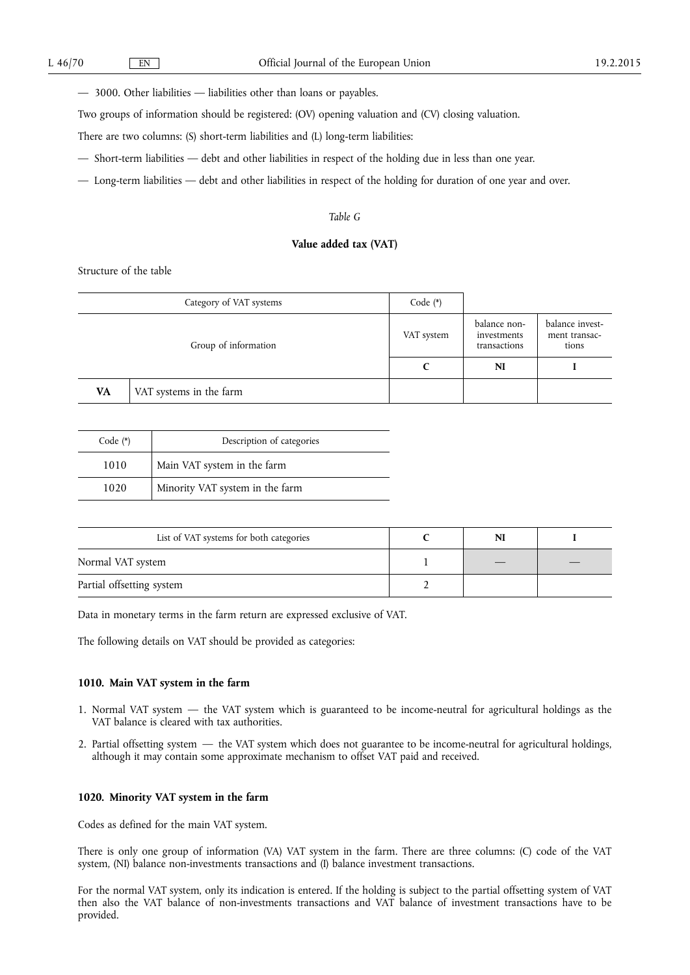— 3000. Other liabilities — liabilities other than loans or payables.

Two groups of information should be registered: (OV) opening valuation and (CV) closing valuation.

There are two columns: (S) short-term liabilities and (L) long-term liabilities:

— Short-term liabilities — debt and other liabilities in respect of the holding due in less than one year.

— Long-term liabilities — debt and other liabilities in respect of the holding for duration of one year and over.

# *Table G*

# **Value added tax (VAT)**

Structure of the table

|    | Category of VAT systems | Code $(*)$ |                                             |                                           |
|----|-------------------------|------------|---------------------------------------------|-------------------------------------------|
|    | Group of information    | VAT system | balance non-<br>investments<br>transactions | balance invest-<br>ment transac-<br>tions |
|    |                         |            | N <sub>I</sub>                              |                                           |
| VA | VAT systems in the farm |            |                                             |                                           |

| Code $(*)$ | Description of categories       |
|------------|---------------------------------|
| 1010       | Main VAT system in the farm     |
| 1020       | Minority VAT system in the farm |

| List of VAT systems for both categories | NI |  |
|-----------------------------------------|----|--|
| Normal VAT system                       |    |  |
| Partial offsetting system               |    |  |

Data in monetary terms in the farm return are expressed exclusive of VAT.

The following details on VAT should be provided as categories:

# **1010. Main VAT system in the farm**

- 1. Normal VAT system the VAT system which is guaranteed to be income-neutral for agricultural holdings as the VAT balance is cleared with tax authorities.
- 2. Partial offsetting system the VAT system which does not guarantee to be income-neutral for agricultural holdings, although it may contain some approximate mechanism to offset VAT paid and received.

# **1020. Minority VAT system in the farm**

Codes as defined for the main VAT system.

There is only one group of information (VA) VAT system in the farm. There are three columns: (C) code of the VAT system, (NI) balance non-investments transactions and (I) balance investment transactions.

For the normal VAT system, only its indication is entered. If the holding is subject to the partial offsetting system of VAT then also the VAT balance of non-investments transactions and VAT balance of investment transactions have to be provided.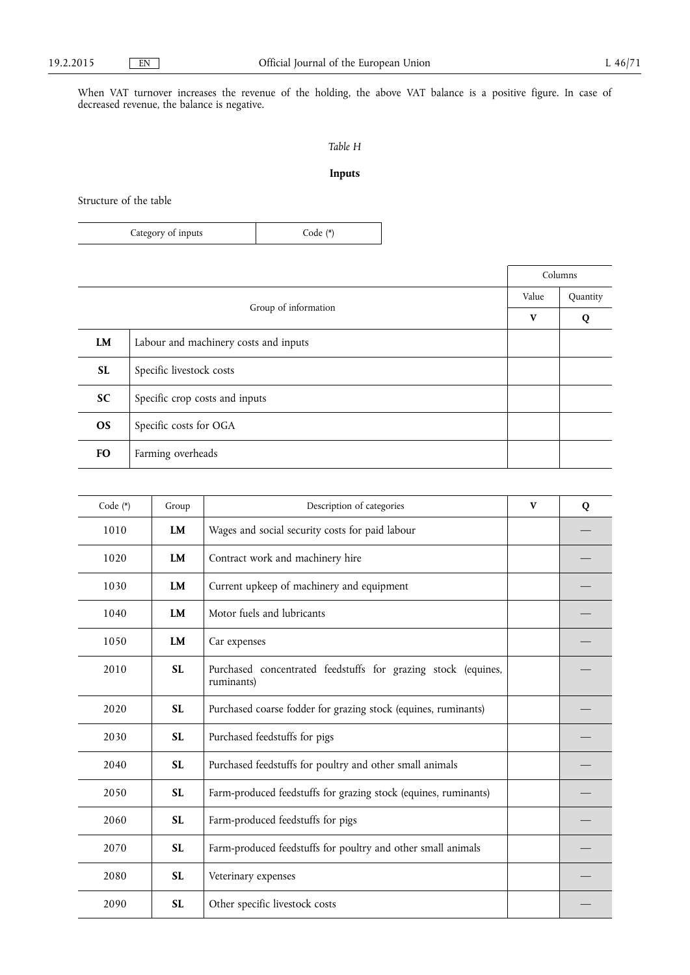When VAT turnover increases the revenue of the holding, the above VAT balance is a positive figure. In case of decreased revenue, the balance is negative.

# *Table H*

# **Inputs**

Structure of the table

| Category of inputs | $Code (*)$ |
|--------------------|------------|
|--------------------|------------|

|           |                                       | Value | Quantity |
|-----------|---------------------------------------|-------|----------|
|           | Group of information                  |       |          |
| <b>LM</b> | Labour and machinery costs and inputs |       |          |
| <b>SL</b> | Specific livestock costs              |       |          |
| <b>SC</b> | Specific crop costs and inputs        |       |          |
| <b>OS</b> | Specific costs for OGA                |       |          |
| <b>FO</b> | Farming overheads                     |       |          |

| Code (*) | Group     | Description of categories                                                   | V | Q |
|----------|-----------|-----------------------------------------------------------------------------|---|---|
| 1010     | LM        | Wages and social security costs for paid labour                             |   |   |
| 1020     | <b>LM</b> | Contract work and machinery hire                                            |   |   |
| 1030     | <b>LM</b> | Current upkeep of machinery and equipment                                   |   |   |
| 1040     | <b>LM</b> | Motor fuels and lubricants                                                  |   |   |
| 1050     | LM        | Car expenses                                                                |   |   |
| 2010     | <b>SL</b> | Purchased concentrated feedstuffs for grazing stock (equines,<br>ruminants) |   |   |
| 2020     | <b>SL</b> | Purchased coarse fodder for grazing stock (equines, ruminants)              |   |   |
| 2030     | <b>SL</b> | Purchased feedstuffs for pigs                                               |   |   |
| 2040     | <b>SL</b> | Purchased feedstuffs for poultry and other small animals                    |   |   |
| 2050     | <b>SL</b> | Farm-produced feedstuffs for grazing stock (equines, ruminants)             |   |   |
| 2060     | <b>SL</b> | Farm-produced feedstuffs for pigs                                           |   |   |
| 2070     | <b>SL</b> | Farm-produced feedstuffs for poultry and other small animals                |   |   |
| 2080     | <b>SL</b> | Veterinary expenses                                                         |   |   |
| 2090     | <b>SL</b> | Other specific livestock costs                                              |   |   |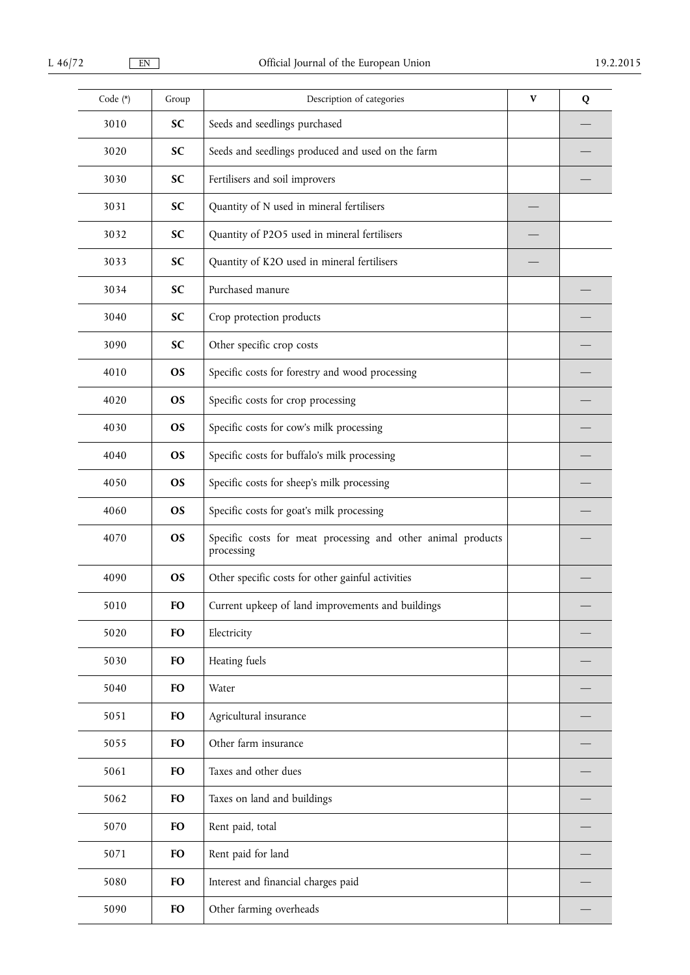| Code (*) | Group     | Description of categories                                                  | $\mathbf v$ | Q |
|----------|-----------|----------------------------------------------------------------------------|-------------|---|
| 3010     | <b>SC</b> | Seeds and seedlings purchased                                              |             |   |
| 3020     | <b>SC</b> | Seeds and seedlings produced and used on the farm                          |             |   |
| 3030     | <b>SC</b> | Fertilisers and soil improvers                                             |             |   |
| 3031     | <b>SC</b> | Quantity of N used in mineral fertilisers                                  |             |   |
| 3032     | SC        | Quantity of P2O5 used in mineral fertilisers                               |             |   |
| 3033     | <b>SC</b> | Quantity of K2O used in mineral fertilisers                                |             |   |
| 3034     | <b>SC</b> | Purchased manure                                                           |             |   |
| 3040     | <b>SC</b> | Crop protection products                                                   |             |   |
| 3090     | <b>SC</b> | Other specific crop costs                                                  |             |   |
| 4010     | <b>OS</b> | Specific costs for forestry and wood processing                            |             |   |
| 4020     | <b>OS</b> | Specific costs for crop processing                                         |             |   |
| 4030     | <b>OS</b> | Specific costs for cow's milk processing                                   |             |   |
| 4040     | <b>OS</b> | Specific costs for buffalo's milk processing                               |             |   |
| 4050     | <b>OS</b> | Specific costs for sheep's milk processing                                 |             |   |
| 4060     | <b>OS</b> | Specific costs for goat's milk processing                                  |             |   |
| 4070     | <b>OS</b> | Specific costs for meat processing and other animal products<br>processing |             |   |
| 4090     | <b>OS</b> | Other specific costs for other gainful activities                          |             |   |
| 5010     | <b>FO</b> | Current upkeep of land improvements and buildings                          |             |   |
| 5020     | <b>FO</b> | Electricity                                                                |             |   |
| 5030     | <b>FO</b> | Heating fuels                                                              |             |   |
| 5040     | <b>FO</b> | Water                                                                      |             |   |
| 5051     | <b>FO</b> | Agricultural insurance                                                     |             |   |
| 5055     | <b>FO</b> | Other farm insurance                                                       |             |   |
| 5061     | <b>FO</b> | Taxes and other dues                                                       |             |   |
| 5062     | <b>FO</b> | Taxes on land and buildings                                                |             |   |
| 5070     | <b>FO</b> | Rent paid, total                                                           |             |   |
| 5071     | <b>FO</b> | Rent paid for land                                                         |             |   |
| 5080     | <b>FO</b> | Interest and financial charges paid                                        |             |   |
| 5090     | <b>FO</b> | Other farming overheads                                                    |             |   |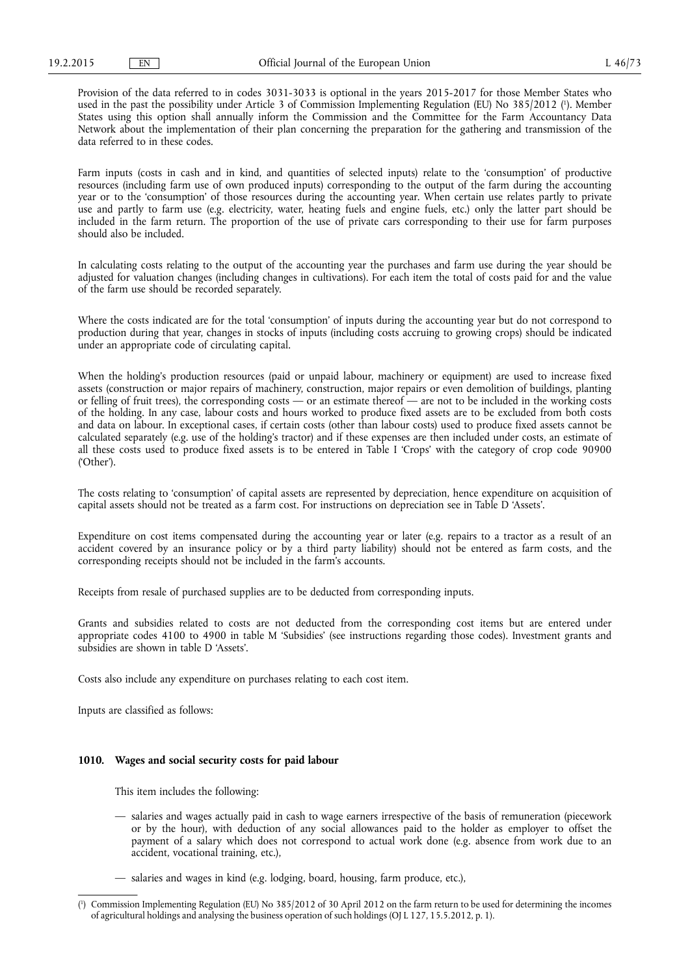Provision of the data referred to in codes 3031-3033 is optional in the years 2015-2017 for those Member States who used in the past the possibility under Article 3 of Commission Implementing Regulation (EU) No 385/2012 ( 1 ). Member States using this option shall annually inform the Commission and the Committee for the Farm Accountancy Data Network about the implementation of their plan concerning the preparation for the gathering and transmission of the data referred to in these codes.

Farm inputs (costs in cash and in kind, and quantities of selected inputs) relate to the 'consumption' of productive resources (including farm use of own produced inputs) corresponding to the output of the farm during the accounting year or to the 'consumption' of those resources during the accounting year. When certain use relates partly to private use and partly to farm use (e.g. electricity, water, heating fuels and engine fuels, etc.) only the latter part should be included in the farm return. The proportion of the use of private cars corresponding to their use for farm purposes should also be included.

In calculating costs relating to the output of the accounting year the purchases and farm use during the year should be adjusted for valuation changes (including changes in cultivations). For each item the total of costs paid for and the value of the farm use should be recorded separately.

Where the costs indicated are for the total 'consumption' of inputs during the accounting year but do not correspond to production during that year, changes in stocks of inputs (including costs accruing to growing crops) should be indicated under an appropriate code of circulating capital.

When the holding's production resources (paid or unpaid labour, machinery or equipment) are used to increase fixed assets (construction or major repairs of machinery, construction, major repairs or even demolition of buildings, planting or felling of fruit trees), the corresponding costs — or an estimate thereof — are not to be included in the working costs of the holding. In any case, labour costs and hours worked to produce fixed assets are to be excluded from both costs and data on labour. In exceptional cases, if certain costs (other than labour costs) used to produce fixed assets cannot be calculated separately (e.g. use of the holding's tractor) and if these expenses are then included under costs, an estimate of all these costs used to produce fixed assets is to be entered in Table I 'Crops' with the category of crop code 90900 ('Other').

The costs relating to 'consumption' of capital assets are represented by depreciation, hence expenditure on acquisition of capital assets should not be treated as a farm cost. For instructions on depreciation see in Table D 'Assets'.

Expenditure on cost items compensated during the accounting year or later (e.g. repairs to a tractor as a result of an accident covered by an insurance policy or by a third party liability) should not be entered as farm costs, and the corresponding receipts should not be included in the farm's accounts.

Receipts from resale of purchased supplies are to be deducted from corresponding inputs.

Grants and subsidies related to costs are not deducted from the corresponding cost items but are entered under appropriate codes 4100 to 4900 in table M 'Subsidies' (see instructions regarding those codes). Investment grants and subsidies are shown in table D 'Assets'.

Costs also include any expenditure on purchases relating to each cost item.

Inputs are classified as follows:

# **1010. Wages and social security costs for paid labour**

This item includes the following:

- salaries and wages actually paid in cash to wage earners irrespective of the basis of remuneration (piecework or by the hour), with deduction of any social allowances paid to the holder as employer to offset the payment of a salary which does not correspond to actual work done (e.g. absence from work due to an accident, vocational training, etc.),
- salaries and wages in kind (e.g. lodging, board, housing, farm produce, etc.),

<sup>(</sup> 1 ) Commission Implementing Regulation (EU) No 385/2012 of 30 April 2012 on the farm return to be used for determining the incomes of agricultural holdings and analysing the business operation of such holdings (OJ L 127, 15.5.2012, p. 1).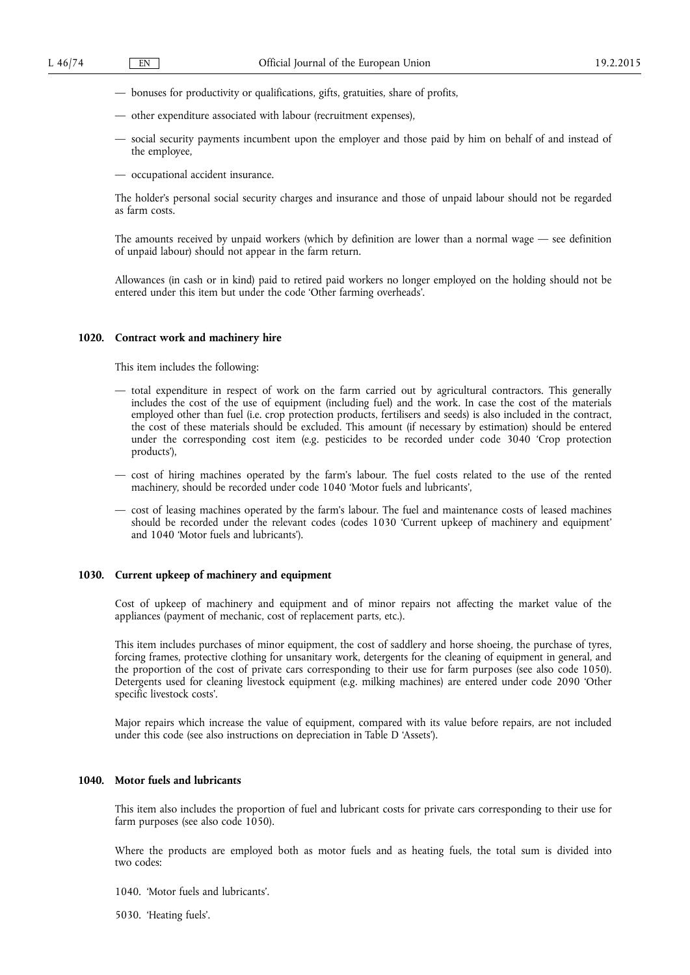- bonuses for productivity or qualifications, gifts, gratuities, share of profits,
- other expenditure associated with labour (recruitment expenses),
- social security payments incumbent upon the employer and those paid by him on behalf of and instead of the employee,
- occupational accident insurance.

The holder's personal social security charges and insurance and those of unpaid labour should not be regarded as farm costs.

The amounts received by unpaid workers (which by definition are lower than a normal wage — see definition of unpaid labour) should not appear in the farm return.

Allowances (in cash or in kind) paid to retired paid workers no longer employed on the holding should not be entered under this item but under the code 'Other farming overheads'.

### **1020. Contract work and machinery hire**

This item includes the following:

- total expenditure in respect of work on the farm carried out by agricultural contractors. This generally includes the cost of the use of equipment (including fuel) and the work. In case the cost of the materials employed other than fuel (i.e. crop protection products, fertilisers and seeds) is also included in the contract, the cost of these materials should be excluded. This amount (if necessary by estimation) should be entered under the corresponding cost item (e.g. pesticides to be recorded under code 3040 'Crop protection products'),
- cost of hiring machines operated by the farm's labour. The fuel costs related to the use of the rented machinery, should be recorded under code 1040 'Motor fuels and lubricants',
- cost of leasing machines operated by the farm's labour. The fuel and maintenance costs of leased machines should be recorded under the relevant codes (codes 1030 'Current upkeep of machinery and equipment' and 1040 'Motor fuels and lubricants').

# **1030. Current upkeep of machinery and equipment**

Cost of upkeep of machinery and equipment and of minor repairs not affecting the market value of the appliances (payment of mechanic, cost of replacement parts, etc.).

This item includes purchases of minor equipment, the cost of saddlery and horse shoeing, the purchase of tyres, forcing frames, protective clothing for unsanitary work, detergents for the cleaning of equipment in general, and the proportion of the cost of private cars corresponding to their use for farm purposes (see also code 1050). Detergents used for cleaning livestock equipment (e.g. milking machines) are entered under code 2090 'Other specific livestock costs'.

Major repairs which increase the value of equipment, compared with its value before repairs, are not included under this code (see also instructions on depreciation in Table D 'Assets').

# **1040. Motor fuels and lubricants**

This item also includes the proportion of fuel and lubricant costs for private cars corresponding to their use for farm purposes (see also code 1050).

Where the products are employed both as motor fuels and as heating fuels, the total sum is divided into two codes:

1040. 'Motor fuels and lubricants'.

5030. 'Heating fuels'.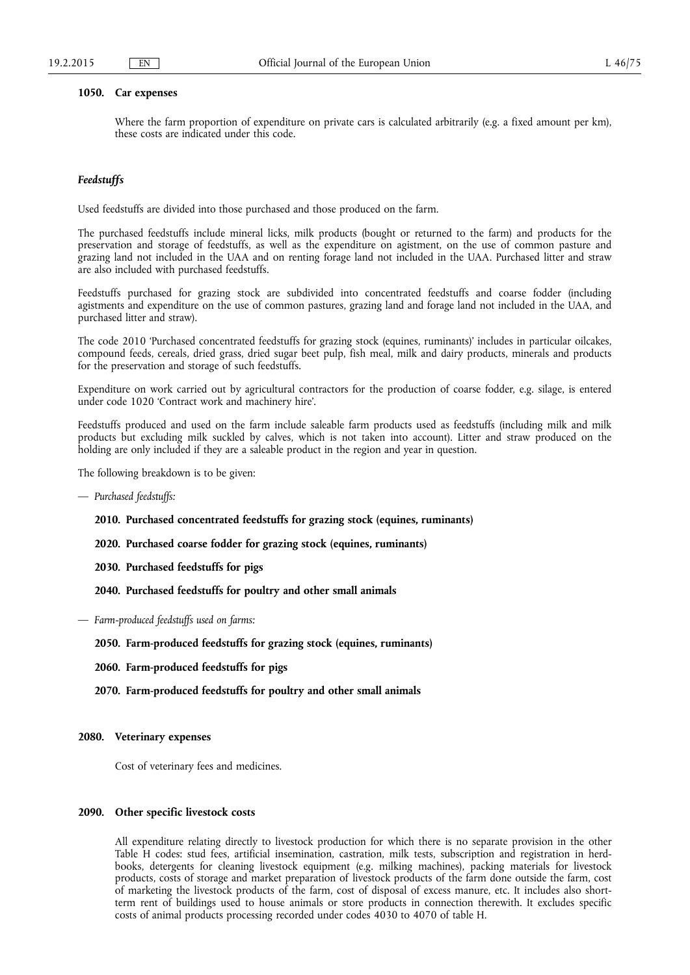# **1050. Car expenses**

Where the farm proportion of expenditure on private cars is calculated arbitrarily (e.g. a fixed amount per km), these costs are indicated under this code.

# *Feedstuffs*

Used feedstuffs are divided into those purchased and those produced on the farm.

The purchased feedstuffs include mineral licks, milk products (bought or returned to the farm) and products for the preservation and storage of feedstuffs, as well as the expenditure on agistment, on the use of common pasture and grazing land not included in the UAA and on renting forage land not included in the UAA. Purchased litter and straw are also included with purchased feedstuffs.

Feedstuffs purchased for grazing stock are subdivided into concentrated feedstuffs and coarse fodder (including agistments and expenditure on the use of common pastures, grazing land and forage land not included in the UAA, and purchased litter and straw).

The code 2010 'Purchased concentrated feedstuffs for grazing stock (equines, ruminants)' includes in particular oilcakes, compound feeds, cereals, dried grass, dried sugar beet pulp, fish meal, milk and dairy products, minerals and products for the preservation and storage of such feedstuffs.

Expenditure on work carried out by agricultural contractors for the production of coarse fodder, e.g. silage, is entered under code 1020 'Contract work and machinery hire'.

Feedstuffs produced and used on the farm include saleable farm products used as feedstuffs (including milk and milk products but excluding milk suckled by calves, which is not taken into account). Litter and straw produced on the holding are only included if they are a saleable product in the region and year in question.

The following breakdown is to be given:

— *Purchased feedstuffs:* 

**2010. Purchased concentrated feedstuffs for grazing stock (equines, ruminants)** 

**2020. Purchased coarse fodder for grazing stock (equines, ruminants)** 

**2030. Purchased feedstuffs for pigs** 

**2040. Purchased feedstuffs for poultry and other small animals** 

— *Farm-produced feedstuffs used on farms:* 

**2050. Farm-produced feedstuffs for grazing stock (equines, ruminants)** 

- **2060. Farm-produced feedstuffs for pigs**
- **2070. Farm-produced feedstuffs for poultry and other small animals**

### **2080. Veterinary expenses**

Cost of veterinary fees and medicines.

# **2090. Other specific livestock costs**

All expenditure relating directly to livestock production for which there is no separate provision in the other Table H codes: stud fees, artificial insemination, castration, milk tests, subscription and registration in herdbooks, detergents for cleaning livestock equipment (e.g. milking machines), packing materials for livestock products, costs of storage and market preparation of livestock products of the farm done outside the farm, cost of marketing the livestock products of the farm, cost of disposal of excess manure, etc. It includes also shortterm rent of buildings used to house animals or store products in connection therewith. It excludes specific costs of animal products processing recorded under codes 4030 to 4070 of table H.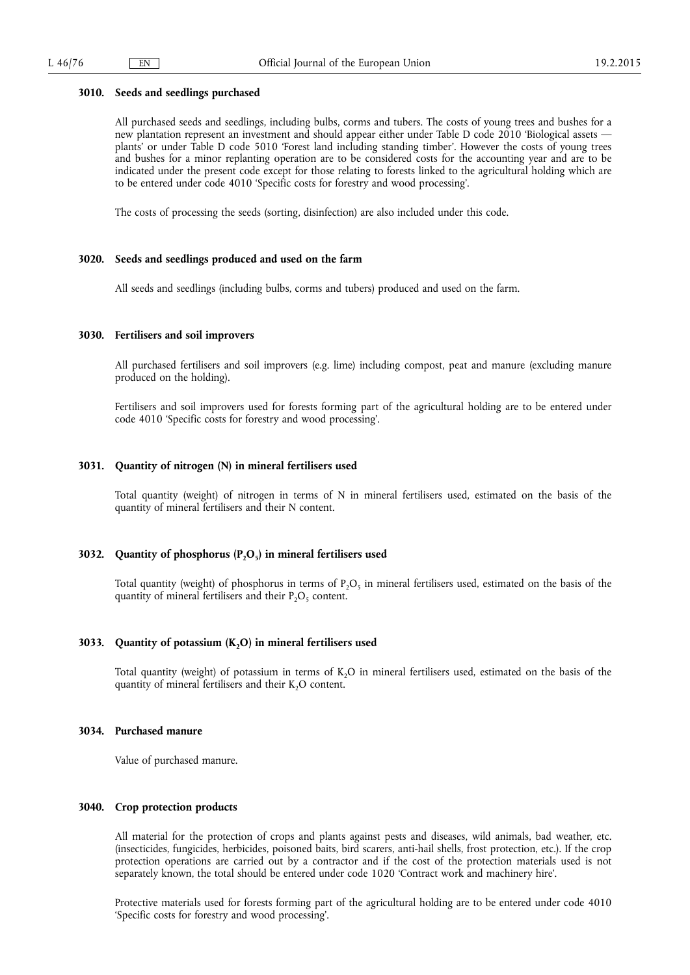### **3010. Seeds and seedlings purchased**

All purchased seeds and seedlings, including bulbs, corms and tubers. The costs of young trees and bushes for a new plantation represent an investment and should appear either under Table D code 2010 'Biological assets plants' or under Table D code 5010 'Forest land including standing timber'. However the costs of young trees and bushes for a minor replanting operation are to be considered costs for the accounting year and are to be indicated under the present code except for those relating to forests linked to the agricultural holding which are to be entered under code 4010 'Specific costs for forestry and wood processing'.

The costs of processing the seeds (sorting, disinfection) are also included under this code.

### **3020. Seeds and seedlings produced and used on the farm**

All seeds and seedlings (including bulbs, corms and tubers) produced and used on the farm.

### **3030. Fertilisers and soil improvers**

All purchased fertilisers and soil improvers (e.g. lime) including compost, peat and manure (excluding manure produced on the holding).

Fertilisers and soil improvers used for forests forming part of the agricultural holding are to be entered under code 4010 'Specific costs for forestry and wood processing'.

## **3031. Quantity of nitrogen (N) in mineral fertilisers used**

Total quantity (weight) of nitrogen in terms of N in mineral fertilisers used, estimated on the basis of the quantity of mineral fertilisers and their N content.

# **3032.** Quantity of phosphorus (P<sub>2</sub>O<sub>5</sub>) in mineral fertilisers used

Total quantity (weight) of phosphorus in terms of  $P_2O_5$  in mineral fertilisers used, estimated on the basis of the quantity of mineral fertilisers and their  $P_2O_5$  content.

# **3033.** Quantity of potassium (K<sub>2</sub>O) in mineral fertilisers used

Total quantity (weight) of potassium in terms of K<sub>2</sub>O in mineral fertilisers used, estimated on the basis of the quantity of mineral fertilisers and their  $K_2O$  content.

# **3034. Purchased manure**

Value of purchased manure.

# **3040. Crop protection products**

All material for the protection of crops and plants against pests and diseases, wild animals, bad weather, etc. (insecticides, fungicides, herbicides, poisoned baits, bird scarers, anti-hail shells, frost protection, etc.). If the crop protection operations are carried out by a contractor and if the cost of the protection materials used is not separately known, the total should be entered under code 1020 'Contract work and machinery hire'.

Protective materials used for forests forming part of the agricultural holding are to be entered under code 4010 'Specific costs for forestry and wood processing'.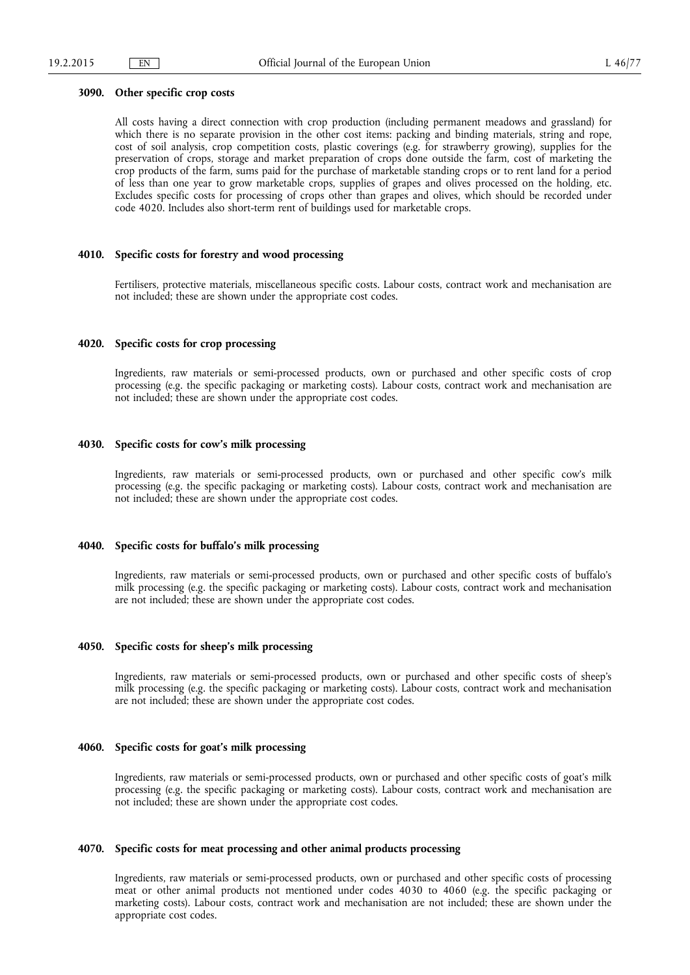### **3090. Other specific crop costs**

All costs having a direct connection with crop production (including permanent meadows and grassland) for which there is no separate provision in the other cost items: packing and binding materials, string and rope, cost of soil analysis, crop competition costs, plastic coverings (e.g. for strawberry growing), supplies for the preservation of crops, storage and market preparation of crops done outside the farm, cost of marketing the crop products of the farm, sums paid for the purchase of marketable standing crops or to rent land for a period of less than one year to grow marketable crops, supplies of grapes and olives processed on the holding, etc. Excludes specific costs for processing of crops other than grapes and olives, which should be recorded under code 4020. Includes also short-term rent of buildings used for marketable crops.

# **4010. Specific costs for forestry and wood processing**

Fertilisers, protective materials, miscellaneous specific costs. Labour costs, contract work and mechanisation are not included; these are shown under the appropriate cost codes.

### **4020. Specific costs for crop processing**

Ingredients, raw materials or semi-processed products, own or purchased and other specific costs of crop processing (e.g. the specific packaging or marketing costs). Labour costs, contract work and mechanisation are not included; these are shown under the appropriate cost codes.

### **4030. Specific costs for cow's milk processing**

Ingredients, raw materials or semi-processed products, own or purchased and other specific cow's milk processing (e.g. the specific packaging or marketing costs). Labour costs, contract work and mechanisation are not included; these are shown under the appropriate cost codes.

# **4040. Specific costs for buffalo's milk processing**

Ingredients, raw materials or semi-processed products, own or purchased and other specific costs of buffalo's milk processing (e.g. the specific packaging or marketing costs). Labour costs, contract work and mechanisation are not included; these are shown under the appropriate cost codes.

# **4050. Specific costs for sheep's milk processing**

Ingredients, raw materials or semi-processed products, own or purchased and other specific costs of sheep's milk processing (e.g. the specific packaging or marketing costs). Labour costs, contract work and mechanisation are not included; these are shown under the appropriate cost codes.

# **4060. Specific costs for goat's milk processing**

Ingredients, raw materials or semi-processed products, own or purchased and other specific costs of goat's milk processing (e.g. the specific packaging or marketing costs). Labour costs, contract work and mechanisation are not included; these are shown under the appropriate cost codes.

# **4070. Specific costs for meat processing and other animal products processing**

Ingredients, raw materials or semi-processed products, own or purchased and other specific costs of processing meat or other animal products not mentioned under codes 4030 to 4060 (e.g. the specific packaging or marketing costs). Labour costs, contract work and mechanisation are not included; these are shown under the appropriate cost codes.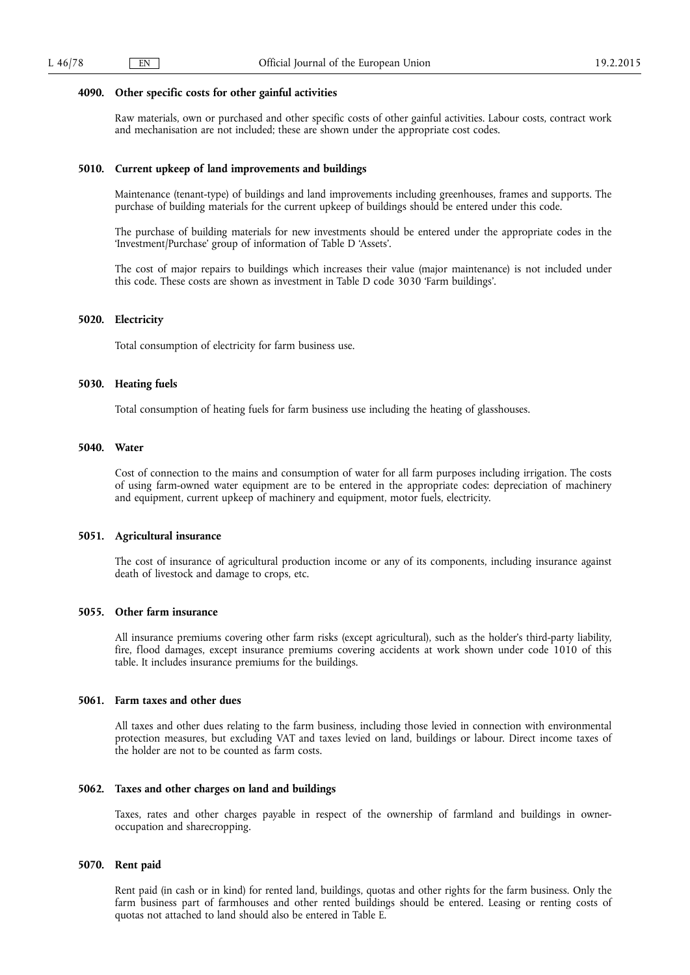### **4090. Other specific costs for other gainful activities**

Raw materials, own or purchased and other specific costs of other gainful activities. Labour costs, contract work and mechanisation are not included; these are shown under the appropriate cost codes.

### **5010. Current upkeep of land improvements and buildings**

Maintenance (tenant-type) of buildings and land improvements including greenhouses, frames and supports. The purchase of building materials for the current upkeep of buildings should be entered under this code.

The purchase of building materials for new investments should be entered under the appropriate codes in the 'Investment/Purchase' group of information of Table D 'Assets'.

The cost of major repairs to buildings which increases their value (major maintenance) is not included under this code. These costs are shown as investment in Table D code 3030 'Farm buildings'.

### **5020. Electricity**

Total consumption of electricity for farm business use.

### **5030. Heating fuels**

Total consumption of heating fuels for farm business use including the heating of glasshouses.

### **5040. Water**

Cost of connection to the mains and consumption of water for all farm purposes including irrigation. The costs of using farm-owned water equipment are to be entered in the appropriate codes: depreciation of machinery and equipment, current upkeep of machinery and equipment, motor fuels, electricity.

### **5051. Agricultural insurance**

The cost of insurance of agricultural production income or any of its components, including insurance against death of livestock and damage to crops, etc.

# **5055. Other farm insurance**

All insurance premiums covering other farm risks (except agricultural), such as the holder's third-party liability, fire, flood damages, except insurance premiums covering accidents at work shown under code 1010 of this table. It includes insurance premiums for the buildings.

# **5061. Farm taxes and other dues**

All taxes and other dues relating to the farm business, including those levied in connection with environmental protection measures, but excluding VAT and taxes levied on land, buildings or labour. Direct income taxes of the holder are not to be counted as farm costs.

# **5062. Taxes and other charges on land and buildings**

Taxes, rates and other charges payable in respect of the ownership of farmland and buildings in owneroccupation and sharecropping.

### **5070. Rent paid**

Rent paid (in cash or in kind) for rented land, buildings, quotas and other rights for the farm business. Only the farm business part of farmhouses and other rented buildings should be entered. Leasing or renting costs of quotas not attached to land should also be entered in Table E.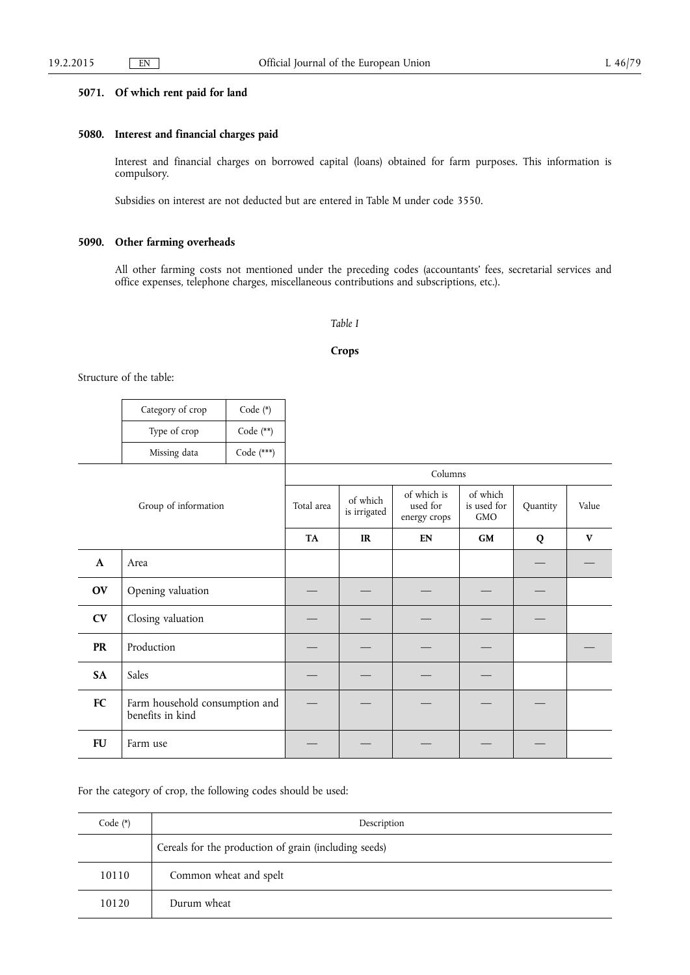# **5071. Of which rent paid for land**

# **5080. Interest and financial charges paid**

Interest and financial charges on borrowed capital (loans) obtained for farm purposes. This information is compulsory.

Subsidies on interest are not deducted but are entered in Table M under code 3550.

# **5090. Other farming overheads**

All other farming costs not mentioned under the preceding codes (accountants' fees, secretarial services and office expenses, telephone charges, miscellaneous contributions and subscriptions, etc.).

# *Table I*

### **Crops**

Structure of the table:

| Category of crop | Code $(*)$   |
|------------------|--------------|
| Type of crop     | Code $(**)$  |
| Missing data     | Code $(***)$ |

| Group of information |                                                    | Columns    |                          |                                         |                                       |          |       |
|----------------------|----------------------------------------------------|------------|--------------------------|-----------------------------------------|---------------------------------------|----------|-------|
|                      |                                                    | Total area | of which<br>is irrigated | of which is<br>used for<br>energy crops | of which<br>is used for<br><b>GMO</b> | Quantity | Value |
|                      |                                                    | <b>TA</b>  | IR                       | EN                                      | GM                                    | Q        | V     |
| $\mathbf{A}$         | Area                                               |            |                          |                                         |                                       |          |       |
| <b>OV</b>            | Opening valuation                                  |            |                          |                                         |                                       |          |       |
| <b>CV</b>            | Closing valuation                                  |            |                          |                                         |                                       |          |       |
| <b>PR</b>            | Production                                         |            |                          |                                         |                                       |          |       |
| <b>SA</b>            | Sales                                              |            |                          |                                         |                                       |          |       |
| FC                   | Farm household consumption and<br>benefits in kind |            |                          |                                         |                                       |          |       |
| <b>FU</b>            | Farm use                                           |            |                          |                                         |                                       |          |       |

# For the category of crop, the following codes should be used:

| Code $(*)$ | Description                                           |
|------------|-------------------------------------------------------|
|            | Cereals for the production of grain (including seeds) |
| 10110      | Common wheat and spelt                                |
| 10120      | Durum wheat                                           |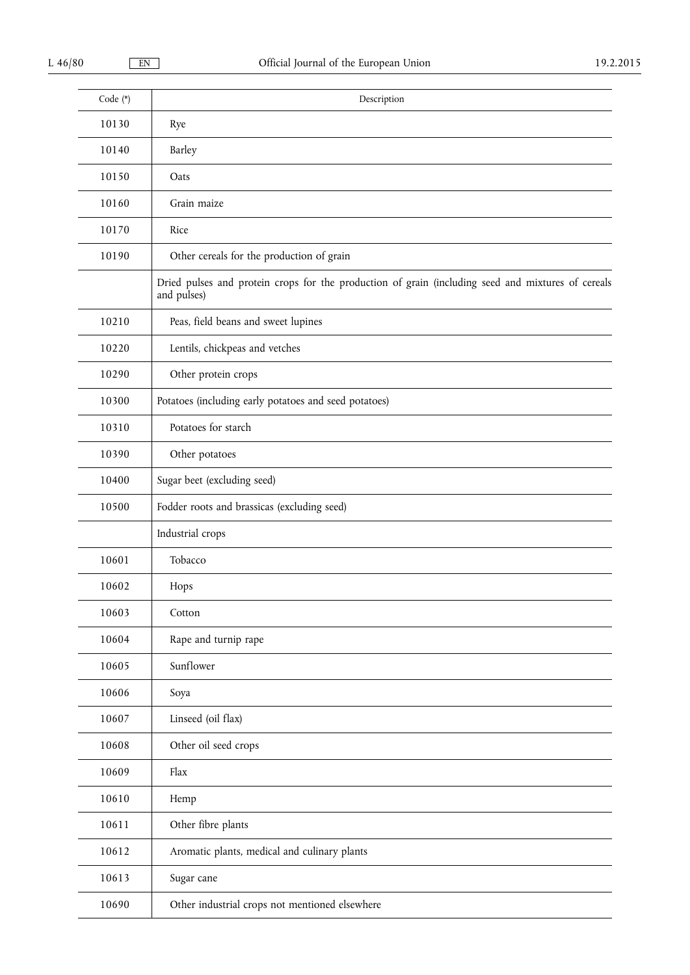| Code (*) | Description                                                                                                       |
|----------|-------------------------------------------------------------------------------------------------------------------|
| 10130    | Rye                                                                                                               |
| 10140    | Barley                                                                                                            |
| 10150    | Oats                                                                                                              |
| 10160    | Grain maize                                                                                                       |
| 10170    | Rice                                                                                                              |
| 10190    | Other cereals for the production of grain                                                                         |
|          | Dried pulses and protein crops for the production of grain (including seed and mixtures of cereals<br>and pulses) |
| 10210    | Peas, field beans and sweet lupines                                                                               |
| 10220    | Lentils, chickpeas and vetches                                                                                    |
| 10290    | Other protein crops                                                                                               |
| 10300    | Potatoes (including early potatoes and seed potatoes)                                                             |
| 10310    | Potatoes for starch                                                                                               |
| 10390    | Other potatoes                                                                                                    |
| 10400    | Sugar beet (excluding seed)                                                                                       |
| 10500    | Fodder roots and brassicas (excluding seed)                                                                       |
|          | Industrial crops                                                                                                  |
| 10601    | Tobacco                                                                                                           |
| 10602    | Hops                                                                                                              |
| 10603    | Cotton                                                                                                            |
| 10604    | Rape and turnip rape                                                                                              |
| 10605    | Sunflower                                                                                                         |
| 10606    | Soya                                                                                                              |
| 10607    | Linseed (oil flax)                                                                                                |
| 10608    | Other oil seed crops                                                                                              |
| 10609    | Flax                                                                                                              |
| 10610    | Hemp                                                                                                              |
| 10611    | Other fibre plants                                                                                                |
| 10612    | Aromatic plants, medical and culinary plants                                                                      |
| 10613    | Sugar cane                                                                                                        |
| 10690    | Other industrial crops not mentioned elsewhere                                                                    |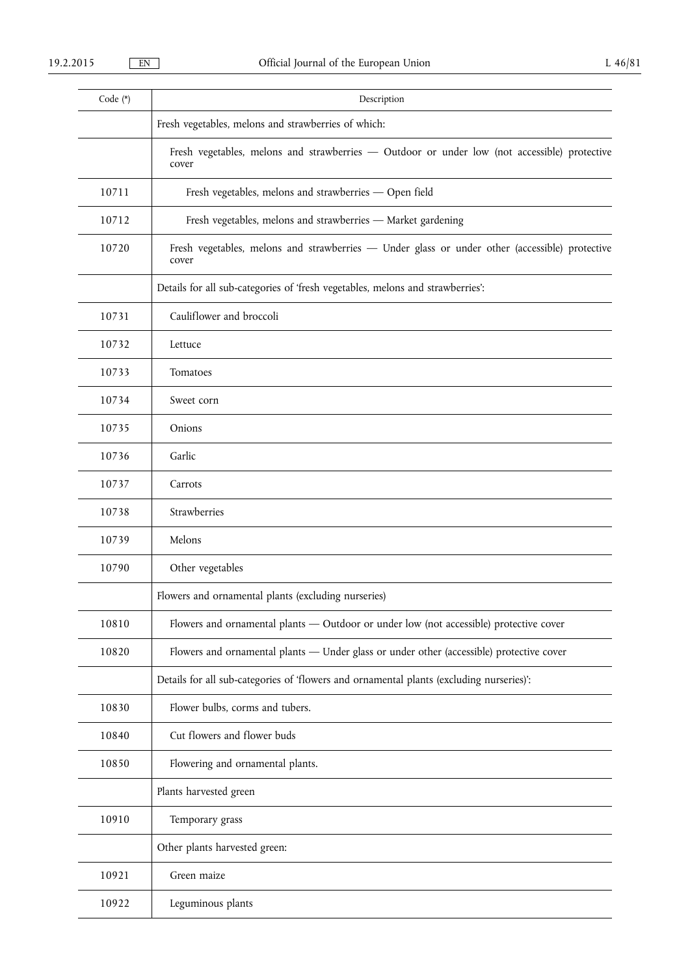| Code (*) | Description                                                                                             |
|----------|---------------------------------------------------------------------------------------------------------|
|          | Fresh vegetables, melons and strawberries of which:                                                     |
|          | Fresh vegetables, melons and strawberries - Outdoor or under low (not accessible) protective<br>cover   |
| 10711    | Fresh vegetables, melons and strawberries - Open field                                                  |
| 10712    | Fresh vegetables, melons and strawberries - Market gardening                                            |
| 10720    | Fresh vegetables, melons and strawberries - Under glass or under other (accessible) protective<br>cover |
|          | Details for all sub-categories of 'fresh vegetables, melons and strawberries':                          |
| 10731    | Cauliflower and broccoli                                                                                |
| 10732    | Lettuce                                                                                                 |
| 10733    | Tomatoes                                                                                                |
| 10734    | Sweet corn                                                                                              |
| 10735    | Onions                                                                                                  |
| 10736    | Garlic                                                                                                  |
| 10737    | Carrots                                                                                                 |
| 10738    | Strawberries                                                                                            |
| 10739    | Melons                                                                                                  |
| 10790    | Other vegetables                                                                                        |
|          | Flowers and ornamental plants (excluding nurseries)                                                     |
| 10810    | Flowers and ornamental plants - Outdoor or under low (not accessible) protective cover                  |
| 10820    | Flowers and ornamental plants - Under glass or under other (accessible) protective cover                |
|          | Details for all sub-categories of 'flowers and ornamental plants (excluding nurseries)':                |
| 10830    | Flower bulbs, corms and tubers.                                                                         |
| 10840    | Cut flowers and flower buds                                                                             |
| 10850    | Flowering and ornamental plants.                                                                        |
|          | Plants harvested green                                                                                  |
| 10910    | Temporary grass                                                                                         |
|          | Other plants harvested green:                                                                           |
| 10921    | Green maize                                                                                             |
| 10922    | Leguminous plants                                                                                       |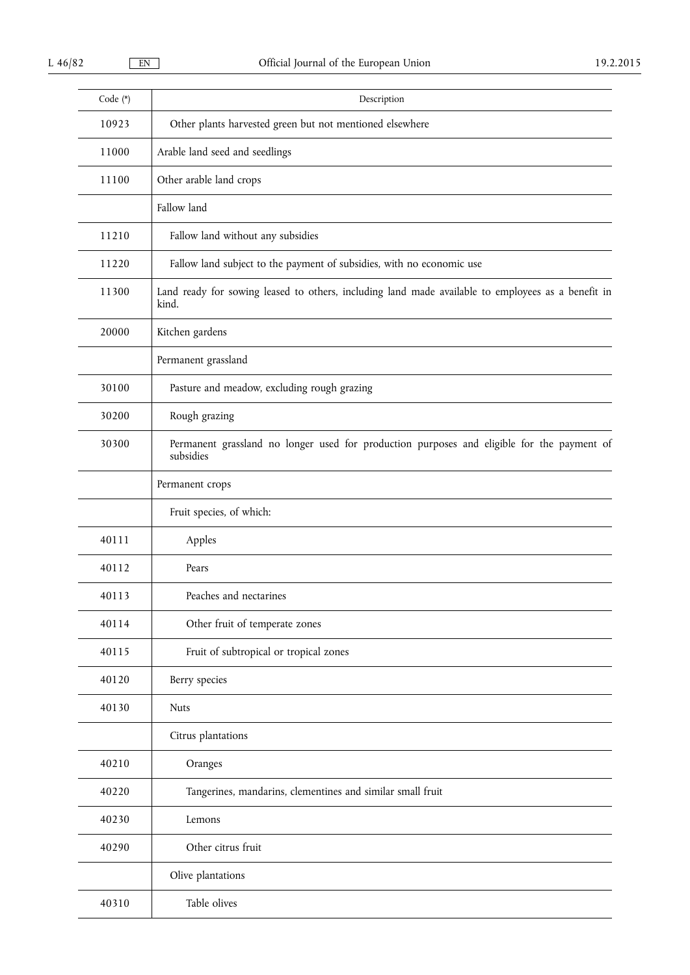| Code (*) | Description                                                                                                 |  |  |
|----------|-------------------------------------------------------------------------------------------------------------|--|--|
| 10923    | Other plants harvested green but not mentioned elsewhere                                                    |  |  |
| 11000    | Arable land seed and seedlings                                                                              |  |  |
| 11100    | Other arable land crops                                                                                     |  |  |
|          | Fallow land                                                                                                 |  |  |
| 11210    | Fallow land without any subsidies                                                                           |  |  |
| 11220    | Fallow land subject to the payment of subsidies, with no economic use                                       |  |  |
| 11300    | Land ready for sowing leased to others, including land made available to employees as a benefit in<br>kind. |  |  |
| 20000    | Kitchen gardens                                                                                             |  |  |
|          | Permanent grassland                                                                                         |  |  |
| 30100    | Pasture and meadow, excluding rough grazing                                                                 |  |  |
| 30200    | Rough grazing                                                                                               |  |  |
| 30300    | Permanent grassland no longer used for production purposes and eligible for the payment of<br>subsidies     |  |  |
|          | Permanent crops                                                                                             |  |  |
|          | Fruit species, of which:                                                                                    |  |  |
| 40111    | Apples                                                                                                      |  |  |
| 40112    | Pears                                                                                                       |  |  |
| 40113    | Peaches and nectarines                                                                                      |  |  |
| 40114    | Other fruit of temperate zones                                                                              |  |  |
| 40115    | Fruit of subtropical or tropical zones                                                                      |  |  |
| 40120    | Berry species                                                                                               |  |  |
| 40130    | <b>Nuts</b>                                                                                                 |  |  |
|          | Citrus plantations                                                                                          |  |  |
| 40210    | Oranges                                                                                                     |  |  |
| 40220    | Tangerines, mandarins, clementines and similar small fruit                                                  |  |  |
| 40230    | Lemons                                                                                                      |  |  |
| 40290    | Other citrus fruit                                                                                          |  |  |
|          | Olive plantations                                                                                           |  |  |
| 40310    | Table olives                                                                                                |  |  |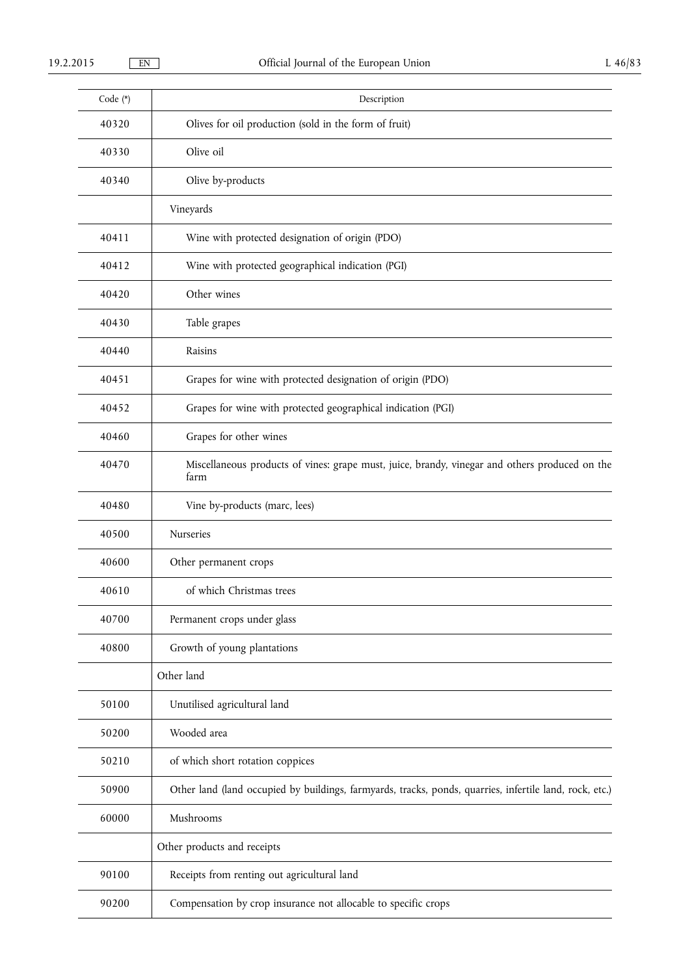| Code (*) | Description                                                                                             |
|----------|---------------------------------------------------------------------------------------------------------|
| 40320    | Olives for oil production (sold in the form of fruit)                                                   |
| 40330    | Olive oil                                                                                               |
| 40340    | Olive by-products                                                                                       |
|          | Vineyards                                                                                               |
| 40411    | Wine with protected designation of origin (PDO)                                                         |
| 40412    | Wine with protected geographical indication (PGI)                                                       |
| 40420    | Other wines                                                                                             |
| 40430    | Table grapes                                                                                            |
| 40440    | Raisins                                                                                                 |
| 40451    | Grapes for wine with protected designation of origin (PDO)                                              |
| 40452    | Grapes for wine with protected geographical indication (PGI)                                            |
| 40460    | Grapes for other wines                                                                                  |
| 40470    | Miscellaneous products of vines: grape must, juice, brandy, vinegar and others produced on the<br>farm  |
| 40480    | Vine by-products (marc, lees)                                                                           |
| 40500    | Nurseries                                                                                               |
| 40600    | Other permanent crops                                                                                   |
| 40610    | of which Christmas trees                                                                                |
| 40700    | Permanent crops under glass                                                                             |
| 40800    | Growth of young plantations                                                                             |
|          | Other land                                                                                              |
| 50100    | Unutilised agricultural land                                                                            |
| 50200    | Wooded area                                                                                             |
| 50210    | of which short rotation coppices                                                                        |
| 50900    | Other land (land occupied by buildings, farmyards, tracks, ponds, quarries, infertile land, rock, etc.) |
| 60000    | Mushrooms                                                                                               |
|          | Other products and receipts                                                                             |
| 90100    | Receipts from renting out agricultural land                                                             |
| 90200    | Compensation by crop insurance not allocable to specific crops                                          |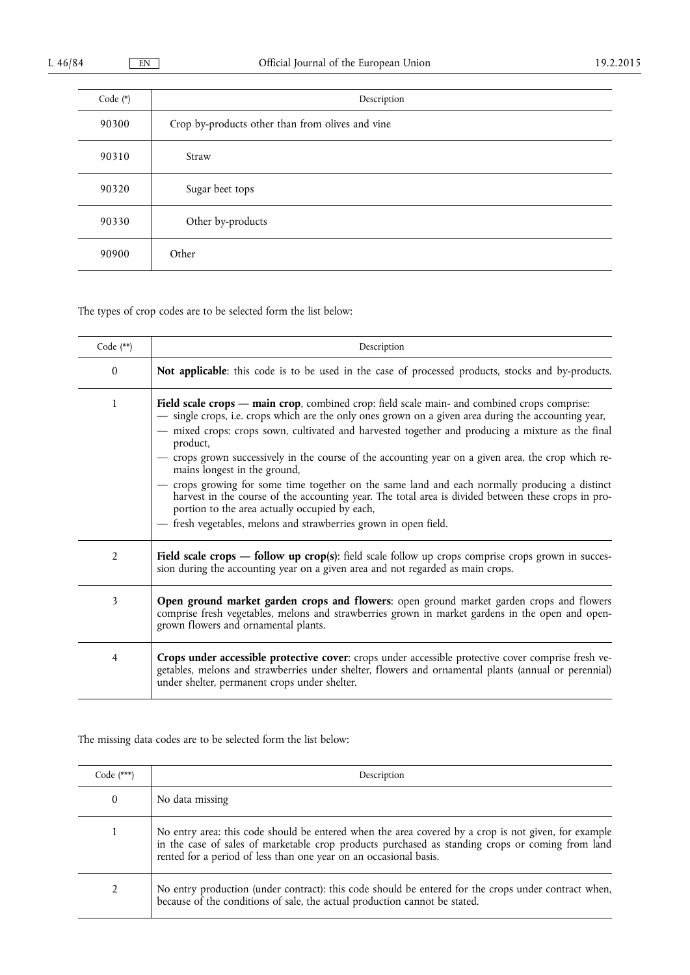| Code $(*)$ | Description                                      |
|------------|--------------------------------------------------|
| 90300      | Crop by-products other than from olives and vine |
| 90310      | Straw                                            |
| 90320      | Sugar beet tops                                  |
| 90330      | Other by-products                                |
| 90900      | Other                                            |

The types of crop codes are to be selected form the list below:

| Code $(**)$    | Description                                                                                                                                                                                                                                                                                                                                                                                                                                                                                                                                                                                                                                                                                                                                                                                 |
|----------------|---------------------------------------------------------------------------------------------------------------------------------------------------------------------------------------------------------------------------------------------------------------------------------------------------------------------------------------------------------------------------------------------------------------------------------------------------------------------------------------------------------------------------------------------------------------------------------------------------------------------------------------------------------------------------------------------------------------------------------------------------------------------------------------------|
| $\mathbf{0}$   | Not applicable: this code is to be used in the case of processed products, stocks and by-products.                                                                                                                                                                                                                                                                                                                                                                                                                                                                                                                                                                                                                                                                                          |
| 1              | Field scale crops - main crop, combined crop: field scale main- and combined crops comprise:<br>- single crops, i.e. crops which are the only ones grown on a given area during the accounting year,<br>- mixed crops: crops sown, cultivated and harvested together and producing a mixture as the final<br>product,<br>- crops grown successively in the course of the accounting year on a given area, the crop which re-<br>mains longest in the ground,<br>- crops growing for some time together on the same land and each normally producing a distinct<br>harvest in the course of the accounting year. The total area is divided between these crops in pro-<br>portion to the area actually occupied by each,<br>- fresh vegetables, melons and strawberries grown in open field. |
| $\overline{2}$ | Field scale crops — follow up crop(s): field scale follow up crops comprise crops grown in succes-<br>sion during the accounting year on a given area and not regarded as main crops.                                                                                                                                                                                                                                                                                                                                                                                                                                                                                                                                                                                                       |
| 3              | Open ground market garden crops and flowers: open ground market garden crops and flowers<br>comprise fresh vegetables, melons and strawberries grown in market gardens in the open and open-<br>grown flowers and ornamental plants.                                                                                                                                                                                                                                                                                                                                                                                                                                                                                                                                                        |
| 4              | Crops under accessible protective cover: crops under accessible protective cover comprise fresh ve-<br>getables, melons and strawberries under shelter, flowers and ornamental plants (annual or perennial)<br>under shelter, permanent crops under shelter.                                                                                                                                                                                                                                                                                                                                                                                                                                                                                                                                |

# The missing data codes are to be selected form the list below:

| Code $(***)$ | Description                                                                                                                                                                                                                                                                   |
|--------------|-------------------------------------------------------------------------------------------------------------------------------------------------------------------------------------------------------------------------------------------------------------------------------|
| 0            | No data missing                                                                                                                                                                                                                                                               |
|              | No entry area: this code should be entered when the area covered by a crop is not given, for example<br>in the case of sales of marketable crop products purchased as standing crops or coming from land<br>rented for a period of less than one year on an occasional basis. |
| 2            | No entry production (under contract): this code should be entered for the crops under contract when,<br>because of the conditions of sale, the actual production cannot be stated.                                                                                            |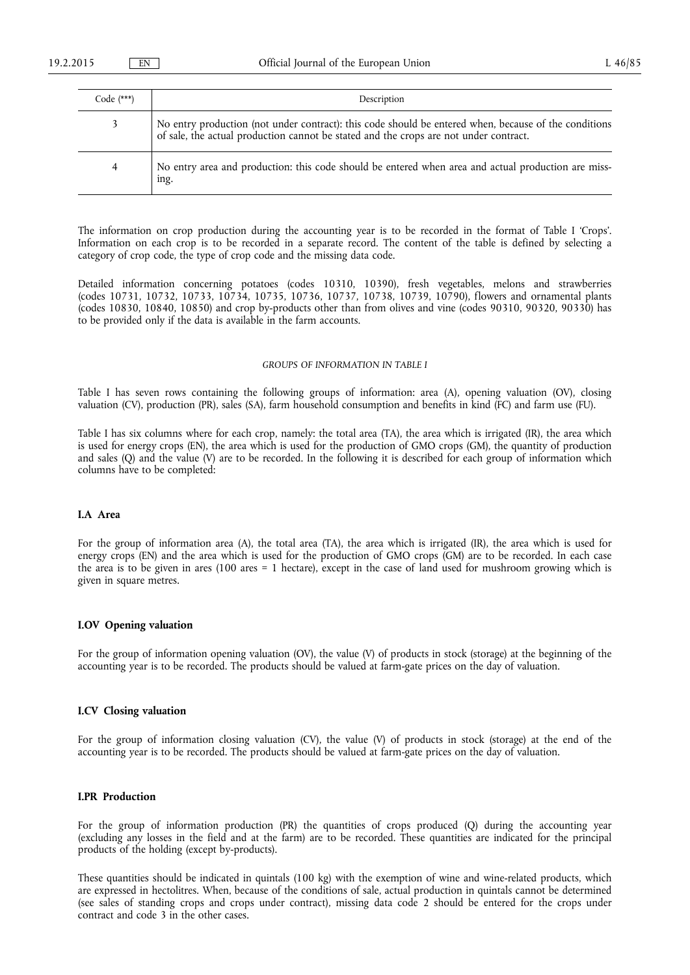| $Code$ (***) | Description                                                                                                                                                                                    |
|--------------|------------------------------------------------------------------------------------------------------------------------------------------------------------------------------------------------|
|              | No entry production (not under contract): this code should be entered when, because of the conditions<br>of sale, the actual production cannot be stated and the crops are not under contract. |
| 4            | No entry area and production: this code should be entered when area and actual production are miss-<br>ing.                                                                                    |

The information on crop production during the accounting year is to be recorded in the format of Table I 'Crops'. Information on each crop is to be recorded in a separate record. The content of the table is defined by selecting a category of crop code, the type of crop code and the missing data code.

Detailed information concerning potatoes (codes 10310, 10390), fresh vegetables, melons and strawberries (codes 10731, 10732, 10733, 10734, 10735, 10736, 10737, 10738, 10739, 10790), flowers and ornamental plants (codes 10830, 10840, 10850) and crop by-products other than from olives and vine (codes 90310, 90320, 90330) has to be provided only if the data is available in the farm accounts.

## *GROUPS OF INFORMATION IN TABLE I*

Table I has seven rows containing the following groups of information: area (A), opening valuation (OV), closing valuation (CV), production (PR), sales (SA), farm household consumption and benefits in kind (FC) and farm use (FU).

Table I has six columns where for each crop, namely: the total area (TA), the area which is irrigated (IR), the area which is used for energy crops (EN), the area which is used for the production of GMO crops (GM), the quantity of production and sales (Q) and the value (V) are to be recorded. In the following it is described for each group of information which columns have to be completed:

# **I.A Area**

For the group of information area (A), the total area (TA), the area which is irrigated (IR), the area which is used for energy crops (EN) and the area which is used for the production of GMO crops (GM) are to be recorded. In each case the area is to be given in ares (100 ares = 1 hectare), except in the case of land used for mushroom growing which is given in square metres.

### **I.OV Opening valuation**

For the group of information opening valuation (OV), the value (V) of products in stock (storage) at the beginning of the accounting year is to be recorded. The products should be valued at farm-gate prices on the day of valuation.

# **I.CV Closing valuation**

For the group of information closing valuation (CV), the value (V) of products in stock (storage) at the end of the accounting year is to be recorded. The products should be valued at farm-gate prices on the day of valuation.

### **I.PR Production**

For the group of information production (PR) the quantities of crops produced (Q) during the accounting year (excluding any losses in the field and at the farm) are to be recorded. These quantities are indicated for the principal products of the holding (except by-products).

These quantities should be indicated in quintals (100 kg) with the exemption of wine and wine-related products, which are expressed in hectolitres. When, because of the conditions of sale, actual production in quintals cannot be determined (see sales of standing crops and crops under contract), missing data code 2 should be entered for the crops under contract and code 3 in the other cases.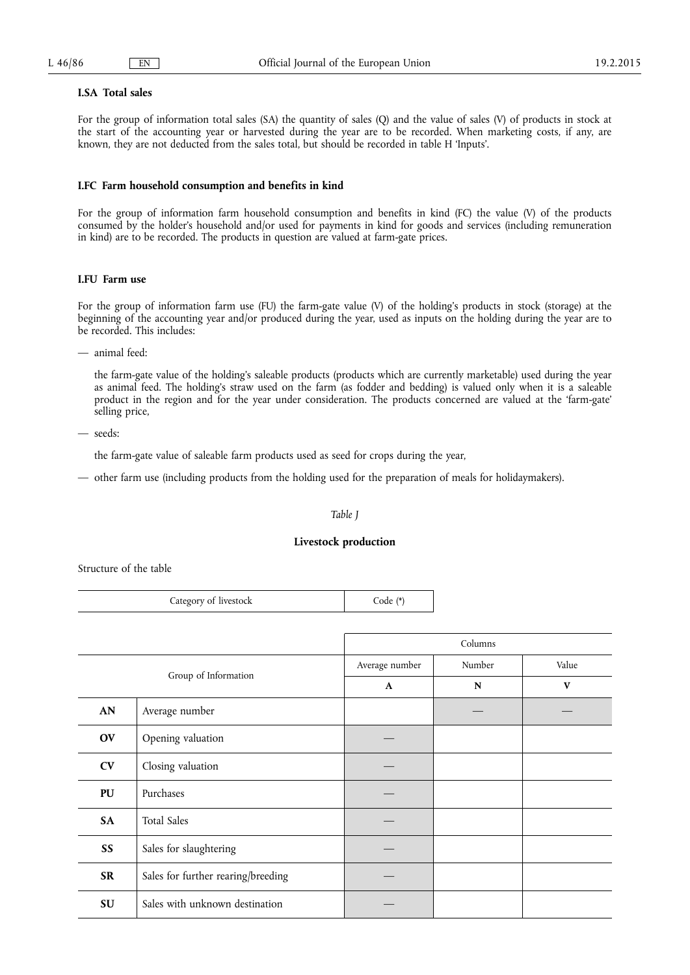### **I.SA Total sales**

For the group of information total sales (SA) the quantity of sales (Q) and the value of sales (V) of products in stock at the start of the accounting year or harvested during the year are to be recorded. When marketing costs, if any, are known, they are not deducted from the sales total, but should be recorded in table H 'Inputs'.

# **I.FC Farm household consumption and benefits in kind**

For the group of information farm household consumption and benefits in kind (FC) the value (V) of the products consumed by the holder's household and/or used for payments in kind for goods and services (including remuneration in kind) are to be recorded. The products in question are valued at farm-gate prices.

### **I.FU Farm use**

For the group of information farm use (FU) the farm-gate value (V) of the holding's products in stock (storage) at the beginning of the accounting year and/or produced during the year, used as inputs on the holding during the year are to be recorded. This includes:

— animal feed:

the farm-gate value of the holding's saleable products (products which are currently marketable) used during the year as animal feed. The holding's straw used on the farm (as fodder and bedding) is valued only when it is a saleable product in the region and for the year under consideration. The products concerned are valued at the 'farm-gate' selling price,

— seeds:

the farm-gate value of saleable farm products used as seed for crops during the year,

— other farm use (including products from the holding used for the preparation of meals for holidaymakers).

# *Table J*

### **Livestock production**

Structure of the table

|           | Category of livestock              | Code $(*)$     |             |              |  |  |
|-----------|------------------------------------|----------------|-------------|--------------|--|--|
|           |                                    |                |             |              |  |  |
|           |                                    |                | Columns     |              |  |  |
|           |                                    | Average number | Number      | Value        |  |  |
|           | Group of Information               |                | $\mathbf N$ | $\mathbf{V}$ |  |  |
| AN        | Average number                     |                |             |              |  |  |
| OV        | Opening valuation                  |                |             |              |  |  |
| <b>CV</b> | Closing valuation                  |                |             |              |  |  |
| PU        | Purchases                          |                |             |              |  |  |
| SA        | <b>Total Sales</b>                 |                |             |              |  |  |
| SS        | Sales for slaughtering             |                |             |              |  |  |
| <b>SR</b> | Sales for further rearing/breeding |                |             |              |  |  |
| SU        | Sales with unknown destination     |                |             |              |  |  |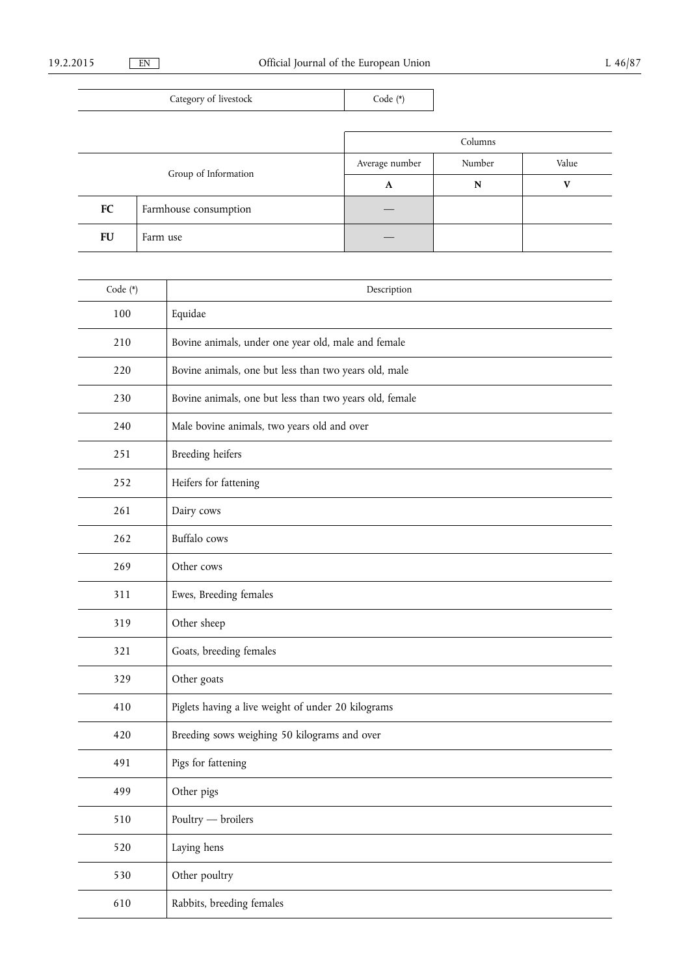| Category of livestock |                       | Code (*)       |         |              |
|-----------------------|-----------------------|----------------|---------|--------------|
|                       |                       |                |         |              |
|                       |                       |                | Columns |              |
|                       |                       | Average number | Number  | Value        |
| Group of Information  |                       | A              | N       | $\mathbf{V}$ |
| FC                    | Farmhouse consumption |                |         |              |
| FU                    | Farm use              |                |         |              |

| Code (*) | Description                                             |
|----------|---------------------------------------------------------|
| 100      | Equidae                                                 |
| 210      | Bovine animals, under one year old, male and female     |
| 220      | Bovine animals, one but less than two years old, male   |
| 230      | Bovine animals, one but less than two years old, female |
| 240      | Male bovine animals, two years old and over             |
| 251      | <b>Breeding heifers</b>                                 |
| 252      | Heifers for fattening                                   |
| 261      | Dairy cows                                              |
| 262      | <b>Buffalo</b> cows                                     |
| 269      | Other cows                                              |
| 311      | Ewes, Breeding females                                  |
| 319      | Other sheep                                             |
| 321      | Goats, breeding females                                 |
| 329      | Other goats                                             |
| 410      | Piglets having a live weight of under 20 kilograms      |
| 420      | Breeding sows weighing 50 kilograms and over            |
| 491      | Pigs for fattening                                      |
| 499      | Other pigs                                              |
| 510      | Poultry - broilers                                      |
| 520      | Laying hens                                             |
| 530      | Other poultry                                           |
| 610      | Rabbits, breeding females                               |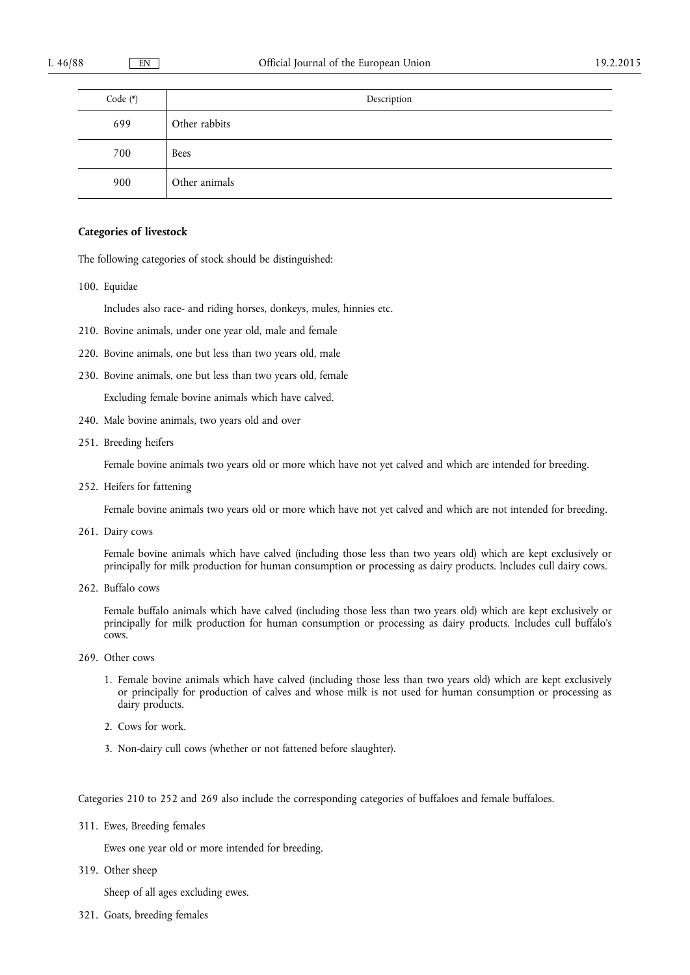| Code $(*)$ | Description   |
|------------|---------------|
| 699        | Other rabbits |
| 700        | Bees          |
| 900        | Other animals |

# **Categories of livestock**

The following categories of stock should be distinguished:

100. Equidae

Includes also race- and riding horses, donkeys, mules, hinnies etc.

- 210. Bovine animals, under one year old, male and female
- 220. Bovine animals, one but less than two years old, male
- 230. Bovine animals, one but less than two years old, female

Excluding female bovine animals which have calved.

- 240. Male bovine animals, two years old and over
- 251. Breeding heifers

Female bovine animals two years old or more which have not yet calved and which are intended for breeding.

252. Heifers for fattening

Female bovine animals two years old or more which have not yet calved and which are not intended for breeding.

261. Dairy cows

Female bovine animals which have calved (including those less than two years old) which are kept exclusively or principally for milk production for human consumption or processing as dairy products. Includes cull dairy cows.

262. Buffalo cows

Female buffalo animals which have calved (including those less than two years old) which are kept exclusively or principally for milk production for human consumption or processing as dairy products. Includes cull buffalo's cows.

- 269. Other cows
	- 1. Female bovine animals which have calved (including those less than two years old) which are kept exclusively or principally for production of calves and whose milk is not used for human consumption or processing as dairy products.
	- 2. Cows for work.
	- 3. Non-dairy cull cows (whether or not fattened before slaughter).

Categories 210 to 252 and 269 also include the corresponding categories of buffaloes and female buffaloes.

311. Ewes, Breeding females

Ewes one year old or more intended for breeding.

319. Other sheep

Sheep of all ages excluding ewes.

321. Goats, breeding females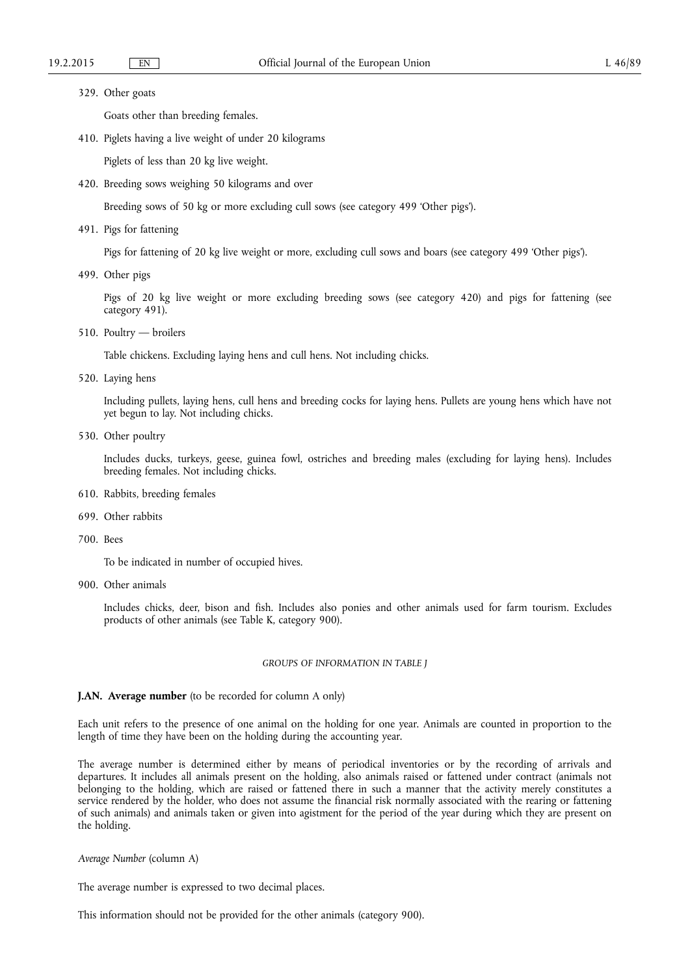### 329. Other goats

Goats other than breeding females.

410. Piglets having a live weight of under 20 kilograms

Piglets of less than 20 kg live weight.

420. Breeding sows weighing 50 kilograms and over

Breeding sows of 50 kg or more excluding cull sows (see category 499 'Other pigs').

491. Pigs for fattening

Pigs for fattening of 20 kg live weight or more, excluding cull sows and boars (see category 499 'Other pigs').

499. Other pigs

Pigs of 20 kg live weight or more excluding breeding sows (see category 420) and pigs for fattening (see category 491).

510. Poultry — broilers

Table chickens. Excluding laying hens and cull hens. Not including chicks.

520. Laying hens

Including pullets, laying hens, cull hens and breeding cocks for laying hens. Pullets are young hens which have not yet begun to lay. Not including chicks.

530. Other poultry

Includes ducks, turkeys, geese, guinea fowl, ostriches and breeding males (excluding for laying hens). Includes breeding females. Not including chicks.

- 610. Rabbits, breeding females
- 699. Other rabbits
- 700. Bees

To be indicated in number of occupied hives.

900. Other animals

Includes chicks, deer, bison and fish. Includes also ponies and other animals used for farm tourism. Excludes products of other animals (see Table K, category 900).

### *GROUPS OF INFORMATION IN TABLE J*

# **J.AN. Average number** (to be recorded for column A only)

Each unit refers to the presence of one animal on the holding for one year. Animals are counted in proportion to the length of time they have been on the holding during the accounting year.

The average number is determined either by means of periodical inventories or by the recording of arrivals and departures. It includes all animals present on the holding, also animals raised or fattened under contract (animals not belonging to the holding, which are raised or fattened there in such a manner that the activity merely constitutes a service rendered by the holder, who does not assume the financial risk normally associated with the rearing or fattening of such animals) and animals taken or given into agistment for the period of the year during which they are present on the holding.

*Average Number* (column A)

The average number is expressed to two decimal places.

This information should not be provided for the other animals (category 900).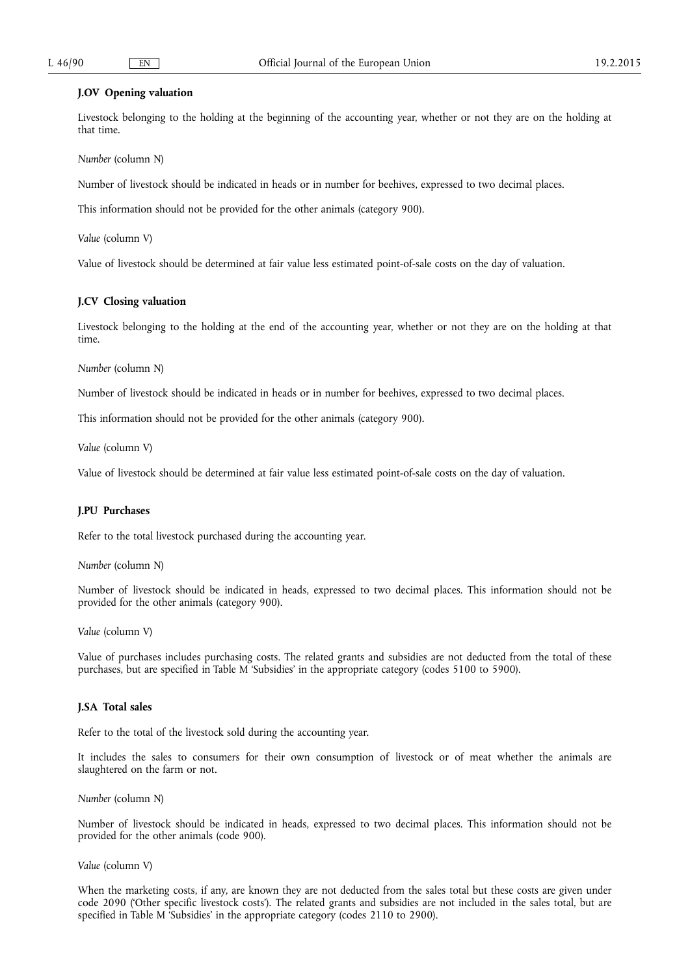# **J.OV Opening valuation**

Livestock belonging to the holding at the beginning of the accounting year, whether or not they are on the holding at that time.

*Number* (column N)

Number of livestock should be indicated in heads or in number for beehives, expressed to two decimal places.

This information should not be provided for the other animals (category 900).

*Value* (column V)

Value of livestock should be determined at fair value less estimated point-of-sale costs on the day of valuation.

# **J.CV Closing valuation**

Livestock belonging to the holding at the end of the accounting year, whether or not they are on the holding at that time.

*Number* (column N)

Number of livestock should be indicated in heads or in number for beehives, expressed to two decimal places.

This information should not be provided for the other animals (category 900).

*Value* (column V)

Value of livestock should be determined at fair value less estimated point-of-sale costs on the day of valuation.

### **J.PU Purchases**

Refer to the total livestock purchased during the accounting year.

*Number* (column N)

Number of livestock should be indicated in heads, expressed to two decimal places. This information should not be provided for the other animals (category 900).

*Value* (column V)

Value of purchases includes purchasing costs. The related grants and subsidies are not deducted from the total of these purchases, but are specified in Table M 'Subsidies' in the appropriate category (codes 5100 to 5900).

# **J.SA Total sales**

Refer to the total of the livestock sold during the accounting year.

It includes the sales to consumers for their own consumption of livestock or of meat whether the animals are slaughtered on the farm or not.

*Number* (column N)

Number of livestock should be indicated in heads, expressed to two decimal places. This information should not be provided for the other animals (code 900).

*Value* (column V)

When the marketing costs, if any, are known they are not deducted from the sales total but these costs are given under code 2090 ('Other specific livestock costs'). The related grants and subsidies are not included in the sales total, but are specified in Table M 'Subsidies' in the appropriate category (codes 2110 to 2900).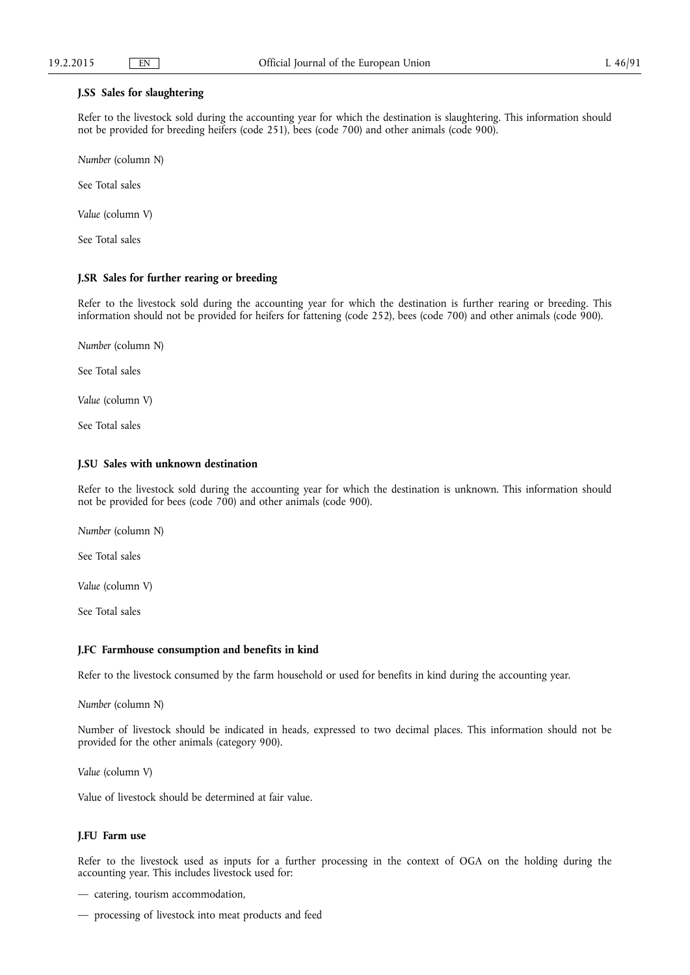### **J.SS Sales for slaughtering**

Refer to the livestock sold during the accounting year for which the destination is slaughtering. This information should not be provided for breeding heifers (code 251), bees (code 700) and other animals (code 900).

*Number* (column N)

See Total sales

*Value* (column V)

See Total sales

# **J.SR Sales for further rearing or breeding**

Refer to the livestock sold during the accounting year for which the destination is further rearing or breeding. This information should not be provided for heifers for fattening (code 252), bees (code 700) and other animals (code 900).

*Number* (column N)

See Total sales

*Value* (column V)

See Total sales

# **J.SU Sales with unknown destination**

Refer to the livestock sold during the accounting year for which the destination is unknown. This information should not be provided for bees (code 700) and other animals (code 900).

*Number* (column N)

See Total sales

*Value* (column V)

See Total sales

## **J.FC Farmhouse consumption and benefits in kind**

Refer to the livestock consumed by the farm household or used for benefits in kind during the accounting year.

*Number* (column N)

Number of livestock should be indicated in heads, expressed to two decimal places. This information should not be provided for the other animals (category 900).

*Value* (column V)

Value of livestock should be determined at fair value.

# **J.FU Farm use**

Refer to the livestock used as inputs for a further processing in the context of OGA on the holding during the accounting year. This includes livestock used for:

— catering, tourism accommodation,

— processing of livestock into meat products and feed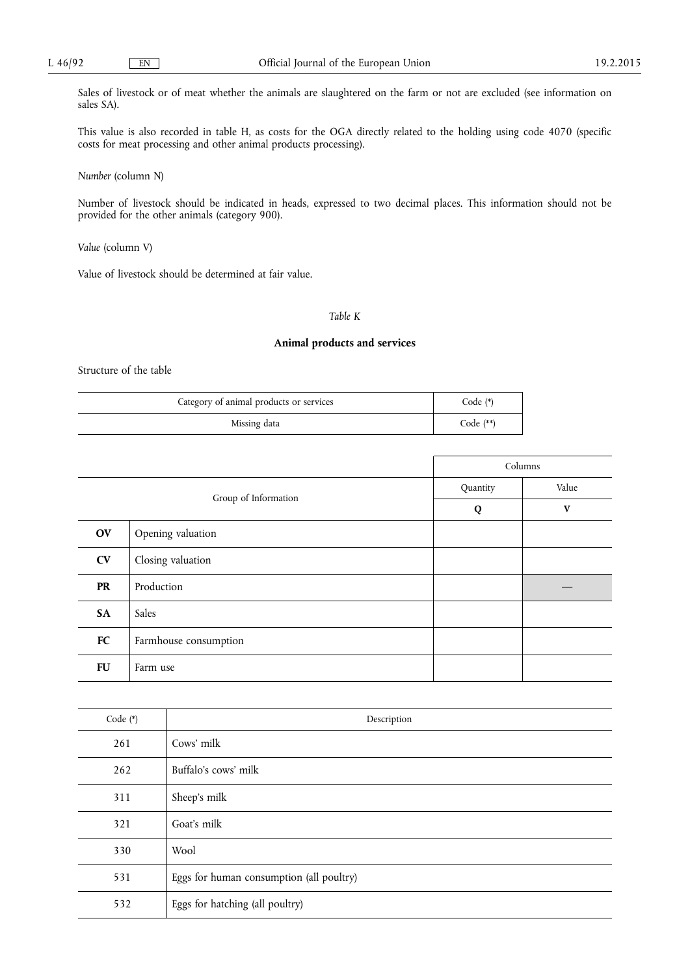Sales of livestock or of meat whether the animals are slaughtered on the farm or not are excluded (see information on sales SA).

This value is also recorded in table H, as costs for the OGA directly related to the holding using code 4070 (specific costs for meat processing and other animal products processing).

*Number* (column N)

Number of livestock should be indicated in heads, expressed to two decimal places. This information should not be provided for the other animals (category 900).

*Value* (column V)

Value of livestock should be determined at fair value.

# *Table K*

# **Animal products and services**

Structure of the table

| Category of animal products or services | $Code (*)$  |
|-----------------------------------------|-------------|
| Missing data                            | Code $(**)$ |

|                      |                       | Columns  |              |
|----------------------|-----------------------|----------|--------------|
| Group of Information |                       | Quantity | Value        |
|                      |                       | Q        | $\mathbf{V}$ |
| <b>OV</b>            | Opening valuation     |          |              |
| CV                   | Closing valuation     |          |              |
| <b>PR</b>            | Production            |          |              |
| SA                   | Sales                 |          |              |
| FC                   | Farmhouse consumption |          |              |
| <b>FU</b>            | Farm use              |          |              |

| Code (*) | Description                              |
|----------|------------------------------------------|
| 261      | Cows' milk                               |
| 262      | Buffalo's cows' milk                     |
| 311      | Sheep's milk                             |
| 321      | Goat's milk                              |
| 330      | Wool                                     |
| 531      | Eggs for human consumption (all poultry) |
| 532      | Eggs for hatching (all poultry)          |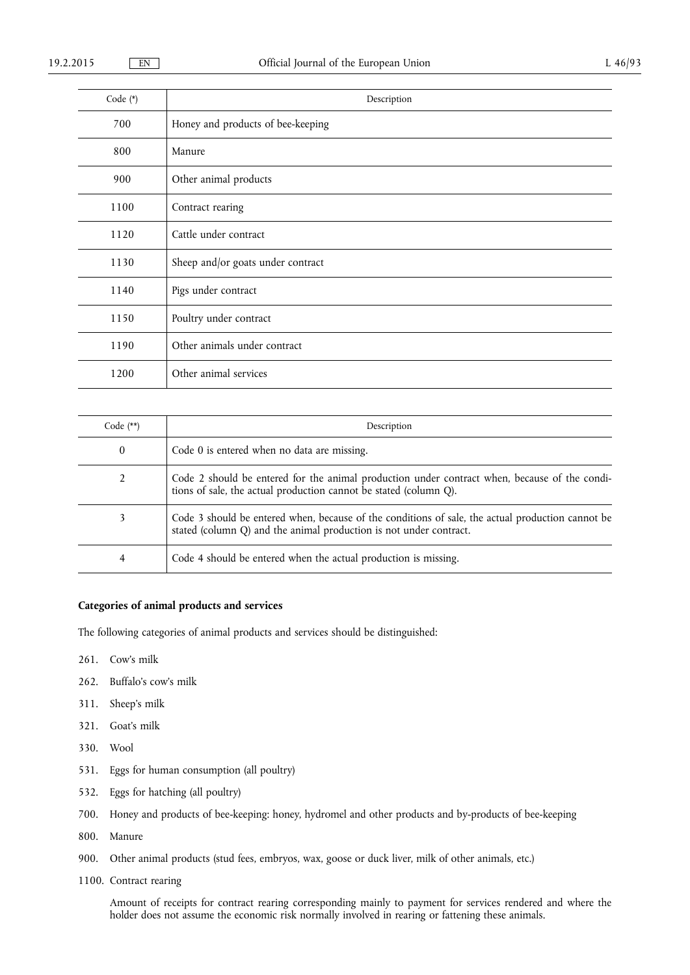| Code (*) | Description                       |
|----------|-----------------------------------|
| 700      | Honey and products of bee-keeping |
| 800      | Manure                            |
| 900      | Other animal products             |
| 1100     | Contract rearing                  |
| 1120     | Cattle under contract             |
| 1130     | Sheep and/or goats under contract |
| 1140     | Pigs under contract               |
| 1150     | Poultry under contract            |
| 1190     | Other animals under contract      |
| 1200     | Other animal services             |

| Code $(**)$ | Description                                                                                                                                                             |
|-------------|-------------------------------------------------------------------------------------------------------------------------------------------------------------------------|
| 0           | Code 0 is entered when no data are missing.                                                                                                                             |
| 2           | Code 2 should be entered for the animal production under contract when, because of the condi-<br>tions of sale, the actual production cannot be stated (column Q).      |
| 3           | Code 3 should be entered when, because of the conditions of sale, the actual production cannot be<br>stated (column Q) and the animal production is not under contract. |
| 4           | Code 4 should be entered when the actual production is missing.                                                                                                         |

# **Categories of animal products and services**

The following categories of animal products and services should be distinguished:

- 261. Cow's milk
- 262. Buffalo's cow's milk
- 311. Sheep's milk
- 321. Goat's milk
- 330. Wool
- 531. Eggs for human consumption (all poultry)
- 532. Eggs for hatching (all poultry)
- 700. Honey and products of bee-keeping: honey, hydromel and other products and by-products of bee-keeping
- 800. Manure
- 900. Other animal products (stud fees, embryos, wax, goose or duck liver, milk of other animals, etc.)
- 1100. Contract rearing

Amount of receipts for contract rearing corresponding mainly to payment for services rendered and where the holder does not assume the economic risk normally involved in rearing or fattening these animals.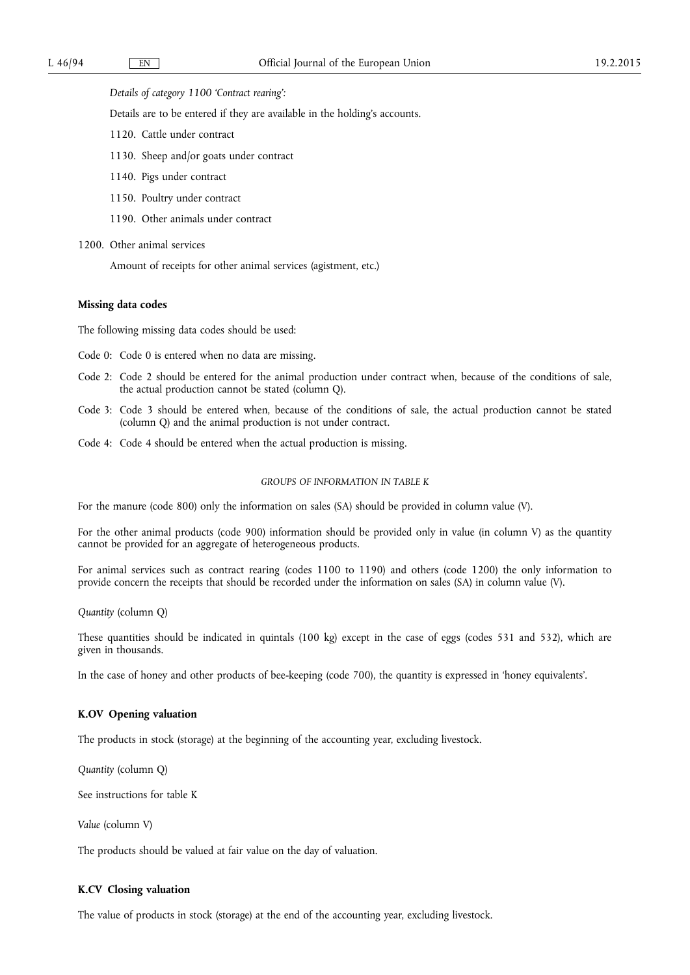*Details of category 1100 'Contract rearing':* 

Details are to be entered if they are available in the holding's accounts.

- 1120. Cattle under contract
- 1130. Sheep and/or goats under contract
- 1140. Pigs under contract
- 1150. Poultry under contract
- 1190. Other animals under contract

1200. Other animal services

Amount of receipts for other animal services (agistment, etc.)

### **Missing data codes**

The following missing data codes should be used:

- Code 0: Code 0 is entered when no data are missing.
- Code 2: Code 2 should be entered for the animal production under contract when, because of the conditions of sale, the actual production cannot be stated (column Q).
- Code 3: Code 3 should be entered when, because of the conditions of sale, the actual production cannot be stated (column Q) and the animal production is not under contract.
- Code 4: Code 4 should be entered when the actual production is missing.

### *GROUPS OF INFORMATION IN TABLE K*

For the manure (code 800) only the information on sales (SA) should be provided in column value (V).

For the other animal products (code 900) information should be provided only in value (in column V) as the quantity cannot be provided for an aggregate of heterogeneous products.

For animal services such as contract rearing (codes 1100 to 1190) and others (code 1200) the only information to provide concern the receipts that should be recorded under the information on sales (SA) in column value (V).

*Quantity* (column Q)

These quantities should be indicated in quintals (100 kg) except in the case of eggs (codes 531 and 532), which are given in thousands.

In the case of honey and other products of bee-keeping (code 700), the quantity is expressed in 'honey equivalents'.

# **K.OV Opening valuation**

The products in stock (storage) at the beginning of the accounting year, excluding livestock.

*Quantity* (column Q)

See instructions for table K

*Value* (column V)

The products should be valued at fair value on the day of valuation.

# **K.CV Closing valuation**

The value of products in stock (storage) at the end of the accounting year, excluding livestock.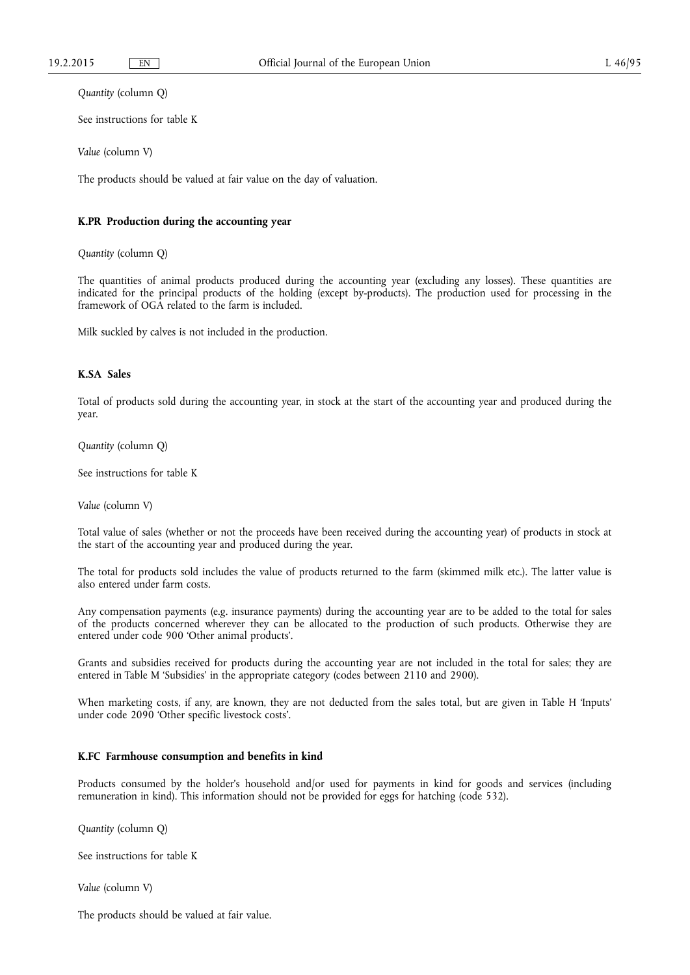*Quantity* (column Q)

See instructions for table K

*Value* (column V)

The products should be valued at fair value on the day of valuation.

# **K.PR Production during the accounting year**

*Quantity* (column Q)

The quantities of animal products produced during the accounting year (excluding any losses). These quantities are indicated for the principal products of the holding (except by-products). The production used for processing in the framework of OGA related to the farm is included.

Milk suckled by calves is not included in the production.

# **K.SA Sales**

Total of products sold during the accounting year, in stock at the start of the accounting year and produced during the year.

*Quantity* (column Q)

See instructions for table K

*Value* (column V)

Total value of sales (whether or not the proceeds have been received during the accounting year) of products in stock at the start of the accounting year and produced during the year.

The total for products sold includes the value of products returned to the farm (skimmed milk etc.). The latter value is also entered under farm costs.

Any compensation payments (e.g. insurance payments) during the accounting year are to be added to the total for sales of the products concerned wherever they can be allocated to the production of such products. Otherwise they are entered under code 900 'Other animal products'.

Grants and subsidies received for products during the accounting year are not included in the total for sales; they are entered in Table M 'Subsidies' in the appropriate category (codes between 2110 and 2900).

When marketing costs, if any, are known, they are not deducted from the sales total, but are given in Table H 'Inputs' under code 2090 'Other specific livestock costs'.

### **K.FC Farmhouse consumption and benefits in kind**

Products consumed by the holder's household and/or used for payments in kind for goods and services (including remuneration in kind). This information should not be provided for eggs for hatching (code 532).

*Quantity* (column Q)

See instructions for table K

*Value* (column V)

The products should be valued at fair value.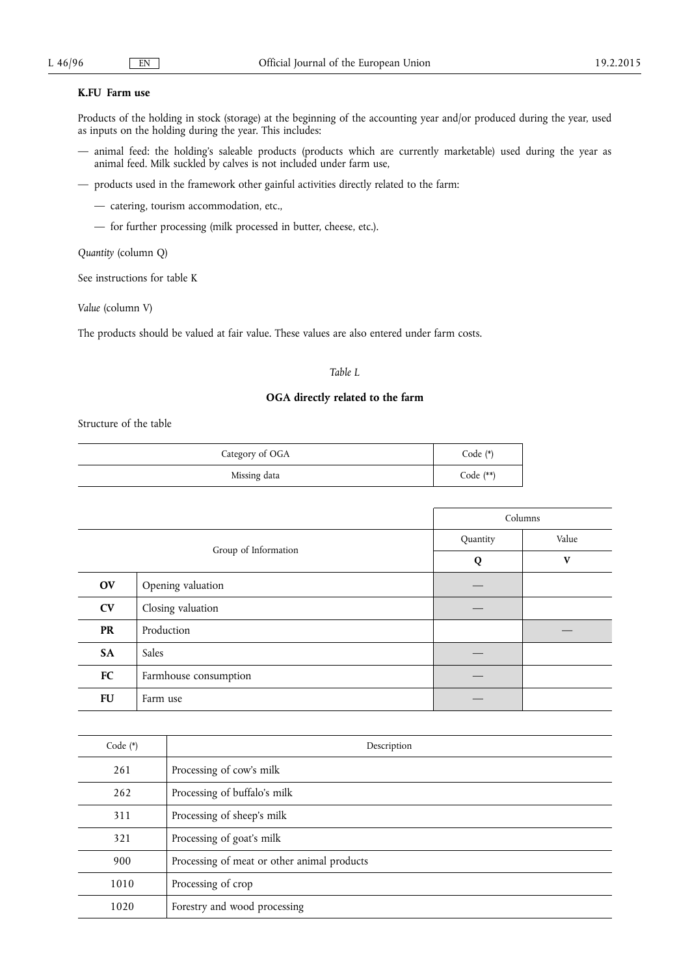# **K.FU Farm use**

Products of the holding in stock (storage) at the beginning of the accounting year and/or produced during the year, used as inputs on the holding during the year. This includes:

- animal feed: the holding's saleable products (products which are currently marketable) used during the year as animal feed. Milk suckled by calves is not included under farm use,
- products used in the framework other gainful activities directly related to the farm:
	- catering, tourism accommodation, etc.,
	- for further processing (milk processed in butter, cheese, etc.).

*Quantity* (column Q)

See instructions for table K

*Value* (column V)

The products should be valued at fair value. These values are also entered under farm costs.

# *Table L*

# **OGA directly related to the farm**

Structure of the table

| Category of OGA | Code $(*)$  |
|-----------------|-------------|
| Missing data    | Code $(**)$ |

|                      |                       | Columns  |       |
|----------------------|-----------------------|----------|-------|
| Group of Information |                       | Quantity | Value |
|                      |                       | Q        | V     |
| OV                   | Opening valuation     |          |       |
| <b>CV</b>            | Closing valuation     |          |       |
| <b>PR</b>            | Production            |          |       |
| SA                   | Sales                 |          |       |
| FC                   | Farmhouse consumption |          |       |
| <b>FU</b>            | Farm use              |          |       |

| Code $(*)$ | Description                                 |
|------------|---------------------------------------------|
| 261        | Processing of cow's milk                    |
| 262        | Processing of buffalo's milk                |
| 311        | Processing of sheep's milk                  |
| 321        | Processing of goat's milk                   |
| 900        | Processing of meat or other animal products |
| 1010       | Processing of crop                          |
| 1020       | Forestry and wood processing                |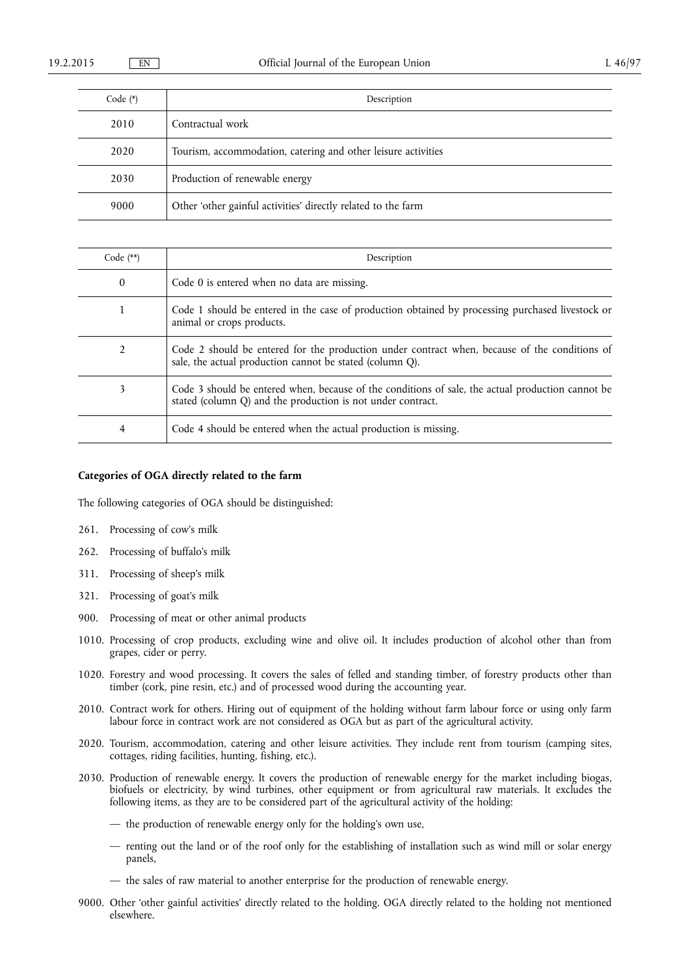| Code $(*)$ | Description                                                   |
|------------|---------------------------------------------------------------|
| 2010       | Contractual work                                              |
| 2020       | Tourism, accommodation, catering and other leisure activities |
| 2030       | Production of renewable energy                                |
| 9000       | Other 'other gainful activities' directly related to the farm |

| Code $(**)$ | Description                                                                                                                                                      |
|-------------|------------------------------------------------------------------------------------------------------------------------------------------------------------------|
| 0           | Code 0 is entered when no data are missing.                                                                                                                      |
| 1           | Code 1 should be entered in the case of production obtained by processing purchased livestock or<br>animal or crops products.                                    |
| 2           | Code 2 should be entered for the production under contract when, because of the conditions of<br>sale, the actual production cannot be stated (column Q).        |
| 3           | Code 3 should be entered when, because of the conditions of sale, the actual production cannot be<br>stated (column Q) and the production is not under contract. |
| 4           | Code 4 should be entered when the actual production is missing.                                                                                                  |

# **Categories of OGA directly related to the farm**

The following categories of OGA should be distinguished:

- 261. Processing of cow's milk
- 262. Processing of buffalo's milk
- 311. Processing of sheep's milk
- 321. Processing of goat's milk
- 900. Processing of meat or other animal products
- 1010. Processing of crop products, excluding wine and olive oil. It includes production of alcohol other than from grapes, cider or perry.
- 1020. Forestry and wood processing. It covers the sales of felled and standing timber, of forestry products other than timber (cork, pine resin, etc.) and of processed wood during the accounting year.
- 2010. Contract work for others. Hiring out of equipment of the holding without farm labour force or using only farm labour force in contract work are not considered as OGA but as part of the agricultural activity.
- 2020. Tourism, accommodation, catering and other leisure activities. They include rent from tourism (camping sites, cottages, riding facilities, hunting, fishing, etc.).
- 2030. Production of renewable energy. It covers the production of renewable energy for the market including biogas, biofuels or electricity, by wind turbines, other equipment or from agricultural raw materials. It excludes the following items, as they are to be considered part of the agricultural activity of the holding:
	- the production of renewable energy only for the holding's own use,
	- renting out the land or of the roof only for the establishing of installation such as wind mill or solar energy panels,
	- the sales of raw material to another enterprise for the production of renewable energy.
- 9000. Other 'other gainful activities' directly related to the holding. OGA directly related to the holding not mentioned elsewhere.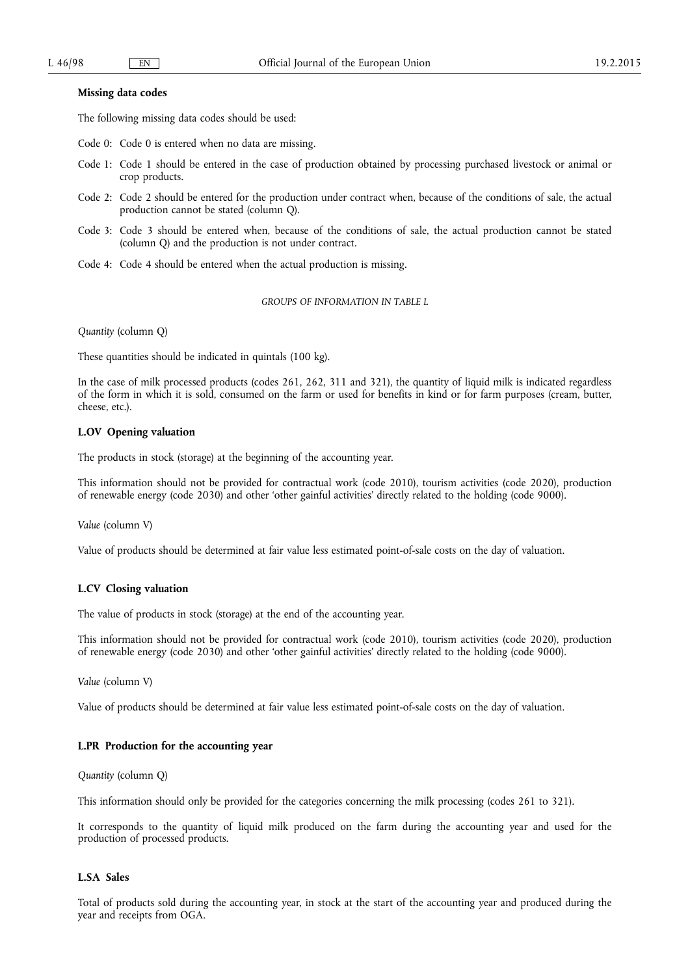### **Missing data codes**

The following missing data codes should be used:

- Code 0: Code 0 is entered when no data are missing.
- Code 1: Code 1 should be entered in the case of production obtained by processing purchased livestock or animal or crop products.
- Code 2: Code 2 should be entered for the production under contract when, because of the conditions of sale, the actual production cannot be stated (column Q).
- Code 3: Code 3 should be entered when, because of the conditions of sale, the actual production cannot be stated (column Q) and the production is not under contract.
- Code 4: Code 4 should be entered when the actual production is missing.

*GROUPS OF INFORMATION IN TABLE L* 

*Quantity* (column Q)

These quantities should be indicated in quintals (100 kg).

In the case of milk processed products (codes 261, 262, 311 and 321), the quantity of liquid milk is indicated regardless of the form in which it is sold, consumed on the farm or used for benefits in kind or for farm purposes (cream, butter, cheese, etc.).

# **L.OV Opening valuation**

The products in stock (storage) at the beginning of the accounting year.

This information should not be provided for contractual work (code 2010), tourism activities (code 2020), production of renewable energy (code 2030) and other 'other gainful activities' directly related to the holding (code 9000).

*Value* (column V)

Value of products should be determined at fair value less estimated point-of-sale costs on the day of valuation.

# **L.CV Closing valuation**

The value of products in stock (storage) at the end of the accounting year.

This information should not be provided for contractual work (code 2010), tourism activities (code 2020), production of renewable energy (code 2030) and other 'other gainful activities' directly related to the holding (code 9000).

*Value* (column V)

Value of products should be determined at fair value less estimated point-of-sale costs on the day of valuation.

# **L.PR Production for the accounting year**

*Quantity* (column Q)

This information should only be provided for the categories concerning the milk processing (codes 261 to 321).

It corresponds to the quantity of liquid milk produced on the farm during the accounting year and used for the production of processed products.

### **L.SA Sales**

Total of products sold during the accounting year, in stock at the start of the accounting year and produced during the year and receipts from OGA.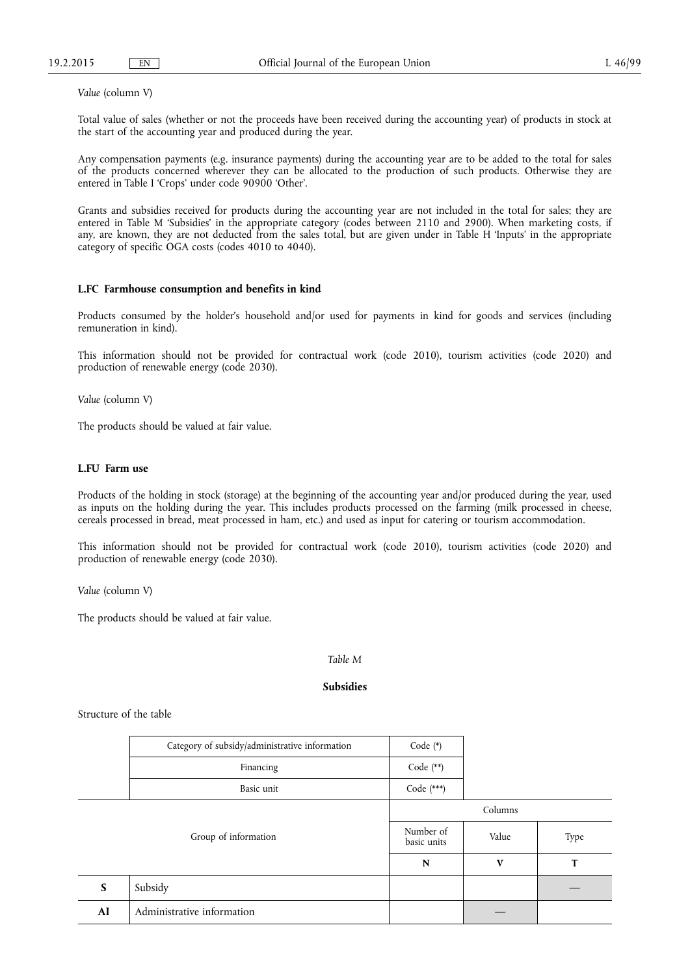*Value* (column V)

Total value of sales (whether or not the proceeds have been received during the accounting year) of products in stock at the start of the accounting year and produced during the year.

Any compensation payments (e.g. insurance payments) during the accounting year are to be added to the total for sales of the products concerned wherever they can be allocated to the production of such products. Otherwise they are entered in Table I 'Crops' under code 90900 'Other'.

Grants and subsidies received for products during the accounting year are not included in the total for sales; they are entered in Table M 'Subsidies' in the appropriate category (codes between 2110 and 2900). When marketing costs, if any, are known, they are not deducted from the sales total, but are given under in Table H 'Inputs' in the appropriate category of specific OGA costs (codes 4010 to 4040).

# **L.FC Farmhouse consumption and benefits in kind**

Products consumed by the holder's household and/or used for payments in kind for goods and services (including remuneration in kind).

This information should not be provided for contractual work (code 2010), tourism activities (code 2020) and production of renewable energy (code 2030).

*Value* (column V)

The products should be valued at fair value.

# **L.FU Farm use**

Products of the holding in stock (storage) at the beginning of the accounting year and/or produced during the year, used as inputs on the holding during the year. This includes products processed on the farming (milk processed in cheese, cereals processed in bread, meat processed in ham, etc.) and used as input for catering or tourism accommodation.

This information should not be provided for contractual work (code 2010), tourism activities (code 2020) and production of renewable energy (code 2030).

*Value* (column V)

The products should be valued at fair value.

### *Table M*

### **Subsidies**

Structure of the table

|                                  | Category of subsidy/administrative information | Code (*)                 |         |      |
|----------------------------------|------------------------------------------------|--------------------------|---------|------|
| Financing                        |                                                | Code (**)                |         |      |
|                                  | Basic unit                                     | Code (***)               |         |      |
|                                  |                                                |                          | Columns |      |
|                                  | Group of information                           | Number of<br>basic units | Value   | Type |
|                                  |                                                | N                        | V       | T    |
| Subsidy<br>S                     |                                                |                          |         |      |
| Administrative information<br>AI |                                                |                          |         |      |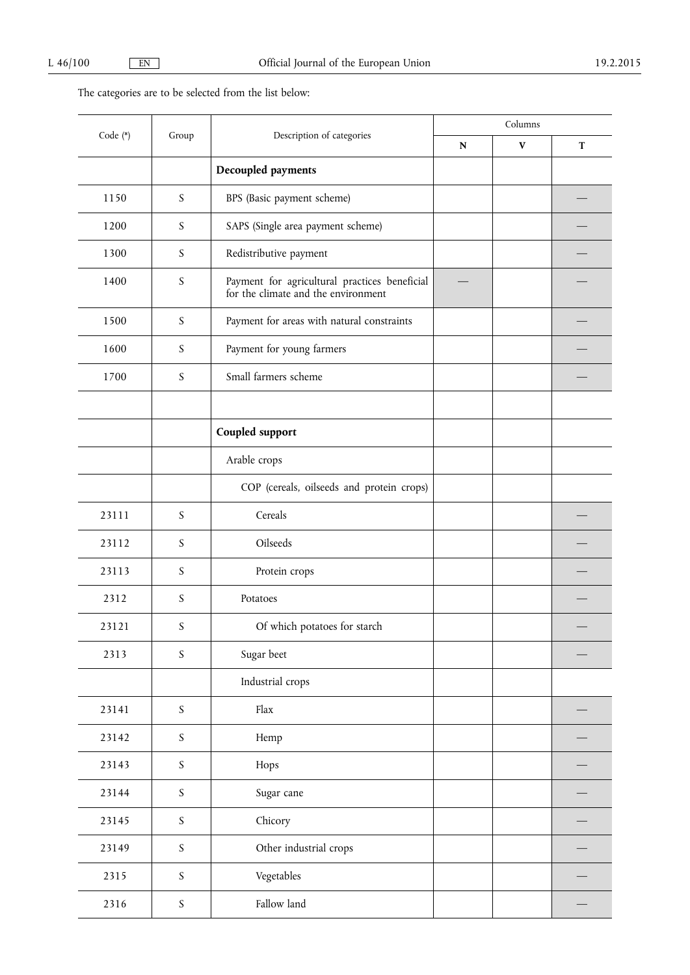# The categories are to be selected from the list below:

|          |                  | Description of categories<br>Group                                                   | Columns   |              |             |
|----------|------------------|--------------------------------------------------------------------------------------|-----------|--------------|-------------|
| Code (*) |                  |                                                                                      | ${\bf N}$ | $\mathbf{V}$ | $\mathbf T$ |
|          |                  | Decoupled payments                                                                   |           |              |             |
| 1150     | S                | BPS (Basic payment scheme)                                                           |           |              |             |
| 1200     | S                | SAPS (Single area payment scheme)                                                    |           |              |             |
| 1300     | S                | Redistributive payment                                                               |           |              |             |
| 1400     | S                | Payment for agricultural practices beneficial<br>for the climate and the environment |           |              |             |
| 1500     | S                | Payment for areas with natural constraints                                           |           |              |             |
| 1600     | S                | Payment for young farmers                                                            |           |              |             |
| 1700     | $\boldsymbol{S}$ | Small farmers scheme                                                                 |           |              |             |
|          |                  |                                                                                      |           |              |             |
|          |                  | Coupled support                                                                      |           |              |             |
|          |                  | Arable crops                                                                         |           |              |             |
|          |                  | COP (cereals, oilseeds and protein crops)                                            |           |              |             |
| 23111    | $\boldsymbol{S}$ | Cereals                                                                              |           |              |             |
| 23112    | S                | Oilseeds                                                                             |           |              |             |
| 23113    | S                | Protein crops                                                                        |           |              |             |
| 2312     | S                | Potatoes                                                                             |           |              |             |
| 23121    | S                | Of which potatoes for starch                                                         |           |              |             |
| 2313     | $\boldsymbol{S}$ | Sugar beet                                                                           |           |              |             |
|          |                  | Industrial crops                                                                     |           |              |             |
| 23141    | $\boldsymbol{S}$ | Flax                                                                                 |           |              |             |
| 23142    | $\boldsymbol{S}$ | Hemp                                                                                 |           |              |             |
| 23143    | $\boldsymbol{S}$ | Hops                                                                                 |           |              |             |
| 23144    | $\boldsymbol{S}$ | Sugar cane                                                                           |           |              |             |
| 23145    | $\boldsymbol{S}$ | Chicory                                                                              |           |              |             |
| 23149    | $\boldsymbol{S}$ | Other industrial crops                                                               |           |              |             |
| 2315     | $\boldsymbol{S}$ | Vegetables                                                                           |           |              |             |
| 2316     | S                | Fallow land                                                                          |           |              |             |
|          |                  |                                                                                      |           |              |             |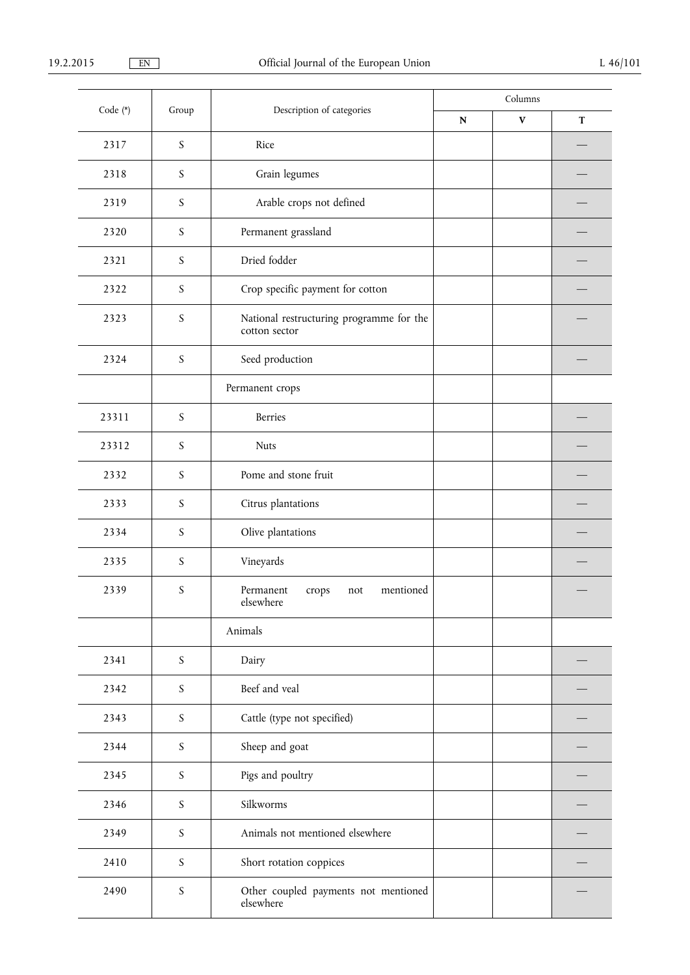| Code (*) | Group            | Description of categories                                 | Columns   |              |             |
|----------|------------------|-----------------------------------------------------------|-----------|--------------|-------------|
|          |                  |                                                           | ${\bf N}$ | $\mathbf{V}$ | $\mathbf T$ |
| 2317     | $\boldsymbol{S}$ | Rice                                                      |           |              |             |
| 2318     | S                | Grain legumes                                             |           |              |             |
| 2319     | S                | Arable crops not defined                                  |           |              |             |
| 2320     | S                | Permanent grassland                                       |           |              |             |
| 2321     | S                | Dried fodder                                              |           |              |             |
| 2322     | S                | Crop specific payment for cotton                          |           |              |             |
| 2323     | $\boldsymbol{S}$ | National restructuring programme for the<br>cotton sector |           |              |             |
| 2324     | S                | Seed production                                           |           |              |             |
|          |                  | Permanent crops                                           |           |              |             |
| 23311    | $\boldsymbol{S}$ | Berries                                                   |           |              |             |
| 23312    | S                | <b>Nuts</b>                                               |           |              |             |
| 2332     | S                | Pome and stone fruit                                      |           |              |             |
| 2333     | S                | Citrus plantations                                        |           |              |             |
| 2334     | S                | Olive plantations                                         |           |              |             |
| 2335     | S                | Vineyards                                                 |           |              |             |
| 2339     | S                | Permanent<br>mentioned<br>crops<br>not<br>elsewhere       |           |              |             |
|          |                  | Animals                                                   |           |              |             |
| 2341     | $\boldsymbol{S}$ | Dairy                                                     |           |              |             |
| 2342     | S                | Beef and veal                                             |           |              |             |
| 2343     | $\boldsymbol{S}$ | Cattle (type not specified)                               |           |              |             |
| 2344     | $\boldsymbol{S}$ | Sheep and goat                                            |           |              |             |
| 2345     | $\boldsymbol{S}$ | Pigs and poultry                                          |           |              |             |
| 2346     | $\boldsymbol{S}$ | Silkworms                                                 |           |              |             |
| 2349     | $\boldsymbol{S}$ | Animals not mentioned elsewhere                           |           |              |             |
| 2410     | $\boldsymbol{S}$ | Short rotation coppices                                   |           |              |             |
| 2490     | $\boldsymbol{S}$ | Other coupled payments not mentioned<br>elsewhere         |           |              |             |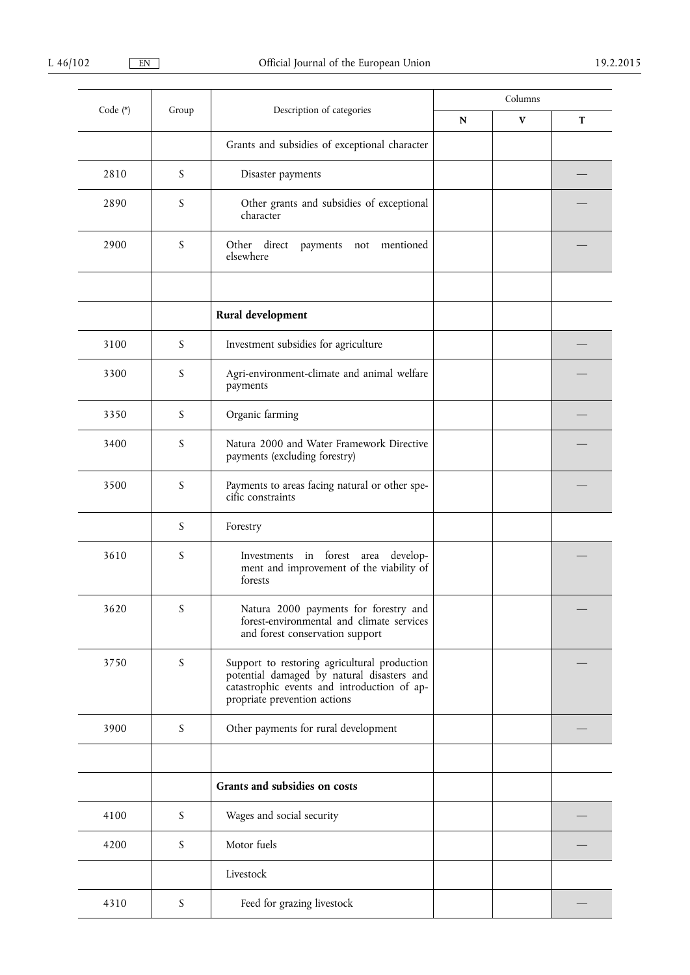| Code (*) | Group            | Description of categories                                                                                                                                                 | Columns   |              |   |
|----------|------------------|---------------------------------------------------------------------------------------------------------------------------------------------------------------------------|-----------|--------------|---|
|          |                  |                                                                                                                                                                           | ${\bf N}$ | $\mathbf{V}$ | T |
|          |                  | Grants and subsidies of exceptional character                                                                                                                             |           |              |   |
| 2810     | S                | Disaster payments                                                                                                                                                         |           |              |   |
| 2890     | S                | Other grants and subsidies of exceptional<br>character                                                                                                                    |           |              |   |
| 2900     | $\boldsymbol{S}$ | direct<br>Other<br>mentioned<br>payments not<br>elsewhere                                                                                                                 |           |              |   |
|          |                  |                                                                                                                                                                           |           |              |   |
|          |                  | Rural development                                                                                                                                                         |           |              |   |
| 3100     | S                | Investment subsidies for agriculture                                                                                                                                      |           |              |   |
| 3300     | S                | Agri-environment-climate and animal welfare<br>payments                                                                                                                   |           |              |   |
| 3350     | S                | Organic farming                                                                                                                                                           |           |              |   |
| 3400     | S                | Natura 2000 and Water Framework Directive<br>payments (excluding forestry)                                                                                                |           |              |   |
| 3500     | S                | Payments to areas facing natural or other spe-<br>cific constraints                                                                                                       |           |              |   |
|          | S                | Forestry                                                                                                                                                                  |           |              |   |
| 3610     | S                | Investments in forest area develop-<br>ment and improvement of the viability of<br>forests                                                                                |           |              |   |
| 3620     | S                | Natura 2000 payments for forestry and<br>forest-environmental and climate services<br>and forest conservation support                                                     |           |              |   |
| 3750     | S                | Support to restoring agricultural production<br>potential damaged by natural disasters and<br>catastrophic events and introduction of ap-<br>propriate prevention actions |           |              |   |
| 3900     | $\boldsymbol{S}$ | Other payments for rural development                                                                                                                                      |           |              |   |
|          |                  |                                                                                                                                                                           |           |              |   |
|          |                  | Grants and subsidies on costs                                                                                                                                             |           |              |   |
| 4100     | S                | Wages and social security                                                                                                                                                 |           |              |   |
| 4200     | S                | Motor fuels                                                                                                                                                               |           |              |   |
|          |                  | Livestock                                                                                                                                                                 |           |              |   |
| 4310     | $\boldsymbol{S}$ | Feed for grazing livestock                                                                                                                                                |           |              |   |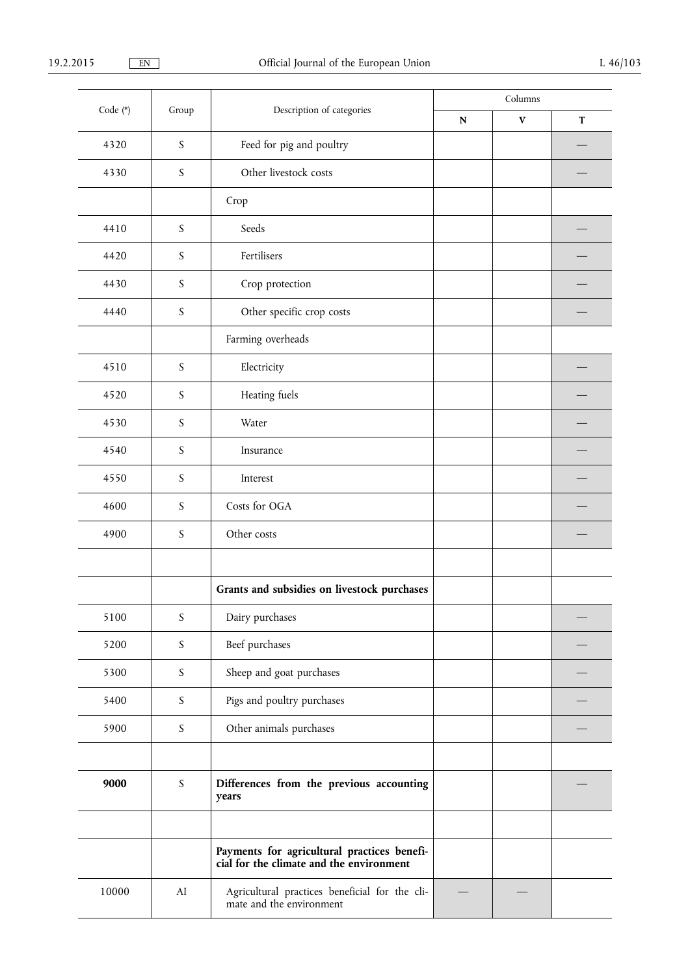| Code (*) | Group            | Description of categories                                                          | Columns     |              |             |
|----------|------------------|------------------------------------------------------------------------------------|-------------|--------------|-------------|
|          |                  |                                                                                    | $\mathbf N$ | $\mathbf{V}$ | $\mathbf T$ |
| 4320     | $\boldsymbol{S}$ | Feed for pig and poultry                                                           |             |              |             |
| 4330     | S                | Other livestock costs                                                              |             |              |             |
|          |                  | Crop                                                                               |             |              |             |
| 4410     | $\boldsymbol{S}$ | Seeds                                                                              |             |              |             |
| 4420     | S                | Fertilisers                                                                        |             |              |             |
| 4430     | $\boldsymbol{S}$ | Crop protection                                                                    |             |              |             |
| 4440     | $\boldsymbol{S}$ | Other specific crop costs                                                          |             |              |             |
|          |                  | Farming overheads                                                                  |             |              |             |
| 4510     | $\boldsymbol{S}$ | Electricity                                                                        |             |              |             |
| 4520     | $\boldsymbol{S}$ | Heating fuels                                                                      |             |              |             |
| 4530     | $\boldsymbol{S}$ | Water                                                                              |             |              |             |
| 4540     | $\boldsymbol{S}$ | Insurance                                                                          |             |              |             |
| 4550     | $\boldsymbol{S}$ | Interest                                                                           |             |              |             |
| 4600     | $\boldsymbol{S}$ | Costs for OGA                                                                      |             |              |             |
| 4900     | $\boldsymbol{S}$ | Other costs                                                                        |             |              |             |
|          |                  |                                                                                    |             |              |             |
|          |                  | Grants and subsidies on livestock purchases                                        |             |              |             |
| 5100     | $\boldsymbol{S}$ | Dairy purchases                                                                    |             |              |             |
| 5200     | $\boldsymbol{S}$ | Beef purchases                                                                     |             |              |             |
| 5300     | $\boldsymbol{S}$ | Sheep and goat purchases                                                           |             |              |             |
| 5400     | $\boldsymbol{S}$ | Pigs and poultry purchases                                                         |             |              |             |
| 5900     | $\boldsymbol{S}$ | Other animals purchases                                                            |             |              |             |
|          |                  |                                                                                    |             |              |             |
| 9000     | $\boldsymbol{S}$ | Differences from the previous accounting<br>years                                  |             |              |             |
|          |                  |                                                                                    |             |              |             |
|          |                  | Payments for agricultural practices beneficial for the climate and the environment |             |              |             |
| 10000    | ${\rm AI}$       | Agricultural practices beneficial for the cli-<br>mate and the environment         |             |              |             |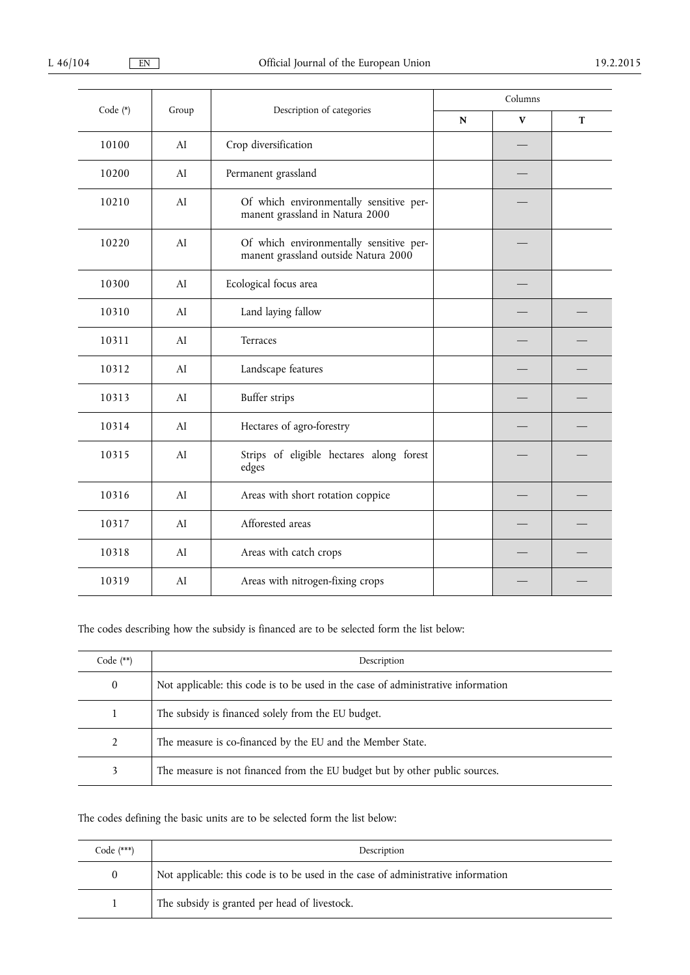| Code (*) |       |                                                                                 | Columns   |              |             |
|----------|-------|---------------------------------------------------------------------------------|-----------|--------------|-------------|
|          | Group | Description of categories                                                       | ${\bf N}$ | $\mathbf{V}$ | $\mathbf T$ |
| 10100    | AI    | Crop diversification                                                            |           |              |             |
| 10200    | AI    | Permanent grassland                                                             |           |              |             |
| 10210    | AI    | Of which environmentally sensitive per-<br>manent grassland in Natura 2000      |           |              |             |
| 10220    | AI    | Of which environmentally sensitive per-<br>manent grassland outside Natura 2000 |           |              |             |
| 10300    | AI    | Ecological focus area                                                           |           |              |             |
| 10310    | AI    | Land laying fallow                                                              |           |              |             |
| 10311    | AI    | Terraces                                                                        |           |              |             |
| 10312    | AI    | Landscape features                                                              |           |              |             |
| 10313    | AI    | Buffer strips                                                                   |           |              |             |
| 10314    | AI    | Hectares of agro-forestry                                                       |           |              |             |
| 10315    | AI    | Strips of eligible hectares along forest<br>edges                               |           |              |             |
| 10316    | AI    | Areas with short rotation coppice                                               |           |              |             |
| 10317    | AI    | Afforested areas                                                                |           |              |             |
| 10318    | AI    | Areas with catch crops                                                          |           |              |             |
| 10319    | AI    | Areas with nitrogen-fixing crops                                                |           |              |             |

The codes describing how the subsidy is financed are to be selected form the list below:

| Code $(**)$  | Description                                                                       |
|--------------|-----------------------------------------------------------------------------------|
| $\mathbf{0}$ | Not applicable: this code is to be used in the case of administrative information |
|              | The subsidy is financed solely from the EU budget.                                |
| 2            | The measure is co-financed by the EU and the Member State.                        |
| 3            | The measure is not financed from the EU budget but by other public sources.       |

# The codes defining the basic units are to be selected form the list below:

| Code $(***)$ | Description                                                                       |
|--------------|-----------------------------------------------------------------------------------|
| $\bf{0}$     | Not applicable: this code is to be used in the case of administrative information |
|              | The subsidy is granted per head of livestock.                                     |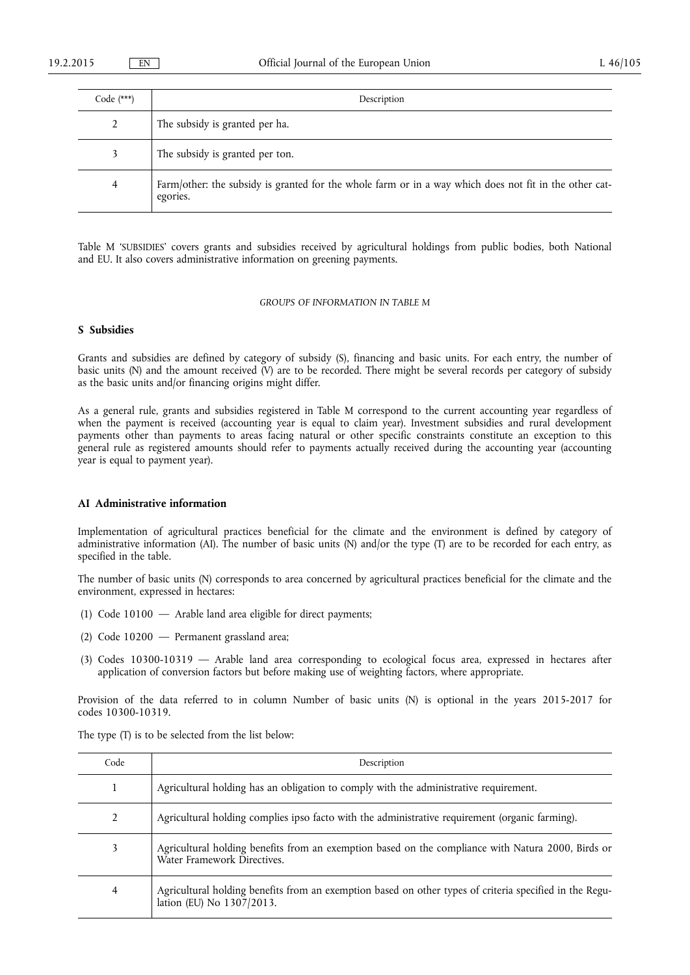| Code $(***)$ | Description                                                                                                        |
|--------------|--------------------------------------------------------------------------------------------------------------------|
|              | The subsidy is granted per ha.                                                                                     |
|              | The subsidy is granted per ton.                                                                                    |
| 4            | Farm/other: the subsidy is granted for the whole farm or in a way which does not fit in the other cat-<br>egories. |

Table M 'SUBSIDIES' covers grants and subsidies received by agricultural holdings from public bodies, both National and EU. It also covers administrative information on greening payments.

# *GROUPS OF INFORMATION IN TABLE M*

### **S Subsidies**

Grants and subsidies are defined by category of subsidy (S), financing and basic units. For each entry, the number of basic units (N) and the amount received (V) are to be recorded. There might be several records per category of subsidy as the basic units and/or financing origins might differ.

As a general rule, grants and subsidies registered in Table M correspond to the current accounting year regardless of when the payment is received (accounting year is equal to claim year). Investment subsidies and rural development payments other than payments to areas facing natural or other specific constraints constitute an exception to this general rule as registered amounts should refer to payments actually received during the accounting year (accounting year is equal to payment year).

### **AI Administrative information**

Implementation of agricultural practices beneficial for the climate and the environment is defined by category of administrative information (AI). The number of basic units (N) and/or the type (T) are to be recorded for each entry, as specified in the table.

The number of basic units (N) corresponds to area concerned by agricultural practices beneficial for the climate and the environment, expressed in hectares:

- (1) Code 10100 Arable land area eligible for direct payments;
- (2) Code 10200 Permanent grassland area;
- (3) Codes 10300-10319 Arable land area corresponding to ecological focus area, expressed in hectares after application of conversion factors but before making use of weighting factors, where appropriate.

Provision of the data referred to in column Number of basic units (N) is optional in the years 2015-2017 for codes 10300-10319.

The type (T) is to be selected from the list below:

| Code | Description                                                                                                                          |
|------|--------------------------------------------------------------------------------------------------------------------------------------|
|      | Agricultural holding has an obligation to comply with the administrative requirement.                                                |
| 2    | Agricultural holding complies ipso facto with the administrative requirement (organic farming).                                      |
| 3    | Agricultural holding benefits from an exemption based on the compliance with Natura 2000, Birds or<br>Water Framework Directives.    |
| 4    | Agricultural holding benefits from an exemption based on other types of criteria specified in the Regu-<br>lation (EU) No 1307/2013. |